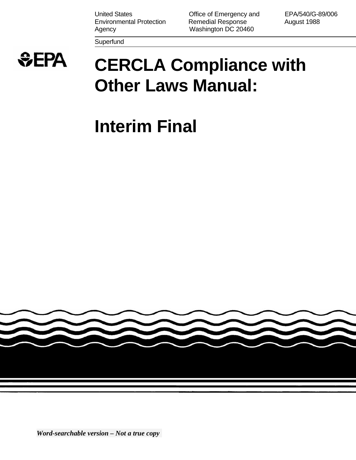United States **Contract Contract Contract Contract Contract Contract Contract Contract Contract Contract Contract Contract Contract Contract Contract Contract Contract Contract Contract Contract Contract Contract Contract** Environmental Protection Remedial Response August 1988 Agency **Mashington DC 20460** 

**Superfund** 

 $EPA$ 

# **CERCLA Compliance with Other Laws Manual:**

# **Interim Final**

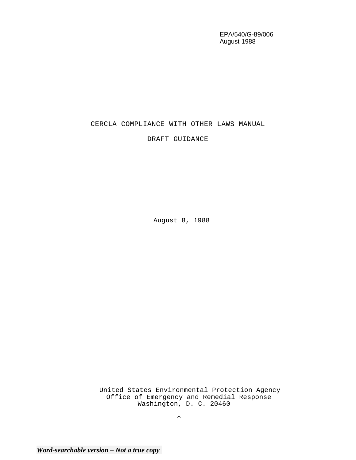EPA/540/G-89/006 August 1988

# CERCLA COMPLIANCE WITH OTHER LAWS MANUAL

DRAFT GUIDANCE

August 8, 1988

United States Environmental Protection Agency Office of Emergency and Remedial Response Washington, D. C. 20460

 $\boldsymbol{\wedge}$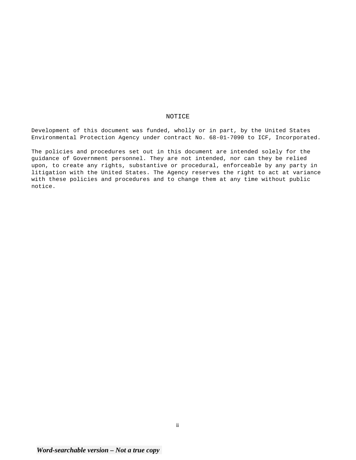#### NOTICE

Development of this document was funded, wholly or in part, by the United States Environmental Protection Agency under contract No. 68-01-7090 to ICF, Incorporated.

The policies and procedures set out in this document are intended solely for the guidance of Government personnel. They are not intended, nor can they be relied upon, to create any rights, substantive or procedural, enforceable by any party in litigation with the United States. The Agency reserves the right to act at variance with these policies and procedures and to change them at any time without public notice.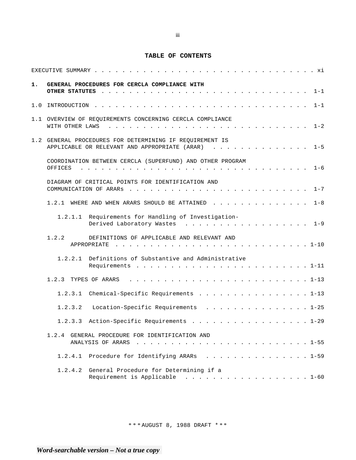# **TABLE OF CONTENTS**

| 1.  | GENERAL PROCEDURES FOR CERCLA COMPLIANCE WITH                                                                 |
|-----|---------------------------------------------------------------------------------------------------------------|
| 1.0 | $1 - 1$                                                                                                       |
|     | 1.1 OVERVIEW OF REQUIREMENTS CONCERNING CERCLA COMPLIANCE                                                     |
|     | 1.2 GENERAL PROCEDURES FOR DETERMINING IF REQUIREMENT IS<br>APPLICABLE OR RELEVANT AND APPROPRIATE (ARAR) 1-5 |
|     | COORDINATION BETWEEN CERCLA (SUPERFUND) AND OTHER PROGRAM                                                     |
|     | DIAGRAM OF CRITICAL POINTS FOR IDENTIFICATION AND                                                             |
|     | 1.2.1 WHERE AND WHEN ARARS SHOULD BE ATTAINED<br>$1 - 8$                                                      |
|     | 1.2.1.1 Requirements for Handling of Investigation-<br>Derived Laboratory Wastes 1-9                          |
|     | 1.2.2<br>DEFINITIONS OF APPLICABLE AND RELEVANT AND                                                           |
|     | 1.2.2.1 Definitions of Substantive and Administrative                                                         |
|     | 1.2.3 TYPES OF ARARS                                                                                          |
|     | Chemical-Specific Requirements 1-13<br>1.2.3.1                                                                |
|     | Location-Specific Requirements 1-25<br>1.2.3.2                                                                |
|     | 1.2.3.3 Action-Specific Requirements 1-29                                                                     |
|     | 1.2.4 GENERAL PROCEDURE FOR IDENTIFICATION AND                                                                |
|     | 1.2.4.1 Procedure for Identifying ARARs 1-59                                                                  |
|     | 1.2.4.2 General Procedure for Determining if a<br>Requirement is Applicable 1-60                              |

\* \* \* AUGUST 8, 1988 DRAFT \* \* \*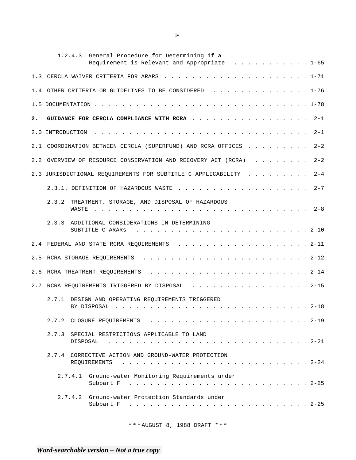|     | General Procedure for Determining if a<br>1, 2, 4, 3<br>Requirement is Relevant and Appropriate 1-65                                                                                                                                                                                                      |
|-----|-----------------------------------------------------------------------------------------------------------------------------------------------------------------------------------------------------------------------------------------------------------------------------------------------------------|
| 1.3 |                                                                                                                                                                                                                                                                                                           |
|     | 1.4 OTHER CRITERIA OR GUIDELINES TO BE CONSIDERED 1-76                                                                                                                                                                                                                                                    |
|     |                                                                                                                                                                                                                                                                                                           |
| 2.  | GUIDANCE FOR CERCLA COMPLIANCE WITH RCRA<br>$2 - 1$                                                                                                                                                                                                                                                       |
|     | $2 - 1$<br>2.0 INTRODUCTION                                                                                                                                                                                                                                                                               |
| 2.1 | $2 - 2$<br>COORDINATION BETWEEN CERCLA (SUPERFUND) AND RCRA OFFICES                                                                                                                                                                                                                                       |
| 2.2 | $2 - 2$<br>OVERVIEW OF RESOURCE CONSERVATION AND RECOVERY ACT (RCRA)                                                                                                                                                                                                                                      |
|     | $2 - 4$<br>2.3 JURISDICTIONAL REQUIREMENTS FOR SUBTITLE C APPLICABILITY                                                                                                                                                                                                                                   |
|     | $2 - 7$                                                                                                                                                                                                                                                                                                   |
|     | 2.3.2<br>TREATMENT, STORAGE, AND DISPOSAL OF HAZARDOUS<br>WASTE<br>$2-8$<br>and the companion of the companion of the companion of the companion of the companion of the companion of the companion of the companion of the companion of the companion of the companion of the companion of the companion |
|     | 2.3.3 ADDITIONAL CONSIDERATIONS IN DETERMINING<br>SUBTITLE C ARARS                                                                                                                                                                                                                                        |
| 2.4 | FEDERAL AND STATE RCRA REQUIREMENTS 2-11                                                                                                                                                                                                                                                                  |
| 2.5 |                                                                                                                                                                                                                                                                                                           |
| 2.6 | RCRA TREATMENT REQUIREMENTS                                                                                                                                                                                                                                                                               |
| 2.7 | RCRA REQUIREMENTS TRIGGERED BY DISPOSAL 2-15                                                                                                                                                                                                                                                              |
|     | 2.7.1 DESIGN AND OPERATING REQUIREMENTS TRIGGERED                                                                                                                                                                                                                                                         |
|     |                                                                                                                                                                                                                                                                                                           |
|     | 2.7.3 SPECIAL RESTRICTIONS APPLICABLE TO LAND<br>DISPOSAL                                                                                                                                                                                                                                                 |
|     | 2.7.4 CORRECTIVE ACTION AND GROUND-WATER PROTECTION<br>REQUIREMENTS                                                                                                                                                                                                                                       |
|     | 2.7.4.1 Ground-water Monitoring Requirements under<br>Subpart F                                                                                                                                                                                                                                           |
|     | 2.7.4.2 Ground-water Protection Standards under<br>Subpart F                                                                                                                                                                                                                                              |

iv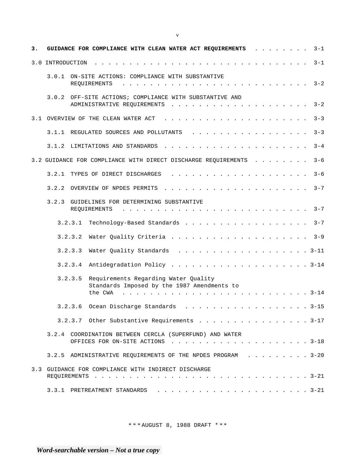| з. |                  |              | GUIDANCE FOR COMPLIANCE WITH CLEAN WATER ACT REQUIREMENTS                                      |  |                                                                                                                                                             |                                                                                                                                                                                               |              |  |                                                                                         |  |                                        |  |  | $3 - 1$ |
|----|------------------|--------------|------------------------------------------------------------------------------------------------|--|-------------------------------------------------------------------------------------------------------------------------------------------------------------|-----------------------------------------------------------------------------------------------------------------------------------------------------------------------------------------------|--------------|--|-----------------------------------------------------------------------------------------|--|----------------------------------------|--|--|---------|
|    | 3.0 INTRODUCTION |              |                                                                                                |  |                                                                                                                                                             |                                                                                                                                                                                               |              |  |                                                                                         |  |                                        |  |  | $3 - 1$ |
|    | 3.0.1            | REOUIREMENTS | ON-SITE ACTIONS: COMPLIANCE WITH SUBSTANTIVE                                                   |  |                                                                                                                                                             |                                                                                                                                                                                               |              |  |                                                                                         |  |                                        |  |  | $3 - 2$ |
|    |                  |              | 3.0.2 OFF-SITE ACTIONS; COMPLIANCE WITH SUBSTANTIVE AND<br>ADMINISTRATIVE REQUIREMENTS         |  | $\mathbf{r} = \mathbf{r} - \mathbf{r} = \mathbf{r} - \mathbf{r} - \mathbf{r} = \mathbf{r} - \mathbf{r} - \mathbf{r} - \mathbf{r} = \mathbf{r} - \mathbf{r}$ |                                                                                                                                                                                               |              |  |                                                                                         |  |                                        |  |  | $3 - 2$ |
|    |                  |              | 3.1 OVERVIEW OF THE CLEAN WATER ACT                                                            |  |                                                                                                                                                             | $\frac{1}{2}$ , $\frac{1}{2}$ , $\frac{1}{2}$ , $\frac{1}{2}$ , $\frac{1}{2}$ , $\frac{1}{2}$ , $\frac{1}{2}$ , $\frac{1}{2}$ , $\frac{1}{2}$ , $\frac{1}{2}$ , $\frac{1}{2}$ , $\frac{1}{2}$ |              |  |                                                                                         |  |                                        |  |  | $3 - 3$ |
|    |                  |              | 3.1.1 REGULATED SOURCES AND POLLUTANTS                                                         |  |                                                                                                                                                             |                                                                                                                                                                                               |              |  |                                                                                         |  |                                        |  |  | $3 - 3$ |
|    |                  |              |                                                                                                |  |                                                                                                                                                             |                                                                                                                                                                                               |              |  |                                                                                         |  |                                        |  |  | $3 - 4$ |
|    |                  |              | 3.2 GUIDANCE FOR COMPLIANCE WITH DIRECT DISCHARGE REQUIREMENTS                                 |  |                                                                                                                                                             |                                                                                                                                                                                               |              |  |                                                                                         |  | $\mathbf{r}$ . The set of $\mathbf{r}$ |  |  | $3 - 6$ |
|    | 3.2.1            |              | TYPES OF DIRECT DISCHARGES                                                                     |  |                                                                                                                                                             | $\frac{1}{2}$ , $\frac{1}{2}$ , $\frac{1}{2}$ , $\frac{1}{2}$ , $\frac{1}{2}$ , $\frac{1}{2}$ , $\frac{1}{2}$ , $\frac{1}{2}$ , $\frac{1}{2}$ , $\frac{1}{2}$ , $\frac{1}{2}$ , $\frac{1}{2}$ |              |  |                                                                                         |  |                                        |  |  | $3 - 6$ |
|    | 3.2.2            |              | OVERVIEW OF NPDES PERMITS                                                                      |  |                                                                                                                                                             | $\mathbf{r}$ , $\mathbf{r}$ , $\mathbf{r}$ , $\mathbf{r}$ , $\mathbf{r}$ , $\mathbf{r}$ , $\mathbf{r}$ , $\mathbf{r}$ , $\mathbf{r}$ , $\mathbf{r}$ , $\mathbf{r}$                            |              |  |                                                                                         |  |                                        |  |  | $3 - 7$ |
|    | 3.2.3            | REQUIREMENTS | GUIDELINES FOR DETERMINING SUBSTANTIVE                                                         |  |                                                                                                                                                             |                                                                                                                                                                                               | $\mathbf{r}$ |  | $\mathbf{r}$ , $\mathbf{r}$ , $\mathbf{r}$ , $\mathbf{r}$ , $\mathbf{r}$ , $\mathbf{r}$ |  |                                        |  |  | $3 - 7$ |
|    |                  | 3.2.3.1      | Technology-Based Standards                                                                     |  |                                                                                                                                                             |                                                                                                                                                                                               |              |  |                                                                                         |  |                                        |  |  | $3 - 7$ |
|    |                  | 3.2.3.2      | Water Quality Criteria                                                                         |  |                                                                                                                                                             |                                                                                                                                                                                               |              |  |                                                                                         |  |                                        |  |  | $3 - 9$ |
|    |                  | 3.2.3.3      | Water Quality Standards                                                                        |  |                                                                                                                                                             | . 3-11                                                                                                                                                                                        |              |  |                                                                                         |  |                                        |  |  |         |
|    |                  | 3.2.3.4      |                                                                                                |  |                                                                                                                                                             |                                                                                                                                                                                               |              |  |                                                                                         |  |                                        |  |  |         |
|    |                  | 3.2.3.5      | Requirements Regarding Water Quality<br>Standards Imposed by the 1987 Amendments to<br>the CWA |  |                                                                                                                                                             |                                                                                                                                                                                               |              |  |                                                                                         |  |                                        |  |  | . 3-14  |
|    |                  |              | $3.2.3.6$ Ocean Discharge Standards 3-15                                                       |  |                                                                                                                                                             |                                                                                                                                                                                               |              |  |                                                                                         |  |                                        |  |  |         |
|    |                  |              | 3.2.3.7 Other Substantive Requirements 3-17                                                    |  |                                                                                                                                                             |                                                                                                                                                                                               |              |  |                                                                                         |  |                                        |  |  |         |
|    |                  |              | 3.2.4 COORDINATION BETWEEN CERCLA (SUPERFUND) AND WATER                                        |  |                                                                                                                                                             |                                                                                                                                                                                               |              |  |                                                                                         |  |                                        |  |  |         |
|    |                  |              | 3.2.5 ADMINISTRATIVE REQUIREMENTS OF THE NPDES PROGRAM 3-20                                    |  |                                                                                                                                                             |                                                                                                                                                                                               |              |  |                                                                                         |  |                                        |  |  |         |
|    |                  |              | 3.3 GUIDANCE FOR COMPLIANCE WITH INDIRECT DISCHARGE                                            |  |                                                                                                                                                             |                                                                                                                                                                                               |              |  |                                                                                         |  |                                        |  |  |         |
|    |                  |              |                                                                                                |  |                                                                                                                                                             |                                                                                                                                                                                               |              |  |                                                                                         |  |                                        |  |  |         |

*Word-searchable version – Not a true copy* 

v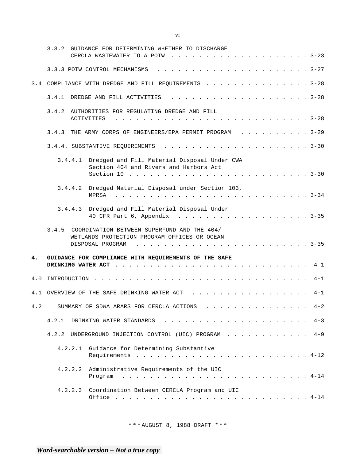|     | 3.3.2 GUIDANCE FOR DETERMINING WHETHER TO DISCHARGE                                               |
|-----|---------------------------------------------------------------------------------------------------|
|     |                                                                                                   |
|     | 3.4 COMPLIANCE WITH DREDGE AND FILL REQUIREMENTS 3-28                                             |
|     |                                                                                                   |
|     | 3.4.2 AUTHORITIES FOR REGULATING DREDGE AND FILL<br>ACTIVITIES                                    |
|     | 3.4.3 THE ARMY CORPS OF ENGINEERS/EPA PERMIT PROGRAM 3-29                                         |
|     |                                                                                                   |
|     | 3.4.4.1 Dredged and Fill Material Disposal Under CWA<br>Section 404 and Rivers and Harbors Act    |
|     | 3.4.4.2 Dredged Material Disposal under Section 103,<br><b>MPRSA</b>                              |
|     | 3.4.4.3 Dredged and Fill Material Disposal Under<br>40 CFR Part 6, Appendix 3-35                  |
|     | 3.4.5 COORDINATION BETWEEN SUPERFUND AND THE 404/<br>WETLANDS PROTECTION PROGRAM OFFICES OR OCEAN |
| 4.  | GUIDANCE FOR COMPLIANCE WITH REQUIREMENTS OF THE SAFE                                             |
| 4.0 | $4 - 1$                                                                                           |
|     | 4.1 OVERVIEW OF THE SAFE DRINKING WATER ACT<br>$4 - 1$                                            |
| 4.2 | SUMMARY OF SDWA ARARS FOR CERCLA ACTIONS 4-2                                                      |
|     | $4 - 3$<br>4.2.1                                                                                  |
|     | $4 - 9$<br>4.2.2 UNDERGROUND INJECTION CONTROL (UIC) PROGRAM                                      |
|     | 4.2.2.1 Guidance for Determining Substantive                                                      |
|     | Administrative Requirements of the UIC<br>4.2.2.2<br>Program                                      |
|     | 4.2.2.3 Coordination Between CERCLA Program and UIC                                               |

vi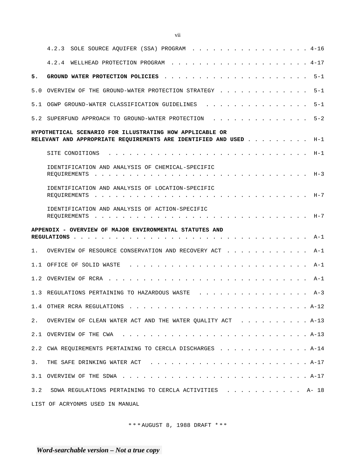|       | 4.2.3 SOLE SOURCE AQUIFER (SSA) PROGRAM 4-16                                                                                  |
|-------|-------------------------------------------------------------------------------------------------------------------------------|
|       |                                                                                                                               |
| 5.    | $5 - 1$                                                                                                                       |
|       | $5 - 1$<br>5.0 OVERVIEW OF THE GROUND-WATER PROTECTION STRATEGY                                                               |
|       | $5 - 1$<br>5.1 OGWP GROUND-WATER CLASSIFICATION GUIDELINES                                                                    |
|       | $5 - 2$<br>5.2 SUPERFUND APPROACH TO GROUND-WATER PROTECTION                                                                  |
|       | HYPOTHETICAL SCENARIO FOR ILLUSTRATING HOW APPLICABLE OR<br>RELEVANT AND APPROPRIATE REQUIREMENTS ARE IDENTIFIED AND USED H-1 |
|       |                                                                                                                               |
|       | IDENTIFICATION AND ANALYSIS OF CHEMICAL-SPECIFIC                                                                              |
|       | IDENTIFICATION AND ANALYSIS OF LOCATION-SPECIFIC                                                                              |
|       | IDENTIFICATION AND ANALYSIS OF ACTION-SPECIFIC                                                                                |
|       | APPENDIX - OVERVIEW OF MAJOR ENVIRONMENTAL STATUTES AND                                                                       |
|       | 1. OVERVIEW OF RESOURCE CONSERVATION AND RECOVERY ACT A-1                                                                     |
|       | A-1                                                                                                                           |
|       |                                                                                                                               |
|       | 1.3 REGULATIONS PERTAINING TO HAZARDOUS WASTE (etc. attaining) and a series of the series of the series of the<br>$A - 3$     |
|       | 1.4 OTHER RCRA REGULATIONS<br>$\cdots$ A-12                                                                                   |
| $2$ . | OVERVIEW OF CLEAN WATER ACT AND THE WATER QUALITY ACT A-13                                                                    |
| 2.1   |                                                                                                                               |
|       | 2.2 CWA REQUIREMENTS PERTAINING TO CERCLA DISCHARGES A-14                                                                     |
| 3.    |                                                                                                                               |
|       |                                                                                                                               |
| 3.2   | SDWA REGULATIONS PERTAINING TO CERCLA ACTIVITIES A- 18                                                                        |
|       | LIST OF ACRYONMS USED IN MANUAL                                                                                               |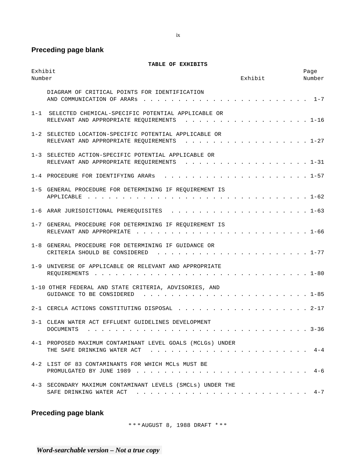**Preceding page blank** 

**TABLE OF EXHIBITS** 

| Exhibit<br>Number |                                                                                                                                                                                                                                                                                                                                  | Exhibit       | Page<br>Number |
|-------------------|----------------------------------------------------------------------------------------------------------------------------------------------------------------------------------------------------------------------------------------------------------------------------------------------------------------------------------|---------------|----------------|
|                   | DIAGRAM OF CRITICAL POINTS FOR IDENTIFICATION<br>AND COMMUNICATION OF ARARS                                                                                                                                                                                                                                                      | . 1-7         |                |
| $1 - 1$           | SELECTED CHEMICAL-SPECIFIC POTENTIAL APPLICABLE OR<br>RELEVANT AND APPROPRIATE REQUIREMENTS<br>$\mathbf{r}$ . The contract of the contract of the contract of the contract of the contract of the contract of the contract of the contract of the contract of the contract of the contract of the contract of the contract of th | . 1-16        |                |
|                   | 1-2 SELECTED LOCATION-SPECIFIC POTENTIAL APPLICABLE OR<br>RELEVANT AND APPROPRIATE REQUIREMENTS 1-27                                                                                                                                                                                                                             |               |                |
|                   | 1-3 SELECTED ACTION-SPECIFIC POTENTIAL APPLICABLE OR<br>RELEVANT AND APPROPRIATE REQUIREMENTS                                                                                                                                                                                                                                    | . 1-31        |                |
|                   | 1-4 PROCEDURE FOR IDENTIFYING ARARS                                                                                                                                                                                                                                                                                              | . 1-57        |                |
|                   | 1-5 GENERAL PROCEDURE FOR DETERMINING IF REQUIREMENT IS<br>APPLICABLE                                                                                                                                                                                                                                                            | . 1-62        |                |
|                   | 1-6 ARAR JURISDICTIONAL PREREOUISITES                                                                                                                                                                                                                                                                                            |               |                |
|                   | 1-7 GENERAL PROCEDURE FOR DETERMINING IF REQUIREMENT IS<br>RELEVANT AND APPROPRIATE                                                                                                                                                                                                                                              | . 1-66        |                |
|                   | 1-8 GENERAL PROCEDURE FOR DETERMINING IF GUIDANCE OR<br>CRITERIA SHOULD BE CONSIDERED<br>and a straightful and a straight and                                                                                                                                                                                                    | $\cdots$ 1-77 |                |
| $1 - 9$           | UNIVERSE OF APPLICABLE OR RELEVANT AND APPROPRIATE                                                                                                                                                                                                                                                                               | . 1-80        |                |
|                   | 1-10 OTHER FEDERAL AND STATE CRITERIA, ADVISORIES, AND<br>GUIDANCE TO BE CONSIDERED<br>and a strain and a strain and a strain and                                                                                                                                                                                                | . 1-85        |                |
|                   | 2-1 CERCLA ACTIONS CONSTITUTING DISPOSAL                                                                                                                                                                                                                                                                                         | . 2-17        |                |
|                   | 3-1 CLEAN WATER ACT EFFLUENT GUIDELINES DEVELOPMENT<br>DOCUMENTS                                                                                                                                                                                                                                                                 | . 3-36        |                |
|                   | 4-1 PROPOSED MAXIMUM CONTAMINANT LEVEL GOALS (MCLGs) UNDER                                                                                                                                                                                                                                                                       |               |                |
|                   | 4-2 LIST OF 83 CONTAMINANTS FOR WHICH MCLs MUST BE                                                                                                                                                                                                                                                                               |               |                |
|                   | 4-3 SECONDARY MAXIMUM CONTAMINANT LEVELS (SMCLs) UNDER THE                                                                                                                                                                                                                                                                       |               |                |

# **Preceding page blank**

\* \* \* AUGUST 8, 1988 DRAFT \* \* \*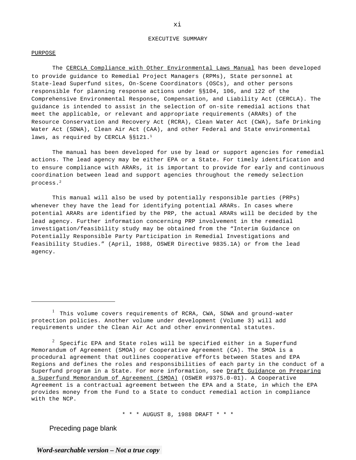#### EXECUTIVE SUMMARY

#### PURPOSE

The CERCLA Compliance with Other Environmental Laws Manual has been developed to provide guidance to Remedial Project Managers (RPMs), State personnel at State-lead Superfund sites, On-Scene Coordinators (OSCs), and other persons responsible for planning response actions under §§104, 106, and 122 of the Comprehensive Environmental Response, Compensation, and Liability Act (CERCLA). The guidance is intended to assist in the selection of on-site remedial actions that meet the applicable, or relevant and appropriate requirements (ARARs) of the Resource Conservation and Recovery Act (RCRA), Clean Water Act (CWA), Safe Drinking Water Act (SDWA), Clean Air Act (CAA), and other Federal and State environmental laws, as required by CERCLA §§121.<sup>1</sup>

The manual has been developed for use by lead or support agencies for remedial actions. The lead agency may be either EPA or a State. For timely identification and to ensure compliance with ARARs, it is important to provide for early and continuous coordination between lead and support agencies throughout the remedy selection process.2

This manual will also be used by potentially responsible parties (PRPs) whenever they have the lead for identifying potential ARARs. In cases where potential ARARs are identified by the PRP, the actual ARARs will be decided by the lead agency. Further information concerning PRP involvement in the remedial investigation/feasibility study may be obtained from the "Interim Guidance on Potentially Responsible Party Participation in Remedial Investigations and Feasibility Studies." (April, 1988, OSWER Directive 9835.1A) or from the lead agency.

\* \* \* AUGUST 8, 1988 DRAFT \* \* \*

Preceding page blank

xi

<sup>&</sup>lt;sup>1</sup> This volume covers requirements of RCRA, CWA, SDWA and ground-water protection policies. Another volume under development (Volume 3) will add requirements under the Clean Air Act and other environmental statutes.

 $^2$  Specific EPA and State roles will be specified either in a Superfund Memorandum of Agreement (SMOA) or Cooperative Agreement (CA). The SMOA is a procedural agreement that outlines cooperative efforts between States and EPA Regions and defines the roles and responsibilities of each party in the conduct of a Superfund program in a State. For more information, see Draft Guidance on Preparing a Superfund Memorandum of Agreement (SMOA) (OSWER #9375.0-01). A Cooperative Agreement is a contractual agreement between the EPA and a State, in which the EPA provides money from the Fund to a State to conduct remedial action in compliance with the NCP.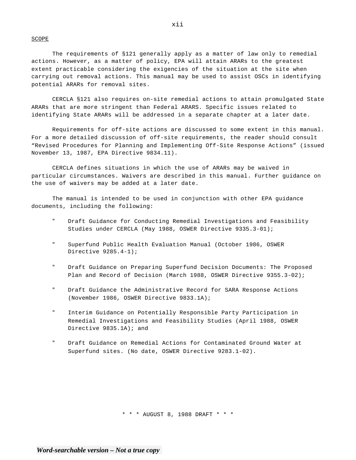#### SCOPE

The requirements of §121 generally apply as a matter of law only to remedial actions. However, as a matter of policy, EPA will attain ARARs to the greatest extent practicable considering the exigencies of the situation at the site when carrying out removal actions. This manual may be used to assist OSCs in identifying potential ARARs for removal sites.

CERCLA §121 also requires on-site remedial actions to attain promulgated State ARARs that are more stringent than Federal ARARS. Specific issues related to identifying State ARARs will be addressed in a separate chapter at a later date.

Requirements for off-site actions are discussed to some extent in this manual. For a more detailed discussion of off-site requirements, the reader should consult "Revised Procedures for Planning and Implementing Off-Site Response Actions" (issued November 13, 1987, EPA Directive 9834.11).

CERCLA defines situations in which the use of ARARs may be waived in particular circumstances. Waivers are described in this manual. Further guidance on the use of waivers may be added at a later date.

The manual is intended to be used in conjunction with other EPA guidance documents, including the following:

- Draft Guidance for Conducting Remedial Investigations and Feasibility Studies under CERCLA (May 1988, OSWER Directive 9335.3-01);
- " Superfund Public Health Evaluation Manual (October 1986, OSWER Directive 9285.4-1);
- " Draft Guidance on Preparing Superfund Decision Documents: The Proposed Plan and Record of Decision (March 1988, OSWER Directive 9355.3-02);
- " Draft Guidance the Administrative Record for SARA Response Actions (November 1986, OSWER Directive 9833.1A);
- " Interim Guidance on Potentially Responsible Party Participation in Remedial Investigations and Feasibility Studies (April 1988, OSWER Directive 9835.1A); and
- " Draft Guidance on Remedial Actions for Contaminated Ground Water at Superfund sites. (No date, OSWER Directive 9283.1-02).

\* \* \* AUGUST 8, 1988 DRAFT \* \* \*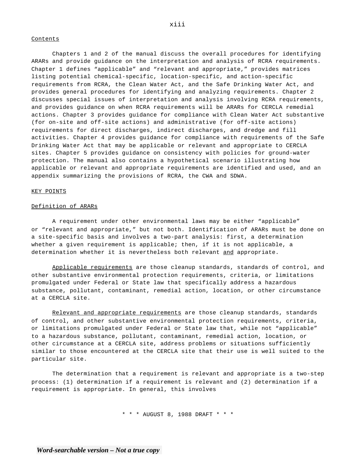#### **Contents**

Chapters 1 and 2 of the manual discuss the overall procedures for identifying ARARs and provide guidance on the interpretation and analysis of RCRA requirements. Chapter 1 defines "applicable" and "relevant and appropriate," provides matrices listing potential chemical-specific, location-specific, and action-specific requirements from RCRA, the Clean Water Act, and the Safe Drinking Water Act, and provides general procedures for identifying and analyzing requirements. Chapter 2 discusses special issues of interpretation and analysis involving RCRA requirements, and provides guidance on when RCRA requirements will be ARARs for CERCLA remedial actions. Chapter 3 provides guidance for compliance with Clean Water Act substantive (for on-site and off-site actions) and administrative (for off-site actions) requirements for direct discharges, indirect discharges, and dredge and fill activities. Chapter 4 provides guidance for compliance with requirements of the Safe Drinking Water Act that may be applicable or relevant and appropriate to CERCLA sites. Chapter 5 provides guidance on consistency with policies for ground-water protection. The manual also contains a hypothetical scenario illustrating how applicable or relevant and appropriate requirements are identified and used, and an appendix summarizing the provisions of RCRA, the CWA and SDWA.

#### KEY POINTS

#### Definition of ARARs

A requirement under other environmental laws may be either "applicable" or "relevant and appropriate," but not both. Identification of ARARs must be done on a site-specific basis and involves a two-part analysis: first, a determination whether a given requirement is applicable; then, if it is not applicable, a determination whether it is nevertheless both relevant and appropriate.

Applicable requirements are those cleanup standards, standards of control, and other substantive environmental protection requirements, criteria, or limitations promulgated under Federal or State law that specifically address a hazardous substance, pollutant, contaminant, remedial action, location, or other circumstance at a CERCLA site.

Relevant and appropriate requirements are those cleanup standards, standards of control, and other substantive environmental protection requirements, criteria, or limitations promulgated under Federal or State law that, while not "applicable" to a hazardous substance, pollutant, contaminant, remedial action, location, or other circumstance at a CERCLA site, address problems or situations sufficiently similar to those encountered at the CERCLA site that their use is well suited to the particular site.

The determination that a requirement is relevant and appropriate is a two-step process: (1) determination if a requirement is relevant and (2) determination if a requirement is appropriate. In general, this involves

\* \* \* AUGUST 8, 1988 DRAFT \* \* \*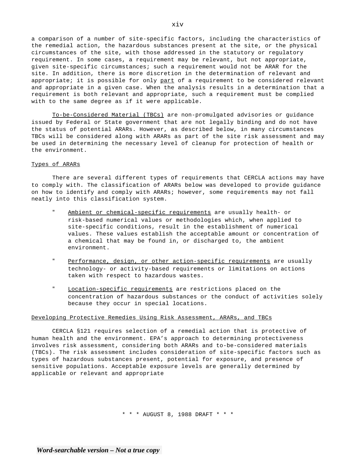a comparison of a number of site-specific factors, including the characteristics of the remedial action, the hazardous substances present at the site, or the physical circumstances of the site, with those addressed in the statutory or regulatory requirement. In some cases, a requirement may be relevant, but not appropriate, given site-specific circumstances; such a requirement would not be ARAR for the site. In addition, there is more discretion in the determination of relevant and appropriate; it is possible for only part of a requirement to be considered relevant and appropriate in a given case. When the analysis results in a determination that a requirement is both relevant and appropriate, such a requirement must be complied with to the same degree as if it were applicable.

To-be-Considered Material (TBCs) are non-promulgated advisories or guidance issued by Federal or State government that are not legally binding and do not have the status of potential ARARs. However, as described below, in many circumstances TBCs will be considered along with ARARs as part of the site risk assessment and may be used in determining the necessary level of cleanup for protection of health or the environment.

#### Types of ARARs

There are several different types of requirements that CERCLA actions may have to comply with. The classification of ARARs below was developed to provide guidance on how to identify and comply with ARARs; however, some requirements may not fall neatly into this classification system.

- " Ambient or chemical-specific requirements are usually health- or risk-based numerical values or methodologies which, when applied to site-specific conditions, result in the establishment of numerical values. These values establish the acceptable amount or concentration of a chemical that may be found in, or discharged to, the ambient environment.
- " Performance, design, or other action-specific requirements are usually technology- or activity-based requirements or limitations on actions taken with respect to hazardous wastes.
- " Location-specific requirements are restrictions placed on the concentration of hazardous substances or the conduct of activities solely because they occur in special locations.

#### Developing Protective Remedies Using Risk Assessment, ARARs, and TBCs

CERCLA §121 requires selection of a remedial action that is protective of human health and the environment. EPA's approach to determining protectiveness involves risk assessment, considering both ARARs and to-be-considered materials (TBCs). The risk assessment includes consideration of site-specific factors such as types of hazardous substances present, potential for exposure, and presence of sensitive populations. Acceptable exposure levels are generally determined by applicable or relevant and appropriate

\* \* \* AUGUST 8, 1988 DRAFT \* \* \*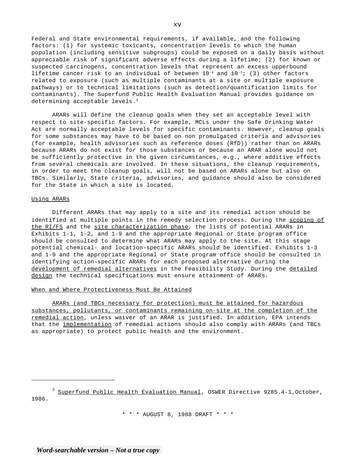Federal and State environmental requirements, if available, and the following factors: (1) for systemic toxicants, concentration levels to which the human population (including sensitive subgroups) could be exposed on a daily basis without appreciable risk of significant adverse effects during a lifetime; (2) for known or suspected carcinogens, concentration levels that represent an excess upperbound lifetime cancer risk to an individual of between  $10^{-4}$  and  $10^{-7}$ ; (3) other factors related to exposure (such as multiple contaminants at a site or multiple exposure pathways) or to technical limitations (such as detection/quantification limits for contaminants). The Superfund Public Health Evaluation Manual provides guidance on determining acceptable levels.<sup>3</sup>

ARARs will define the cleanup goals when they set an acceptable level with respect to site-specific factors. For example, MCLs under the Safe Drinking Water Act are normally acceptable levels for specific contaminants. However, cleanup goals for some substances may have to be based on non promulgated criteria and advisories (for example, health advisories such as reference doses (RfD)) rather than on ARARs because ARARs do not exist for those substances or because an ARAR alone would not be sufficiently protective in the given circumstances, e.g., where additive effects from several chemicals are involved. In these situations, the cleanup requirements, in order to meet the cleanup goals, will not be based on ARARs alone but also on TBCs. Similarly, State criteria, advisories, and guidance should also be considered for the State in which a site is located.

#### Using ARARs

Different ARARs that may apply to a site and its remedial action should be identified at multiple points in the remedy selection process. During the scoping of the RI/FS and the site characterization phase, the lists of potential ARARs in Exhibits 1-1, 1-2, and 1-9 and the appropriate Regional or State program office should be consulted to determine what ARARs may apply to the site. At this stage potential chemical- and location-specific ARARs should be identified. Exhibits 1-3 and 1-9 and the appropriate Regional or State program office should be consulted in identifying action-specific ARARs for each proposed alternative during the development of remedial alternatives in the Feasibility Study. During the detailed design the technical specifications must ensure attainment of ARARs.

#### When and Where Protectiveness Must Be Attained

ARARs (and TBCs necessary for protection) must be attained for hazardous substances, pollutants, or contaminants remaining on-site at the completion of the remedial action, unless waiver of an ARAR is justified. In addition, EPA intends that the implementation of remedial actions should also comply with ARARs (and TBCs as appropriate) to protect public health and the environment.

 $3$  Superfund Public Health Evaluation Manual, OSWER Directive 9285.4-1, October, 1986.

\* \* \* AUGUST 8, 1988 DRAFT \* \* \*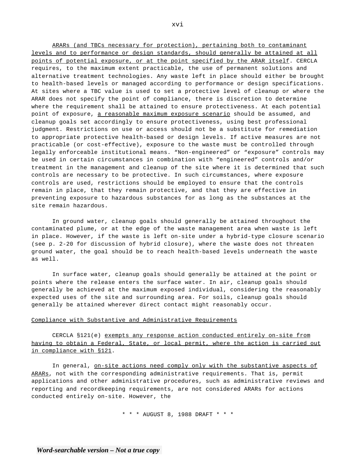ARARs (and TBCs necessary for protection), pertaining both to contaminant levels and to performance or design standards, should generally be attained at all points of potential exposure, or at the point specified by the ARAR itself. CERCLA requires, to the maximum extent practicable, the use of permanent solutions and alternative treatment technologies. Any waste left in place should either be brought to health-based levels or managed according to performance or design specifications. At sites where a TBC value is used to set a protective level of cleanup or where the ARAR does not specify the point of compliance, there is discretion to determine where the requirement shall be attained to ensure protectiveness. At each potential point of exposure, a reasonable maximum exposure scenario should be assumed, and cleanup goals set accordingly to ensure protectiveness, using best professional judgment. Restrictions on use or access should not be a substitute for remediation to appropriate protective health-based or design levels. If active measures are not practicable (or cost-effective), exposure to the waste must be controlled through legally enforceable institutional means. "Non-engineered" or "exposure" controls may be used in certain circumstances in combination with "engineered" controls and/or treatment in the management and cleanup of the site where it is determined that such controls are necessary to be protective. In such circumstances, where exposure controls are used, restrictions should be employed to ensure that the controls remain in place, that they remain protective, and that they are effective in preventing exposure to hazardous substances for as long as the substances at the site remain hazardous.

In ground water, cleanup goals should generally be attained throughout the contaminated plume, or at the edge of the waste management area when waste is left in place. However, if the waste is left on-site under a hybrid-type closure scenario (see p. 2-20 for discussion of hybrid closure), where the waste does not threaten ground water, the goal should be to reach health-based levels underneath the waste as well.

In surface water, cleanup goals should generally be attained at the point or points where the release enters the surface water. In air, cleanup goals should generally be achieved at the maximum exposed individual, considering the reasonably expected uses of the site and surrounding area. For soils, cleanup goals should generally be attained wherever direct contact might reasonably occur.

#### Compliance with Substantive and Administrative Requirements

CERCLA §121(e) exempts any response action conducted entirely on-site from having to obtain a Federal, State, or local permit, where the action is carried out in compliance with §121.

In general, on-site actions need comply only with the substantive aspects of ARARs, not with the corresponding administrative requirements. That is, permit applications and other administrative procedures, such as administrative reviews and reporting and recordkeeping requirements, are not considered ARARs for actions conducted entirely on-site. However, the

\* \* \* AUGUST 8, 1988 DRAFT \* \* \*

xvi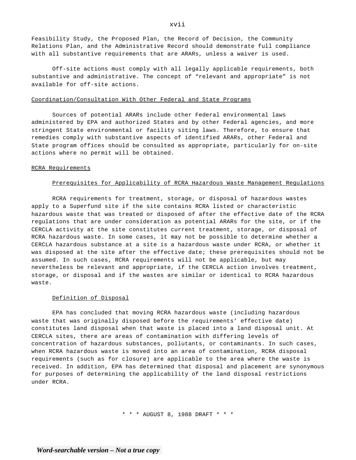Feasibility Study, the Proposed Plan, the Record of Decision, the Community Relations Plan, and the Administrative Record should demonstrate full compliance with all substantive requirements that are ARARs, unless a waiver is used.

Off-site actions must comply with all legally applicable requirements, both substantive and administrative. The concept of "relevant and appropriate" is not available for off-site actions.

#### Coordination/Consultation With Other Federal and State Programs

Sources of potential ARARs include other Federal environmental laws administered by EPA and authorized States and by other Federal agencies, and more stringent State environmental or facility siting laws. Therefore, to ensure that remedies comply with substantive aspects of identified ARARs, other Federal and State program offices should be consulted as appropriate, particularly for on-site actions where no permit will be obtained.

#### RCRA Requirements

#### Prerequisites for Applicability of RCRA Hazardous Waste Management Regulations

RCRA requirements for treatment, storage, or disposal of hazardous wastes apply to a Superfund site if the site contains RCRA listed or characteristic hazardous waste that was treated or disposed of after the effective date of the RCRA regulations that are under consideration as potential ARARs for the site, or if the CERCLA activity at the site constitutes current treatment, storage, or disposal of RCRA hazardous waste. In some cases, it may not be possible to determine whether a CERCLA hazardous substance at a site is a hazardous waste under RCRA, or whether it was disposed at the site after the effective date; these prerequisites should not be assumed. In such cases, RCRA requirements will not be applicable, but may nevertheless be relevant and appropriate, if the CERCLA action involves treatment, storage, or disposal and if the wastes are similar or identical to RCRA hazardous waste.

#### Definition of Disposal

EPA has concluded that moving RCRA hazardous waste (including hazardous waste that was originally disposed before the requirements' effective date) constitutes land disposal when that waste is placed into a land disposal unit. At CERCLA sites, there are areas of contamination with differing levels of concentration of hazardous substances, pollutants, or contaminants. In such cases, when RCRA hazardous waste is moved into an area of contamination, RCRA disposal requirements (such as for closure) are applicable to the area where the waste is received. In addition, EPA has determined that disposal and placement are synonymous for purposes of determining the applicability of the land disposal restrictions under RCRA.

\* \* \* AUGUST 8, 1988 DRAFT \* \* \*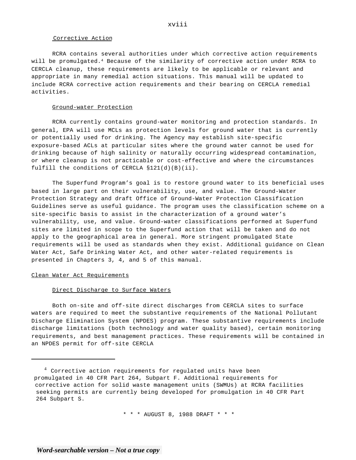#### Corrective Action

RCRA contains several authorities under which corrective action requirements will be promulgated.<sup>4</sup> Because of the similarity of corrective action under RCRA to CERCLA cleanup, these requirements are likely to be applicable or relevant and appropriate in many remedial action situations. This manual will be updated to include RCRA corrective action requirements and their bearing on CERCLA remedial activities.

#### Ground-water Protection

RCRA currently contains ground-water monitoring and protection standards. In general, EPA will use MCLs as protection levels for ground water that is currently or potentially used for drinking. The Agency may establish site-specific exposure-based ACLs at particular sites where the ground water cannot be used for drinking because of high salinity or naturally occurring widespread contamination, or where cleanup is not practicable or cost-effective and where the circumstances fulfill the conditions of CERCLA §121(d)(B)(ii).

The Superfund Program's goal is to restore ground water to its beneficial uses based in large part on their vulnerability, use, and value. The Ground-Water Protection Strategy and draft Office of Ground-Water Protection Classification Guidelines serve as useful guidance. The program uses the classification scheme on a site-specific basis to assist in the characterization of a ground water's vulnerability, use, and value. Ground-water classifications performed at Superfund sites are limited in scope to the Superfund action that will be taken and do not apply to the geographical area in general. More stringent promulgated State requirements will be used as standards when they exist. Additional guidance on Clean Water Act, Safe Drinking Water Act, and other water-related requirements is presented in Chapters 3, 4, and 5 of this manual.

#### Clean Water Act Requirements

#### Direct Discharge to Surface Waters

Both on-site and off-site direct discharges from CERCLA sites to surface waters are required to meet the substantive requirements of the National Pollutant Discharge Elimination System (NPDES) program. These substantive requirements include discharge limitations (both technology and water quality based), certain monitoring requirements, and best management practices. These requirements will be contained in an NPDES permit for off-site CERCLA

\* \* \* AUGUST 8, 1988 DRAFT \* \* \*

<sup>&</sup>lt;sup>4</sup> Corrective action requirements for regulated units have been promulgated in 40 CFR Part 264, Subpart F. Additional requirements for corrective action for solid waste management units (SWMUs) at RCRA facilities seeking permits are currently being developed for promulgation in 40 CFR Part 264 Subpart S.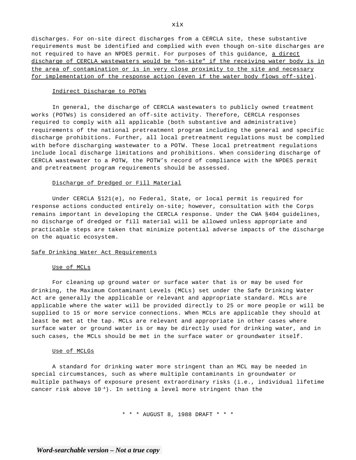discharges. For on-site direct discharges from a CERCLA site, these substantive requirements must be identified and complied with even though on-site discharges are not required to have an NPDES permit. For purposes of this guidance, a direct discharge of CERCLA wastewaters would be "on-site" if the receiving water body is in the area of contamination or is in very close proximity to the site and necessary for implementation of the response action (even if the water body flows off-site).

#### Indirect Discharge to POTWs

In general, the discharge of CERCLA wastewaters to publicly owned treatment works (POTWs) is considered an off-site activity. Therefore, CERCLA responses required to comply with all applicable (both substantive and administrative) requirements of the national pretreatment program including the general and specific discharge prohibitions. Further, all local pretreatment regulations must be complied with before discharging wastewater to a POTW. These local pretreatment regulations include local discharge limitations and prohibitions. When considering discharge of CERCLA wastewater to a POTW, the POTW's record of compliance with the NPDES permit and pretreatment program requirements should be assessed.

#### Discharge of Dredged or Fill Material

Under CERCLA §121(e), no Federal, State, or local permit is required for response actions conducted entirely on-site; however, consultation with the Corps remains important in developing the CERCLA response. Under the CWA §404 guidelines, no discharge of dredged or fill material will be allowed unless appropriate and practicable steps are taken that minimize potential adverse impacts of the discharge on the aquatic ecosystem.

#### Safe Drinking Water Act Requirements

#### Use of MCLs

For cleaning up ground water or surface water that is or may be used for drinking, the Maximum Contaminant Levels (MCLs) set under the Safe Drinking Water Act are generally the applicable or relevant and appropriate standard. MCLs are applicable where the water will be provided directly to 25 or more people or will be supplied to 15 or more service connections. When MCLs are applicable they should at least be met at the tap. MCLs are relevant and appropriate in other cases where surface water or ground water is or may be directly used for drinking water, and in such cases, the MCLs should be met in the surface water or groundwater itself.

#### Use of MCLGs

A standard for drinking water more stringent than an MCL may be needed in special circumstances, such as where multiple contaminants in groundwater or multiple pathways of exposure present extraordinary risks (i.e., individual lifetime cancer risk above  $10^{-4}$ ). In setting a level more stringent than the

\* \* \* AUGUST 8, 1988 DRAFT \* \* \*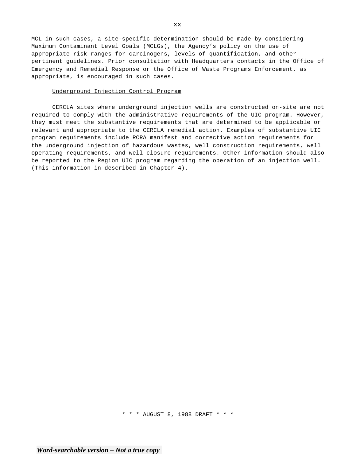MCL in such cases, a site-specific determination should be made by considering Maximum Contaminant Level Goals (MCLGs), the Agency's policy on the use of appropriate risk ranges for carcinogens, levels of quantification, and other pertinent guidelines. Prior consultation with Headquarters contacts in the Office of Emergency and Remedial Response or the Office of Waste Programs Enforcement, as appropriate, is encouraged in such cases.

#### Underground Injection Control Program

CERCLA sites where underground injection wells are constructed on-site are not required to comply with the administrative requirements of the UIC program. However, they must meet the substantive requirements that are determined to be applicable or relevant and appropriate to the CERCLA remedial action. Examples of substantive UIC program requirements include RCRA manifest and corrective action requirements for the underground injection of hazardous wastes, well construction requirements, well operating requirements, and well closure requirements. Other information should also be reported to the Region UIC program regarding the operation of an injection well. (This information in described in Chapter 4).

\* \* \* AUGUST 8, 1988 DRAFT \* \* \*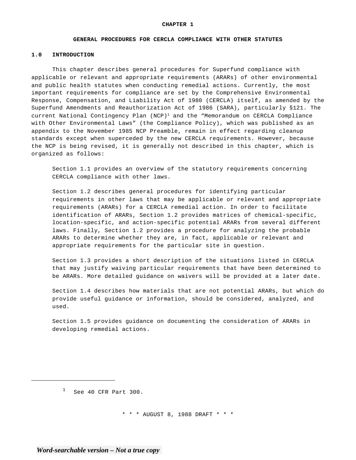#### **GENERAL PROCEDURES FOR CERCLA COMPLIANCE WITH OTHER STATUTES**

#### **1.0 INTRODUCTION**

This chapter describes general procedures for Superfund compliance with applicable or relevant and appropriate requirements (ARARs) of other environmental and public health statutes when conducting remedial actions. Currently, the most important requirements for compliance are set by the Comprehensive Environmental Response, Compensation, and Liability Act of 1980 (CERCLA) itself, as amended by the Superfund Amendments and Reauthorization Act of 1986 (SARA), particularly §121. The current National Contingency Plan  $(NCP)^1$  and the "Memorandum on CERCLA Compliance with Other Environmental Laws" (the Compliance Policy), which was published as an appendix to the November 1985 NCP Preamble, remain in effect regarding cleanup standards except when superceded by the new CERCLA requirements. However, because the NCP is being revised, it is generally not described in this chapter, which is organized as follows:

Section 1.1 provides an overview of the statutory requirements concerning CERCLA compliance with other laws.

Section 1.2 describes general procedures for identifying particular requirements in other laws that may be applicable or relevant and appropriate requirements (ARARs) for a CERCLA remedial action. In order to facilitate identification of ARARs, Section 1.2 provides matrices of chemical-specific, location-specific, and action-specific potential ARARs from several different laws. Finally, Section 1.2 provides a procedure for analyzing the probable ARARs to determine whether they are, in fact, applicable or relevant and appropriate requirements for the particular site in question.

Section 1.3 provides a short description of the situations listed in CERCLA that may justify waiving particular requirements that have been determined to be ARARs. More detailed guidance on waivers will be provided at a later date.

Section 1.4 describes how materials that are not potential ARARs, but which do provide useful guidance or information, should be considered, analyzed, and used.

Section 1.5 provides guidance on documenting the consideration of ARARs in developing remedial actions.

\* \* \* AUGUST 8, 1988 DRAFT \* \* \*

 $1$  See 40 CFR Part 300.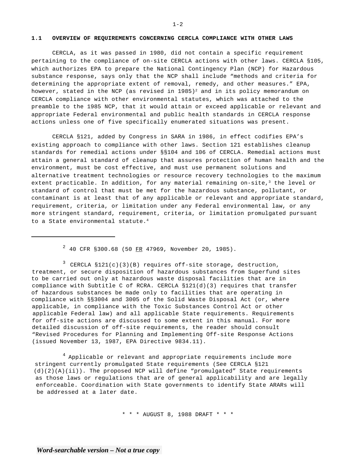#### **1.1 OVERVIEW OF REQUIREMENTS CONCERNING CERCLA COMPLIANCE WITH OTHER LAWS**

CERCLA, as it was passed in 1980, did not contain a specific requirement pertaining to the compliance of on-site CERCLA actions with other laws. CERCLA §105, which authorizes EPA to prepare the National Contingency Plan (NCP) for Hazardous substance response, says only that the NCP shall include "methods and criteria for determining the appropriate extent of removal, remedy, and other measures." EPA, however, stated in the NCP (as revised in  $1985$ )<sup>2</sup> and in its policy memorandum on CERCLA compliance with other environmental statutes, which was attached to the preamble to the 1985 NCP, that it would attain or exceed applicable or relevant and appropriate Federal environmental and public health standards in CERCLA response actions unless one of five specifically enumerated situations was present.

CERCLA §121, added by Congress in SARA in 1986, in effect codifies EPA's existing approach to compliance with other laws. Section 121 establishes cleanup standards for remedial actions under §§104 and 106 of CERCLA. Remedial actions must attain a general standard of cleanup that assures protection of human health and the environment, must be cost effective, and must use permanent solutions and alternative treatment technologies or resource recovery technologies to the maximum extent practicable. In addition, for any material remaining on-site,<sup>3</sup> the level or standard of control that must be met for the hazardous substance, pollutant, or contaminant is at least that of any applicable or relevant and appropriate standard, requirement, criteria, or limitation under any Federal environmental law, or any more stringent standard, requirement, criteria, or limitation promulgated pursuant to a State environmental statute.<sup>4</sup>

 $2$  40 CFR §300.68 (50 FR 47969, November 20, 1985).

 $3$  CERCLA  $$121(c)(3)(B)$  requires off-site storage, destruction, treatment, or secure disposition of hazardous substances from Superfund sites to be carried out only at hazardous waste disposal facilities that are in compliance with Subtitle C of RCRA. CERCLA  $$121(d)(3)$  requires that transfer of hazardous substances be made only to facilities that are operating in compliance with §§3004 and 3005 of the Solid Waste Disposal Act (or, where applicable, in compliance with the Toxic Substances Control Act or other applicable Federal law) and all applicable State requirements. Requirements for off-site actions are discussed to some extent in this manual. For more detailed discussion of off-site requirements, the reader should consult "Revised Procedures for Planning and Implementing Off-site Response Actions (issued November 13, 1987, EPA Directive 9834.11).

 $4$  Applicable or relevant and appropriate requirements include more stringent currently promulgated State requirements (See CERCLA §121 (d)(2)(A)(ii)). The proposed NCP will define "promulgated" State requirements as those laws or regulations that are of general applicability and are legally enforceable. Coordination with State governments to identify State ARARs will be addressed at a later date.

\* \* \* AUGUST 8, 1988 DRAFT \* \* \*

 $1 - 2$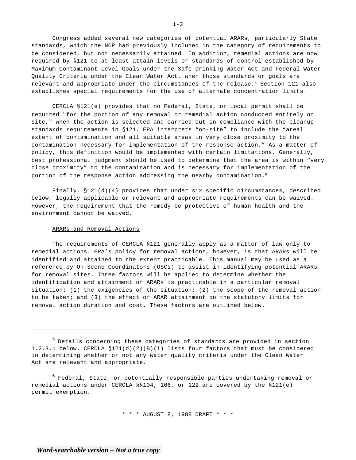Congress added several new categories of potential ARARs, particularly State standards, which the NCP had previously included in the category of requirements to be considered, but not necessarily attained. In addition, remedial actions are now required by §121 to at least attain levels or standards of control established by Maximum Contaminant Level Goals under the Safe Drinking Water Act and Federal Water Quality Criteria under the Clean Water Act, when those standards or goals are relevant and appropriate under the circumstances of the release.<sup>5</sup> Section 121 also establishes special requirements for the use of alternate concentration limits.

CERCLA §121(e) provides that no Federal, State, or local permit shall be required "for the portion of any removal or remedial action conducted entirely on site," when the action is selected and carried out in compliance with the cleanup standards requirements in §121. EPA interprets "on-site" to include the "areal extent of contamination and all suitable areas in very close proximity to the contamination necessary for implementation of the response action." As a matter of policy, this definition would be implemented with certain limitations. Generally, best professional judgment should be used to determine that the area is within "very close proximity" to the contamination and is necessary for implementation of the portion of the response action addressing the nearby contamination.<sup>6</sup>

Finally, §121(d)(4) provides that under six specific circumstances, described below, legally applicable or relevant and appropriate requirements can be waived. However, the requirement that the remedy be protective of human health and the environment cannot be waived.

#### ARARs and Removal Actions

The requirements of CERCLA §121 generally apply as a matter of law only to remedial actions. EPA's policy for removal actions, however, is that ARARs will be identified and attained to the extent practicable. This manual may be used as a reference by On-Scene Coordinators (OSCs) to assist in identifying potential ARARs for removal sites. Three factors will be applied to determine whether the identification and attainment of ARARs is practicable in a particular removal situation: (1) the exigencies of the situation; (2) the scope of the removal action to be taken; and (3) the effect of ARAR attainment on the statutory limits for removal action duration and cost. These factors are outlined below.

\* \* \* AUGUST 8, 1988 DRAFT \* \* \*

 $1 - 3$ 

<sup>5</sup> Details concerning these categories of standards are provided in section 1.2.3.1 below. CERCLA §121(d)(2)(B)(i) lists four factors that must be considered in determining whether or not any water quality criteria under the Clean Water Act are relevant and appropriate.

<sup>&</sup>lt;sup>6</sup> Federal, State, or potentially responsible parties undertaking removal or remedial actions under CERCLA §§104, 106, or 122 are covered by the §121(e) permit exemption.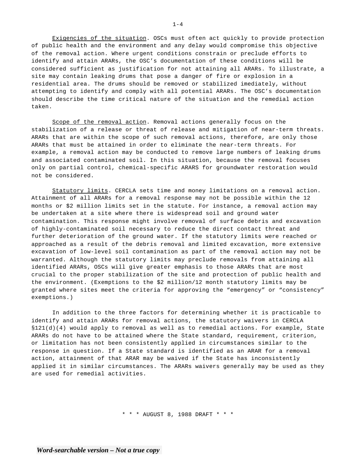Exigencies of the situation. OSCs must often act quickly to provide protection of public health and the environment and any delay would compromise this objective of the removal action. Where urgent conditions constrain or preclude efforts to identify and attain ARARs, the OSC's documentation of these conditions will be considered sufficient as justification for not attaining all ARARs. To illustrate, a site may contain leaking drums that pose a danger of fire or explosion in a residential area. The drums should be removed or stabilized imediately, without attempting to identify and comply with all potential ARARs. The OSC's documentation should describe the time critical nature of the situation and the remedial action taken.

Scope of the removal action. Removal actions generally focus on the stabilization of a release or threat of release and mitigation of near-term threats. ARARs that are within the scope of such removal actions, therefore, are only those ARARs that must be attained in order to eliminate the near-term threats. For example, a removal action may be conducted to remove large numbers of leaking drums and associated contaminated soil. In this situation, because the removal focuses only on partial control, chemical-specific ARARS for groundwater restoration would not be considered.

Statutory limits. CERCLA sets time and money limitations on a removal action. Attainment of all ARARs for a removal response may not be possible within the 12 months or \$2 million limits set in the statute. For instance, a removal action may be undertaken at a site where there is widespread soil and ground water contamination. This response might involve removal of surface debris and excavation of highly-contaminated soil necessary to reduce the direct contact threat and further deterioration of the ground water. If the statutory limits were reached or approached as a result of the debris removal and limited excavation, more extensive excavation of low-level soil contamination as part of the removal action may not be warranted. Although the statutory limits may preclude removals from attaining all identified ARARs, OSCs will give greater emphasis to those ARARs that are most crucial to the proper stabilization of the site and protection of public health and the environment. (Exemptions to the \$2 million/12 month statutory limits may be granted where sites meet the criteria for approving the "emergency" or "consistency" exemptions.)

In addition to the three factors for determining whether it is practicable to identify and attain ARARs for removal actions, the statutory waivers in CERCLA §121(d)(4) would apply to removal as well as to remedial actions. For example, State ARARs do not have to be attained where the State standard, requirement, criterion, or limitation has not been consistently applied in circumstances similar to the response in question. If a State standard is identified as an ARAR for a removal action, attainment of that ARAR may be waived if the State has inconsistently applied it in similar circumstances. The ARARs waivers generally may be used as they are used for remedial activities.

\* \* \* AUGUST 8, 1988 DRAFT \* \* \*

 $1 - 4$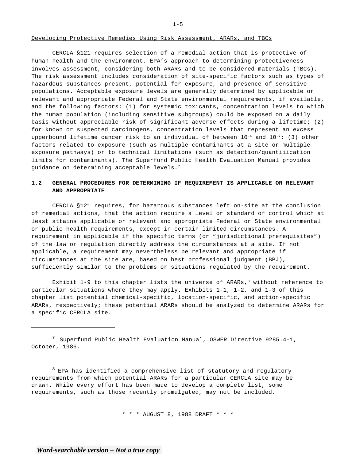#### Developing Protective Remedies Using Risk Assessment, ARARs, and TBCs

CERCLA §121 requires selection of a remedial action that is protective of human health and the environment. EPA's approach to determining protectiveness involves assessment, considering both ARARs and to-be-considered materials (TBCs). The risk assessment includes consideration of site-specific factors such as types of hazardous substances present, potential for exposure, and presence of sensitive populations. Acceptable exposure levels are generally determined by applicable or relevant and appropriate Federal and State environmental requirements, if available, and the following factors: (1) for systemic toxicants, concentration levels to which the human population (including sensitive subgroups) could be exposed on a daily basis without appreciable risk of significant adverse effects during a lifetime; (2) for known or suspected carcinogens, concentration levels that represent an excess upperbound lifetime cancer risk to an individual of between  $10^{-4}$  and  $10^{-7}$ ; (3) other factors related to exposure (such as multiple contaminants at a site or multiple exposure pathways) or to technical limitations (such as detection/quantiiication limits for contaminants). The Superfund Public Health Evaluation Manual provides guidance on determining acceptable levels.<sup>7</sup>

# **1.2 GENERAL PROCEDURES FOR DETERMINING IF REQUIREMENT IS APPLICABLE OR RELEVANT AND APPROPRIATE**

CERCLA §121 requires, for hazardous substances left on-site at the conclusion of remedial actions, that the action require a level or standard of control which at least attains applicable or relevant and appropriate Federal or State environmental or public health requirements, except in certain limited circumstances. A requirement in applicable if the specific terms (or "jurisdictional prerequisites") of the law or regulation directly address the circumstances at a site. If not applicable, a requirement may nevertheless be relevant and appropriate if circumstances at the site are, based on best professional judgment (BPJ), sufficiently similar to the problems or situations regulated by the requirement.

Exhibit 1-9 to this chapter lists the universe of ARARs, $8$  without reference to particular situations where they may apply. Exhibits 1-1, 1-2, and 1-3 of this chapter list potential chemical-specific, location-specific, and action-specific ARARs, respectively; these potential ARARs should be analyzed to determine ARARs for a specific CERCLA site.

<sup>7</sup> Superfund Public Health Evaluation Manual, OSWER Directive 9285.4-1, October, 1986.

 $8$  EPA has identified a comprehensive list of statutory and regulatory requirements from which potential ARARs for a particular CERCLA site may be drawn. While every effort has been made to develop a complete list, some requirements, such as those recently promulgated, may not be included.

\* \* \* AUGUST 8, 1988 DRAFT \* \* \*

 $1 - 5$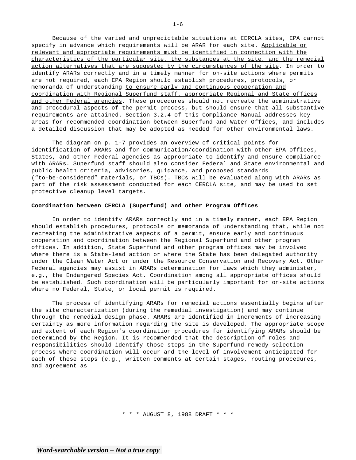Because of the varied and unpredictable situations at CERCLA sites, EPA cannot specify in advance which requirements will be ARAR for each site. Applicable or relevant and appropriate requirements must be identified in connection with the characteristics of the particular site, the substances at the site, and the remedial action alternatives that are suggested by the circumstances of the site. In order to identify ARARs correctly and in a timely manner for on-site actions where permits are not required, each EPA Region should establish procedures, protocols, or memoranda of understanding to ensure early and continuous cooperation and coordination with Regional Superfund staff, appropriate Regional and State offices and other Federal arencies. These procedures should not recreate the administrative and procedural aspects of the permit process, but should ensure that all substantive requirements are attained. Section 3.2.4 of this Compliance Manual addresses key areas for recommended coordination between Superfund and Water Offices, and includes a detailed discussion that may be adopted as needed for other environmental laws.

The diagram on p. 1-7 provides an overview of critical points for identification of ARARs and for communication/coordination with other EPA offices, States, and other Federal agencies as appropriate to identify and ensure compliance with ARARs. Superfund staff should also consider Federal and State environmental and public health criteria, advisories, guidance, and proposed standards ("to-be-considered" materials, or TBCs). TBCs will be evaluated along with ARARs as part of the risk assessment conducted for each CERCLA site, and may be used to set protective cleanup level targets.

#### **Coordination between CERCLA (Superfund) and other Program Offices**

In order to identify ARARs correctly and in a timely manner, each EPA Region should establish procedures, protocols or memoranda of understanding that, while not recreating the administrative aspects of a permit, ensure early and continuous cooperation and coordination between the Regional Superfund and other program offices. In addition, State Superfund and other program offices may be involved where there is a State-lead action or where the State has been delegated authority under the Clean Water Act or under the Resource Conservation and Recovery Act. Other Federal agencies may assist in ARARs determination for laws which they administer, e.g., the Endangered Species Act. Coordination among all appropriate offices should be established. Such coordination will be particularly important for on-site actions where no Federal, State, or local permit is required.

The process of identifying ARARs for remedial actions essentially begins after the site characterization (during the remedial investigation) and may continue through the remedial design phase. ARARs are identified in increments of increasing certainty as more information regarding the site is developed. The appropriate scope and extent of each Region's coordination procedures for identifying ARARs should be determined by the Region. It is recommended that the description of roles and responsibilities should identify those steps in the Superfund remedy selection process where coordination will occur and the level of involvement anticipated for each of these stops (e.g., written comments at certain stages, routing procedures, and agreement as

\* \* \* AUGUST 8, 1988 DRAFT \* \* \*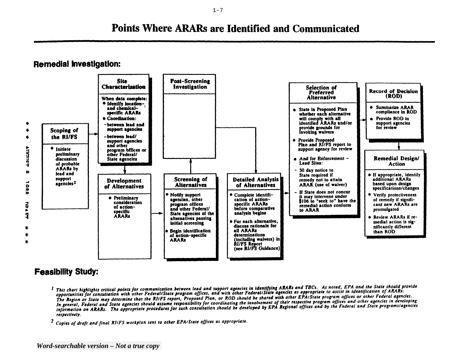# **Points Where ARARs are Identified and Communicated**

# **Remedial Investigation:**



# **Feasibility Study:**

- I This chart highlights critical points for communication between lead and support agencies in identifying ARARs and TBCs. As noted, EPA and the State should provide<br>I This chart highlights critical points for communicatio This chart highlights critical points for communication between lead and support agencies in identifying ANAS una room in identification of ARARs.<br>The opportunities for consultation with other Federal/State program offices opportunities for consultation with other Federal/State program offices, and with other rederationale agencies as appropriate to assist the species or other Federal agencies.<br>The Region or State may determine that the RIIF The Region or State may determine that the RIIFS report, Proposed Plan, or ROD should be shared with other Erristate program offices and other agencies in developing<br>In general, Federal and State agencies should assume res In general, Federal and State agencies should assume responsibility for coordinating the involvement of their respective program offices and built was included in any respective in the rederal and State programs/agencies i respectively.
- <sup>2</sup> Copies of draft and final RIIFS workplan sent to other EPAIState offices as appropriate.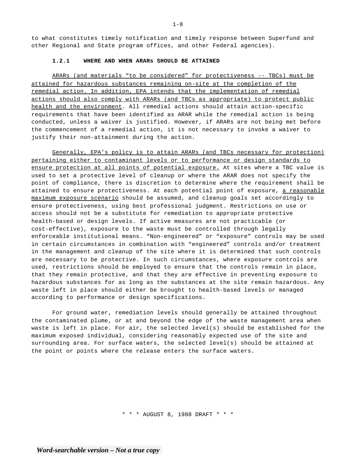to what constitutes timely notification and timely response between Superfund and other Regional and State program offices, and other Federal agencies).

#### **1.2.1 WHERE AND WHEN ARARs SHOULD BE ATTAINED**

ARARs (and materials "to be considered" for protectiveness -- TBCs) must be attained for hazardous substances remaining on-site at the completion of the remedial action. In addition, EPA intends that the implementation of remedial actions should also comply with ARARs (and TBCs as appropriate) to protect public health and the environment. All remedial actions should attain action-specific requirements that have been identified as ARAR while the remedial action is being conducted, unless a waiver is justified. However, if ARARs are not being met before the commencement of a remedial action, it is not necessary to invoke a waiver to justify their non-attainment during the action.

Generally, EPA's policy is to attain ARARs (and TBCs necessary for protection) pertaining either to contaminant levels or to performance or design standards to ensure protection at all points of potential exposure. At sites where a TBC value is used to set a protective level of cleanup or where the ARAR does not specify the point of compliance, there is discretion to determine where the requirement shall be attained to ensure protectiveness. At each potential point of exposure, a reasonable maximum exposure scenario should be assumed, and cleanup goals set accordingly to ensure protectiveness, using best professional judgment. Restrictions on use or access should not be a substitute for remediation to appropriate protective health-based or design levels. If active measures are not practicable (or cost-effective), exposure to the waste must be controlled through legally enforceable institutional means. "Non-engineered" or "exposure" controls may be used in certain circumstances in combination with "engineered" controls and/or treatment in the management and cleanup of the site where it is determined that such controls are necessary to be protective. In such circumstances, where exposure controls are used, restrictions should be employed to ensure that the controls remain in place, that they remain protective, and that they are effective in preventing exposure to hazardous substances for as long as the substances at the site remain hazardous. Any waste left in place should either be brought to health-based levels or managed according to performance or design specifications.

For ground water, remediation levels should generally be attained throughout the contaminated plume, or at and beyond the edge of the waste management area when waste is left in place. For air, the selected level(s) should be established for the maximum exposed individual, considering reasonably expected use of the site and surrounding area. For surface waters, the selected level(s) should be attained at the point or points where the release enters the surface waters.

\* \* \* AUGUST 8, 1988 DRAFT \* \* \*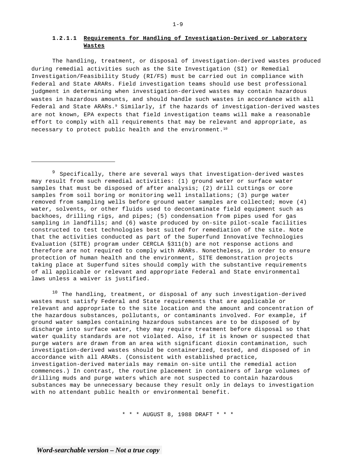## **1.2.1.1 Requirements for Handling of Investigation-Derived or Laboratory Wastes**

The handling, treatment, or disposal of investigation-derived wastes produced during remedial activities such as the Site Investigation (SI) or Remedial Investigation/Feasibility Study (RI/FS) must be carried out in compliance with Federal and State ARARs. Field investigation teams should use best professional judgment in determining when investigation-derived wastes may contain hazardous wastes in hazardous amounts, and should handle such wastes in accordance with all Federal and State ARARs.<sup>9</sup> Similarly, if the hazards of investigation-derived wastes are not known, EPA expects that field investigation teams will make a reasonable effort to comply with all requirements that may be relevant and appropriate, as necessary to protect public health and the environment.<sup>10</sup>

 $9$  Specifically, there are several ways that investigation-derived wastes may result from such remedial activities: (1) ground water or surface water samples that must be disposed of after analysis; (2) drill cuttings or core samples from soil boring or monitoring well installations; (3) purge water removed from sampling wells before ground water samples are collected; move (4) water, solvents, or other fluids used to decontaminate field equipment such as backhoes, drilling rigs, and pipes; (5) condensation from pipes used for gas sampling in landfills; and (6) waste produced by on-site pilot-scale facilities constructed to test technologies best suited for remediation of the site. Note that the activities conducted as part of the Superfund Innovative Technologies Evaluation (SITE) program under CERCLA §311(b) are not response actions and therefore are not required to comply with ARARs. Nonetheless, in order to ensure protection of human health and the environment, SITE demonstration projects taking place at Superfund sites should comply with the substantive requirements of all applicable or relevant and appropriate Federal and State environmental laws unless a waiver is justified.

 $10$  The handling, treatment, or disposal of any such investigation-derived wastes must satisfy Federal and State requirements that are applicable or relevant and appropriate to the site location and the amount and concentration of the hazardous substances, pollutants, or contaminants involved. For example, if ground water samples containing hazardous substances are to be disposed of by discharge into surface water, they may require treatment before disposal so that water quality standards are not violated. Also, if it is known or suspected that purge waters are drawn from an area with significant dioxin contamination, such investigation-derived wastes should be containerized, tested, and disposed of in accordance with all ARARs. (Consistent with established practice, investigation-derived materials may remain on-site until the remedial action commences.) In contrast, the routine placement in containers of large volumes of drilling muds and purge waters which are not suspected to contain hazardous substances may be unnecessary because they result only in delays to investigation with no attendant public health or environmental benefit.

\* \* \* AUGUST 8, 1988 DRAFT \* \* \*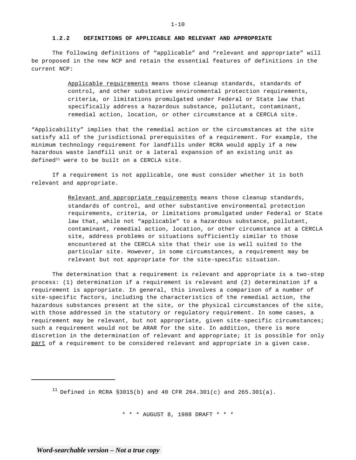#### **1.2.2 DEFINITIONS OF APPLICABLE AND RELEVANT AND APPROPRIATE**

The following definitions of "applicable" and "relevant and appropriate" will be proposed in the new NCP and retain the essential features of definitions in the current NCP:

> Applicable requirements means those cleanup standards, standards of control, and other substantive environmental protection requirements, criteria, or limitations promulgated under Federal or State law that specifically address a hazardous substance, pollutant, contaminant, remedial action, location, or other circumstance at a CERCLA site.

"Applicability" implies that the remedial action or the circumstances at the site satisfy all of the jurisdictional prerequisites of a requirement. For example, the minimum technology requirement for landfills under RCRA would apply if a new hazardous waste landfill unit or a lateral expansion of an existing unit as  $defined<sup>11</sup>$  were to be built on a CERCLA site.

If a requirement is not applicable, one must consider whether it is both relevant and appropriate.

> Relevant and appropriate requirements means those cleanup standards, standards of control, and other substantive environmental protection requirements, criteria, or limitations promulgated under Federal or State law that, while not "applicable" to a hazardous substance, pollutant, contaminant, remedial action, location, or other circumstance at a CERCLA site, address problems or situations sufficiently similar to those encountered at the CERCLA site that their use is well suited to the particular site. However, in some circumstances, a requirement may be relevant but not appropriate for the site-specific situation.

The determination that a requirement is relevant and appropriate is a two-step process: (1) determination if a requirement is relevant and (2) determination if a requirement is appropriate. In general, this involves a comparison of a number of site-specific factors, including the characteristics of the remedial action, the hazardous substances present at the site, or the physical circumstances of the site, with those addressed in the statutory or regulatory requirement. In some cases, a requirement may be relevant, but not appropriate, given site-specific circumstances; such a requirement would not be ARAR for the site. In addition, there is more discretion in the determination of relevant and appropriate; it is possible for only part of a requirement to be considered relevant and appropriate in a given case.

<sup>11</sup> Defined in RCRA §3015(b) and 40 CFR 264.301(c) and 265.301(a).

\* \* \* AUGUST 8, 1988 DRAFT \* \* \*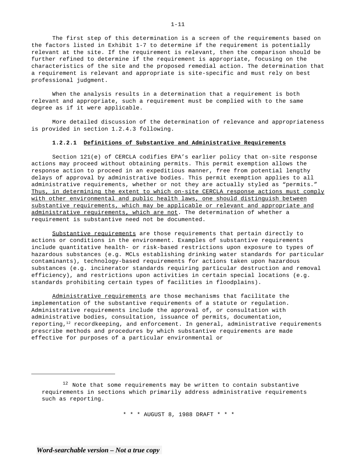The first step of this determination is a screen of the requirements based on the factors listed in Exhibit 1-7 to determine if the requirement is potentially relevant at the site. If the requirement is relevant, then the comparison should be further refined to determine if the requirement is appropriate, focusing on the characteristics of the site and the proposed remedial action. The determination that a requirement is relevant and appropriate is site-specific and must rely on best professional judgment.

When the analysis results in a determination that a requirement is both relevant and appropriate, such a requirement must be complied with to the same degree as if it were applicable.

More detailed discussion of the determination of relevance and appropriateness is provided in section 1.2.4.3 following.

#### **1.2.2.1 Definitions of Substantive and Administrative Requirements**

Section 121(e) of CERCLA codifies EPA's earlier policy that on-site response actions may proceed without obtaining permits. This permit exemption allows the response action to proceed in an expeditious manner, free from potential lengthy delays of approval by administrative bodies. This permit exemption applies to all administrative requirements, whether or not they are actually styled as "permits." Thus, in determining the extent to which on-site CERCLA response actions must comply with other environmental and public health laws, one should distinguish between substantive requirements, which may be applicable or relevant and appropriate and administrative requirements, which are not. The determination of whether a requirement is substantive need not be documented.

Substantive requirements are those requirements that pertain directly to actions or conditions in the environment. Examples of substantive requirements include quantitative health- or risk-based restrictions upon exposure to types of hazardous substances (e.g. MCLs establishing drinking water standards for particular contaminants), technology-based requirements for actions taken upon hazardous substances (e.g. incinerator standards requiring particular destruction and removal efficiency), and restrictions upon activities in certain special locations (e.g. standards prohibiting certain types of facilities in floodplains).

Administrative requirements are those mechanisms that facilitate the implementation of the substantive requirements of a statute or regulation. Administrative requirements include the approval of, or consultation with administrative bodies, consultation, issuance of permits, documentation, reporting, $12$  recordkeeping, and enforcement. In general, administrative requirements prescribe methods and procedures by which substantive requirements are made effective for purposes of a particular environmental or

\* \* \* AUGUST 8, 1988 DRAFT \* \* \*

1-11

<sup>&</sup>lt;sup>12</sup> Note that some requirements may be written to contain substantive requirements in sections which primarily address administrative requirements such as reporting.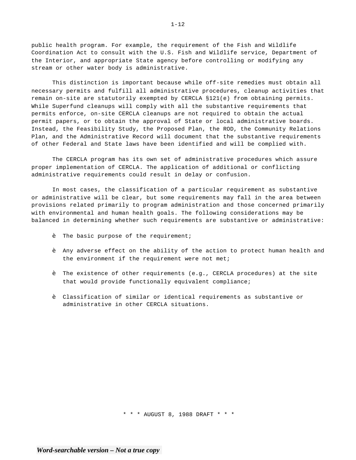public health program. For example, the requirement of the Fish and Wildlife Coordination Act to consult with the U.S. Fish and Wildlife service, Department of the Interior, and appropriate State agency before controlling or modifying any stream or other water body is administrative.

This distinction is important because while off-site remedies must obtain all necessary permits and fulfill all administrative procedures, cleanup activities that remain on-site are statutorily exempted by CERCLA §121(e) from obtaining permits. While Superfund cleanups will comply with all the substantive requirements that permits enforce, on-site CERCLA cleanups are not required to obtain the actual permit papers, or to obtain the approval of State or local administrative boards. Instead, the Feasibility Study, the Proposed Plan, the ROD, the Community Relations Plan, and the Administrative Record will document that the substantive requirements of other Federal and State laws have been identified and will be complied with.

The CERCLA program has its own set of administrative procedures which assure proper implementation of CERCLA. The application of additional or conflicting administrative requirements could result in delay or confusion.

In most cases, the classification of a particular requirement as substantive or administrative will be clear, but some requirements may fall in the area between provisions related primarily to program administration and those concerned primarily with environmental and human health goals. The following considerations may be balanced in determining whether such requirements are substantive or administrative:

- The basic purpose of the requirement;
- � Any adverse effect on the ability of the action to protect human health and the environment if the requirement were not met;
- � The existence of other requirements (e.g., CERCLA procedures) at the site that would provide functionally equivalent compliance;
- � Classification of similar or identical requirements as substantive or administrative in other CERCLA situations.

\* \* \* AUGUST 8, 1988 DRAFT \* \* \*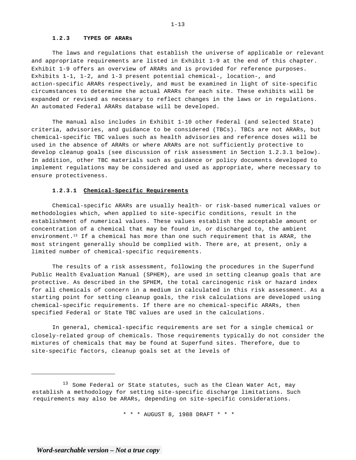#### **1.2.3 TYPES OF ARARs**

The laws and regulations that establish the universe of applicable or relevant and appropriate requirements are listed in Exhibit 1-9 at the end of this chapter. Exhibit 1-9 offers an overview of ARARs and is provided for reference purposes. Exhibits 1-1, 1-2, and 1-3 present potential chemical-, location-, and action-specific ARARs respectively, and must be examined in light of site-specific circumstances to determine the actual ARARs for each site. These exhibits will be expanded or revised as necessary to reflect changes in the laws or in regulations. An automated Federal ARARs database will be developed.

The manual also includes in Exhibit 1-10 other Federal (and selected State) criteria, advisories, and guidance to be considered (TBCs). TBCs are not ARARs, but chemical-specific TBC values such as health advisories and reference doses will be used in the absence of ARARs or where ARARs are not sufficiently protective to develop cleanup goals (see discussion of risk assessment in Section 1.2.3.1 below). In addition, other TBC materials such as guidance or policy documents developed to implement regulations may be considered and used as appropriate, where necessary to ensure protectiveness.

#### **1.2.3.1 Chemical-Specific Requirements**

Chemical-specific ARARs are usually health- or risk-based numerical values or methodologies which, when applied to site-specific conditions, result in the establishment of numerical values. These values establish the acceptable amount or concentration of a chemical that may be found in, or discharged to, the ambient environment.<sup>13</sup> If a chemical has more than one such requirement that is ARAR, the most stringent generally should be complied with. There are, at present, only a limited number of chemical-specific requirements.

The results of a risk assessment, following the procedures in the Superfund Public Health Evaluation Manual (SPHEM), are used in setting cleanup goals that are protective. As described in the SPHEM, the total carcinogenic risk or hazard index for all chemicals of concern in a medium in calculated in this risk assessment. As a starting point for setting cleanup goals, the risk calculations are developed using chemical-specific requirements. If there are no chemical-specific ARARs, then specified Federal or State TBC values are used in the calculations.

In general, chemical-specific requirements are set for a single chemical or closely-related group of chemicals. Those requirements typically do not consider the mixtures of chemicals that may be found at Superfund sites. Therefore, due to site-specific factors, cleanup goals set at the levels of

<sup>&</sup>lt;sup>13</sup> Some Federal or State statutes, such as the Clean Water Act, may establish a methodology for setting site-specific discharge limitations. Such requirements may also be ARARs, depending on site-specific considerations.

<sup>\* \* \*</sup> AUGUST 8, 1988 DRAFT \* \* \*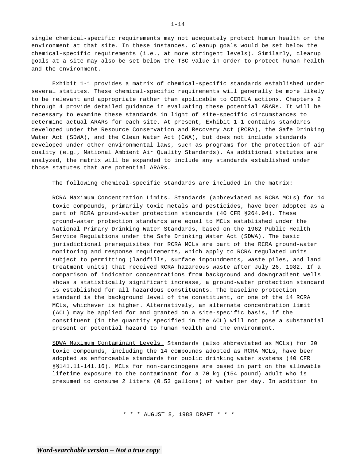single chemical-specific requirements may not adequately protect human health or the environment at that site. In these instances, cleanup goals would be set below the chemical-specific requirements (i.e., at more stringent levels). Similarly, cleanup goals at a site may also be set below the TBC value in order to protect human health and the environment.

Exhibit 1-1 provides a matrix of chemical-specific standards established under several statutes. These chemical-specific requirements will generally be more likely to be relevant and appropriate rather than applicable to CERCLA actions. Chapters 2 through 4 provide detailed guidance in evaluating these potential ARARs. It will be necessary to examine these standards in light of site-specific circumstances to determine actual ARARs for each site. At present, Exhibit 1-1 contains standards developed under the Resource Conservation and Recovery Act (RCRA), the Safe Drinking Water Act (SDWA), and the Clean Water Act (CWA), but does not include standards developed under other environmental laws, such as programs for the protection of air quality (e.g., National Ambient Air Quality Standards). As additional statutes are analyzed, the matrix will be expanded to include any standards established under those statutes that are potential ARARs.

The following chemical-specific standards are included in the matrix:

RCRA Maximum Concentration Limits. Standards (abbreviated as RCRA MCLs) for 14 toxic compounds, primarily toxic metals and pesticides, have been adopted as a part of RCRA ground-water protection standards (40 CFR §264.94). These ground-water protection standards are equal to MCLs established under the National Primary Drinking Water Standards, based on the 1962 Public Health Service Regulations under the Safe Drinking Water Act (SDWA). The basic jurisdictional prerequisites for RCRA MCLs are part of the RCRA ground-water monitoring and response requirements, which apply to RCRA regulated units subject to permitting (landfills, surface impoundments, waste piles, and land treatment units) that received RCRA hazardous waste after July 26, 1982. If a comparison of indicator concentrations from background and downgradient wells shows a statistically significant increase, a ground-water protection standard is established for all hazardous constituents. The baseline protection standard is the background level of the constituent, or one of the 14 RCRA MCLs, whichever is higher. Alternatively, an alternate concentration limit (ACL) may be applied for and granted on a site-specific basis, if the constituent (in the quantity specified in the ACL) will not pose a substantial present or potential hazard to human health and the environment.

SDWA Maximum Contaminant Levels. Standards (also abbreviated as MCLs) for 30 toxic compounds, including the 14 compounds adopted as RCRA MCLs, have been adopted as enforceable standards for public drinking water systems (40 CFR §§141.11-141.16). MCLs for non-carcinogens are based in part on the allowable lifetime exposure to the contaminant for a 70 kg (154 pound) adult who is presumed to consume 2 liters (0.53 gallons) of water per day. In addition to

\* \* \* AUGUST 8, 1988 DRAFT \* \* \*

1-14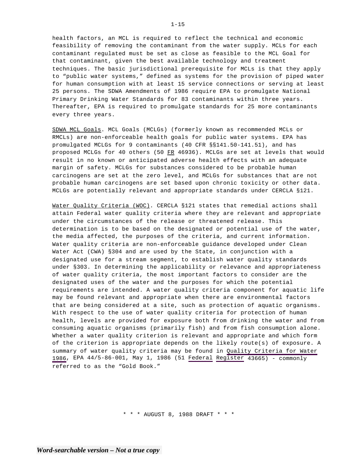health factors, an MCL is required to reflect the technical and economic feasibility of removing the contaminant from the water supply. MCLs for each contaminant regulated must be set as close as feasible to the MCL Goal for that contaminant, given the best available technology and treatment techniques. The basic jurisdictional prerequisite for MCLs is that they apply to "public water systems," defined as systems for the provision of piped water for human consumption with at least 15 service connections or serving at least 25 persons. The SDWA Amendments of 1986 require EPA to promulgate National Primary Drinking Water Standards for 83 contaminants within three years. Thereafter, EPA is required to promulgate standards for 25 more contaminants every three years.

SDWA MCL Goals. MCL Goals (MCLGs) (formerly known as recommended MCLs or RMCLs) are non-enforceable health goals for public water systems. EPA has promulgated MCLGs for 9 contaminants (40 CFR §§141.50-141.51), and has proposed MCLGs for 40 others (50 FR 46936). MCLGs are set at levels that would result in no known or anticipated adverse health effects with an adequate margin of safety. MCLGs for substances considered to be probable human carcinogens are set at the zero level, and MCLGs for substances that are not probable human carcinogens are set based upon chronic toxicity or other data. MCLGs are potentially relevant and appropriate standards under CERCLA §121.

Water Quality Criteria (WOC). CERCLA §121 states that remedial actions shall attain Federal water quality criteria where they are relevant and appropriate under the circumstances of the release or threatened release. This determination is to be based on the designated or potential use of the water, the media affected, the purposes of the criteria, and current information. Water quality criteria are non-enforceable guidance developed under Clean Water Act (CWA) §304 and are used by the State, in conjunction with a designated use for a stream segment, to establish water quality standards under §303. In determining the applicability or relevance and appropriateness of water quality criteria, the most important factors to consider are the designated uses of the water and the purposes for which the potential requirements are intended. A water quality criteria component for aquatic life may be found relevant and appropriate when there are environmental factors that are being considered at a site, such as protection of aquatic organisms. With respect to the use of water quality criteria for protection of human health, levels are provided for exposure both from drinking the water and from consuming aquatic organisms (primarily fish) and from fish consumption alone. Whether a water quality criterion is relevant and appropriate and which form of the criterion is appropriate depends on the likely route(s) of exposure. A summary of water quality criteria may be found in Quality Criteria for Water 1986, EPA 44/5-86-001, May 1, 1986 (51 Federal Register 43665) - commonly referred to as the "Gold Book."

\* \* \* AUGUST 8, 1988 DRAFT \* \* \*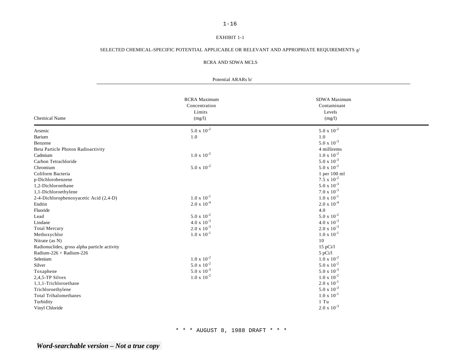# 1-16

# EXHIBIT 1-1

# SELECTED CHEMICAL-SPECIFIC POTENTIAL APPLICABLE OR RELEVANT AND APPROPRIATE REQUIREMENTS  $\underline{a}^j$

#### RCRA AND SDWA MCLS

#### Potential ARARs b/

| <b>Chemical Name</b>                         | <b>RCRA</b> Maximum<br>Concentration<br>Limits<br>(mg/l) | SDWA Maximum<br>Contaminant<br>Levels<br>(mg/l) |  |
|----------------------------------------------|----------------------------------------------------------|-------------------------------------------------|--|
| Arsenic                                      | $5.0 \times 10^{-2}$                                     | $5.0 \times 10^{-2}$                            |  |
| Barium                                       | 1.0                                                      | 1.0                                             |  |
| Benzene                                      |                                                          | $5.0 \times 10^{-3}$                            |  |
| Beta Particle Photon Radioactivity           |                                                          | 4 millirems                                     |  |
| Cadmium                                      | $1.0 \times 10^{-2}$                                     | $1.0 \times 10^{-2}$                            |  |
| Carbon Tetrachloride                         |                                                          | $5.0 \times 10^{-3}$                            |  |
| Chromium                                     | $5.0 \times 10^{-2}$                                     | $5.0 \times 10^{-2}$                            |  |
| Coliform Bacteria                            |                                                          | 1 per 100 ml                                    |  |
| p-Dichlorobenzene                            |                                                          | $7.5 \times 10^{-2}$                            |  |
| 1,2-Dichloroethane                           |                                                          | $5.0 \times 10^{-3}$                            |  |
| 1,1-Dichloroethylene                         |                                                          | $7.0 \times 10^{-3}$                            |  |
| 2-4-Dichlorophenoxyacetic Acid (2,4-D)       | $1.0 \times 10^{-1}$                                     | $1.0 \times 10^{-1}$                            |  |
| Endrin                                       | $2.0 \times 10^{-4}$                                     | $2.0 \times 10^{-4}$                            |  |
| Fluoride                                     |                                                          | 4.0                                             |  |
| Lead                                         | $5.0 \times 10^{-2}$                                     | $5.0 \times 10^{-2}$                            |  |
| Lindane                                      | $4.0 \times 10^{-3}$                                     | $4.0 \times 10^{-3}$                            |  |
| <b>Total Mercury</b>                         | $2.0 \times 10^{-3}$                                     | $2.0 \times 10^{-3}$                            |  |
| Methoxychlor                                 | $1.0 \times 10^{-1}$                                     | $1.0 \times 10^{-1}$                            |  |
| Nitrate (as N)                               |                                                          | 10                                              |  |
| Radionuclides, gross alpha particle activity |                                                          | $15$ pCi/l                                      |  |
| Radium-226 + Radium-226                      |                                                          | $5$ pCi/l                                       |  |
| Selenium                                     | $1.0 \times 10^{-2}$                                     | $1.0 \times 10^{-2}$                            |  |
| Silver                                       | $5.0 \times 10^{-2}$                                     | $5.0 \times 10^{-2}$                            |  |
| Toxaphene                                    | $5.0 \times 10^{-3}$                                     | $5.0 \times 10^{-3}$                            |  |
| 2,4,5-TP Silvex                              | $1.0 \times 10^{-2}$                                     | $1.0 \times 10^{-2}$                            |  |
| 1,1,1-Trichloroethane                        |                                                          | $2.0 \times 10^{-1}$                            |  |
| Trichloroethylene                            |                                                          | $5.0 \times 10^{-3}$                            |  |
| <b>Total Trihalomethanes</b>                 |                                                          | $1.0 \times 10^{-1}$                            |  |
| Turbidity                                    |                                                          | $1$ Tu                                          |  |
| Vinyl Chloride                               |                                                          | $2.0 \times 10^{-3}$                            |  |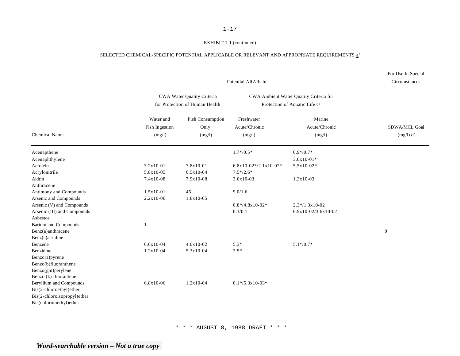#### EXHIBIT 1-1 (continued)

## SELECTED CHEMICAL-SPECIFIC POTENTIAL APPLICABLE OR RELEVANT AND APPROPRIATE REQUIREMENTS  $\underline{a}^j$

|                                                          |                                       |                                                              | Potential ARARs b/                                                      |                                         | For Use In Special<br>Circumstances       |  |  |  |  |
|----------------------------------------------------------|---------------------------------------|--------------------------------------------------------------|-------------------------------------------------------------------------|-----------------------------------------|-------------------------------------------|--|--|--|--|
|                                                          |                                       | CWA Water Quality Criteria<br>for Protection of Human Health | CWA Ambient Water Quality Criteria for<br>Protection of Aquatic Life c/ |                                         |                                           |  |  |  |  |
| <b>Chemical Name</b>                                     | Water and<br>Fish Ingestion<br>(mg/l) | <b>Fish Consumption</b><br>Only<br>(mg/l)                    | Freshwater<br>Acute/Chronic<br>(mg/l)                                   | Marine<br>Acute/Chronic<br>(mg/l)       | SDWA/MCL Goal<br>$(mg/l)$ $\underline{d}$ |  |  |  |  |
| Acenapthene                                              |                                       |                                                              | $1.7*/0.5*$                                                             | $0.9*/0.7*$                             |                                           |  |  |  |  |
| Acenaphthylene                                           |                                       |                                                              |                                                                         | $3.0x10-01*$                            |                                           |  |  |  |  |
| Acrolein                                                 | $3.2x10-01$                           | 7.8x10-01                                                    | $6.8x10-02*/2.1x10-02*$                                                 | $5.5x10-02*$                            |                                           |  |  |  |  |
| Acrylonitrile                                            | 5.8x10-05                             | $6.5x10-04$                                                  | $7.5*/2.6*$                                                             |                                         |                                           |  |  |  |  |
| Aldrin                                                   | 7.4x10-08                             | 7.9x10-08                                                    | $3.0x10-03$                                                             | $1.3x10-03$                             |                                           |  |  |  |  |
| Anthracene                                               |                                       |                                                              |                                                                         |                                         |                                           |  |  |  |  |
| Antimony and Compounds                                   | $1.5x10-01$                           | 45                                                           | 9.0/1.6                                                                 |                                         |                                           |  |  |  |  |
| Arsenic and Compounds                                    | $2.2x10-06$                           | 1.8x10-05                                                    |                                                                         |                                         |                                           |  |  |  |  |
| Arsenic (V) and Compounds<br>Arsenic (III) and Compounds |                                       |                                                              | $0.8*/4.8x10-02*$<br>0.3/0.1                                            | $2.3*/1.3x10-02$<br>6.9x10-02/3.6x10-02 |                                           |  |  |  |  |
| Asbestos                                                 |                                       |                                                              |                                                                         |                                         |                                           |  |  |  |  |
| <b>Barium and Compounds</b>                              |                                       |                                                              |                                                                         |                                         |                                           |  |  |  |  |
| Benz(a)anthracene                                        |                                       |                                                              |                                                                         |                                         | $\boldsymbol{0}$                          |  |  |  |  |
| Benz(c)acridine                                          |                                       |                                                              |                                                                         |                                         |                                           |  |  |  |  |
| Benzene                                                  | $6.6x10-04$                           | $4.0x10-02$                                                  | $5.3*$                                                                  | $5.1*/0.7*$                             |                                           |  |  |  |  |
| Benzidine                                                | $1.2x10-04$                           | 5.3x10-04                                                    | $2.5*$                                                                  |                                         |                                           |  |  |  |  |
| Benzo(a)pyrene                                           |                                       |                                                              |                                                                         |                                         |                                           |  |  |  |  |
| Benzo(b)fluoranthene                                     |                                       |                                                              |                                                                         |                                         |                                           |  |  |  |  |
| Benzo(ghi)perylene                                       |                                       |                                                              |                                                                         |                                         |                                           |  |  |  |  |
| Benzo (k) fluorantene                                    |                                       |                                                              |                                                                         |                                         |                                           |  |  |  |  |
| Beryllium and Compounds                                  | 6.8x10-06                             | $1.2x10-04$                                                  | $0.1*/5.3x10-03*$                                                       |                                         |                                           |  |  |  |  |
| Bis(2-chloroethyl)ether                                  |                                       |                                                              |                                                                         |                                         |                                           |  |  |  |  |
| Bis(2-chloroisopropyl)ether                              |                                       |                                                              |                                                                         |                                         |                                           |  |  |  |  |
| Bis(chloromethyl)ether                                   |                                       |                                                              |                                                                         |                                         |                                           |  |  |  |  |
|                                                          |                                       |                                                              |                                                                         |                                         |                                           |  |  |  |  |

\* \* \* AUGUST 8, 1988 DRAFT \* \* \*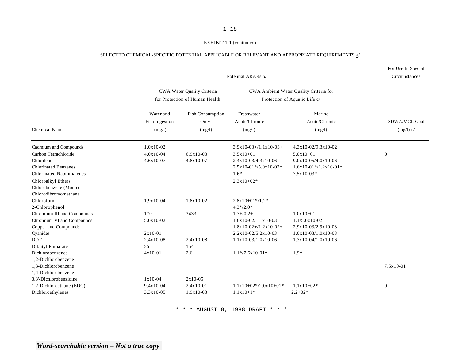# EXHIBIT 1-1 (continued)

# SELECTED CHEMICAL-SPECIFIC POTENTIAL APPLICABLE OR RELEVANT AND APPROPRIATE REQUIREMENTS  $\underline{a}^j$

| Potential ARARs b/                                                                                                                                  |                                                      |                                                                                                                                         |                                                                                                                       |                                                                                                         | For Use In Special<br>Circumstances       |  |
|-----------------------------------------------------------------------------------------------------------------------------------------------------|------------------------------------------------------|-----------------------------------------------------------------------------------------------------------------------------------------|-----------------------------------------------------------------------------------------------------------------------|---------------------------------------------------------------------------------------------------------|-------------------------------------------|--|
|                                                                                                                                                     |                                                      | CWA Ambient Water Quality Criteria for<br>CWA Water Quality Criteria<br>for Protection of Human Health<br>Protection of Aquatic Life c/ |                                                                                                                       |                                                                                                         |                                           |  |
| <b>Chemical Name</b>                                                                                                                                | Water and<br>Fish Ingestion<br>(mg/l)                | <b>Fish Consumption</b><br>Only<br>(mg/l)                                                                                               | Freshwater<br>Acute/Chronic<br>(mg/l)                                                                                 | Marine<br>Acute/Chronic<br>(mg/l)                                                                       | SDWA/MCL Goal<br>$(mg/l)$ $\underline{d}$ |  |
| Cadmium and Compounds<br>Carbon Tetrachloride<br>Chlordene<br><b>Chlorinated Benzenes</b><br><b>Chlorinated Napththalenes</b><br>Chloroalkyl Ethers | $1.0x10-02$<br>$4.0x10-04$<br>$4.6x10-07$            | $6.9x10-03$<br>$4.8x10-07$                                                                                                              | $3.9x10-03+/1.1x10-03+$<br>$3.5x10+01$<br>$2.4x10-03/4.3x10-06$<br>$2.5x10-01*/5.0x10-02*$<br>$1.6*$<br>$2.3x10+02*$  | 4.3x10-02/9.3x10-02<br>$5.0x10+01$<br>$9.0x10-05/4.0x10-06$<br>$1.6x10-01*/1.2x10-01*$<br>$7.5x10-03*$  | $\boldsymbol{0}$                          |  |
| Chlorobenzene (Mono)<br>Chlorodibromomethane<br>Chloroform<br>2-Chlorophenol                                                                        | 1.9x10-04                                            | 1.8x10-02                                                                                                                               | $2.8x10+01*/1.2*$<br>$4.3*/2.0*$                                                                                      |                                                                                                         |                                           |  |
| Chromium III and Compounds<br>Chromium VI and Compounds<br>Copper and Compounds<br>Cyanides<br><b>DDT</b><br>Dibutyl Phthalate                      | 170<br>$5.0x10-02$<br>$2x10-01$<br>$2.4x10-08$<br>35 | 3433<br>$2.4x10-08$<br>154                                                                                                              | $1.7 + / 0.2 +$<br>$1.6x10-02/1.1x10-03$<br>$1.8x10-02+/1.2x10-02+$<br>$2.2x10-02/5.2x10-03$<br>$1.1x10-03/1.0x10-06$ | $1.0x10+01$<br>$1.1/5.0x10-02$<br>2.9x10-03/2.9x10-03<br>$1.0x10-03/1.0x10-03$<br>$1.3x10-04/1.0x10-06$ |                                           |  |
| Dichlorobenzenes<br>1.2-Dichlorobenzene<br>1,3-Dichlorobenzene<br>1,4-Dichlorobenzene<br>3.3'-Dichlorobenzidine                                     | $4x10-01$<br>$1x10-04$                               | 2.6<br>$2x10-05$                                                                                                                        | $1.1*/7.6x10-01*$                                                                                                     | $1.9*$                                                                                                  | $7.5x10-01$                               |  |
| 1,2-Dichloroethane (EDC)<br>Dichloroethylenes                                                                                                       | $9.4x10-04$<br>$3.3x10-05$                           | $2.4x10-01$<br>$1.9x10-03$                                                                                                              | $1.1x10+02*/2.0x10+01*$<br>$1.1x10+1*$                                                                                | $1.1x10+02*$<br>$2.2 + 02*$                                                                             | $\boldsymbol{0}$                          |  |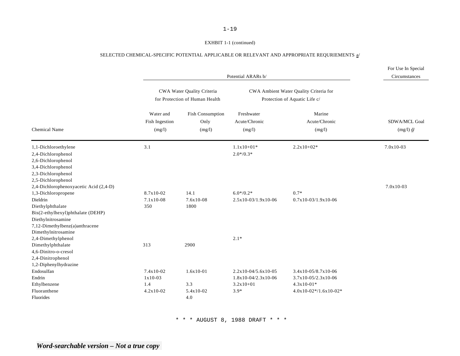### EXHBIT 1-1 (continued)

# SELECTED CHEMICAL-SPECIFIC POTENTIAL APPLICABLE OR RELEVANT AND APPROPRIATE REQURIEMENTS  $\underline{a}^j$

|                                                                                                                                                                                                                  |                                                | Potential ARARs b/                                           |                                                                         |                                                                                         | For Use In Special<br>Circumstances     |
|------------------------------------------------------------------------------------------------------------------------------------------------------------------------------------------------------------------|------------------------------------------------|--------------------------------------------------------------|-------------------------------------------------------------------------|-----------------------------------------------------------------------------------------|-----------------------------------------|
|                                                                                                                                                                                                                  |                                                | CWA Water Quality Criteria<br>for Protection of Human Health |                                                                         | CWA Ambient Water Quality Criteria for<br>Protection of Aquatic Life c/                 |                                         |
| <b>Chemical Name</b>                                                                                                                                                                                             | Water and<br>Fish Ingestion<br>(mg/l)          | <b>Fish Consumption</b><br>Only<br>(mg/l)                    | Freshwater<br>Acute/Chronic<br>(mg/l)                                   | Marine<br>Acute/Chronic<br>(mg/l)                                                       | SDWA/MCL Goal<br>$(mg/l)$ $\frac{d}{ }$ |
| 1,1-Dichloroethylene<br>2,4-Dichlorophenol<br>2,6-Dichlorophenol<br>3,4-Dichlorophenol<br>2,3-Dichlorophenol                                                                                                     | 3.1                                            |                                                              | $1.1x10+01*$<br>$2.0*/0.3*$                                             | $2.2x10+02*$                                                                            | $7.0x10-03$                             |
| 2,5-Dichlorophenol<br>2,4-Dichlorophenoxyacetic Acid (2,4-D)<br>1,3-Dichloropropene<br>Dieldrin<br>Diethylphthalate<br>Bis(2-ethylhexyl)phthalate (DEHP)<br>Diethylnitrosamine<br>7,12-Dimethylbenz(a)anthracene | 8.7x10-02<br>$7.1x10-08$<br>350                | 14.1<br>$7.6x10-08$<br>1800                                  | $6.0*/0.2*$<br>2.5x10-03/1.9x10-06                                      | $0.7*$<br>$0.7x10-03/1.9x10-06$                                                         | $7.0x10-03$                             |
| Dimethylnitrosamine<br>2,4-Dimethylphenol<br>Dimethylphthalate<br>4,6-Dinitro-o-cresol<br>2,4-Dinitrophenol<br>1,2-Diphenylhydrazine                                                                             | 313                                            | 2900                                                         | $2.1*$                                                                  |                                                                                         |                                         |
| Endosulfan<br>Endrin<br>Ethylbenzene<br>Fluoranthene<br>Fluorides                                                                                                                                                | $7.4x10-02$<br>$1x10-03$<br>1.4<br>$4.2x10-02$ | $1.6x10-01$<br>3.3<br>5.4x10-02<br>4.0                       | $2.2x10-04/5.6x10-05$<br>$1.8x10-04/2.3x10-06$<br>$3.2x10+01$<br>$3.9*$ | 3.4x10-05/8.7x10-06<br>$3.7x10-05/2.3x10-06$<br>$4.3x10-01*$<br>$4.0x10-02*/1.6x10-02*$ |                                         |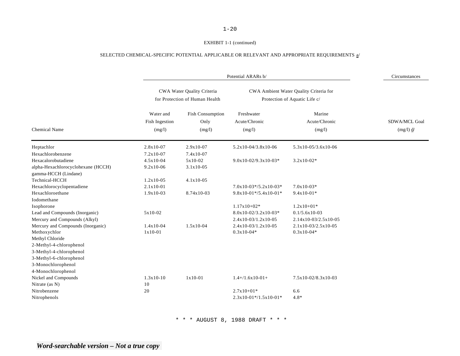#### EXHIBIT 1-1 (continued)

# SELECTED CHEMICAL-SPECIFIC POTENTIAL APPLICABLE OR RELEVANT AND APPROPRIATE REQUIREMENTS  $\underline{a}^j$

| CWA Water Quality Criteria<br>CWA Ambient Water Quality Criteria for<br>for Protection of Human Health<br>Protection of Aquatic Life c/<br><b>Fish Consumption</b><br>Freshwater<br>Marine<br>Water and<br>Acute/Chronic<br>Fish Ingestion<br>Acute/Chronic<br>Only<br><b>Chemical Name</b><br>(mg/l)<br>(mg/l)<br>(mg/l)<br>(mg/l)<br>$2.8x10-07$<br>Heptachlor<br>$2.9x10-07$<br>5.2x10-04/3.8x10-06<br>5.3x10-05/3.6x10-06<br>Hexachlorobenzene<br>$7.2x10-07$<br>$7.4x10-07$<br>Hexacalorobutadiene<br>$4.5x10-04$<br>$5x10-02$<br>9.0x10-02/9.3x10-03*<br>$3.2x10-02*$<br>alpha-Hexachlorocyclohexane (HCCH)<br>9.2x10-06<br>$3.1x10-05$<br>gamma-HCCH (Lindane) |                                      |
|-----------------------------------------------------------------------------------------------------------------------------------------------------------------------------------------------------------------------------------------------------------------------------------------------------------------------------------------------------------------------------------------------------------------------------------------------------------------------------------------------------------------------------------------------------------------------------------------------------------------------------------------------------------------------|--------------------------------------|
|                                                                                                                                                                                                                                                                                                                                                                                                                                                                                                                                                                                                                                                                       |                                      |
|                                                                                                                                                                                                                                                                                                                                                                                                                                                                                                                                                                                                                                                                       | SDWA/MCL Goal<br>$(mg/l)$ <u>d</u> / |
|                                                                                                                                                                                                                                                                                                                                                                                                                                                                                                                                                                                                                                                                       |                                      |
|                                                                                                                                                                                                                                                                                                                                                                                                                                                                                                                                                                                                                                                                       |                                      |
|                                                                                                                                                                                                                                                                                                                                                                                                                                                                                                                                                                                                                                                                       |                                      |
|                                                                                                                                                                                                                                                                                                                                                                                                                                                                                                                                                                                                                                                                       |                                      |
|                                                                                                                                                                                                                                                                                                                                                                                                                                                                                                                                                                                                                                                                       |                                      |
| Technical-HCCH<br>$1.2x10-05$<br>$4.1x10-05$                                                                                                                                                                                                                                                                                                                                                                                                                                                                                                                                                                                                                          |                                      |
| Hexachlorocyclopentadiene<br>$2.1x10-01$<br>$7.0x10-03*/5.2x10-03*$<br>$7.0x10-03*$                                                                                                                                                                                                                                                                                                                                                                                                                                                                                                                                                                                   |                                      |
| Hexachloroethane<br>$1.9x10-03$<br>8.74x10-03<br>$9.8x10-01*/5.4x10-01*$<br>$9.4x10-01*$                                                                                                                                                                                                                                                                                                                                                                                                                                                                                                                                                                              |                                      |
| Iodomethane                                                                                                                                                                                                                                                                                                                                                                                                                                                                                                                                                                                                                                                           |                                      |
| Isophorone<br>$1.17x10+02*$<br>$1.2x10+01*$                                                                                                                                                                                                                                                                                                                                                                                                                                                                                                                                                                                                                           |                                      |
| Lead and Compounds (Inorganic)<br>5x10-02<br>$8.0x10-02/3.2x10-03*$<br>$0.1/5.6x10-03$                                                                                                                                                                                                                                                                                                                                                                                                                                                                                                                                                                                |                                      |
| Mercury and Compounds (Alkyl)<br>$2.4x10-03/1.2x10-05$<br>2.14x10-03/2.5x10-05                                                                                                                                                                                                                                                                                                                                                                                                                                                                                                                                                                                        |                                      |
| Mercury and Compounds (Inorganic)<br>$1.4x10-04$<br>$1.5x10-04$<br>$2.4x10-03/1.2x10-05$<br>$2.1x10-03/2.5x10-05$                                                                                                                                                                                                                                                                                                                                                                                                                                                                                                                                                     |                                      |
| Methoxychlor<br>$1x10-01$<br>$0.3x10-04*$<br>$0.3x10-04*$                                                                                                                                                                                                                                                                                                                                                                                                                                                                                                                                                                                                             |                                      |
| Methyl Chloride                                                                                                                                                                                                                                                                                                                                                                                                                                                                                                                                                                                                                                                       |                                      |
| 2-Methyl-4-chlorophenol                                                                                                                                                                                                                                                                                                                                                                                                                                                                                                                                                                                                                                               |                                      |
| 3-Methyl-4-chlorophenol                                                                                                                                                                                                                                                                                                                                                                                                                                                                                                                                                                                                                                               |                                      |
| 3-Methyl-6-chlorophenol                                                                                                                                                                                                                                                                                                                                                                                                                                                                                                                                                                                                                                               |                                      |
| 3-Monochlorophenol                                                                                                                                                                                                                                                                                                                                                                                                                                                                                                                                                                                                                                                    |                                      |
| 4-Monochlorophenol                                                                                                                                                                                                                                                                                                                                                                                                                                                                                                                                                                                                                                                    |                                      |
| Nickel and Compounds<br>$1.3x10-10$<br>$1x10-01$<br>$1.4+/1.6x10-01+$<br>$7.5x10-02/8.3x10-03$                                                                                                                                                                                                                                                                                                                                                                                                                                                                                                                                                                        |                                      |
| Nitrate (as N)<br>10                                                                                                                                                                                                                                                                                                                                                                                                                                                                                                                                                                                                                                                  |                                      |
| Nitrobenzene<br>$2.7x10+01*$<br>20<br>6.6                                                                                                                                                                                                                                                                                                                                                                                                                                                                                                                                                                                                                             |                                      |
| Nitrophenols<br>$2.3x10-01*/1.5x10-01*$<br>$4.8*$                                                                                                                                                                                                                                                                                                                                                                                                                                                                                                                                                                                                                     |                                      |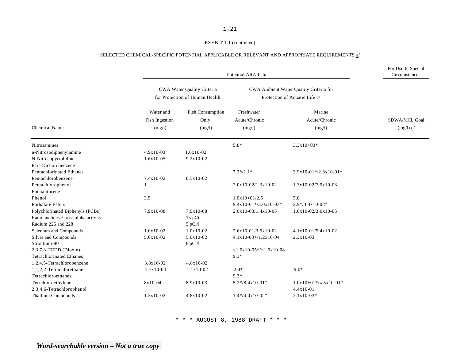#### EXHBIT 1-1 (continued)

# SELECTED CHEMICAL-SPECIFIC POTENTIAL APPLICABLE OR RELEVANT AND APPROPRIATE REQUIREMENTS  $\underline{a} /$

|                                     |                                              | Potential ARARs b/                                           |                                       |                                                                         | For Use In Special<br>Circumstances |
|-------------------------------------|----------------------------------------------|--------------------------------------------------------------|---------------------------------------|-------------------------------------------------------------------------|-------------------------------------|
|                                     |                                              | CWA Water Quality Criteria<br>for Protection of Human Health |                                       | CWA Ambient Water Quality Criteria for<br>Protection of Aquatic Life c/ |                                     |
| <b>Chemical Name</b>                | Water and<br><b>Fish Ingestion</b><br>(mg/l) | Fish Consumption<br>Only<br>(mg/l)                           | Freshwater<br>Acute/Chronic<br>(mg/l) | Marine<br>Acute/Chronic<br>(mg/l)                                       | SDWA/MCL Goal<br>$(mg/l)$ $d/$      |
| <b>Nitrosamines</b>                 |                                              |                                                              | $5.8*$                                | $3.3x10+03*$                                                            |                                     |
| n-Nitrosodiphenylamine              | $4.9x10-03$                                  | $1.6x10-02$                                                  |                                       |                                                                         |                                     |
| N-Nitrosopyrrolidine                | $1.6x10-05$                                  | $9.2x10-02$                                                  |                                       |                                                                         |                                     |
| Para Dichorobenzene                 |                                              |                                                              |                                       |                                                                         |                                     |
| <b>Pentachlorinated Ethanes</b>     |                                              |                                                              | $7.2*/1.1*$                           | $3.9x10-01*/2.8x10-01*$                                                 |                                     |
| Pentachlorobenzene                  | 7.4x10-02                                    | 8.5x10-02                                                    |                                       |                                                                         |                                     |
| Pentachlorophenol                   |                                              |                                                              | $2.0x10-02/1.3x10-02$                 | $1.3x10-02/7.9x10-03$                                                   |                                     |
| Phenanthrene                        |                                              |                                                              |                                       |                                                                         |                                     |
| Phenol                              | 3.5                                          |                                                              | $1.0x10+01/2.5$                       | 5.8                                                                     |                                     |
| <b>Phthalate Esters</b>             |                                              |                                                              | $9.4x10-01*/3.0x10-03*$               | $2.9*/3.4x10-03*$                                                       |                                     |
| Polychlorinated Biphenyls (PCBs)    | 7.9x10-08                                    | $7.9x10-08$                                                  | $2.0x10-03/1.4x10-05$                 | $1.0x10-02/3.0x10-05$                                                   |                                     |
| Radionuclides, Gross alpha activity |                                              | 15 pCil                                                      |                                       |                                                                         |                                     |
| Radium 226 and 228                  |                                              | $5$ pCi/l $\,$                                               |                                       |                                                                         |                                     |
| Selenium and Compounds              | $1.0x10-02$                                  | $1.0x10-02$                                                  | 2.6x10-01/3.5x10-02                   | 4.1x10-01/5.4x10-02                                                     |                                     |
| Silver and Compounds                | $5.0x10-02$                                  | $5.0x10-02$                                                  | $4.1x10-03+/1.2x10-04$                | $2.3x10-03$                                                             |                                     |
| Strontium-90                        |                                              | 8 pCi/l                                                      |                                       |                                                                         |                                     |
| 2,3,7,8-TCDD (Dioxin)               |                                              |                                                              | $<1.0x10-05*/<1.0x10-08$              |                                                                         |                                     |
| <b>Tetrachlorinated Ethanes</b>     |                                              |                                                              | $9.3*$                                |                                                                         |                                     |
| 1,2,4,5-Tetrachlorobenzene          | $3.8x10-02$                                  | $4.8x10-02$                                                  |                                       |                                                                         |                                     |
| 1,1,2,2-Tetrachlorethane            | $1.7x10-04$                                  | $1.1x10-02$                                                  | $2.4*$                                | $9.0*$                                                                  |                                     |
| Tetrachloroethanes                  |                                              |                                                              | $9.3*$                                |                                                                         |                                     |
| Tetrchloroethylene                  | $8x10-04$                                    | 8.9x10-03                                                    | $5.2*/8.4x10-01*$                     | $1.0x10+01*/4.5x10-01*$                                                 |                                     |
| 2,3,4,6-Tetrachlorophenol           |                                              |                                                              |                                       | 4.4x10-01                                                               |                                     |
| <b>Thallium Compounds</b>           | $1.3x10-02$                                  | 4.8x10-02                                                    | $1.4*/4.0x10-02*$                     | $2.1x10-03*$                                                            |                                     |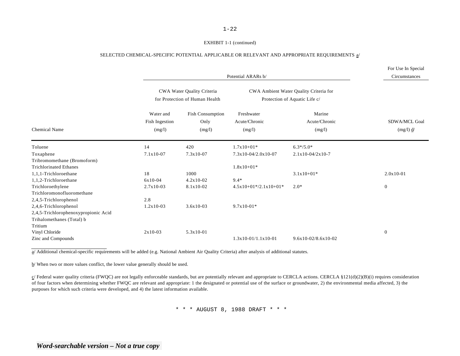# 1-22 EXHIBIT 1-1 (continued)

#### SELECTED CHEMICAL-SPECIFIC POTENTIAL APPLICABLE OR RELEVANT AND APPROPRIATE REQUIREMENTS a/

|                                      |                          |                                                              |                         |                                                                         | For Use In Special     |  |
|--------------------------------------|--------------------------|--------------------------------------------------------------|-------------------------|-------------------------------------------------------------------------|------------------------|--|
|                                      |                          | Potential ARARs b/                                           |                         |                                                                         |                        |  |
|                                      |                          | CWA Water Quality Criteria<br>for Protection of Human Health |                         | CWA Ambient Water Quality Criteria for<br>Protection of Aquatic Life c/ |                        |  |
|                                      | Water and                | <b>Fish Consumption</b>                                      | Freshwater              | Marine                                                                  |                        |  |
|                                      | Fish Ingestion<br>(mg/l) | Only<br>(mg/l)                                               | Acute/Chronic<br>(mg/l) | Acute/Chronic                                                           | SDWA/MCL Goal          |  |
| <b>Chemical Name</b>                 |                          |                                                              |                         | (mg/l)                                                                  | $(mg/l)$ $\frac{d}{l}$ |  |
| Toluene                              | 14                       | 420                                                          | $1.7x10+01*$            | $6.3*/5.0*$                                                             |                        |  |
| Toxaphene                            | $7.1x10-07$              | $7.3x10-07$                                                  | $7.3x10-04/2.0x10-07$   | $2.1x10-04/2x10-7$                                                      |                        |  |
| Tribromomethane (Bromoform)          |                          |                                                              |                         |                                                                         |                        |  |
| <b>Trichlorinated Ethanes</b>        |                          |                                                              | $1.8x10+01*$            |                                                                         |                        |  |
| 1,1,1-Trichloroethane                | 18                       | 1000                                                         |                         | $3.1x10+01*$                                                            | $2.0x10-01$            |  |
| 1,1,2-Trichloroethane                | $6x10-04$                | $4.2x10-02$                                                  | $9.4*$                  |                                                                         |                        |  |
| Trichloroethylene                    | $2.7x10-03$              | 8.1x10-02                                                    | $4.5x10+01*/2.1x10+01*$ | $2.0*$                                                                  | $\overline{0}$         |  |
| Trichloromonofluoromethane           |                          |                                                              |                         |                                                                         |                        |  |
| 2,4,5-Trichlorophenol                | 2.8                      |                                                              |                         |                                                                         |                        |  |
| 2,4,6-Trichlorophenol                | $1.2x10-03$              | $3.6x10-03$                                                  | $9.7x10-01*$            |                                                                         |                        |  |
| 2,4,5-Trichlorophenoxypropionic Acid |                          |                                                              |                         |                                                                         |                        |  |
| Trihalomethanes (Total) b            |                          |                                                              |                         |                                                                         |                        |  |
| Tritium                              |                          |                                                              |                         |                                                                         |                        |  |
| Vinyl Chloride                       | $2x10-03$                | 5.3x10-01                                                    |                         |                                                                         | $\mathbf{0}$           |  |
| Zinc and Compounds                   |                          |                                                              | $1.3x10-01/1.1x10-01$   | $9.6x10-02/8.6x10-02$                                                   |                        |  |

a/ Additional chemical-specific requirements will be added (e.g. National Ambient Air Quality Criteria) after analysis of additional statutes.

b/ When two or more values conflict, the lower value generally should be used.

 $c/$  Federal water quality criteria (FWQC) are not legally enforceable standards, but are potentially relevant and appropriate to CERCLA actions. CERCLA §121(d)(2)(B)(i) requires consideration of four factors when determining whether FWQC are relevant and appropriate: 1 the designated or potential use of the surface or groundwater, 2) the environmental media affected, 3) the purposes for which such criteria were developed, and 4) the latest information available.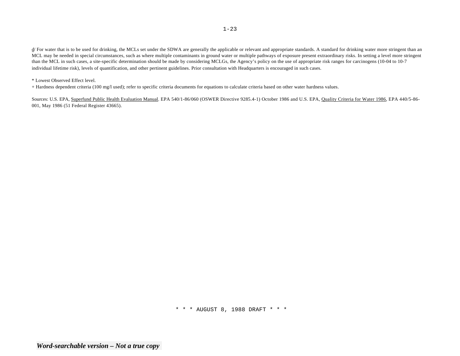$\frac{d}{d}$  For water that is to be used for drinking, the MCLs set under the SDWA are generally the applicable or relevant and appropriate standards. A standard for drinking water more stringent than an MCL may be needed in special circumstances, such as where multiple contaminants in ground water or multiple pathways of exposure present extraordinary risks. In setting a level more stringent than the MCL in such cases, a site-specific determination should be made by considering MCLGs, the Agency's policy on the use of appropriate risk ranges for carcinogens (10-04 to 10-7 individual lifetime risk), levels of quantification, and other pertinent guidelines. Prior consultation with Headquarters is encouraged in such cases.

#### \* Lowest Observed Effect level.

+ Hardness dependent criteria (100 mg/l used); refer to specific criteria documents for equations to calculate criteria based on other water hardness values.

Sources: U.S. EPA, Superfund Public Health Evaluation Manual. EPA 540/1-86/060 (OSWER Directive 9285.4-1) October 1986 and U.S. EPA, Quality Criteria for Water 1986, EPA 440/5-86-001, May 1986 (51 Federal Register 43665).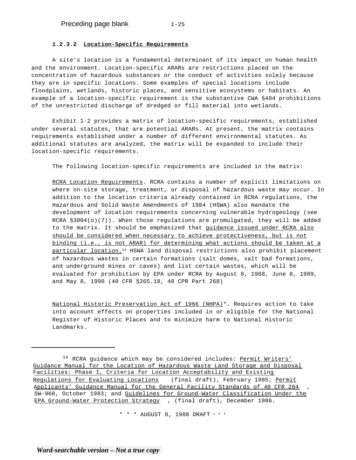### **1.2.3.2 Location-Specific Requirements**

A site's location is a fundamental determinant of its impact on human health and the environment. Location-specific ARARs are restrictions placed on the concentration of hazardous substances or the conduct of activities solely because they are in specific locations. Some examples of special locations include floodplains, wetlands, historic places, and sensitive ecosystems or habitats. An example of a location-specific requirement is the substantive CWA §404 prohibitions of the unrestricted discharge of dredged or fill material into wetlands.

Exhibit 1-2 provides a matrix of location-specific requirements, established under several statutes, that are potential ARARs. At present, the matrix contains requirements established under a number of different environmental statutes. As additional statutes are analyzed, the matrix will be expanded to include their location-specific requirements.

The following location-specific requirements are included in the matrix:

RCRA Location Requirements. RCRA contains a number of explicit limitations on where on-site storage, treatment, or disposal of hazardous waste may occur. In addition to the location criteria already contained in RCRA regulations, the Hazardous and Solid Waste Amendments of 1984 (HSWA) also mandate the development of location requirements concerning vulnerable hydrogeology (see RCRA §3004(o)(7)). When those regulations are promulgated, they will be added to the matrix. It should be emphasized that quidance issued under RCRA also should be considered when necessary to achieve protectiveness, but is not binding (i.e., is not ARAR) for determining what actions should be taken at a particular location.<sup>14</sup> HSWA land disposal restrictions also prohibit placement of hazardous wastes in certain formations (salt domes, salt bad formations, and underground mines or caves) and list certain wastes, which will be evaluated for prohibition by EPA under RCRA by August 8, 1988, June 8, 1989, and May 8, 1990 (40 CFR §265.18, 40 CPR Part 268)

National Historic Preservation Act of 1966 (NHPA)\*. Requires action to take into account effects on properties included in or eligible for the National Register of Historic Places and to minimize harm to National Historic Landmarks.

<sup>&</sup>lt;sup>14</sup> RCRA guidance which may be considered includes: Permit Writers' Guidance Manual for the Location of Hazardous Waste Land Storage and Disposal Facilities: Phase I, Criteria for Location Acceptability and Existing Requlations for Evaluating Locations (final draft), February 1985; Permit Applicants' Guidance Manual for the General Facility Standards of 40 CFR 264 SW-968, October 1983; and Guidelines for Ground-Water Classification Under the EPA Ground-Water Protection Strategy , (final draft), December 1986.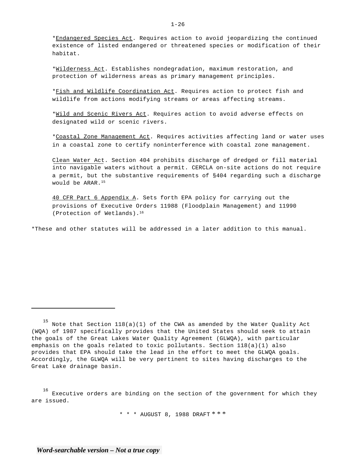\*Endangered Species Act. Requires action to avoid jeopardizing the continued existence of listed endangered or threatened species or modification of their habitat.

\*Wilderness Act. Establishes nondegradation, maximum restoration, and protection of wilderness areas as primary management principles.

\*Fish and Wildlife Coordination Act. Requires action to protect fish and wildlife from actions modifying streams or areas affecting streams.

\*Wild and Scenic Rivers Act. Requires action to avoid adverse effects on designated wild or scenic rivers.

\*Coastal Zone Management Act. Requires activities affecting land or water uses in a coastal zone to certify noninterference with coastal zone management.

Clean Water Act. Section 404 prohibits discharge of dredged or fill material into navigable waters without a permit. CERCLA on-site actions do not require a permit, but the substantive requirements of §404 regarding such a discharge would be ARAR.15

40 CFR Part 6 Appendix A. Sets forth EPA policy for carrying out the provisions of Executive Orders 11988 (Floodplain Management) and 11990 (Protection of Wetlands).16

\*These and other statutes will be addressed in a later addition to this manual.

16 Executive orders are binding on the section of the government for which they are issued.

\* \* \* AUGUST 8, 1988 DRAFT \* \* \*

*Word-searchable version – Not a true copy* 

Note that Section  $118(a)(1)$  of the CWA as amended by the Water Quality Act (WQA) of 1987 specifically provides that the United States should seek to attain the goals of the Great Lakes Water Quality Agreement (GLWQA), with particular emphasis on the goals related to toxic pollutants. Section 118(a)(1) also provides that EPA should take the lead in the effort to meet the GLWQA goals. Accordingly, the GLWQA will be very pertinent to sites having discharges to the Great Lake drainage basin.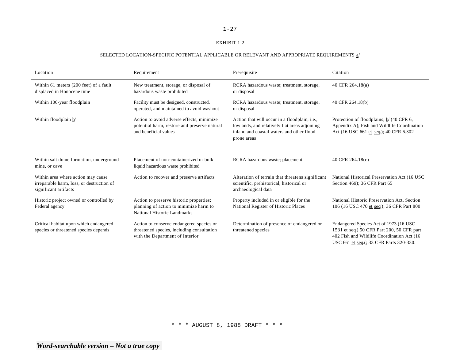#### EXHIBIT 1-2

# SELECTED LOCATION-SPECIFIC POTENTIAL APPLICABLE OR RELEVANT AND APPROPRIATE REQUIREMENTS  $\underline{a}^j$

| Location                                                                                                 | Requirement                                                                                                               | Prerequisite                                                                                                                                                       | Citation                                                                                                                                                                        |
|----------------------------------------------------------------------------------------------------------|---------------------------------------------------------------------------------------------------------------------------|--------------------------------------------------------------------------------------------------------------------------------------------------------------------|---------------------------------------------------------------------------------------------------------------------------------------------------------------------------------|
| Within 61 meters (200 feet) of a fault<br>displaced in Honocene time                                     | New treatment, storage, or disposal of<br>hazardous waste prohibited                                                      | RCRA hazardous waste; treatment, storage,<br>or disposal                                                                                                           | 40 CFR 264.18(a)                                                                                                                                                                |
| Within 100-year floodplain                                                                               | Facility must be designed, constructed,<br>operated, and maintained to avoid washout                                      | RCRA hazardous waste; treatment, storage,<br>or disposal                                                                                                           | 40 CFR 264.18(b)                                                                                                                                                                |
| Within floodplain b/                                                                                     | Action to avoid adverse effects, minimize<br>potential harm, restore and preserve natural<br>and beneficial values        | Action that will occur in a floodplain, <i>i.e.</i> ,<br>lowlands, and relatively flat areas adjoining<br>inland and coastal waters and other flood<br>prone areas | Protection of floodplains, b/ (40 CFR 6,<br>Appendix A); Fish and Wildlife Coordination<br>Act (16 USC 661 et seq.); 40 CFR 6.302                                               |
| Within salt dome formation, underground<br>mine, or cave                                                 | Placement of non-containerized or bulk<br>liquid hazardous waste prohibited                                               | RCRA hazardous waste; placement                                                                                                                                    | 40 CFR 264.18(c)                                                                                                                                                                |
| Within area where action may cause<br>irreparable harm, loss, or destruction of<br>significant artifacts | Action to recover and preserve artifacts                                                                                  | Alteration of terrain that threatens significant<br>scientific, prehistorical, historical or<br>archaeological data                                                | National Historical Preservation Act (16 USC)<br>Section 469); 36 CFR Part 65                                                                                                   |
| Historic project owned or controlled by<br>Federal agency                                                | Action to preserve historic properties;<br>planning of action to minimize harm to<br>National Historic Landmarks          | Property included in or eligible for the<br>National Register of Historic Places                                                                                   | National Historic Preservation Act, Section<br>106 (16 USC 470 et seq.); 36 CFR Part 800                                                                                        |
| Critical habitat upon which endangered<br>species or threatened species depends                          | Action to conserve endangered species or<br>threatened species, including consultation<br>with the Department of Interior | Determination of presence of endangered or<br>threatened species                                                                                                   | Endangered Species Act of 1973 (16 USC)<br>1531 et seq.) 50 CFR Part 200, 50 CFR part<br>402 Fish and Wildlife Coordination Act (16)<br>USC 661 et seq.(; 33 CFR Parts 320-330. |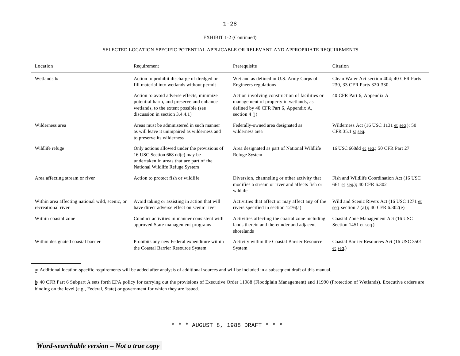#### EXHIBIT 1-2 (Continued)

#### SELECTED LOCATION-SPECIFIC POTENTIAL APPLICABLE OR RELEVANT AND APPROPRIATE REQUIREMENTS

| Location                                                              | Requirement                                                                                                                                                         | Prerequisite                                                                                                                                        | Citation                                                                             |
|-----------------------------------------------------------------------|---------------------------------------------------------------------------------------------------------------------------------------------------------------------|-----------------------------------------------------------------------------------------------------------------------------------------------------|--------------------------------------------------------------------------------------|
| Wetlands b/                                                           | Action to prohibit discharge of dredged or<br>fill material into wetlands without permit                                                                            | Wetland as defined in U.S. Army Corps of<br>Engineers regulations                                                                                   | Clean Water Act section 404; 40 CFR Parts<br>230, 33 CFR Parts 320-330.              |
|                                                                       | Action to avoid adverse effects, minimize<br>potential harm, and preserve and enhance<br>wetlands, to the extent possible (see<br>discussion in section $3.4.4.1$ ) | Action involving construction of facilities or<br>management of property in wetlands, as<br>defined by 40 CFR Part 6, Appendix A,<br>section $4(j)$ | 40 CFR Part 6, Appendix A                                                            |
| Wilderness area                                                       | Areas must be administered in such manner<br>as will leave it unimpaired as wilderness and<br>to preserve its wilderness                                            | Federally-owned area designated as<br>wilderness area                                                                                               | Wilderness Act $(16$ USC 1131 et seq.); 50<br>CFR $35.1$ st seq.                     |
| Wildlife refuge                                                       | Only actions allowed under the provisions of<br>16 USC Section 668 dd(c) may be<br>undertaken in areas that are part of the<br>National Wildlife Refuge System      | Area designated as part of National Wildlife<br>Refuge System                                                                                       | 16 USC 668dd et seq.; 50 CFR Part 27                                                 |
| Area affecting stream or river                                        | Action to protect fish or wildlife                                                                                                                                  | Diversion, channeling or other activity that<br>modifies a stream or river and affects fish or<br>wildlife                                          | Fish and Wildlife Coordination Act (16 USC)<br>661 et seq.); 40 CFR 6.302            |
| Within area affecting national wild, scenic, or<br>recreational river | Avoid taking or assisting in action that will<br>have direct adverse effect on scenic river                                                                         | Activities that affect or may affect any of the<br>rivers specified in section $1276(a)$                                                            | Wild and Scenic Rivers Act (16 USC 1271 et<br>seq. section 7 (a)); 40 CFR $6.302(e)$ |
| Within coastal zone                                                   | Conduct activities in manner consistent with<br>approved State management programs                                                                                  | Activities affecting the coastal zone including<br>lands therein and thereunder and adjacent<br>shorelands                                          | Coastal Zone Management Act (16 USC<br>Section 1451 et seq.)                         |
| Within designated coastal barrier                                     | Prohibits any new Federal expenditure within<br>the Coastal Barrier Resource System                                                                                 | Activity within the Coastal Barrier Resource<br>System                                                                                              | Coastal Barrier Resources Act (16 USC 3501<br>$et$ seq.)                             |

a/ Additional location-specific requirements will be added after analysis of additional sources and will be included in a subsequent draft of this manual.

b/ 40 CFR Part 6 Subpart A sets forth EPA policy for carrying out the provisions of Executive Order 11988 (Floodplain Management) and 11990 (Protection of Wetlands). Executive orders are binding on the level (e.g., Federal, State) or government for which they are issued.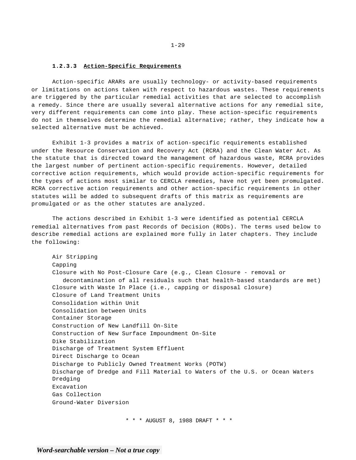#### **1.2.3.3 Action-Specific Requirements**

Action-specific ARARs are usually technology- or activity-based requirements or limitations on actions taken with respect to hazardous wastes. These requirements are triggered by the particular remedial activities that are selected to accomplish a remedy. Since there are usually several alternative actions for any remedial site, very different requirements can come into play. These action-specific requirements do not in themselves determine the remedial alternative; rather, they indicate how a selected alternative must be achieved.

Exhibit 1-3 provides a matrix of action-specific requirements established under the Resource Conservation and Recovery Act (RCRA) and the Clean Water Act. As the statute that is directed toward the management of hazardous waste, RCRA provides the largest number of pertinent action-specific requirements. However, detailed corrective action requirements, which would provide action-specific requirements for the types of actions most similar to CERCLA remedies, have not yet been promulgated. RCRA corrective action requirements and other action-specific requirements in other statutes will be added to subsequent drafts of this matrix as requirements are promulgated or as the other statutes are analyzed.

The actions described in Exhibit 1-3 were identified as potential CERCLA remedial alternatives from past Records of Decision (RODs). The terms used below to describe remedial actions are explained more fully in later chapters. They include the following:

Air Stripping Capping Closure with No Post-Closure Care (e.g., Clean Closure - removal or decontamination of all residuals such that health-based standards are met) Closure with Waste In Place (i.e., capping or disposal closure) Closure of Land Treatment Units Consolidation within Unit Consolidation between Units Container Storage Construction of New Landfill On-Site Construction of New Surface Impoundment On-Site Dike Stabilization Discharge of Treatment System Effluent Direct Discharge to Ocean Discharge to Publicly Owned Treatment Works (POTW) Discharge of Dredge and Fill Material to Waters of the U.S. or Ocean Waters Dredging Excavation Gas Collection Ground-Water Diversion

\* \* \* AUGUST 8, 1988 DRAFT \* \* \*

*Word-searchable version – Not a true copy*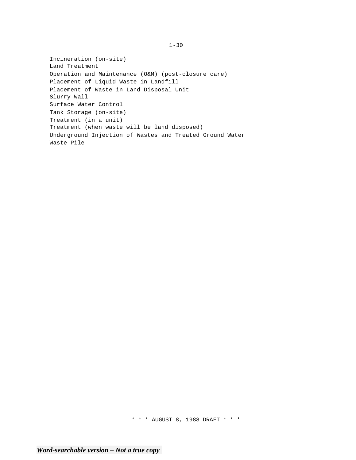Incineration (on-site) Land Treatment Operation and Maintenance (O&M) (post-closure care) Placement of Liquid Waste in Landfill Placement of Waste in Land Disposal Unit Slurry Wall Surface Water Control Tank Storage (on-site) Treatment (in a unit) Treatment (when waste will be land disposed) Underground Injection of Wastes and Treated Ground Water Waste Pile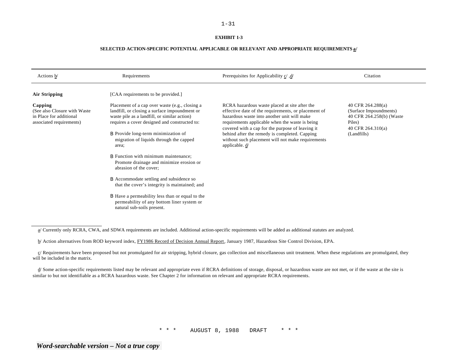#### **EXHIBIT 1-3**

| Actions b/                                                                                      | Requirements                                                                                                                                                                                                                                                                                       | /d/ Prerequisites for Applicability c/, d                                                                                                                                                                                                                                                                                                                                                       | Citation                                                                                                                |
|-------------------------------------------------------------------------------------------------|----------------------------------------------------------------------------------------------------------------------------------------------------------------------------------------------------------------------------------------------------------------------------------------------------|-------------------------------------------------------------------------------------------------------------------------------------------------------------------------------------------------------------------------------------------------------------------------------------------------------------------------------------------------------------------------------------------------|-------------------------------------------------------------------------------------------------------------------------|
| <b>Air Stripping</b>                                                                            | [CAA requirements to be provided.]                                                                                                                                                                                                                                                                 |                                                                                                                                                                                                                                                                                                                                                                                                 |                                                                                                                         |
| Capping<br>(See also Closure with Waste)<br>in Place for additional<br>associated requirements) | Placement of a cap over waste (e.g., closing a<br>landfill, or closing a surface impoundment or<br>waste pile as a landfill, or similar action)<br>requires a cover designed and constructed to:<br><b>B</b> Provide long-term minimization of<br>migration of liquids through the capped<br>area; | RCRA hazardous waste placed at site after the<br>effective date of the requirements, or placement of<br>hazardous waste into another unit will make<br>requirements applicable when the waste is being<br>covered with a cap for the purpose of leaving it<br>behind after the remedy is completed. Capping<br>without such placement will not make requirements<br>applicable. $\underline{d}$ | 40 CFR 264.288(a)<br>(Surface Impoundments)<br>40 CFR 264.258(b) (Waste<br>Piles)<br>40 CFR $264.310(a)$<br>(Landfills) |
|                                                                                                 | <b>B</b> Function with minimum maintenance;<br>Promote drainage and minimize erosion or<br>abrasion of the cover;                                                                                                                                                                                  |                                                                                                                                                                                                                                                                                                                                                                                                 |                                                                                                                         |
|                                                                                                 | <b>B</b> Accommodate settling and subsidence so<br>that the cover's integrity is maintained; and                                                                                                                                                                                                   |                                                                                                                                                                                                                                                                                                                                                                                                 |                                                                                                                         |
|                                                                                                 | <b>B</b> Have a permeability less than or equal to the<br>permeability of any bottom liner system or<br>natural sub-soils present.                                                                                                                                                                 |                                                                                                                                                                                                                                                                                                                                                                                                 |                                                                                                                         |

a/ Currently only RCRA, CWA, and SDWA requirements are included. Additional action-specific requirements will be added as additional statutes are analyzed.

b/ Action alternatives from ROD keyword index, FY1986 Record of Decision Annual Report, January 1987, Hazardous Site Control Division, EPA.

 $c/$  Requirements have been proposed but not promulgated for air stripping, hybrid closure, gas collection and miscellaneous unit treatment. When these regulations are promulgated, they will be included in the matrix.

 $d$  Some action-specific requirements listed may be relevant and appropriate even if RCRA definitions of storage, disposal, or hazardous waste are not met, or if the waste at the site is similar to but not identifiable as a RCRA hazardous waste. See Chapter 2 for information on relevant and appropriate RCRA requirements.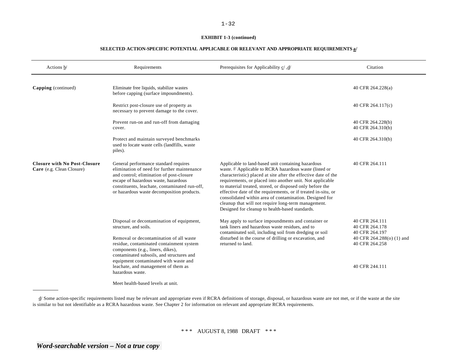#### **EXHIBIT 1-3 (continued)**

#### **SELECTED ACTION-SPECIFIC POTENTIAL APPLICABLE OR RELEVANT AND APPROPRIATE REQUIREMENTS a/**

| Actions b/                                                       | Requirements                                                                                                                                                                                                                                                            | Prerequisites for Applicability $\underline{c}$ , $\underline{d}$                                                                                                                                                                                                                                                                                                                                                                                                                                                                                         | Citation                                                                                          |
|------------------------------------------------------------------|-------------------------------------------------------------------------------------------------------------------------------------------------------------------------------------------------------------------------------------------------------------------------|-----------------------------------------------------------------------------------------------------------------------------------------------------------------------------------------------------------------------------------------------------------------------------------------------------------------------------------------------------------------------------------------------------------------------------------------------------------------------------------------------------------------------------------------------------------|---------------------------------------------------------------------------------------------------|
| Capping (continued)                                              | Eliminate free liquids, stabilize wastes<br>before capping (surface impoundments).                                                                                                                                                                                      |                                                                                                                                                                                                                                                                                                                                                                                                                                                                                                                                                           | 40 CFR 264.228(a)                                                                                 |
|                                                                  | Restrict post-closure use of property as<br>necessary to prevent damage to the cover.                                                                                                                                                                                   |                                                                                                                                                                                                                                                                                                                                                                                                                                                                                                                                                           | 40 CFR 264.117(c)                                                                                 |
|                                                                  | Prevent run-on and run-off from damaging<br>cover.                                                                                                                                                                                                                      |                                                                                                                                                                                                                                                                                                                                                                                                                                                                                                                                                           | 40 CFR 264.228(b)<br>40 CFR 264.310(b)                                                            |
|                                                                  | Protect and maintain surveyed benchmarks<br>used to locate waste cells (landfills, waste<br>piles).                                                                                                                                                                     |                                                                                                                                                                                                                                                                                                                                                                                                                                                                                                                                                           | 40 CFR 264.310(b)                                                                                 |
| <b>Closure with No Post-Closure</b><br>Care (e.g. Clean Closure) | General performance standard requires<br>elimination of need for further maintenance<br>and control; elimination of post-closure<br>escape of hazardous waste, hazardous<br>constituents, leachate, contaminated run-off,<br>or hazardous waste decomposition products. | Applicable to land-based unit containing hazardous<br>waste. <sup>d/</sup> Applicable to RCRA hazardous waste (listed or<br>characteristic) placed at site after the effective date of the<br>requirements, or placed into another unit. Not applicable<br>to material treated, stored, or disposed only before the<br>effective date of the requirements, or if treated in-situ, or<br>consolidated within area of contamination. Designed for<br>cleanup that will not require long-term management.<br>Designed for cleanup to health-based standards. | 40 CFR 264.111                                                                                    |
|                                                                  | Disposal or decontamination of equipment,<br>structure, and soils.<br>Removal or decontamination of all waste<br>residue, contaminated containment system<br>components (e.g., liners, dikes),<br>contaminated subsoils, and structures and                             | May apply to surface impoundments and container or<br>tank liners and hazardous waste residues, and to<br>contaminated soil, including soil from dredging or soil<br>disturbed in the course of drilling or excavation, and<br>returned to land.                                                                                                                                                                                                                                                                                                          | 40 CFR 264.111<br>40 CFR 264.178<br>40 CFR 264.197<br>40 CFR 264.288(o) (1) and<br>40 CFR 264.258 |
|                                                                  | equipment contaminated with waste and<br>leachate, and management of them as<br>hazardous waste.                                                                                                                                                                        |                                                                                                                                                                                                                                                                                                                                                                                                                                                                                                                                                           | 40 CFR 244.111                                                                                    |
|                                                                  | Meet health-based levels at unit.                                                                                                                                                                                                                                       |                                                                                                                                                                                                                                                                                                                                                                                                                                                                                                                                                           |                                                                                                   |

d/ Some action-specific requirements listed may be relevant and appropriate even if RCRA definitions of storage, disposal, or hazardous waste are not met, or if the waste at the site is similar to but not identifiable as a RCRA hazardous waste. See Chapter 2 for information on relevant and appropriate RCRA requirements.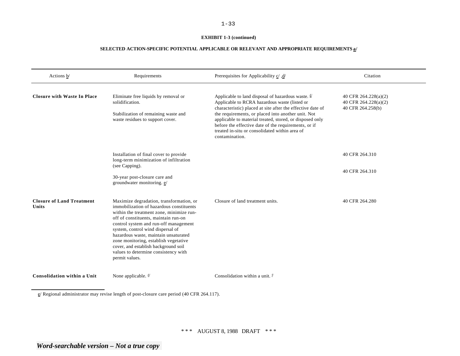#### **EXHIBIT 1-3 (continued)**

#### **SELECTED ACTION-SPECIFIC POTENTIAL APPLICABLE OR RELEVANT AND APPROPRIATE REQUIREMENTS a/**

| Actions b/                                | Requirements                                                                                                                                                                                                                                                                                                                                                                                                                               | /d/ Prerequisites for Applicability c/, d                                                                                                                                                                                                                                                                                                                                                                                  | Citation                                                          |
|-------------------------------------------|--------------------------------------------------------------------------------------------------------------------------------------------------------------------------------------------------------------------------------------------------------------------------------------------------------------------------------------------------------------------------------------------------------------------------------------------|----------------------------------------------------------------------------------------------------------------------------------------------------------------------------------------------------------------------------------------------------------------------------------------------------------------------------------------------------------------------------------------------------------------------------|-------------------------------------------------------------------|
| <b>Closure with Waste In Place</b>        | Eliminate free liquids by removal or<br>solidification.<br>Stabilization of remaining waste and<br>waste residues to support cover.                                                                                                                                                                                                                                                                                                        | Applicable to land disposal of hazardous waste. $\frac{d}{ }$<br>Applicable to RCRA hazardous waste (listed or<br>characteristic) placed at site after the effective date of<br>the requirements, or placed into another unit. Not<br>applicable to material treated, stored, or disposed only<br>before the effective date of the requirements, or if<br>treated in-situ or consolidated within area of<br>contamination. | 40 CFR 264.228(a)(2)<br>40 CFR 264.228(a)(2)<br>40 CFR 264.258(b) |
|                                           | Installation of final cover to provide<br>long-term minimization of infiltration<br>(see Capping).<br>30-year post-closure care and<br>groundwater monitoring. e/                                                                                                                                                                                                                                                                          |                                                                                                                                                                                                                                                                                                                                                                                                                            | 40 CFR 264.310<br>40 CFR 264.310                                  |
| <b>Closure of Land Treatment</b><br>Units | Maximize degradation, transformation, or<br>immobilization of hazardous constituents<br>within the treatment zone, minimize run-<br>off of constituents, maintain run-on<br>control system and run-off management<br>system, control wind dispersal of<br>hazardous waste, maintain unsaturated<br>zone monitoring, establish vegetative<br>cover, and establish background soil<br>values to determine consistency with<br>permit values. | Closure of land treatment units.                                                                                                                                                                                                                                                                                                                                                                                           | 40 CFR 264.280                                                    |
| Consolidation within a Unit               | None applicable. $d/$                                                                                                                                                                                                                                                                                                                                                                                                                      | Consolidation within a unit. $\frac{f}{f}$                                                                                                                                                                                                                                                                                                                                                                                 |                                                                   |

e/ Regional administrator may revise length of post-closure care period (40 CFR 264.117).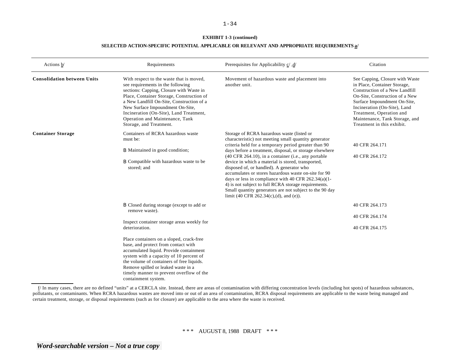#### **EXHIBIT 1-3 (continued)**

#### **SELECTED ACTION-SPECIFIC POTENTIAL APPLICABLE OR RELEVANT AND APPROPRIATE REQUIREMENTS a/**

| Actions b/                         | Requirements                                                                                                                                                                                                                                                                                                                                                     | Prerequisites for Applicability $c / d$                                                                                                                                                                                                                                                                                                                                                                                                                                                                                                                                                                                                                                       | Citation                                                                                                                                                                                                                                                                                        |
|------------------------------------|------------------------------------------------------------------------------------------------------------------------------------------------------------------------------------------------------------------------------------------------------------------------------------------------------------------------------------------------------------------|-------------------------------------------------------------------------------------------------------------------------------------------------------------------------------------------------------------------------------------------------------------------------------------------------------------------------------------------------------------------------------------------------------------------------------------------------------------------------------------------------------------------------------------------------------------------------------------------------------------------------------------------------------------------------------|-------------------------------------------------------------------------------------------------------------------------------------------------------------------------------------------------------------------------------------------------------------------------------------------------|
| <b>Consolidation between Units</b> | With respect to the waste that is moved,<br>see requirements in the following<br>sections: Capping, Closure with Waste in<br>Place, Container Storage, Construction of<br>a New Landfill On-Site, Construction of a<br>New Surface Impoundment On-Site,<br>Incineration (On-Site), Land Treatment,<br>Operation and Maintenance, Tank<br>Storage, and Treatment. | Movement of hazardous waste and placement into<br>another unit.                                                                                                                                                                                                                                                                                                                                                                                                                                                                                                                                                                                                               | See Capping, Closure with Waste<br>in Place, Container Storage,<br>Construction of a New Landfill<br>On-Site, Construction of a New<br>Surface Impoundment On-Site,<br>Incineration (On-Site), Land<br>Treatment, Operation and<br>Maintenance, Tank Storage, and<br>Treatment in this exhibit. |
| <b>Container Storage</b>           | Containers of RCRA hazardous waste<br>must be:<br><b>B</b> Maintained in good condition;<br><b>B</b> Compatible with hazardous waste to be<br>stored; and                                                                                                                                                                                                        | Storage of RCRA hazardous waste (listed or<br>characteristic) not meeting small quantity generator<br>criteria held for a temporary period greater than 90<br>days before a treatment, disposal, or storage elsewhere<br>$(40 \text{ CFR } 264.10)$ , in a container (i.e., any portable<br>device in which a material is stored, transported,<br>disposed of, or handled). A generator who<br>accumulates or stores hazardous waste on-site for 90<br>days or less in compliance with 40 CFR $262.34(a)(1-$<br>4) is not subject to full RCRA storage requirements.<br>Small quantity generators are not subject to the 90 day<br>limit (40 CFR $262.34(c)$ , (d), and (e)). | 40 CFR 264.171<br>40 CFR 264.172                                                                                                                                                                                                                                                                |
|                                    | <b>B</b> Closed during storage (except to add or<br>remove waste).<br>Inspect container storage areas weekly for                                                                                                                                                                                                                                                 |                                                                                                                                                                                                                                                                                                                                                                                                                                                                                                                                                                                                                                                                               | 40 CFR 264.173<br>40 CFR 264.174                                                                                                                                                                                                                                                                |
| deterioration.                     |                                                                                                                                                                                                                                                                                                                                                                  |                                                                                                                                                                                                                                                                                                                                                                                                                                                                                                                                                                                                                                                                               | 40 CFR 264.175                                                                                                                                                                                                                                                                                  |
|                                    | Place containers on a sloped, crack-free<br>base, and protect from contact with<br>accumulated liquid. Provide containment<br>system with a capacity of 10 percent of<br>the volume of containers of free liquids.<br>Remove spilled or leaked waste in a<br>timely manner to prevent overflow of the<br>containment system.                                     |                                                                                                                                                                                                                                                                                                                                                                                                                                                                                                                                                                                                                                                                               |                                                                                                                                                                                                                                                                                                 |

f/ In many cases, there are no defined "units" at a CERCLA site. Instead, there are areas of contamination with differing concentration levels (including hot spots) of hazardous substances, pollutants, or contaminants. When RCRA hazardous wastes are moved into or out of an area of contamination, RCRA disposal requirements are applicable to the waste being managed and certain treatment, storage, or disposal requirements (such as for closure) are applicable to the area where the waste is received.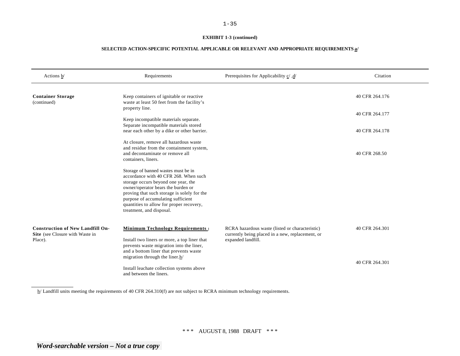#### **EXHIBIT 1-3 (continued)**

# **SELECTED ACTION-SPECIFIC POTENTIAL APPLICABLE OR RELEVANT AND APPROPRIATE REQUIREMENTS a/**

| Actions b/                                                                 | Requirements                                                                                                                                                                                                                                                                                                           | Prerequisites for Applicability $\underline{c}'$ , $\underline{d}'$                                 | Citation       |
|----------------------------------------------------------------------------|------------------------------------------------------------------------------------------------------------------------------------------------------------------------------------------------------------------------------------------------------------------------------------------------------------------------|-----------------------------------------------------------------------------------------------------|----------------|
| <b>Container Storage</b><br>(continued)                                    | Keep containers of ignitable or reactive<br>waste at least 50 feet from the facility's                                                                                                                                                                                                                                 |                                                                                                     | 40 CFR 264.176 |
|                                                                            | property line.                                                                                                                                                                                                                                                                                                         |                                                                                                     | 40 CFR 264.177 |
|                                                                            | Keep incompatible materials separate.<br>Separate incompatible materials stored<br>near each other by a dike or other barrier.                                                                                                                                                                                         |                                                                                                     | 40 CFR 264.178 |
|                                                                            | At closure, remove all hazardous waste<br>and residue from the containment system,<br>and decontaminate or remove all<br>containers, liners.                                                                                                                                                                           |                                                                                                     | 40 CFR 268.50  |
|                                                                            | Storage of banned wastes must be in<br>accordance with 40 CFR 268. When such<br>storage occurs beyond one year, the<br>owner/operator bears the burden or<br>proving that such storage is solely for the<br>purpose of accumulating sufficient<br>quantities to allow for proper recovery,<br>treatment, and disposal. |                                                                                                     |                |
| <b>Construction of New Landfill On-</b><br>Site (see Closure with Waste in | <b>Minimum Technology Requirements:</b>                                                                                                                                                                                                                                                                                | RCRA hazardous waste (listed or characteristic)<br>currently being placed in a new, replacement, or | 40 CFR 264.301 |
| Place).                                                                    | Install two liners or more, a top liner that<br>prevents waste migration into the liner,<br>and a bottom liner that prevents waste<br>migration through the liner. $h/$<br>Install leachate collection systems above<br>and between the liners.                                                                        | expanded landfill.                                                                                  | 40 CFR 264.301 |

h/ Landfill units meeting the requirements of 40 CFR 264.310(f) are not subject to RCRA minimum technology requirements.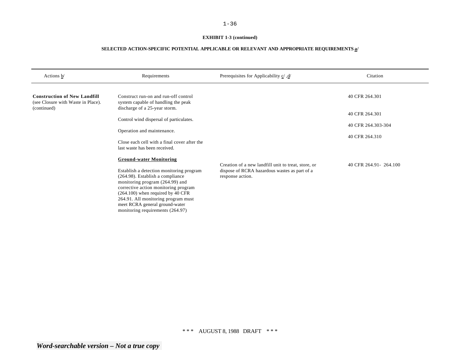# **EXHIBIT 1-3 (continued)**

| Actions b/                                                                | Requirements                                                                                                                                                                                                                                                                                                | Prerequisites for Applicability $\underline{c}/\underline{d}/$                                                           | Citation                |
|---------------------------------------------------------------------------|-------------------------------------------------------------------------------------------------------------------------------------------------------------------------------------------------------------------------------------------------------------------------------------------------------------|--------------------------------------------------------------------------------------------------------------------------|-------------------------|
| <b>Construction of New Landfill</b><br>(see Closure with Waste in Place). | Construct run-on and run-off control<br>system capable of handling the peak                                                                                                                                                                                                                                 |                                                                                                                          | 40 CFR 264.301          |
| (continued)                                                               | discharge of a 25-year storm.                                                                                                                                                                                                                                                                               |                                                                                                                          | 40 CFR 264.301          |
|                                                                           | Control wind dispersal of particulates.<br>Operation and maintenance.                                                                                                                                                                                                                                       |                                                                                                                          | 40 CFR 264.303-304      |
|                                                                           | Close each cell with a final cover after the<br>last waste has been received.                                                                                                                                                                                                                               |                                                                                                                          | 40 CFR 264.310          |
|                                                                           | <b>Ground-water Monitoring</b>                                                                                                                                                                                                                                                                              |                                                                                                                          |                         |
|                                                                           | Establish a detection monitoring program<br>(264.98). Establish a compliance<br>monitoring program (264.99) and<br>corrective action monitoring program<br>$(264.100)$ when required by 40 CFR<br>264.91. All monitoring program must<br>meet RCRA general ground-water<br>monitoring requirements (264.97) | Creation of a new landfill unit to treat, store, or<br>dispose of RCRA hazardous wastes as part of a<br>response action. | 40 CFR 264.91 - 264.100 |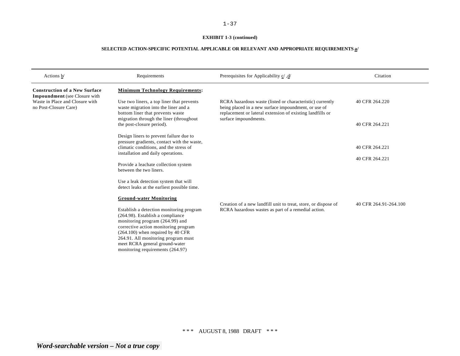# **EXHIBIT 1-3 (continued)**

| Actions b/                                                                   | Requirements                                                                                                                                                                                                                                                                                                | /d/ Prerequisites for Applicability c/, d                                                                                                                                      | Citation              |
|------------------------------------------------------------------------------|-------------------------------------------------------------------------------------------------------------------------------------------------------------------------------------------------------------------------------------------------------------------------------------------------------------|--------------------------------------------------------------------------------------------------------------------------------------------------------------------------------|-----------------------|
| <b>Construction of a New Surface</b><br><b>Impoundment</b> (see Closure with | <b>Minimum Technology Requirements:</b>                                                                                                                                                                                                                                                                     |                                                                                                                                                                                |                       |
| Waste in Place and Closure with<br>no Post-Closure Care)                     | Use two liners, a top liner that prevents<br>waste migration into the liner and a<br>bottom liner that prevents waste                                                                                                                                                                                       | RCRA hazardous waste (listed or characteristic) currently<br>being placed in a new surface impoundment, or use of<br>replacement or lateral extension of existing landfills or | 40 CFR 264.220        |
|                                                                              | migration through the liner (throughout<br>the post-closure period).                                                                                                                                                                                                                                        | surface impoundments.                                                                                                                                                          | 40 CFR 264.221        |
|                                                                              | Design liners to prevent failure due to<br>pressure gradients, contact with the waste,                                                                                                                                                                                                                      |                                                                                                                                                                                |                       |
|                                                                              | climatic conditions, and the stress of<br>installation and daily operations.                                                                                                                                                                                                                                |                                                                                                                                                                                | 40 CFR 264.221        |
|                                                                              | Provide a leachate collection system                                                                                                                                                                                                                                                                        |                                                                                                                                                                                | 40 CFR 264.221        |
|                                                                              | between the two liners.                                                                                                                                                                                                                                                                                     |                                                                                                                                                                                |                       |
|                                                                              | Use a leak detection system that will<br>detect leaks at the earliest possible time.                                                                                                                                                                                                                        |                                                                                                                                                                                |                       |
|                                                                              | <b>Ground-water Monitoring</b>                                                                                                                                                                                                                                                                              | Creation of a new landfill unit to treat, store, or dispose of                                                                                                                 | 40 CFR 264.91-264.100 |
|                                                                              | Establish a detection monitoring program<br>(264.98). Establish a compliance<br>monitoring program (264.99) and<br>corrective action monitoring program<br>$(264.100)$ when required by 40 CFR<br>264.91. All monitoring program must<br>meet RCRA general ground-water<br>monitoring requirements (264.97) | RCRA hazardous wastes as part of a remedial action.                                                                                                                            |                       |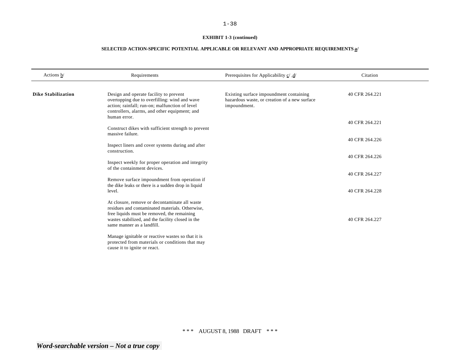# **EXHIBIT 1-3 (continued)**

# **SELECTED ACTION-SPECIFIC POTENTIAL APPLICABLE OR RELEVANT AND APPROPRIATE REQUIREMENTS a/**

| Actions b/                                                          | Requirements                                                                                                                                                                                                                       | Prerequisites for Applicability $\underline{c}$ , $\underline{d}$                                        | Citation       |
|---------------------------------------------------------------------|------------------------------------------------------------------------------------------------------------------------------------------------------------------------------------------------------------------------------------|----------------------------------------------------------------------------------------------------------|----------------|
| <b>Dike Stabilization</b>                                           | Design and operate facility to prevent<br>overtopping due to overfilling: wind and wave<br>action; rainfall; run-on; malfunction of level<br>controllers, alarms, and other equipment; and                                         | Existing surface impoundment containing<br>hazardous waste, or creation of a new surface<br>impoundment. | 40 CFR 264.221 |
| human error.<br>Construct dikes with sufficient strength to prevent | 40 CFR 264.221                                                                                                                                                                                                                     |                                                                                                          |                |
|                                                                     | massive failure.<br>Inspect liners and cover systems during and after                                                                                                                                                              |                                                                                                          | 40 CFR 264.226 |
|                                                                     | construction.<br>Inspect weekly for proper operation and integrity                                                                                                                                                                 |                                                                                                          | 40 CFR 264.226 |
|                                                                     | of the containment devices.                                                                                                                                                                                                        |                                                                                                          | 40 CFR 264.227 |
|                                                                     | Remove surface impoundment from operation if<br>the dike leaks or there is a sudden drop in liquid<br>level.                                                                                                                       |                                                                                                          | 40 CFR 264.228 |
|                                                                     | At closure, remove or decontaminate all waste<br>residues and contaminated materials. Otherwise,<br>free liquids must be removed, the remaining<br>wastes stabilized, and the facility closed in the<br>same manner as a landfill. |                                                                                                          | 40 CFR 264.227 |
|                                                                     | Manage ignitable or reactive wastes so that it is<br>protected from materials or conditions that may<br>cause it to ignite or react.                                                                                               |                                                                                                          |                |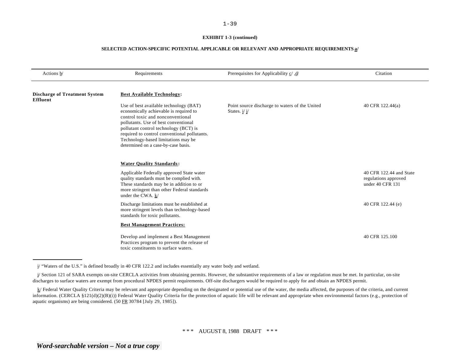#### **EXHIBIT 1-3 (continued)**

| Actions b/                                              | Requirements                                                                                                                                                                                                                                                                                                                         | Prerequisites for Applicability $c / d$                          | Citation                                                            |
|---------------------------------------------------------|--------------------------------------------------------------------------------------------------------------------------------------------------------------------------------------------------------------------------------------------------------------------------------------------------------------------------------------|------------------------------------------------------------------|---------------------------------------------------------------------|
| <b>Discharge of Treatment System</b><br><b>Effluent</b> | <b>Best Available Technology:</b>                                                                                                                                                                                                                                                                                                    |                                                                  |                                                                     |
|                                                         | Use of best available technology (BAT)<br>economically achievable is required to<br>control toxic and nonconventional<br>pollutants. Use of best conventional<br>pollutant control technology (BCT) is<br>required to control conventional pollutants.<br>Technology-based limitations may be<br>determined on a case-by-case basis. | Point source discharge to waters of the United<br>States. $i/j/$ | 40 CFR 122.44(a)                                                    |
|                                                         | <b>Water Quality Standards:</b>                                                                                                                                                                                                                                                                                                      |                                                                  |                                                                     |
|                                                         | Applicable Federally approved State water<br>quality standards must be complied with.<br>These standards may be in addition to or<br>more stringent than other Federal standards<br>under the CWA. k/                                                                                                                                |                                                                  | 40 CFR 122.44 and State<br>regulations approved<br>under 40 CFR 131 |
|                                                         | Discharge limitations must be established at<br>more stringent levels than technology-based<br>standards for toxic pollutants.                                                                                                                                                                                                       |                                                                  | 40 CFR 122.44 (e)                                                   |
|                                                         | <b>Best Management Practices:</b>                                                                                                                                                                                                                                                                                                    |                                                                  |                                                                     |
|                                                         | Develop and implement a Best Management<br>Practices program to prevent the release of<br>toxic constituents to surface waters.                                                                                                                                                                                                      |                                                                  | 40 CFR 125.100                                                      |

i/ "Waters of the U.S." is defined broadly in 40 CFR 122.2 and includes essentially any water body and wetland.

j/ Section 121 of SARA exempts on-site CERCLA activities from obtaining permits. However, the substantive requirements of a law or regulation must be met. In particular, on-site discharges to surface waters are exempt from procedural NPDES permit requirements. Off-site dischargers would be required to apply for and obtain an NPDES permit.

k/ Federal Water Quality Criteria may be relevant and appropriate depending on the designated or potential use of the water, the media affected, the purposes of the criteria, and current information. (CERCLA §121(d)(2)(B)(i)) Federal Water Quality Criteria for the protection of aquatic life will be relevant and appropriate when environmental factors (e.g., protection of aquatic organisms) are being considered. (50 FR 30784 [July 29, 1985]).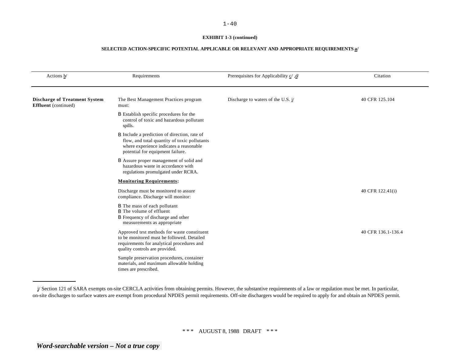#### **EXHIBIT 1-3 (continued)**

| Actions b/                                                          | Requirements                                                                                                                                                                       | Prerequisites for Applicability $\underline{c}'$ , $\underline{d}'$ | Citation           |
|---------------------------------------------------------------------|------------------------------------------------------------------------------------------------------------------------------------------------------------------------------------|---------------------------------------------------------------------|--------------------|
| <b>Discharge of Treatment System</b><br><b>Effluent</b> (continued) | The Best Management Practices program<br>must:                                                                                                                                     | Discharge to waters of the U.S. $i/$                                | 40 CFR 125.104     |
|                                                                     | <b>B</b> Establish specific procedures for the<br>control of toxic and hazardous pollutant<br>spills.                                                                              |                                                                     |                    |
|                                                                     | <b>B</b> Include a prediction of direction, rate of<br>flow, and total quantity of toxic pollutants<br>where experience indicates a reasonable<br>potential for equipment failure. |                                                                     |                    |
|                                                                     | <b>B</b> Assure proper management of solid and<br>hazardous waste in accordance with<br>regulations promulgated under RCRA.                                                        |                                                                     |                    |
|                                                                     | <b>Monitoring Requirements:</b>                                                                                                                                                    |                                                                     |                    |
|                                                                     | Discharge must be monitored to assure<br>compliance. Discharge will monitor:                                                                                                       |                                                                     | 40 CFR 122.41(i)   |
|                                                                     | <b>B</b> The mass of each pollutant<br><b>B</b> The volume of effluent<br><b>B</b> Frequency of discharge and other<br>measurements as appropriate                                 |                                                                     |                    |
|                                                                     | Approved test methods for waste constituent<br>to be monitored must be followed. Detailed<br>requirements for analytical procedures and<br>quality controls are provided.          |                                                                     | 40 CFR 136.1-136.4 |
|                                                                     | Sample preservation procedures, container<br>materials, and maximum allowable holding<br>times are prescribed.                                                                     |                                                                     |                    |

j/ Section 121 of SARA exempts on-site CERCLA activities from obtaining permits. However, the substantive requirements of a law or regulation must be met. In particular, on-site discharges to surface waters are exempt from procedural NPDES permit requirements. Off-site dischargers would be required to apply for and obtain an NPDES permit.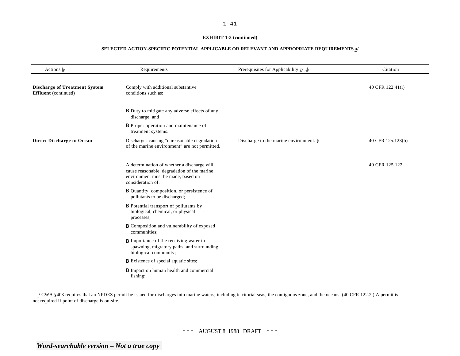#### **EXHIBIT 1-3 (continued)**

| Actions b/                                                          | Requirements                                                                                                                                         | Prerequisites for Applicability $\underline{c}/\underline{d}/$ | Citation          |
|---------------------------------------------------------------------|------------------------------------------------------------------------------------------------------------------------------------------------------|----------------------------------------------------------------|-------------------|
| <b>Discharge of Treatment System</b><br><b>Effluent</b> (continued) | Comply with additional substantive<br>conditions such as:                                                                                            |                                                                | 40 CFR 122.41(i)  |
|                                                                     | B Duty to mitigate any adverse effects of any<br>discharge; and                                                                                      |                                                                |                   |
|                                                                     | <b>B</b> Proper operation and maintenance of<br>treatment systems.                                                                                   |                                                                |                   |
| <b>Direct Discharge to Ocean</b>                                    | Discharges causing "unreasonable degradation<br>of the marine environment" are not permitted.                                                        | Discharge to the marine environment. l/                        | 40 CFR 125.123(b) |
|                                                                     | A determination of whether a discharge will<br>cause reasonable degradation of the marine<br>environment must be made, based on<br>consideration of: |                                                                | 40 CFR 125.122    |
|                                                                     | B Quantity, composition, or persistence of<br>pollutants to be discharged;                                                                           |                                                                |                   |
|                                                                     | <b>B</b> Potential transport of pollutants by<br>biological, chemical, or physical<br>processes;                                                     |                                                                |                   |
|                                                                     | <b>B</b> Composition and vulnerability of exposed<br>communities;                                                                                    |                                                                |                   |
|                                                                     | <b>B</b> Importance of the receiving water to<br>spawning, migratory paths, and surrounding<br>biological community;                                 |                                                                |                   |
|                                                                     | <b>B</b> Existence of special aquatic sites;                                                                                                         |                                                                |                   |
|                                                                     | <b>B</b> Impact on human health and commercial<br>fishing;                                                                                           |                                                                |                   |

l/ CWA §403 requires that an NPDES permit be issued for discharges into marine waters, including territorial seas, the contiguous zone, and the oceans. (40 CFR 122.2.) A permit is not required if point of discharge is on-site.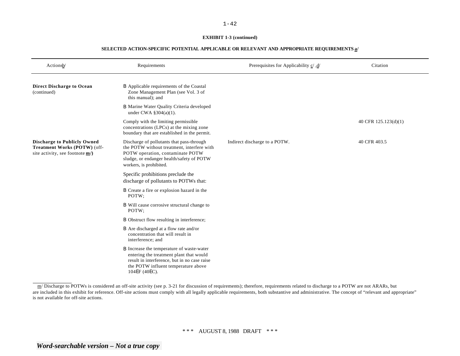#### **EXHIBIT 1-3 (continued)**

| Actionsb/                                                                                             | Requirements                                                                                                                                                                                        | Prerequisites for Applicability $\underline{c}'$ , $\underline{d}'$ | Citation             |
|-------------------------------------------------------------------------------------------------------|-----------------------------------------------------------------------------------------------------------------------------------------------------------------------------------------------------|---------------------------------------------------------------------|----------------------|
| <b>Direct Discharge to Ocean</b><br>(continued)                                                       | <b>B</b> Applicable requirements of the Coastal<br>Zone Management Plan (see Vol. 3 of<br>this manual); and                                                                                         |                                                                     |                      |
|                                                                                                       | <b>B</b> Marine Water Quality Criteria developed<br>under CWA $\S 304(a)(1)$ .                                                                                                                      |                                                                     |                      |
|                                                                                                       | Comply with the limiting permissible<br>concentrations (LPCs) at the mixing zone<br>boundary that are established in the permit.                                                                    |                                                                     | 40 CFR 125.123(d)(1) |
| <b>Discharge to Publicly Owned</b><br>Treatment Works (POTW) (off-<br>site activity, see footnote m/) | Discharge of pollutants that pass-through<br>the POTW without treatment, interfere with<br>POTW operation, contaminate POTW<br>sludge, or endanger health/safety of POTW<br>workers, is prohibited. | Indirect discharge to a POTW.                                       | 40 CFR 403.5         |
|                                                                                                       | Specific prohibitions preclude the<br>discharge of pollutants to POTWs that:                                                                                                                        |                                                                     |                      |
|                                                                                                       | B Create a fire or explosion hazard in the<br>POTW;                                                                                                                                                 |                                                                     |                      |
|                                                                                                       | <b>B</b> Will cause corrosive structural change to<br>POTW:                                                                                                                                         |                                                                     |                      |
|                                                                                                       | <b>B</b> Obstruct flow resulting in interference;                                                                                                                                                   |                                                                     |                      |
|                                                                                                       | <b>B</b> Are discharged at a flow rate and/or<br>concentration that will result in<br>interference; and                                                                                             |                                                                     |                      |
|                                                                                                       | <b>B</b> Increase the temperature of waste-water<br>entering the treatment plant that would<br>result in interference, but in no case raise<br>the POTW influent temperature above<br>104EF (40EC). |                                                                     |                      |

 $\text{m}/$  Discharge to POTWs is considered an off-site activity (see p. 3-21 for discussion of requirements); therefore, requirements related to discharge to a POTW are not ARARs, but are included in this exhibit for reference. Off-site actions must comply with all legally applicable requirements, both substantive and administrative. The concept of "relevant and appropriate" is not available for off-site actions.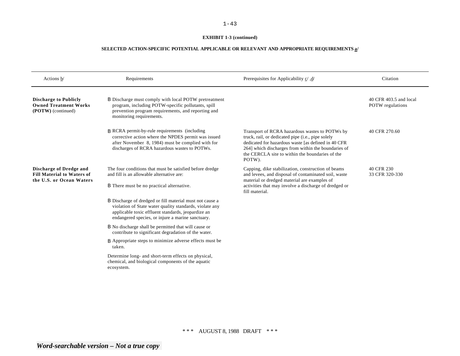# **EXHIBIT 1-3 (continued)**

| Actions $\underline{b}$                                                                         | Requirements                                                                                                                                                                                                                   | Prerequisites for Applicability $\underline{c}/\underline{d}/$                                                                                                                                                                                                                 | Citation                                          |
|-------------------------------------------------------------------------------------------------|--------------------------------------------------------------------------------------------------------------------------------------------------------------------------------------------------------------------------------|--------------------------------------------------------------------------------------------------------------------------------------------------------------------------------------------------------------------------------------------------------------------------------|---------------------------------------------------|
| <b>Discharge to Publicly</b><br><b>Owned Treatment Works</b><br>(POTW) (continued)              | <b>B</b> Discharge must comply with local POTW pretreatment<br>program, including POTW-specific pollutants, spill<br>prevention program requirements, and reporting and<br>monitoring requirements.                            |                                                                                                                                                                                                                                                                                | 40 CFR 403.5 and local<br><b>POTW</b> regulations |
|                                                                                                 | <b>B</b> RCRA permit-by-rule requirements (including<br>corrective action where the NPDES permit was issued<br>after November 8, 1984) must be complied with for<br>discharges of RCRA hazardous wastes to POTWs.              | Transport of RCRA hazardous wastes to POTWs by<br>truck, rail, or dedicated pipe (i.e., pipe solely<br>dedicated for hazardous waste [as defined in 40 CFR<br>264] which discharges from within the boundaries of<br>the CERCLA site to within the boundaries of the<br>POTW). | 40 CFR 270.60                                     |
| <b>Discharge of Dredge and</b><br><b>Fill Material to Waters of</b><br>the U.S. or Ocean Waters | The four conditions that must be satisfied before dredge<br>and fill is an allowable alternative are:<br><b>B</b> There must be no practical alternative.                                                                      | Capping, dike stabilization, construction of beams<br>and levees, and disposal of contaminated soil, waste<br>material or dredged material are examples of<br>activities that may involve a discharge of dredged or<br>fill material.                                          | 40 CFR 230<br>33 CFR 320-330                      |
|                                                                                                 | B Discharge of dredged or fill material must not cause a<br>violation of State water quality standards, violate any<br>applicable toxic effluent standards, jeopardize an<br>endangered species, or injure a marine sanctuary. |                                                                                                                                                                                                                                                                                |                                                   |
|                                                                                                 | B No discharge shall be permitted that will cause or<br>contribute to significant degradation of the water.                                                                                                                    |                                                                                                                                                                                                                                                                                |                                                   |
|                                                                                                 | <b>B</b> Appropriate steps to minimize adverse effects must be<br>taken.                                                                                                                                                       |                                                                                                                                                                                                                                                                                |                                                   |
|                                                                                                 | Determine long- and short-term effects on physical,<br>chemical, and biological components of the aquatic<br>ecosystem.                                                                                                        |                                                                                                                                                                                                                                                                                |                                                   |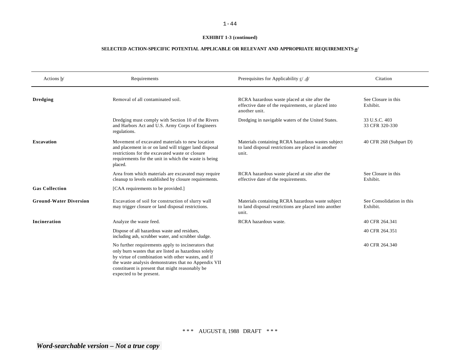#### **EXHIBIT 1-3 (continued)**

| Actions b/                    | Requirements                                                                                                                                                                                                                                                                                           | /d/ Prerequisites for Applicability c/, d                                                                            | Citation                              |
|-------------------------------|--------------------------------------------------------------------------------------------------------------------------------------------------------------------------------------------------------------------------------------------------------------------------------------------------------|----------------------------------------------------------------------------------------------------------------------|---------------------------------------|
| <b>Dredging</b>               | Removal of all contaminated soil.                                                                                                                                                                                                                                                                      | RCRA hazardous waste placed at site after the<br>effective date of the requirements, or placed into<br>another unit. | See Closure in this<br>Exhibit.       |
|                               | Dredging must comply with Section 10 of the Rivers<br>and Harbors Act and U.S. Army Corps of Engineers<br>regulations.                                                                                                                                                                                 | Dredging in navigable waters of the United States.                                                                   | 33 U.S.C. 403<br>33 CFR 320-330       |
| <b>Excavation</b>             | Movement of excavated materials to new location<br>and placement in or on land will trigger land disposal<br>restrictions for the excavated waste or closure<br>requirements for the unit in which the waste is being<br>placed.                                                                       | Materials containing RCRA hazardous wastes subject<br>to land disposal restrictions are placed in another<br>unit.   | 40 CFR 268 (Subpart D)                |
|                               | Area from which materials are excavated may require<br>cleanup to levels established by closure requirements.                                                                                                                                                                                          | RCRA hazardous waste placed at site after the<br>effective date of the requirements.                                 | See Closure in this<br>Exhibit.       |
| <b>Gas Collection</b>         | [CAA requirements to be provided.]                                                                                                                                                                                                                                                                     |                                                                                                                      |                                       |
| <b>Ground-Water Diversion</b> | Excavation of soil for construction of slurry wall<br>may trigger closure or land disposal restrictions.                                                                                                                                                                                               | Materials containing RCRA hazardous waste subject<br>to land disposal restrictions are placed into another<br>unit.  | See Consolidation in this<br>Exhibit. |
| Incineration                  | Analyze the waste feed.                                                                                                                                                                                                                                                                                | RCRA hazardous waste.                                                                                                | 40 CFR 264.341                        |
|                               | Dispose of all hazardous waste and residues,<br>including ash, scrubber water, and scrubber sludge.                                                                                                                                                                                                    |                                                                                                                      | 40 CFR 264.351                        |
|                               | No further requirements apply to incinerators that<br>only burn wastes that are listed as hazardous solely<br>by virtue of combination with other wastes, and if<br>the waste analysis demonstrates that no Appendix VII<br>constituent is present that might reasonably be<br>expected to be present. |                                                                                                                      | 40 CFR 264.340                        |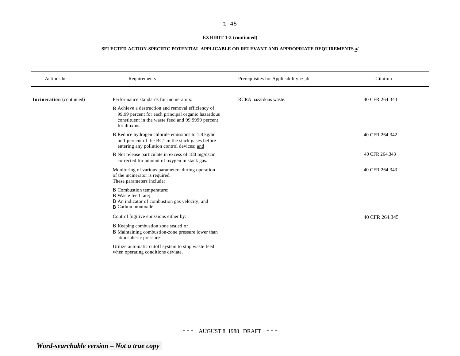# **EXHIBIT 1-3 (continued)**

| Actions b/               | Requirements                                                                                                                                                                        | /d. /Prerequisites for Applicability c/, d | Citation       |
|--------------------------|-------------------------------------------------------------------------------------------------------------------------------------------------------------------------------------|--------------------------------------------|----------------|
| Incineration (continued) | Performance standards for incinerators:                                                                                                                                             | RCRA hazardous waste.                      | 40 CFR 264.343 |
|                          | <b>B</b> Achieve a destruction and removal efficiency of<br>99.99 percent for each principal organic hazardous<br>constituent in the waste feed and 99.9999 percent<br>for dioxins: |                                            |                |
|                          | $\beta$ Reduce hydrogen chloride emissions to 1.8 kg/hr<br>or 1 percent of the BC1 in the stack gases before<br>entering any pollution control devices; and                         |                                            | 40 CFR 264.342 |
|                          | <b>B</b> Not release particulate in excess of 180 mg/dscm<br>corrected for amount of oxygen in stack gas.                                                                           |                                            | 40 CFR 264.343 |
|                          | Monitoring of various parameters during operation<br>of the incinerator is required.<br>These parameters include:                                                                   |                                            | 40 CFR 264.343 |
|                          | <b>B</b> Combustion temperature;<br><b>B</b> Waste feed rate;<br>B An indicator of combustion gas velocity; and<br><b>B</b> Carbon monoxide.                                        |                                            |                |
|                          | Control fugitive emissions either by:                                                                                                                                               |                                            | 40 CFR 264.345 |
|                          | B Keeping combustion zone sealed or<br>B Maintaining combustion-zone pressure lower than<br>atmospheric pressure                                                                    |                                            |                |
|                          | Utilize automatic cutoff system to stop waste feed<br>when operating conditions deviate.                                                                                            |                                            |                |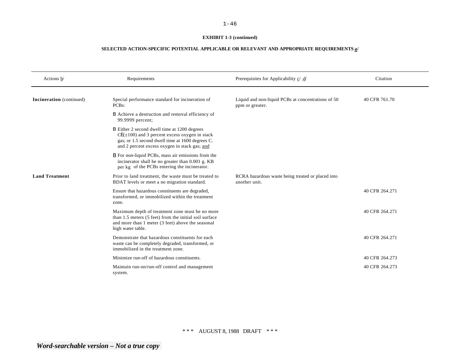#### **EXHIBIT 1-3 (continued)**

| Actions b/               | Requirements                                                                                                                                                                                            | A/ Prerequisites for Applicability c/, d/                             | Citation       |
|--------------------------|---------------------------------------------------------------------------------------------------------------------------------------------------------------------------------------------------------|-----------------------------------------------------------------------|----------------|
| Incineration (continued) | Special performance standard for incineration of<br>PCB <sub>s</sub> :                                                                                                                                  | Liquid and non-liquid PCBs at concentrations of 50<br>ppm or greater. | 40 CFR 761.70  |
|                          | <b>B</b> Achieve a destruction and removal efficiency of<br>99.9999 percent;                                                                                                                            |                                                                       |                |
|                          | B Either 2 second dwell time at 1200 degrees<br>$CE(\pm 100)$ and 3 percent excess oxygen in stack<br>gas; or 1.5 second dwell time at 1600 degrees C.<br>and 2 percent excess oxygen in stack gas; and |                                                                       |                |
|                          | <b>B</b> For non-liquid PCBs, mass air emissions from the<br>incinerator shall be no greater than 0.001 g. KB<br>per kg of the PCBs entering the incinerator.                                           |                                                                       |                |
| <b>Land Treatment</b>    | Prior to land treatment, the waste must be treated to<br>BDAT levels or meet a no migration standard.                                                                                                   | RCRA hazardous waste being treated or placed into<br>another unit.    |                |
|                          | Ensure that hazardous constituents are degraded,<br>transformed, or immobilized within the treatment<br>zone.                                                                                           |                                                                       | 40 CFR 264.271 |
|                          | Maximum depth of treatment zone must be no more<br>than 1.5 meters (5 feet) from the initial soil surface<br>and more than 1 meter (3 feet) above the seasonal<br>high water table.                     |                                                                       | 40 CFR 264.271 |
|                          | Demonstrate that hazardous constituents for each<br>waste can be completely degraded, transformed, or<br>immobilized in the treatment zone.                                                             |                                                                       | 40 CFR 264.271 |
|                          | Minimize run-off of hazardous constituents.                                                                                                                                                             |                                                                       | 40 CFR 264.273 |
|                          | Maintain run-on/run-off control and management<br>system.                                                                                                                                               |                                                                       | 40 CFR 264.273 |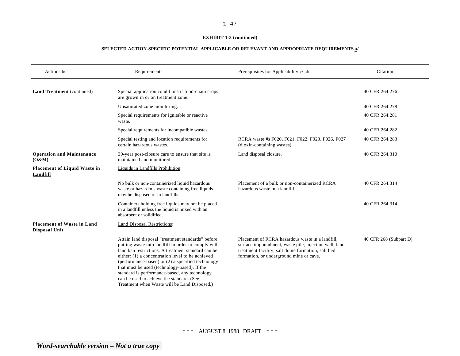#### **EXHIBIT 1-3 (continued)**

| Actions b/                                                | Requirements                                                                                                                                                                                                                                                                                                                                                                                                                                                          | Prerequisites for Applicability $\underline{c}'$ , $\underline{d}'$                                                                                                                                       | Citation               |
|-----------------------------------------------------------|-----------------------------------------------------------------------------------------------------------------------------------------------------------------------------------------------------------------------------------------------------------------------------------------------------------------------------------------------------------------------------------------------------------------------------------------------------------------------|-----------------------------------------------------------------------------------------------------------------------------------------------------------------------------------------------------------|------------------------|
| <b>Land Treatment</b> (continued)                         | Special application conditions if food-chain crops<br>are grown in or on treatment zone.                                                                                                                                                                                                                                                                                                                                                                              |                                                                                                                                                                                                           | 40 CFR 264.276         |
|                                                           | Unsaturated zone monitoring.                                                                                                                                                                                                                                                                                                                                                                                                                                          |                                                                                                                                                                                                           | 40 CFR 264.278         |
|                                                           | Special requirements for ignitable or reactive<br>waste.                                                                                                                                                                                                                                                                                                                                                                                                              |                                                                                                                                                                                                           | 40 CFR 264.281         |
|                                                           | Special requirements for incompatible wastes.                                                                                                                                                                                                                                                                                                                                                                                                                         |                                                                                                                                                                                                           | 40 CFR 264.282         |
|                                                           | Special testing and location requirements for<br>certain hazardous wastes.                                                                                                                                                                                                                                                                                                                                                                                            | RCRA waste #s F020, F021, F022, F023, F026, F027<br>(dioxin-containing wastes).                                                                                                                           | 40 CFR 264.283         |
| <b>Operation and Maintenance</b><br>(O&M)                 | 30-year post-closure care to ensure that site is<br>maintained and monitored.                                                                                                                                                                                                                                                                                                                                                                                         | Land disposal closure.                                                                                                                                                                                    | 40 CFR 264.310         |
| <b>Placement of Liquid Waste in</b><br>Landfill           | Liquids in Landfills Prohibition:                                                                                                                                                                                                                                                                                                                                                                                                                                     |                                                                                                                                                                                                           |                        |
|                                                           | No bulk or non-containerized liquid hazardous<br>waste or hazardous waste containing free liquids<br>may be disposed of in landfills.                                                                                                                                                                                                                                                                                                                                 | Placement of a bulk or non-containerized RCRA<br>hazardous waste in a landfill.                                                                                                                           | 40 CFR 264.314         |
|                                                           | Containers holding free liquids may not be placed<br>in a landfill unless the liquid is mixed with an<br>absorbent or solidified.                                                                                                                                                                                                                                                                                                                                     |                                                                                                                                                                                                           | 40 CFR 264.314         |
| <b>Placement of Waste in Land</b><br><b>Disposal Unit</b> | <b>Land Disposal Restrictions:</b>                                                                                                                                                                                                                                                                                                                                                                                                                                    |                                                                                                                                                                                                           |                        |
|                                                           | Attain land disposal "treatment standards" before<br>putting waste into landfill in order to comply with<br>land ban restrictions. A treatment standard can be<br>either: (1) a concentration level to be achieved<br>(performance-based) or (2) a specified technology<br>that must be used (technology-based). If the<br>standard is performance-based, any technology<br>can be used to achieve the standard. (See<br>Treatment when Waste will be Land Disposed.) | Placement of RCRA hazardous waste in a landfill,<br>surface impoundment, waste pile, injection well, land<br>treatment facility, salt dome formation, salt bed<br>formation, or underground mine or cave. | 40 CFR 268 (Subpart D) |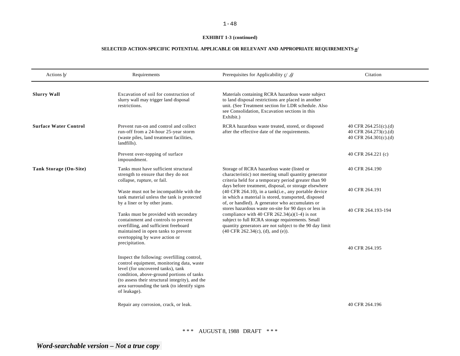#### **EXHIBIT 1-3 (continued)**

| Actions $\underline{b}$      | Requirements                                                                                                                                                                                                                                                                                  | Prerequisites for Applicability $\underline{c}'$ , $\underline{d}'$                                                                                                                                                                                                             | Citation                                                                |
|------------------------------|-----------------------------------------------------------------------------------------------------------------------------------------------------------------------------------------------------------------------------------------------------------------------------------------------|---------------------------------------------------------------------------------------------------------------------------------------------------------------------------------------------------------------------------------------------------------------------------------|-------------------------------------------------------------------------|
| <b>Slurry Wall</b>           | Excavation of soil for construction of<br>slurry wall may trigger land disposal<br>restrictions.                                                                                                                                                                                              | Materials containing RCRA hazardous waste subject<br>to land disposal restrictions are placed in another<br>unit. (See Treatment section for LDR schedule. Also<br>see Consolidation, Excavation sections in this<br>Exhibit.)                                                  |                                                                         |
| <b>Surface Water Control</b> | Prevent run-on and control and collect<br>run-off from a 24-hour 25-year storm<br>(waste piles, land treatment facilities,<br>landfills).                                                                                                                                                     | RCRA hazardous waste treated, stored, or disposed<br>after the effective date of the requirements.                                                                                                                                                                              | 40 CFR 264.251(c).(d)<br>40 CFR 264.273(c).(d)<br>40 CFR 264.301(c).(d) |
|                              | Prevent over-topping of surface<br>impoundment.                                                                                                                                                                                                                                               |                                                                                                                                                                                                                                                                                 | 40 CFR 264.221 (c)                                                      |
| Tank Storage (On-Site)       | Tanks must have sufficient structural<br>strength to ensure that they do not<br>collapse, rupture, or fail.                                                                                                                                                                                   | Storage of RCRA hazardous waste (listed or<br>characteristic) not meeting small quantity generator<br>criteria held for a temporary period greater than 90                                                                                                                      | 40 CFR 264.190                                                          |
|                              | Waste must not be incompatible with the<br>tank material unless the tank is protected<br>by a liner or by other jeans.                                                                                                                                                                        | days before treatment, disposal, or storage elsewhere<br>(40 CFR 264.10), in a tank(i.e., any portable device<br>in which a material is stored, transported, disposed<br>of, or handled). A generator who accumulates or                                                        | 40 CFR 264.191                                                          |
|                              | Tanks must be provided with secondary<br>containment and controls to prevent<br>overfilling, and sufficient freeboard<br>maintained in open tanks to prevent<br>overtopping by wave action or<br>precipitation.                                                                               | stores hazardous waste on-site for 90 days or less in<br>compliance with 40 CFR $262.34(a)(1-4)$ is not<br>subject to full RCRA storage requirements. Small<br>quantity generators are not subject to the 90 day limit<br>$(40 \text{ CFR } 262.34(c), (d), \text{ and } (e)).$ | 40 CFR 264.193-194                                                      |
|                              |                                                                                                                                                                                                                                                                                               |                                                                                                                                                                                                                                                                                 | 40 CFR 264.195                                                          |
|                              | Inspect the following: overfilling control,<br>control equipment, monitoring data, waste<br>level (for uncovered tanks), tank<br>condition, above-ground portions of tanks<br>(to assess their structural integrity), and the<br>area surrounding the tank (to identify signs<br>of leakage). |                                                                                                                                                                                                                                                                                 |                                                                         |
|                              | Repair any corrosion, crack, or leak.                                                                                                                                                                                                                                                         |                                                                                                                                                                                                                                                                                 | 40 CFR 264.196                                                          |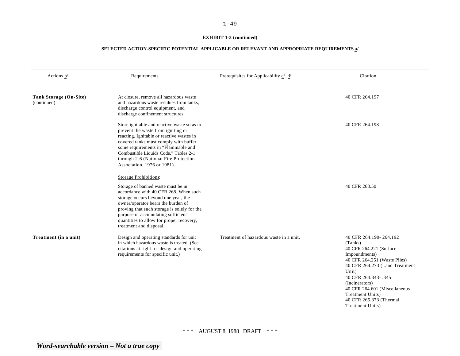# **EXHIBIT 1-3 (continued)**

| Actions $\underline{b}$               | Requirements                                                                                                                                                                                                                                                                                                                                             | Prerequisites for Applicability $\underline{c}$ , $\underline{d}$ | Citation                                                                                                                                                                                                                                                                                                     |
|---------------------------------------|----------------------------------------------------------------------------------------------------------------------------------------------------------------------------------------------------------------------------------------------------------------------------------------------------------------------------------------------------------|-------------------------------------------------------------------|--------------------------------------------------------------------------------------------------------------------------------------------------------------------------------------------------------------------------------------------------------------------------------------------------------------|
| Tank Storage (On-Site)<br>(continued) | At closure, remove all hazardous waste<br>and hazardous waste residues from tanks,<br>discharge control equipment, and<br>discharge confinement structures.                                                                                                                                                                                              |                                                                   | 40 CFR 264.197                                                                                                                                                                                                                                                                                               |
|                                       | Store ignitable and reactive waste so as to<br>prevent the waste from igniting or<br>reacting. Ignitable or reactive wastes in<br>covered tanks must comply with buffer<br>some requirements in "Flammable and<br>Combustible Liquids Code." Tables 2-1<br>through 2-6 (National Fire Protection<br>Association, 1976 or 1981).<br>Storage Prohibitions: |                                                                   | 40 CFR 264.198                                                                                                                                                                                                                                                                                               |
|                                       | Storage of banned waste must be in<br>accordance with 40 CFR 268. When such<br>storage occurs beyond one year, the<br>owner/operator bears the burden of<br>proving that such storage is solely for the<br>purpose of accumulating sufficient<br>quantities to allow for proper recovery,<br>treatment and disposal.                                     |                                                                   | 40 CFR 268.50                                                                                                                                                                                                                                                                                                |
| Treatment (in a unit)                 | Design and operating standards for unit<br>in which hazardous waste is treated. (See<br>citations at right for design and operating<br>requirements for specific unit.)                                                                                                                                                                                  | Treatment of hazardous waste in a unit.                           | 40 CFR 264.190-264.192<br>(Tanks)<br>40 CFR 264.221 (Surface<br>Impoundments)<br>40 CFR 264.251 (Waste Piles)<br>40 CFR 264.273 (Land Treatment<br>Unit)<br>40 CFR 264.343-.345<br>(Incinerators)<br>40 CFR 264.601 (Miscellaneous<br><b>Treatment Units)</b><br>40 CFR 265.373 (Thermal<br>Treatment Units) |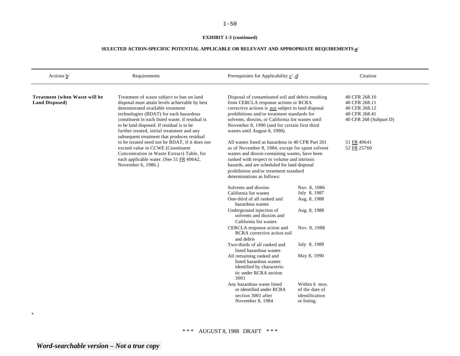# **EXHIBIT 1-3 (continued)**

# **SELECTED ACTION-SPECIFIC POTENTIAL APPLICABLE OR RELEVANT AND APPROPRIATE REQUIREMENTS a/**

| Actions $\frac{b}{ }$                                  | Requirements                                                                                                                                                                                                                                                                                                                                                            | Prerequisites for Applicability $\underline{c}$ , $\underline{d}$                                                                                                                                                                                                                                                                       |                                                                  | Citation                                                                                   |
|--------------------------------------------------------|-------------------------------------------------------------------------------------------------------------------------------------------------------------------------------------------------------------------------------------------------------------------------------------------------------------------------------------------------------------------------|-----------------------------------------------------------------------------------------------------------------------------------------------------------------------------------------------------------------------------------------------------------------------------------------------------------------------------------------|------------------------------------------------------------------|--------------------------------------------------------------------------------------------|
| Treatment (when Waste will be<br><b>Land Disposed)</b> | Treatment of waste subject to ban on land<br>disposal must attain levels achievable by best<br>demonstrated available treatment<br>technologies (BDAT) for each hazardous<br>constituent in each listed waste, if residual is<br>to be land disposed. If residual is to be<br>further treated, initial treatment and any<br>subsequent treatment that produces residual | Disposal of contaminated soil and debris resulting<br>from CERCLA response actions or RCRA<br>corrective actions is not subject to land disposal<br>prohibitions and/or treatment standards for<br>solvents, dioxins, or California list wastes until<br>November 8, 1990 (and for certain first third<br>wastes until August 8, 1990). |                                                                  | 40 CFR 268.10<br>40 CFR 268.11<br>40 CFR 268.12<br>40 CFR 268.41<br>40 CFR 268 (Subpart D) |
|                                                        | to be treated need not be BDAT, if it does not<br>exceed value in CCWE (Constituent<br>Concentration in Waste Extract) Table, for<br>each applicable water. (See 51 FR 40642,<br>November 6, 1986.)                                                                                                                                                                     | All wastes listed as hazardous in 40 CFR Part 261<br>as of November 8, 1984, except for spent solvent<br>wastes and dioxin-containing wastes, have been<br>ranked with respect to volume and intrinsic<br>hazards, and are scheduled for land disposal<br>prohibition and/or treatment standard<br>determinations as follows:           |                                                                  | 51 FR 40641<br>52 FR 25760                                                                 |
|                                                        |                                                                                                                                                                                                                                                                                                                                                                         | Solvents and dioxins<br>California list wastes<br>One-third of all ranked and                                                                                                                                                                                                                                                           | Nov. 8, 1986<br>July 8, 1987<br>Aug. 8, 1988                     |                                                                                            |
|                                                        |                                                                                                                                                                                                                                                                                                                                                                         | hazardous wastes<br>Underground injection of<br>solvents and dioxins and<br>California list wastes                                                                                                                                                                                                                                      | Aug. 8, 1988                                                     |                                                                                            |
|                                                        |                                                                                                                                                                                                                                                                                                                                                                         | CERCLA response action and<br>RCRA corrective action soil<br>and debris                                                                                                                                                                                                                                                                 | Nov. 8, 1988                                                     |                                                                                            |
|                                                        |                                                                                                                                                                                                                                                                                                                                                                         | Two-thirds of all ranked and<br>listed hazardous wastes                                                                                                                                                                                                                                                                                 | July 8, 1989                                                     |                                                                                            |
|                                                        |                                                                                                                                                                                                                                                                                                                                                                         | All remaining ranked and<br>listed hazardous wastes<br>identified by characteris-<br>tic under RCRA section<br>3001                                                                                                                                                                                                                     | May 8, 1990                                                      |                                                                                            |
|                                                        |                                                                                                                                                                                                                                                                                                                                                                         | Any hazardous waste listed<br>or identified under RCRA<br>section 3001 after<br>November 8, 1984                                                                                                                                                                                                                                        | Within 6 mos.<br>of the date of<br>identification<br>or listing. |                                                                                            |

\*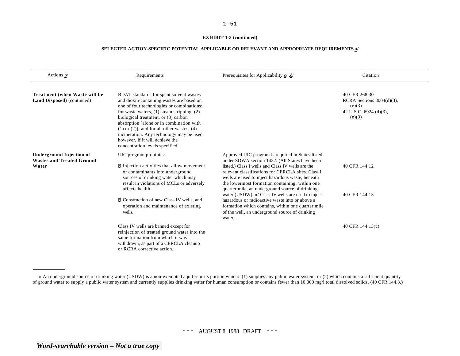#### **EXHIBIT 1-3 (continued)**

| Actions b/                                                                   | Requirements                                                                                                                                                                                                                                                                                                                                                                                                                                   | /d/ Prerequisites for Applicability c/, d                                                                                                                                                                                                                                                                                                                                | Citation                                                                                    |
|------------------------------------------------------------------------------|------------------------------------------------------------------------------------------------------------------------------------------------------------------------------------------------------------------------------------------------------------------------------------------------------------------------------------------------------------------------------------------------------------------------------------------------|--------------------------------------------------------------------------------------------------------------------------------------------------------------------------------------------------------------------------------------------------------------------------------------------------------------------------------------------------------------------------|---------------------------------------------------------------------------------------------|
| Treatment (when Waste will be<br><b>Land Disposed</b> ) (continued)          | BDAT standards for spent solvent wastes<br>and dioxin-containing wastes are based on<br>one of four technologies or combinations:<br>for waste waters, $(1)$ steam stripping, $(2)$<br>biological treatment, or (3) carbon<br>absorption [alone or in combination with<br>$(1)$ or $(2)$ ]; and for all other wastes, $(4)$<br>incineration. Any technology may be used,<br>however, if it will achieve the<br>concentration levels specified. |                                                                                                                                                                                                                                                                                                                                                                          | 40 CFR 268.30<br>RCRA Sections $3004(d)(3)$ ,<br>(e)(3)<br>42 U.S.C. 6924 (d)(3),<br>(e)(3) |
| <b>Underground Injection of</b><br><b>Wastes and Treated Ground</b><br>Water | UIC program prohibits:<br><b>B</b> Injection activities that allow movement<br>of contaminants into underground<br>sources of drinking water which may<br>result in violations of MCLs or adversely<br>affects health.                                                                                                                                                                                                                         | Approved UIC program is required in States listed<br>under SDWA section 1422. (All States have been<br>listed.) Class I wells and Class IV wells are the<br>relevant classifications for CERCLA sites. Class I<br>wells are used to inject hazardous waste, beneath<br>the lowermost formation containing, within one<br>quarter mile, an underground source of drinking | 40 CFR 144.12                                                                               |
|                                                                              | <b>B</b> Construction of new Class IV wells, and<br>operation and maintenance of existing<br>wells.                                                                                                                                                                                                                                                                                                                                            | water (USDW). n/ Class IV wells are used to inject<br>hazardous or radioactive waste into or above a<br>formation which contains, within one quarter mile<br>of the well, an underground source of drinking<br>water.                                                                                                                                                    | 40 CFR 144.13                                                                               |
|                                                                              | Class IV wells are banned except for<br>reinjection of treated ground water into the<br>same formation from which it was<br>withdrawn, as part of a CERCLA cleanup<br>or RCRA corrective action.                                                                                                                                                                                                                                               |                                                                                                                                                                                                                                                                                                                                                                          | 40 CFR 144.13(c)                                                                            |

 $n/$  An underground source of drinking water (USDW) is a non-exempted aquifer or its portion which: (1) supplies any public water system, or (2) which contains a sufficient quantity of ground water to supply a public water system and currently supplies drinking water for human consumption or contains fewer than 10,000 mg/l total dissolved solids. (40 CFR 144.3.)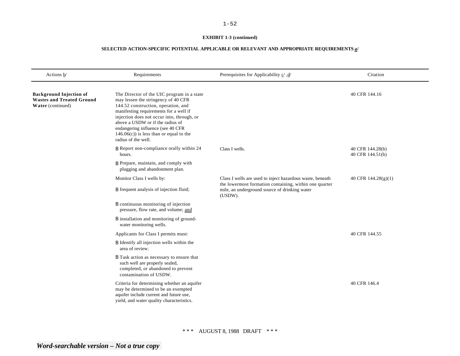# **EXHIBIT 1-3 (continued)**

| Actions b/                                                                              | Requirements                                                                                                                                                                                                                                                                                                                                                   | Prerequisites for Applicability $\underline{c}'$ , $\underline{d}'$                                                                                                             | Citation                             |
|-----------------------------------------------------------------------------------------|----------------------------------------------------------------------------------------------------------------------------------------------------------------------------------------------------------------------------------------------------------------------------------------------------------------------------------------------------------------|---------------------------------------------------------------------------------------------------------------------------------------------------------------------------------|--------------------------------------|
| <b>Background Injection of</b><br><b>Wastes and Treated Ground</b><br>Water (continued) | The Director of the UIC program in a state<br>may lessen the stringency of 40 CFR<br>144.52 construction, operation, and<br>manifesting requirements for a well if<br>injection does not occur into, through, or<br>above a USDW or if the radius of<br>endangering influence (see 40 CFR<br>$146.06(c)$ ) is less than or equal to the<br>radius of the well. |                                                                                                                                                                                 | 40 CFR 144.16                        |
|                                                                                         | <b>B</b> Report non-compliance orally within 24<br>hours.                                                                                                                                                                                                                                                                                                      | Class I wells.                                                                                                                                                                  | 40 CFR 144.28(b)<br>40 CFR 144.51(b) |
|                                                                                         | <b>B</b> Prepare, maintain, and comply with<br>plugging and abandonment plan.                                                                                                                                                                                                                                                                                  |                                                                                                                                                                                 |                                      |
|                                                                                         | Monitor Class I wells by:                                                                                                                                                                                                                                                                                                                                      | Class I wells are used to inject hazardous waste, beneath<br>the lowermost formation containing, within one quarter<br>mile, an underground source of drinking water<br>(USDW). | 40 CFR $144.28(g)(1)$                |
|                                                                                         | <b>B</b> frequent analysis of injection fluid;                                                                                                                                                                                                                                                                                                                 |                                                                                                                                                                                 |                                      |
|                                                                                         | <b>B</b> continuous monitoring of injection<br>pressure, flow rate, and volume; and                                                                                                                                                                                                                                                                            |                                                                                                                                                                                 |                                      |
|                                                                                         | <b>B</b> installation and monitoring of ground-<br>water monitoring wells.                                                                                                                                                                                                                                                                                     |                                                                                                                                                                                 |                                      |
|                                                                                         | Applicants for Class I permits must:                                                                                                                                                                                                                                                                                                                           |                                                                                                                                                                                 | 40 CFR 144.55                        |
|                                                                                         | <b>B</b> Identify all injection wells within the<br>area of review.                                                                                                                                                                                                                                                                                            |                                                                                                                                                                                 |                                      |
|                                                                                         | B Task action as necessary to ensure that<br>such well are properly sealed,<br>completed, or abandoned to prevent<br>contamination of USDW.                                                                                                                                                                                                                    |                                                                                                                                                                                 |                                      |
|                                                                                         | Criteria for determining whether an aquifer<br>may be determined to be an exempted<br>aquifer include current and future use,<br>yield, and water quality characteristics.                                                                                                                                                                                     |                                                                                                                                                                                 | 40 CFR 146.4                         |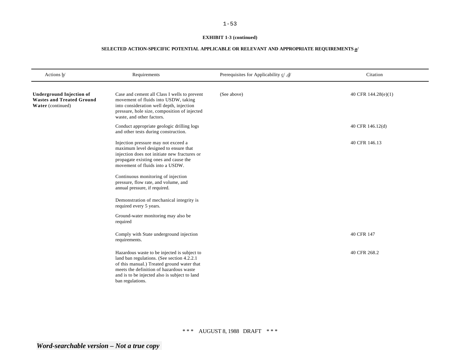# **EXHIBIT 1-3 (continued)**

| Actions $b$                                                                              | Requirements                                                                                                                                                                                                                                                                                                                                                                                                                                      | Prerequisites for Applicability $c$ /, $d$ / | Citation            |
|------------------------------------------------------------------------------------------|---------------------------------------------------------------------------------------------------------------------------------------------------------------------------------------------------------------------------------------------------------------------------------------------------------------------------------------------------------------------------------------------------------------------------------------------------|----------------------------------------------|---------------------|
| <b>Underground Injection of</b><br><b>Wastes and Treated Ground</b><br>Water (continued) | Case and cement all Class I wells to prevent<br>movement of fluids into USDW, taking<br>into consideration well depth, injection<br>pressure, hole size, composition of injected<br>waste, and other factors.                                                                                                                                                                                                                                     | (See above)                                  | 40 CFR 144.28(e)(1) |
|                                                                                          | Conduct appropriate geologic drilling logs<br>and other tests during construction.                                                                                                                                                                                                                                                                                                                                                                |                                              | 40 CFR 146.12(d)    |
|                                                                                          | Injection pressure may not exceed a<br>maximum level designed to ensure that<br>injection does not initiate new fractures or<br>propagate existing ones and cause the<br>movement of fluids into a USDW.<br>Continuous monitoring of injection<br>pressure, flow rate, and volume, and<br>annual pressure, if required.<br>Demonstration of mechanical integrity is<br>required every 5 years.<br>Ground-water monitoring may also be<br>required |                                              | 40 CFR 146.13       |
|                                                                                          | Comply with State underground injection<br>requirements.                                                                                                                                                                                                                                                                                                                                                                                          |                                              | 40 CFR 147          |
|                                                                                          | Hazardous waste to be injected is subject to<br>land ban regulations. (See section 4.2.2.1)<br>of this manual.) Treated ground water that<br>meets the definition of hazardous waste<br>and is to be injected also is subject to land<br>ban regulations.                                                                                                                                                                                         |                                              | 40 CFR 268.2        |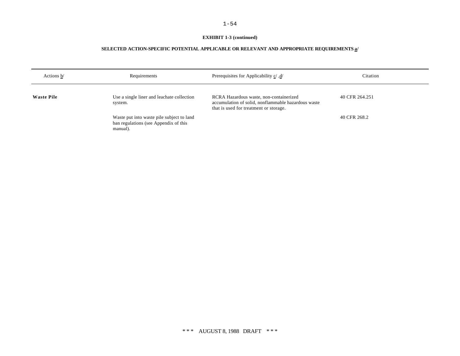# **EXHIBIT 1-3 (continued)**

| Actions b/        | Requirements                                                                                   | Prerequisites for Applicability c/, d/                                                                                                   | Citation       |
|-------------------|------------------------------------------------------------------------------------------------|------------------------------------------------------------------------------------------------------------------------------------------|----------------|
| <b>Waste Pile</b> | Use a single liner and leachate collection<br>system.                                          | RCRA Hazardous waste, non-containerized<br>accumulation of solid, nonflammable hazardous waste<br>that is used for treatment or storage. | 40 CFR 264.251 |
|                   | Waste put into waste pile subject to land<br>ban regulations (see Appendix of this<br>manual). |                                                                                                                                          | 40 CFR 268.2   |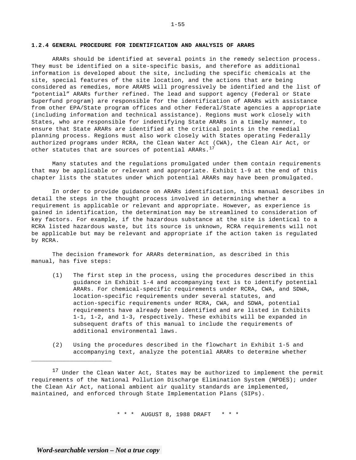### **1.2.4 GENERAL PROCEDURE FOR IDENTIFICATION AND ANALYSIS OF ARARS**

ARARs should be identified at several points in the remedy selection process. They must be identified on a site-specific basis, and therefore as additional information is developed about the site, including the specific chemicals at the site, special features of the site location, and the actions that are being considered as remedies, more ARARS will progressively be identified and the list of "potential" ARARs further refined. The lead and support agency (Federal or State Superfund program) are responsible for the identification of ARARs with assistance from other EPA/State program offices and other Federal/State agencies a appropriate (including information and technical assistance). Regions must work closely with States, who are responsible for indentifying State ARARs in a timely manner, to ensure that State ARARs are identified at the critical points in the remedial planning process. Regions must also work closely with States operating Federally authorized programs under RCRA, the Clean Water Act (CWA), the Clean Air Act, or other statutes that are sources of potential ARARs. $^{17}$ 

Many statutes and the regulations promulgated under them contain requirements that may be applicable or relevant and appropriate. Exhibit 1-9 at the end of this chapter lists the statutes under which potential ARARs may have been promulgated.

In order to provide guidance on ARARs identification, this manual describes in detail the steps in the thought process involved in determining whether a requirement is applicable or relevant and appropriate. However, as experience is gained in identification, the determination may be streamlined to consideration of key factors. For example, if the hazardous substance at the site is identical to a RCRA listed hazardous waste, but its source is unknown, RCRA requirements will not be applicable but may be relevant and appropriate if the action taken is regulated by RCRA.

The decision framework for ARARs determination, as described in this manual, has five steps:

- (1) The first step in the process, using the procedures described in this guidance in Exhibit 1-4 and accompanying text is to identify potential ARARs. For chemical-specific requirements under RCRA, CWA, and SDWA, location-specific requirements under several statutes, and action-specific requirements under RCRA, CWA, and SDWA, potential requirements have already been identified and are listed in Exhibits 1-1, 1-2, and 1-3, respectively. These exhibits will be expanded in subsequent drafts of this manual to include the requirements of additional environmental laws.
- (2) Using the procedures described in the flowchart in Exhibit 1-5 and accompanying text, analyze the potential ARARs to determine whether

<sup>17</sup> Under the Clean Water Act, States may be authorized to implement the permit requirements of the National Pollution Discharge Elimination System (NPDES); under the Clean Air Act, national ambient air quality standards are implemented, maintained, and enforced through State Implementation Plans (SIPs).

\* \* \* AUGUST 8, 1988 DRAFT \* \* \*

*Word-searchable version – Not a true copy* 

\_\_\_\_\_\_\_\_\_\_\_\_\_\_\_\_\_\_\_\_\_\_\_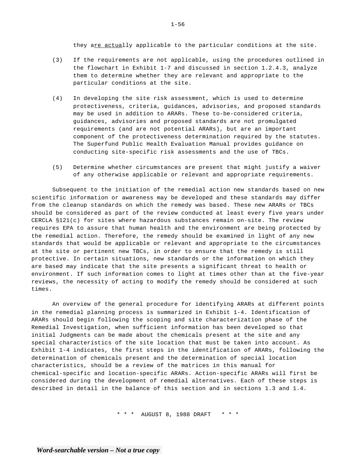they are actually applicable to the particular conditions at the site.

- (3) If the requirements are not applicable, using the procedures outlined in the flowchart in Exhibit 1-7 and discussed in section 1.2.4.3, analyze them to determine whether they are relevant and appropriate to the particular conditions at the site.
- (4) In developing the site risk assessment, which is used to determine protectiveness, criteria, guidances, advisories, and proposed standards may be used in addition to ARARs. These to-be-considered criteria, guidances, advisories and proposed standards are not promulgated requirements (and are not potential ARARs), but are an important component of the protectiveness determination required by the statutes. The Superfund Public Health Evaluation Manual provides guidance on conducting site-specific risk assessments and the use of TBCs.
- (5) Determine whether circumstances are present that might justify a waiver of any otherwise applicable or relevant and appropriate requirements.

Subsequent to the initiation of the remedial action new standards based on new scientific information or awareness may be developed and these standards may differ from the cleanup standards on which the remedy was based. These new ARARs or TBCs should be considered as part of the review conducted at least every five years under CERCLA §121(c) for sites where hazardous substances remain on-site. The review requires EPA to assure that human health and the environment are being protected by the remedial action. Therefore, the remedy should be examined in light of any new standards that would be applicable or relevant and appropriate to the circumstances at the site or pertinent new TBCs, in order to ensure that the remedy is still protective. In certain situations, new standards or the information on which they are based may indicate that the site presents a significant threat to health or environment. If such information comes to light at times other than at the five-year reviews, the necessity of acting to modify the remedy should be considered at such times.

An overview of the general procedure for identifying ARARs at different points in the remedial planning process is summarized in Exhibit 1-4. Identification of ARARs should begin following the scoping and site characterization phase of the Remedial Investigation, when sufficient information has been developed so that initial Judgments can be made about the chemicals present at the site and any special characteristics of the site location that must be taken into account. As Exhibit 1-4 indicates, the first steps in the identification of ARARs, following the determination of chemicals present and the determination of special location characteristics, should be a review of the matrices in this manual for chemical-specific and location-specific ARARs. Action-specific ARARs will first be considered during the development of remedial alternatives. Each of these steps is described in detail in the balance of this section and in sections 1.3 and 1.4.

\* \* \* AUGUST 8, 1988 DRAFT \* \* \*

1-56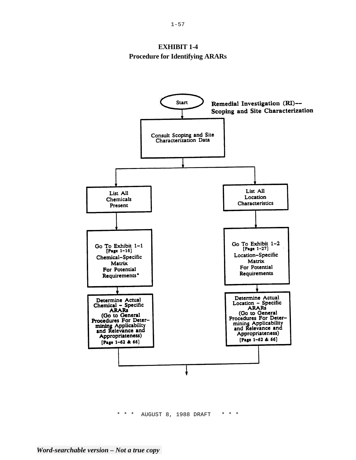# **EXHIBIT 1-4 Procedure for Identifying ARARs**



\* \* \* AUGUST 8, 1988 DRAFT \* \* \*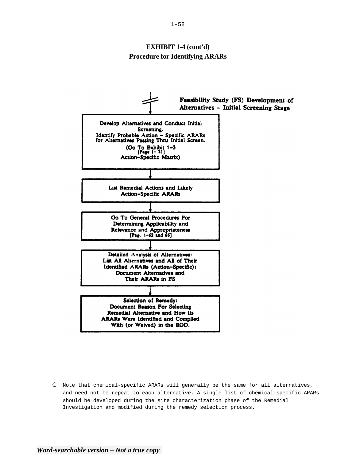# **EXHIBIT 1-4 (cont'd) Procedure for Identifying ARARs**



C Note that chemical-specific ARARs will generally be the same for all alternatives, and need not be repeat to each alternative. A single list of chemical-specific ARARs should be developed during the site characterization phase of the Remedial Investigation and modified during the remedy selection process.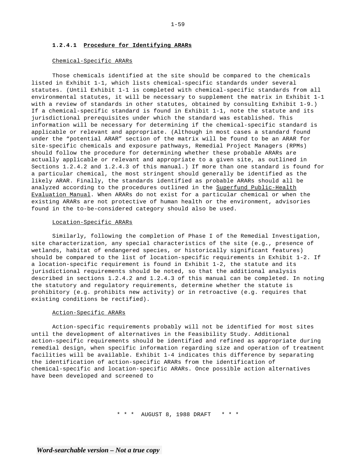### **1.2.4.1 Procedure for Identifying ARARs**

#### Chemical-Specific ARARs

Those chemicals identified at the site should be compared to the chemicals listed in Exhibit 1-1, which lists chemical-specific standards under several statutes. (Until Exhibit 1-1 is completed with chemical-specific standards from all environmental statutes, it will be necessary to supplement the matrix in Exhibit 1-1 with a review of standards in other statutes, obtained by consulting Exhibit 1-9.) If a chemical-specific standard is found in Exhibit 1-1, note the statute and its jurisdictional prerequisites under which the standard was established. This information will be necessary for determining if the chemical-specific standard is applicable or relevant and appropriate. (Although in most cases a standard found under the "potential ARAR" section of the matrix will be found to be an ARAR for site-specific chemicals and exposure pathways, Remedial Project Managers (RPMs) should follow the procedure for determining whether these probable ARARs are actually applicable or relevant and appropriate to a given site, as outlined in Sections 1.2.4.2 and 1.2.4.3 of this manual.) If more than one standard is found for a particular chemical, the most stringent should generally be identified as the likely ARAR. Finally, the standards identified as probable ARARs should all be analyzed according to the procedures outlined in the Superfund Public-Health Evaluation Manual. When ARARs do not exist for a particular chemical or when the existing ARARs are not protective of human health or the environment, advisories found in the to-be-considered category should also be used.

#### Location-Specific ARARs

Similarly, following the completion of Phase I of the Remedial Investigation, site characterization, any special characteristics of the site (e.g., presence of wetlands, habitat of endangered species, or historically significant features) should be compared to the list of location-specific requirements in Exhibit 1-2. If a location-specific requirement is found in Exhibit 1-2, the statute and its jurisdictional requirements should be noted, so that the additional analysis described in sections 1.2.4.2 and 1.2.4.3 of this manual can be completed. In noting the statutory and regulatory requirements, determine whether the statute is prohibitory (e.g. prohibits new activity) or in retroactive (e.g. requires that existing conditions be rectified).

#### Action-Specific ARARs

Action-specific requirements probably will not be identified for most sites until the development of alternatives in the Feasibility Study. Additional action-specific requirements should be identified and refined as appropriate during remedial design, when specific information regarding size and operation of treatment facilities will be available. Exhibit 1-4 indicates this difference by separating the identification of action-specific ARARs from the identification of chemical-specific and location-specific ARARs. Once possible action alternatives have been developed and screened to

\* \* \* AUGUST 8, 1988 DRAFT \* \* \*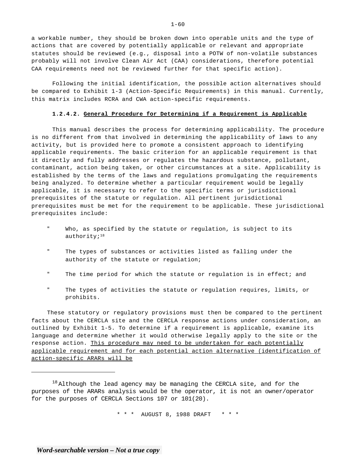a workable number, they should be broken down into operable units and the type of actions that are covered by potentially applicable or relevant and appropriate statutes should be reviewed (e.g., disposal into a POTW of non-volatile substances probably will not involve Clean Air Act (CAA) considerations, therefore potential CAA requirements need not be reviewed further for that specific action).

Following the initial identification, the possible action alternatives should be compared to Exhibit 1-3 (Action-Specific Requirements) in this manual. Currently, this matrix includes RCRA and CWA action-specific requirements.

#### **1.2.4.2. General Procedure for Determining if a Requirement is Applicable**

This manual describes the process for determining applicability. The procedure is no different from that involved in determining the applicability of laws to any activity, but is provided here to promote a consistent approach to identifying applicable requirements. The basic criterion for an applicable requirement is that it directly and fully addresses or regulates the hazardous substance, pollutant, contaminant, action being taken, or other circumstances at a site. Applicability is established by the terms of the laws and regulations promulgating the requirements being analyzed. To determine whether a particular requirement would be legally applicable, it is necessary to refer to the specific terms or jurisdictional prerequisites of the statute or regulation. All pertinent jurisdictional prerequisites must be met for the requirement to be applicable. These jurisdictional prerequisites include:

- " Who, as specified by the statute or regulation, is subject to its authority; $18$
- " The types of substances or activities listed as falling under the authority of the statute or regulation;
- " The time period for which the statute or regulation is in effect; and
- " The types of activities the statute or regulation requires, limits, or prohibits.

These statutory or regulatory provisions must then be compared to the pertinent facts about the CERCLA site and the CERCLA response actions under consideration, an outlined by Exhibit 1-5. To determine if a requirement is applicable, examine its language and determine whether it would otherwise legally apply to the site or the response action. This procedure may need to be undertaken for each potentially applicable requirement and for each potential action alternative (identification of action-specific ARARs will be

\* \* \* AUGUST 8, 1988 DRAFT \* \* \*

 $1 - 60$ 

<sup>&</sup>lt;sup>18</sup> Although the lead agency may be managing the CERCLA site, and for the purposes of the ARARs analysis would be the operator, it is not an owner/operator for the purposes of CERCLA Sections 107 or 101(20).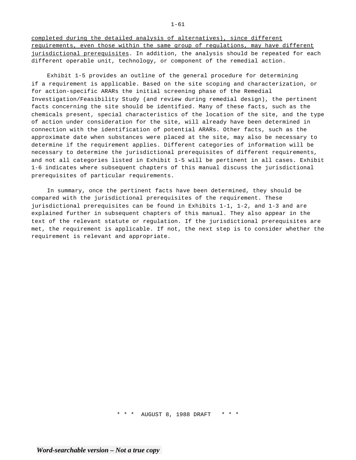completed during the detailed analysis of alternatives), since different requirements, even those within the same group of regulations, may have different jurisdictional prerequisites. In addition, the analysis should be repeated for each different operable unit, technology, or component of the remedial action.

Exhibit 1-5 provides an outline of the general procedure for determining if a requirement is applicable. Based on the site scoping and characterization, or for action-specific ARARs the initial screening phase of the Remedial Investigation/Feasibility Study (and review during remedial design), the pertinent facts concerning the site should be identified. Many of these facts, such as the chemicals present, special characteristics of the location of the site, and the type of action under consideration for the site, will already have been determined in connection with the identification of potential ARARs. Other facts, such as the approximate date when substances were placed at the site, may also be necessary to determine if the requirement applies. Different categories of information will be necessary to determine the jurisdictional prerequisites of different requirements, and not all categories listed in Exhibit 1-5 will be pertinent in all cases. Exhibit 1-6 indicates where subsequent chapters of this manual discuss the jurisdictional prerequisites of particular requirements.

In summary, once the pertinent facts have been determined, they should be compared with the jurisdictional prerequisites of the requirement. These jurisdictional prerequisites can be found in Exhibits 1-1, 1-2, and 1-3 and are explained further in subsequent chapters of this manual. They also appear in the text of the relevant statute or regulation. If the jurisdictional prerequisites are met, the requirement is applicable. If not, the next step is to consider whether the requirement is relevant and appropriate.

\* \* \* AUGUST 8, 1988 DRAFT \* \* \*

1-61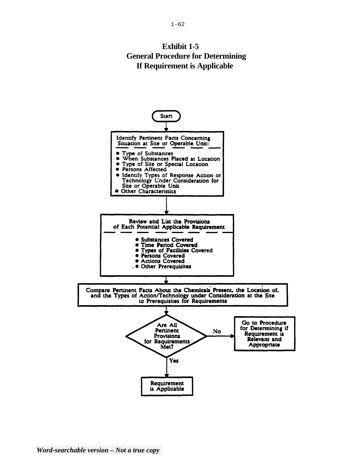# **Exhibit 1-5 General Procedure for Determining If Requirement is Applicable**

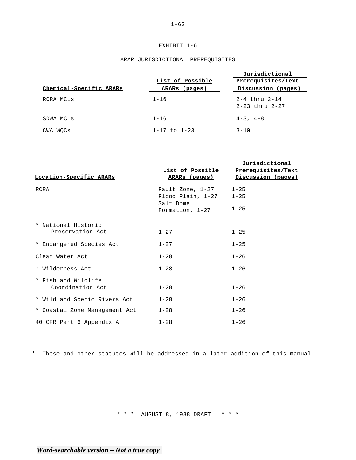# EXHIBIT 1-6

### ARAR JURISDICTIONAL PREREQUISITES

|                         | List of Possible     | Jurisdictional<br>Prerequisites/Text            |
|-------------------------|----------------------|-------------------------------------------------|
| Chemical-Specific ARARs | ARARs (pages)        | Discussion (pages)                              |
| RCRA MCLs               | $1 - 16$             | $2 - 4$ thru $2 - 14$<br>$2 - 23$ thru $2 - 27$ |
| SDWA MCLs               | $1 - 16$             | $4-3$ , $4-8$                                   |
| CWA WOCs                | $1 - 17$ to $1 - 23$ | $3 - 10$                                        |

**Jurisdictional** 

| Location-Specific ARARs                 | <u>List of Possible</u><br>ARARs (pages)                                              | Prerequisites/Text<br>Discussion (pages) |
|-----------------------------------------|---------------------------------------------------------------------------------------|------------------------------------------|
| RCRA                                    | Fault Zone, $1-27$ 1-25<br>$Flood$ Plain, $1-27$ 1-25<br>Salt Dome<br>Formation, 1-27 | $1 - 25$                                 |
| * National Historic<br>Preservation Act | $1 - 27$                                                                              | $1 - 25$                                 |
| * Endangered Species Act                | $1 - 27$                                                                              | $1 - 25$                                 |
| Clean Water Act                         | $1 - 28$                                                                              | $1 - 26$                                 |
| * Wilderness Act                        | $1 - 28$                                                                              | $1 - 26$                                 |
| * Fish and Wildlife<br>Coordination Act | $1 - 28$                                                                              | $1 - 26$                                 |
| * Wild and Scenic Rivers Act            | $1 - 28$                                                                              | $1 - 26$                                 |
| * Coastal Zone Management Act           | $1 - 28$                                                                              | $1 - 26$                                 |
| 40 CFR Part 6 Appendix A                | $1 - 28$                                                                              | $1 - 26$                                 |

\* These and other statutes will be addressed in a later addition of this manual.

\* \* \* AUGUST 8, 1988 DRAFT \* \* \*

1-63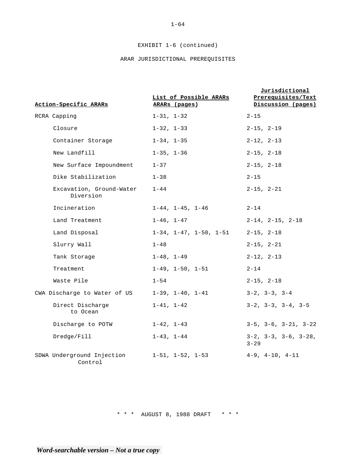# EXHIBIT 1-6 (continued)

# ARAR JURISDICTIONAL PREREQUISITES

|  |                                       |                                         | <b>Jurisdictional</b>                        |
|--|---------------------------------------|-----------------------------------------|----------------------------------------------|
|  | Action-Specific ARARs                 | List of Possible ARARs<br>ARARs (pages) | Prerequisites/Text<br>Discussion (pages)     |
|  | RCRA Capping                          | $1 - 31, 1 - 32$                        | $2 - 15$                                     |
|  | Closure                               | $1 - 32, 1 - 33$                        | $2 - 15, 2 - 19$                             |
|  | Container Storage                     | $1 - 34$ , $1 - 35$                     | $2 - 12$ , $2 - 13$                          |
|  | New Landfill                          | $1 - 35$ , $1 - 36$                     | $2 - 15$ , $2 - 18$                          |
|  | New Surface Impoundment               | $1 - 37$                                | $2 - 15$ , $2 - 18$                          |
|  | Dike Stabilization                    | $1 - 38$                                | $2 - 15$                                     |
|  | Excavation, Ground-Water<br>Diversion | $1 - 44$                                | $2 - 15$ , $2 - 21$                          |
|  | Incineration                          | $1-44$ , $1-45$ , $1-46$                | $2 - 14$                                     |
|  | Land Treatment                        | $1 - 46$ , $1 - 47$                     | $2-14$ , $2-15$ , $2-18$                     |
|  | Land Disposal                         | $1-34$ , $1-47$ , $1-50$ , $1-51$       | $2 - 15, 2 - 18$                             |
|  | Slurry Wall                           | $1 - 48$                                | $2 - 15$ , $2 - 21$                          |
|  | Tank Storage                          | $1 - 48$ , $1 - 49$                     | $2 - 12$ , $2 - 13$                          |
|  | Treatment                             | $1-49$ , $1-50$ , $1-51$                | $2 - 14$                                     |
|  | Waste Pile                            | $1 - 54$                                | $2 - 15$ , $2 - 18$                          |
|  | CWA Discharge to Water of US          | $1-39$ , $1-40$ , $1-41$                | $3-2$ , $3-3$ , $3-4$                        |
|  | Direct Discharge<br>to Ocean          | $1 - 41, 1 - 42$                        | $3-2$ , $3-3$ , $3-4$ , $3-5$                |
|  | Discharge to POTW                     | $1 - 42, 1 - 43$                        | $3-5$ , $3-6$ , $3-21$ , $3-22$              |
|  | Dredge/Fill                           | $1 - 43$ , $1 - 44$                     | $3-2$ , $3-3$ , $3-6$ , $3-28$ ,<br>$3 - 29$ |
|  | SDWA Underground Injection<br>Control | 1-51, 1-52, 1-53                        | $4-9$ , $4-10$ , $4-11$                      |

\* \* \* AUGUST 8, 1988 DRAFT \* \* \*

 $1 - 64$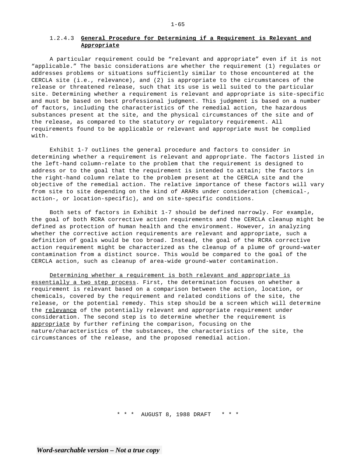### 1.2.4.3 **General Procedure for Determining if a Requirement is Relevant and Appropriate**

A particular requirement could be "relevant and appropriate" even if it is not "applicable." The basic considerations are whether the requirement (1) regulates or addresses problems or situations sufficiently similar to those encountered at the CERCLA site (i.e., relevance), and (2) is appropriate to the circumstances of the release or threatened release, such that its use is well suited to the particular site. Determining whether a requirement is relevant and appropriate is site-specific and must be based on best professional judgment. This judgment is based on a number of factors, including the characteristics of the remedial action, the hazardous substances present at the site, and the physical circumstances of the site and of the release, as compared to the statutory or regulatory requirement. All requirements found to be applicable or relevant and appropriate must be complied with.

Exhibit 1-7 outlines the general procedure and factors to consider in determining whether a requirement is relevant and appropriate. The factors listed in the left-hand column-relate to the problem that the requirement is designed to address or to the goal that the requirement is intended to attain; the factors in the right-hand column relate to the problem present at the CERCLA site and the objective of the remedial action. The relative importance of these factors will vary from site to site depending on the kind of ARARs under consideration (chemical-, action-, or location-specific), and on site-specific conditions.

Both sets of factors in Exhibit 1-7 should be defined narrowly. For example, the goal of both RCRA corrective action requirements and the CERCLA cleanup might be defined as protection of human health and the environment. However, in analyzing whether the corrective action requirements are relevant and appropriate, such a definition of goals would be too broad. Instead, the goal of the RCRA corrective action requirement might be characterized as the cleanup of a plume of ground-water contamination from a distinct source. This would be compared to the goal of the CERCLA action, such as cleanup of area-wide ground-water contamination.

Determining whether a requirement is both relevant and appropriate is essentially a two step process. First, the determination focuses on whether a requirement is relevant based on a comparison between the action, location, or chemicals, covered by the requirement and related conditions of the site, the release, or the potential remedy. This step should be a screen which will determine the relevance of the potentially relevant and appropriate requirement under consideration. The second step is to determine whether the requirement is appropriate by further refining the comparison, focusing on the nature/characteristics of the substances, the characteristics of the site, the circumstances of the release, and the proposed remedial action.

\* \* \* AUGUST 8, 1988 DRAFT \* \* \*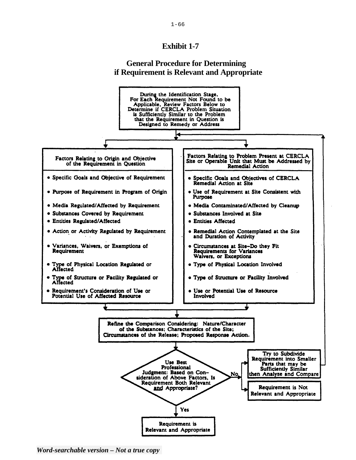# **Exhibit 1-7**

# **General Procedure for Determining if Requirement is Relevant and Appropriate**



*Word-searchable version – Not a true copy*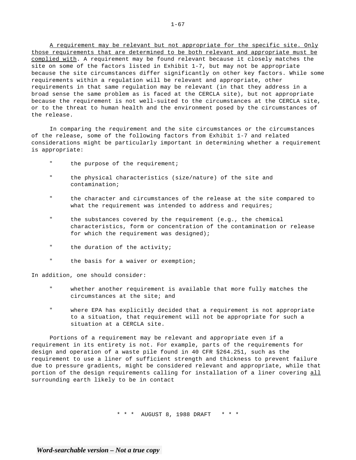A requirement may be relevant but not appropriate for the specific site. Only those requirements that are determined to be both relevant and appropriate must be complied with. A requirement may be found relevant because it closely matches the site on some of the factors listed in Exhibit 1-7, but may not be appropriate because the site circumstances differ significantly on other key factors. While some requirements within a regulation will be relevant and appropriate, other requirements in that same regulation may be relevant (in that they address in a broad sense the same problem as is faced at the CERCLA site), but not appropriate because the requirement is not well-suited to the circumstances at the CERCLA site, or to the threat to human health and the environment posed by the circumstances of the release.

In comparing the requirement and the site circumstances or the circumstances of the release, some of the following factors from Exhibit 1-7 and related considerations might be particularly important in determining whether a requirement is appropriate:

- " the purpose of the requirement;
- " the physical characteristics (size/nature) of the site and contamination;
- " the character and circumstances of the release at the site compared to what the requirement was intended to address and requires;
- " the substances covered by the requirement (e.g., the chemical characteristics, form or concentration of the contamination or release for which the requirement was designed);
- " the duration of the activity;
- " the basis for a waiver or exemption;

In addition, one should consider:

- " whether another requirement is available that more fully matches the circumstances at the site; and
- " where EPA has explicitly decided that a requirement is not appropriate to a situation, that requirement will not be appropriate for such a situation at a CERCLA site.

Portions of a requirement may be relevant and appropriate even if a requirement in its entirety is not. For example, parts of the requirements for design and operation of a waste pile found in 40 CFR §264.251, such as the requirement to use a liner of sufficient strength and thickness to prevent failure due to pressure gradients, might be considered relevant and appropriate, while that portion of the design requirements calling for installation of a liner covering all surrounding earth likely to be in contact

\* \* \* AUGUST 8, 1988 DRAFT \* \* \*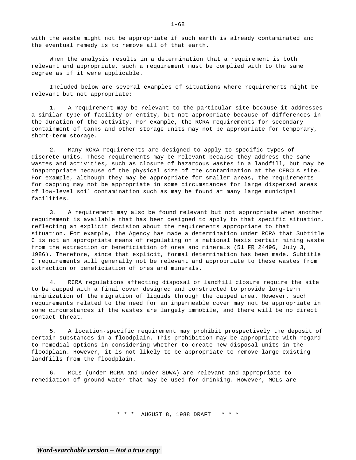with the waste might not be appropriate if such earth is already contaminated and the eventual remedy is to remove all of that earth.

When the analysis results in a determination that a requirement is both relevant and appropriate, such a requirement must be complied with to the same degree as if it were applicable.

Included below are several examples of situations where requirements might be relevant but not appropriate:

1. A requirement may be relevant to the particular site because it addresses a similar type of facility or entity, but not appropriate because of differences in the duration of the activity. For example, the RCRA requirements for secondary containment of tanks and other storage units may not be appropriate for temporary, short-term storage.

2. Many RCRA requirements are designed to apply to specific types of discrete units. These requirements may be relevant because they address the same wastes and activities, such as closure of hazardous wastes in a landfill, but may be inappropriate because of the physical size of the contamination at the CERCLA site. For example, although they may be appropriate for smaller areas, the requirements for capping may not be appropriate in some circumstances for large dispersed areas of low-level soil contamination such as may be found at many large municipal facilities.

3. A requirement may also be found relevant but not appropriate when another requirement is available that has been designed to apply to that specific situation, reflecting an explicit decision about the requirements appropriate to that situation. For example, the Agency has made a determination under RCRA that Subtitle C is not an appropriate means of regulating on a national basis certain mining waste from the extraction or beneficiation of ores and minerals (51  $\overline{\text{FR}}$  24496, July 3, 1986). Therefore, since that explicit, formal determination has been made, Subtitle C requirements will generally not be relevant and appropriate to these wastes from extraction or beneficiation of ores and minerals.

4. RCRA regulations affecting disposal or landfill closure require the site to be capped with a final cover designed and constructed to provide long-term minimization of the migration of liquids through the capped area. However, such requirements related to the need for an impermeable cover may not be appropriate in some circumstances if the wastes are largely immobile, and there will be no direct contact threat.

5. A location-specific requirement may prohibit prospectively the deposit of certain substances in a floodplain. This prohibition may be appropriate with regard to remedial options in considering whether to create new disposal units in the floodplain. However, it is not likely to be appropriate to remove large existing landfills from the floodplain.

6. MCLs (under RCRA and under SDWA) are relevant and appropriate to remediation of ground water that may be used for drinking. However, MCLs are

\* \* \* AUGUST 8, 1988 DRAFT \* \* \*

 $1 - 68$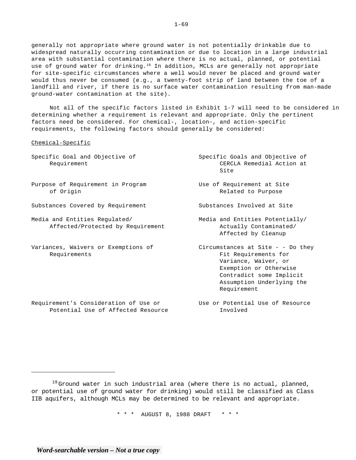generally not appropriate where ground water is not potentially drinkable due to widespread naturally occurring contamination or due to location in a large industrial area with substantial contamination where there is no actual, planned, or potential use of ground water for drinking.<sup>19</sup> In addition, MCLs are generally not appropriate for site-specific circumstances where a well would never be placed and ground water would thus never be consumed (e.g., a twenty-foot strip of land between the toe of a landfill and river, if there is no surface water contamination resulting from man-made ground-water contamination at the site).

Not all of the specific factors listed in Exhibit 1-7 will need to be considered in determining whether a requirement is relevant and appropriate. Only the pertinent factors need be considered. For chemical-, location-, and action-specific requirements, the following factors should generally be considered:

#### Chemical-Specific

| Specific Goal and Objective of<br>Requirement                               | Specific Goals and Objective of<br>CERCLA Remedial Action at<br>Site                                                                                                                  |
|-----------------------------------------------------------------------------|---------------------------------------------------------------------------------------------------------------------------------------------------------------------------------------|
| Purpose of Requirement in Program<br>of Origin                              | Use of Requirement at Site<br>Related to Purpose                                                                                                                                      |
| Substances Covered by Requirement                                           | Substances Involved at Site                                                                                                                                                           |
| Media and Entities Regulated/<br>Affected/Protected by Requirement          | Media and Entities Potentially/<br>Actually Contaminated/<br>Affected by Cleanup                                                                                                      |
| Variances, Waivers or Exemptions of<br>Requirements                         | Circumstances at Site $-$ - Do they<br>Fit Requirements for<br>Variance, Waiver, or<br>Exemption or Otherwise<br>Contradict some Implicit<br>Assumption Underlying the<br>Requirement |
| Requirement's Consideration of Use or<br>Potential Use of Affected Resource | Use or Potential Use of Resource<br>Involved                                                                                                                                          |

\* \* \* AUGUST 8, 1988 DRAFT \* \* \*

 $19$  Ground water in such industrial area (where there is no actual, planned, or potential use of ground water for drinking) would still be classified as Class IIB aquifers, although MCLs may be determined to be relevant and appropriate.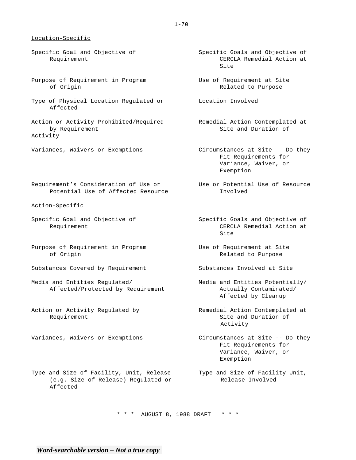#### Location-Specific

- Specific Goal and Objective of Requirement
- Purpose of Requirement in Program of Origin
- Type of Physical Location Regulated or Location Involved Affected
- Action or Activity Prohibited/Required Remedial Action Contemplated at by Requirement Activity
- Variances, Waivers or Exemptions
- Requirement's Consideration of Use or Use or Potential Use of Resource Potential Use of Affected Resource
- Action-Specific
- Specific Goal and Objective of Requirement
- Purpose of Requirement in Program of Origin
- Substances Covered by Requirement
- Media and Entities Regulated/ Affected/Protected by Requirement
- Action or Activity Regulated by Requirement
- Variances, Waivers or Exemptions
- Type and Size of Facility, Unit, Release (e.g. Size of Release) Regulated or Affected
- Specific Goals and Objective of CERCLA Remedial Action at Site
- Use of Requirement at Site Related to Purpose
- 
- Site and Duration of
- Circumstances at Site -- Do they Fit Requirements for Variance, Waiver, or Exemption
- Involved
- Specific Goals and Objective of CERCLA Remedial Action at Site
- Use of Requirement at Site Related to Purpose
- Substances Involved at Site
- Media and Entities Potentially/ Actually Contaminated/ Affected by Cleanup
- Remedial Action Contemplated at Site and Duration of Activity
- Circumstances at Site -- Do they Fit Requirements for Variance, Waiver, or Exemption
- Type and Size of Facility Unit, Release Involved

\* \* \* AUGUST 8, 1988 DRAFT \* \* \*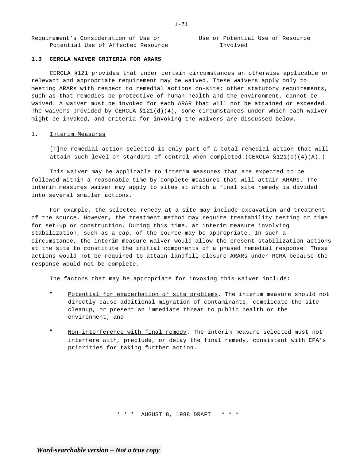Requirement's Consideration of Use or Use or Potential Use of Resource Potential Use of Affected Resource Throlved

#### **1.3 CERCLA WAIVER CRITERIA FOR ARARS**

CERCLA §121 provides that under certain circumstances an otherwise applicable or relevant and appropriate requirement may be waived. These waivers apply only to meeting ARARs with respect to remedial actions on-site; other statutory requirements, such as that remedies be protective of human health and the environment, cannot be waived. A waiver must be invoked for each ARAR that will not be attained or exceeded. The waivers provided by CERCLA  $$121(d)(4)$ , some circumstances under which each waiver might be invoked, and criteria for invoking the waivers are discussed below.

#### 1. Interim Measures

[T]he remedial action selected is only part of a total remedial action that will attain such level or standard of control when completed.(CERCLA §121(d)(4)(A).)

This waiver may be applicable to interim measures that are expected to be followed within a reasonable time by complete measures that will attain ARARs. The interim measures waiver may apply to sites at which a final site remedy is divided into several smaller actions.

For example, the selected remedy at a site may include excavation and treatment of the source. However, the treatment method may require treatability testing or time for set-up or construction. During this time, an interim measure involving stabilization, such as a cap, of the source may be appropriate. In such a circumstance, the interim measure waiver would allow the present stabilization actions at the site to constitute the initial components of a phased remedial response. These actions would not be required to attain landfill closure ARARs under RCRA because the response would not be complete.

The factors that may be appropriate for invoking this waiver include:

- " Potential for exacerbation of site problems. The interim measure should not directly cause additional migration of contaminants, complicate the site cleanup, or present an immediate threat to public health or the environment; and
- " Non-interference with final remedy. The interim measure selected must not interfere with, preclude, or delay the final remedy, consistent with EPA's priorities for taking further action.

\* \* \* AUGUST 8, 1988 DRAFT \* \* \*

1-71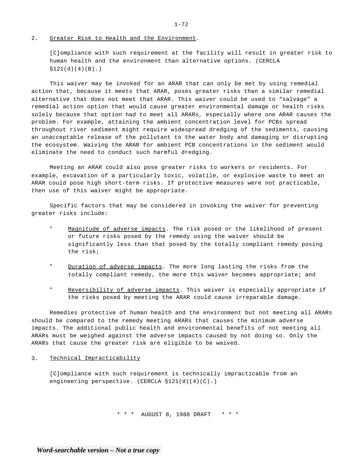#### 2. Greater Risk to Health and the Environment.

[C]ompliance with such requirement at the facility will result in greater risk to human health and the environment than alternative options. (CERCLA  $$121(d)(4)(B).$ 

This waiver may be invoked for an ARAR that can only be met by using remedial action that, because it meets that ARAR, poses greater risks than a similar remedial alternative that does not meet that ARAR. This waiver could be used to "salvage" a remedial action option that would cause greater environmental damage or health risks solely because that option had to meet all ARARs, especially where one ARAR causes the problem. For example, attaining the ambient concentration level for PCBs spread throughout river sediment might require widespread dredging of the sediments, causing an unacceptable release of the pollutant to the water body and damaging or disrupting the ecosystem. Waiving the ARAR for ambient PCB concentrations in the sediment would eliminate the need to conduct such harmful dredging.

Meeting an ARAR could also pose greater risks to workers or residents. For example, excavation of a particularly toxic, volatile, or explosive waste to meet an ARAR could pose high short-term risks. If protective measures were not practicable, then use of this waiver might be appropriate.

Specific factors that may be considered in invoking the waiver for preventing greater risks include:

- " Magnitude of adverse impacts. The risk posed or the likelihood of present or future risks posed by the remedy using the waiver should be significantly less than that posed by the totally compliant remedy posing the risk;
- " Duration of adverse impacts. The more long lasting the risks from the totally compliant remedy, the more this waiver becomes appropriate; and
- " Reversibility of adverse impacts. This waiver is especially appropriate if the risks posed by meeting the ARAR could cause irreparable damage.

Remedies protective of human health and the environment but not meeting all ARARs should be compared to the remedy meeting ARARs that causes the minimum adverse impacts. The additional public health and environmental benefits of not meeting all ARARs must be weighed against the adverse impacts caused by not doing so. Only the ARARs that cause the greater risk are eligible to be waived.

3. Technical Impracticability

[C]ompliance with such requirement is technically impracticable from an engineering perspective. (CERCLA §121(d)(4)(C).)

\* \* \* AUGUST 8, 1988 DRAFT \* \* \*

#### $1 - 72$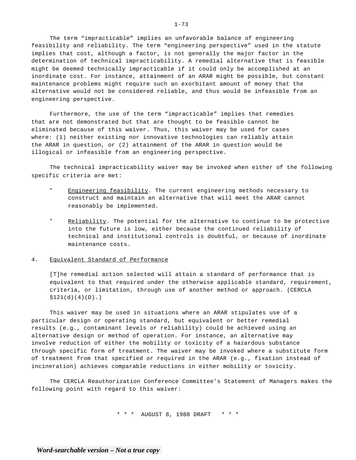The term "impracticable" implies an unfavorable balance of engineering feasibility and reliability. The term "engineering perspective" used in the statute implies that cost, although a factor, is not generally the major factor in the determination of technical impracticability. A remedial alternative that is feasible might be deemed technically impracticable if it could only be accomplished at an inordinate cost. For instance, attainment of an ARAR might be possible, but constant maintenance problems might require such an exorbitant amount of money that the alternative would not be considered reliable, and thus would be infeasible from an engineering perspective.

Furthermore, the use of the term "impracticable" implies that remedies that are not demonstrated but that are thought to be feasible cannot be eliminated because of this waiver. Thus, this waiver may be used for cases where: (1) neither existing nor innovative technologies can reliably attain the ARAR in question, or (2) attainment of the ARAR in question would be illogical or infeasible from an engineering perspective.

The technical impracticability waiver may be invoked when either of the following specific criteria are met:

- " Engineering feasibility. The current engineering methods necessary to construct and maintain an alternative that will meet the ARAR cannot reasonably be implemented.
- " Reliability. The potential for the alternative to continue to be protective into the future is low, either because the continued reliability of technical and institutional controls is doubtful, or because of inordinate maintenance costs.

#### 4. Equivalent Standard of Performance

[T]he remedial action selected will attain a standard of performance that is equivalent to that required under the otherwise applicable standard, requirement, criteria, or limitation, through use of another method or approach. (CERCLA  $$121(d)(4)(D).$ 

This waiver may be used in situations where an ARAR stipulates use of a particular design or operating standard, but equivalent or better remedial results (e.g., contaminant levels or reliability) could be achieved using an alternative design or method of operation. For instance, an alternative may involve reduction of either the mobility or toxicity of a hazardous substance through specific form of treatment. The waiver may be invoked where a substitute form of treatment from that specified or required in the ARAR (e.g., fixation instead of incineration) achieves comparable reductions in either mobility or toxicity.

The CERCLA Reauthorization Conference Committee's Statement of Managers makes the following point with regard to this waiver:

\* \* \* AUGUST 8, 1988 DRAFT \* \* \*

#### $1 - 73$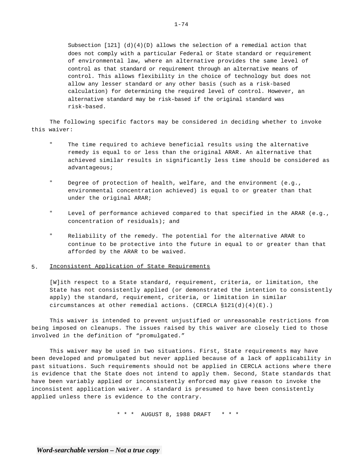Subsection [121] (d)(4)(D) allows the selection of a remedial action that does not comply with a particular Federal or State standard or requirement of environmental law, where an alternative provides the same level of control as that standard or requirement through an alternative means of control. This allows flexibility in the choice of technology but does not allow any lesser standard or any other basis (such as a risk-based calculation) for determining the required level of control. However, an alternative standard may be risk-based if the original standard was risk-based.

The following specific factors may be considered in deciding whether to invoke this waiver:

- The time required to achieve beneficial results using the alternative remedy is equal to or less than the original ARAR. An alternative that achieved similar results in significantly less time should be considered as advantageous;
- " Degree of protection of health, welfare, and the environment (e.g., environmental concentration achieved) is equal to or greater than that under the original ARAR;
- " Level of performance achieved compared to that specified in the ARAR (e.g., concentration of residuals); and
- " Reliability of the remedy. The potential for the alternative ARAR to continue to be protective into the future in equal to or greater than that afforded by the ARAR to be waived.

#### 5. Inconsistent Application of State Requirements

[W]ith respect to a State standard, requirement, criteria, or limitation, the State has not consistently applied (or demonstrated the intention to consistently apply) the standard, requirement, criteria, or limitation in similar circumstances at other remedial actions. (CERCLA  $$121(d)(4)(E)$ .)

This waiver is intended to prevent unjustified or unreasonable restrictions from being imposed on cleanups. The issues raised by this waiver are closely tied to those involved in the definition of "promulgated."

This waiver may be used in two situations. First, State requirements may have been developed and promulgated but never applied because of a lack of applicability in past situations. Such requirements should not be applied in CERCLA actions where there is evidence that the State does not intend to apply them. Second, State standards that have been variably applied or inconsistently enforced may give reason to invoke the inconsistent application waiver. A standard is presumed to have been consistently applied unless there is evidence to the contrary.

\* \* \* AUGUST 8, 1988 DRAFT \* \* \*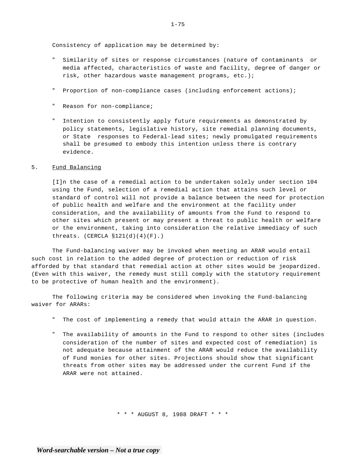Consistency of application may be determined by:

- Similarity of sites or response circumstances (nature of contaminants or media affected, characteristics of waste and facility, degree of danger or risk, other hazardous waste management programs, etc.);
- " Proportion of non-compliance cases (including enforcement actions);
- " Reason for non-compliance;
- " Intention to consistently apply future requirements as demonstrated by policy statements, legislative history, site remedial planning documents, or State responses to Federal-lead sites; newly promulgated requirements shall be presumed to embody this intention unless there is contrary evidence.

#### 5. Fund Balancing

[I]n the case of a remedial action to be undertaken solely under section 104 using the Fund, selection of a remedial action that attains such level or standard of control will not provide a balance between the need for protection of public health and welfare and the environment at the facility under consideration, and the availability of amounts from the Fund to respond to other sites which present or may present a threat to public health or welfare or the environment, taking into consideration the relative immediacy of such threats.  $(CERCLA S121(d)(4)(F).)$ 

The Fund-balancing waiver may be invoked when meeting an ARAR would entail such cost in relation to the added degree of protection or reduction of risk afforded by that standard that remedial action at other sites would be jeopardized. (Even with this waiver, the remedy must still comply with the statutory requirement to be protective of human health and the environment).

The following criteria may be considered when invoking the Fund-balancing waiver for ARARs:

- " The cost of implementing a remedy that would attain the ARAR in question.
- " The availability of amounts in the Fund to respond to other sites (includes consideration of the number of sites and expected cost of remediation) is not adequate because attainment of the ARAR would reduce the availability of Fund monies for other sites. Projections should show that significant threats from other sites may be addressed under the current Fund if the ARAR were not attained.

\* \* \* AUGUST 8, 1988 DRAFT \* \* \*

 $1 - 75$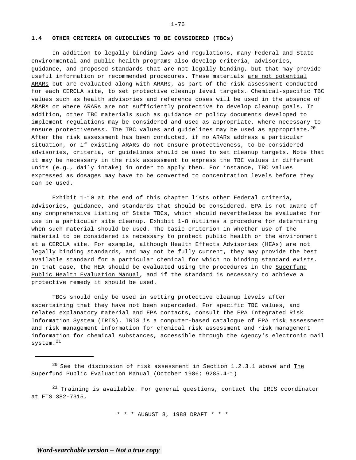#### **1.4 OTHER CRITERIA OR GUIDELINES TO BE CONSIDERED (TBCs)**

In addition to legally binding laws and regulations, many Federal and State environmental and public health programs also develop criteria, advisories, guidance, and proposed standards that are not legally binding, but that may provide useful information or recommended procedures. These materials are not potential ARARs but are evaluated along with ARARs, as part of the risk assessment conducted for each CERCLA site, to set protective cleanup level targets. Chemical-specific TBC values such as health advisories and reference doses will be used in the absence of ARARs or where ARARs are not sufficiently protective to develop cleanup goals. In addition, other TBC materials such as guidance or policy documents developed to implement regulations may be considered and used as appropriate, where necessary to ensure protectiveness. The TBC values and guidelines may be used as appropriate.<sup>20</sup> After the risk assessment has been conducted, if no ARARs address a particular situation, or if existing ARARs do not ensure protectiveness, to-be-considered advisories, criteria, or guidelines should be used to set cleanup targets. Note that it may be necessary in the risk assessment to express the TBC values in different units (e.g., daily intake) in order to apply then. For instance, TBC values expressed as dosages may have to be converted to concentration levels before they can be used.

Exhibit 1-10 at the end of this chapter lists other Federal criteria, advisories, guidance, and standards that should be considered. EPA is not aware of any comprehensive listing of State TBCs, which should nevertheless be evaluated for use in a particular site cleanup. Exhibit 1-8 outlines a procedure for determining when such material should be used. The basic criterion in whether use of the material to be considered is necessary to protect public health or the environment at a CERCLA site. For example, although Health Effects Advisories (HEAs) are not legally binding standards, and may not be fully current, they may provide the best available standard for a particular chemical for which no binding standard exists. In that case, the HEA should be evaluated using the procedures in the Superfund Public Health Evaluation Manual, and if the standard is necessary to achieve a protective remedy it should be used.

TBCs should only be used in setting protective cleanup levels after ascertaining that they have not been superceded. For specific TBC values, and related explanatory material and EPA contacts, consult the EPA Integrated Risk Information System (IRIS). IRIS is a computer-based catalogue of EPA risk assessment and risk management information for chemical risk assessment and risk management information for chemical substances, accessible through the Agency's electronic mail system.<sup>21</sup>

 $21$  Training is available. For general questions, contact the IRIS coordinator at FTS 382-7315.

\* \* \* AUGUST 8, 1988 DRAFT \* \* \*

 $1 - 76$ 

 $20$  See the discussion of risk assessment in Section 1.2.3.1 above and The Superfund Public Evaluation Manual (October 1986; 9285.4-1)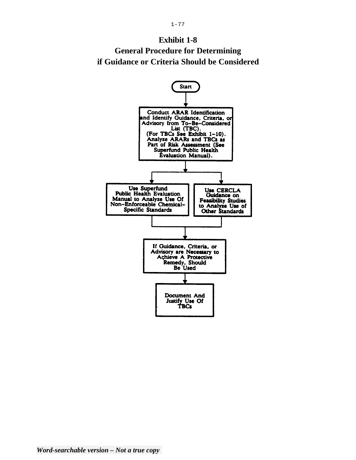

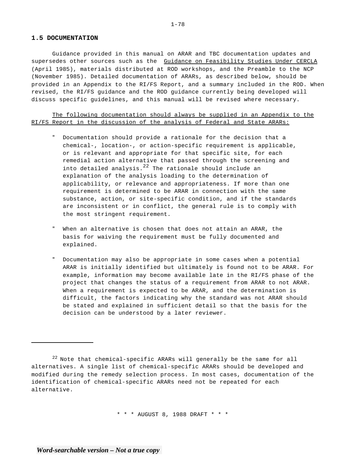#### **1.5 DOCUMENTATION**

Guidance provided in this manual on ARAR and TBC documentation updates and supersedes other sources such as the Guidance on Feasibility Studies Under CERCLA (April 1985), materials distributed at ROD workshops, and the Preamble to the NCP (November 1985). Detailed documentation of ARARs, as described below, should be provided in an Appendix to the RI/FS Report, and a summary included in the ROD. When revised, the RI/FS guidance and the ROD guidance currently being developed will discuss specific guidelines, and this manual will be revised where necessary.

The following documentation should always be supplied in an Appendix to the RI/FS Report in the discussion of the analysis of Federal and State ARARs:

- " Documentation should provide a rationale for the decision that a chemical-, location-, or action-specific requirement is applicable, or is relevant and appropriate for that specific site, for each remedial action alternative that passed through the screening and into detailed analysis. $^{22}$  The rationale should include an explanation of the analysis loading to the determination of applicability, or relevance and appropriateness. If more than one requirement is determined to be ARAR in connection with the same substance, action, or site-specific condition, and if the standards are inconsistent or in conflict, the general rule is to comply with the most stringent requirement.
- " When an alternative is chosen that does not attain an ARAR, the basis for waiving the requirement must be fully documented and explained.
- " Documentation may also be appropriate in some cases when a potential ARAR is initially identified but ultimately is found not to be ARAR. For example, information may become available late in the RI/FS phase of the project that changes the status of a requirement from ARAR to not ARAR. When a requirement is expected to be ARAR, and the determination is difficult, the factors indicating why the standard was not ARAR should be stated and explained in sufficient detail so that the basis for the decision can be understood by a later reviewer.

\* \* \* AUGUST 8, 1988 DRAFT \* \* \*

 $^{22}$  Note that chemical-specific ARARs will generally be the same for all alternatives. A single list of chemical-specific ARARs should be developed and modified during the remedy selection process. In most cases, documentation of the identification of chemical-specific ARARs need not be repeated for each alternative.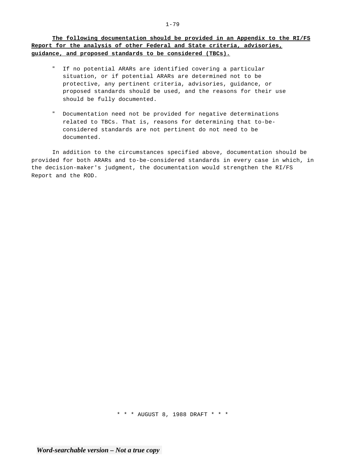**The following documentation should be provided in an Appendix to the RI/FS Report for the analysis of other Federal and State criteria, advisories, guidance, and proposed standards to be considered (TBCs).** 

- " If no potential ARARs are identified covering a particular situation, or if potential ARARs are determined not to be protective, any pertinent criteria, advisories, guidance, or proposed standards should be used, and the reasons for their use should be fully documented.
- " Documentation need not be provided for negative determinations related to TBCs. That is, reasons for determining that to-beconsidered standards are not pertinent do not need to be documented.

In addition to the circumstances specified above, documentation should be provided for both ARARs and to-be-considered standards in every case in which, in the decision-maker's judgment, the documentation would strengthen the RI/FS Report and the ROD.

\* \* \* AUGUST 8, 1988 DRAFT \* \* \*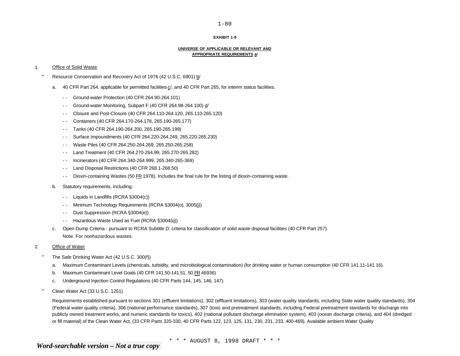#### **EXHIBIT 1-9**

#### **UNIVERSE OF APPLICABLE OR RELEVANT AND APPROPRIATE REQUIREMENTS a/**

#### 1. Office of Solid Waste

- " Resource Conservation and Recovery Act of 1976 (42 U.S.C. 6901) b/
	- a. 40 CFR Part 264, applicable for permitted facilities c/, and 40 CFR Part 265, for interim status facilities.
		- - Ground-water Protection (40 CFR 264.90-264.101)
		- - Ground-water Monitoring, Subpart F (40 CFR 264.98-264.100) d/
		- - Closure and Post-Closure (40 CFR 264.110-264.120, 265.110-265.120)
		- - Containers (40 CFR 264.170-264.178, 265.190-265.177)
		- - Tanks (40 CFR 264.190-264.200, 265.190-265.199)
		- - Surface Impoundments (40 CFR 264.220-264.249, 265.220-265.230)
		- - Waste Piles (40 CFR 264.250-264.269, 265.250-265.258)
		- - Land Treatment (40 CFR 264.270-264.99, 265.270-265.282)
		- - Incinerators (40 CFR 264.340-264.999, 265.340-265-369)
		- - Land Disposal Restrictions (40 CFR 268.1-268.50)
		- - Dioxin-containing Wastes (50 FR 1978). Includes the final rule for the listing of dioxin-containing waste.
	- b. Statutory requirements, including:
		- - Liquids in Landfills (RCRA §3004(c))
		- - Minimum Technology Requirements (RCRA §3004(o), 3005(j))
		- - Dust Suppression (RCRA §3004(e))
		- - Hazardous Waste Used as Fuel (RCRA §3004(q))
	- c. Open Dump Criteria pursuant to RCRA Subtitle D: criteria for classification of solid waste disposal facilities (40 CFR Part 257). Note: For nonhazardous wastes.
- 2. Office of Water
	- " The Safe Drinking Water Act (42 U.S.C. 300(f))
		- a. Maximum Contaminant Levels (chemicals, turbidity, and microbiological contamination) (for drinking water or human consumption (40 CFR 141.11-141.16).
		- b. Maximum Contaminant Level Goals (40 CFR 141.50-141.51, 50 FR 46936)
		- c. Underground Injection Control Regulations (40 CFR Parts 144, 145, 146, 147).
	- " Clean Water Act (33 U.S.C. 1251)

Requirements established pursuant to sections 301 (effluent limitations), 302 (effluent limitations), 303 (water quality standards, including State water quality standards), 304 (Federal water quality criteria), 306 (national performance standards), 307 (toxic and pretreatment standards, including Federal pretreatment standards for discharge into publicly owned treatment works, and numeric standards for toxics), 402 (national pollutant discharge elimination system), 403 (ocean discharge criteria), and 404 (dredged or fill material) of the Clean Water Act, (33 CFR Parts 320-330, 40 CFR Parts 122, 123, 125, 131, 230, 231, 233, 400-469). Available ambient Water Quality

\* \* \* AUGUST 8, 1998 DRAFT \* \* \*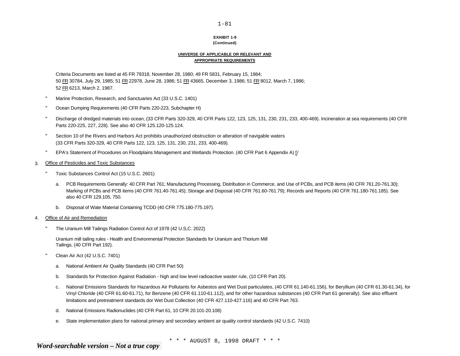#### **EXHIBIT 1-9 (Continued)**

#### **UNIVERSE OF APPLICABLE OR RELEVANT AND APPROPRIATE REQUIREMENTS**

Criteria Documents are listed at 45 FR 79318, November 28, 1980; 49 FR 5831, February 15, 1984; 50 FR 30784, July 29, 1985; 51 FR 22978, June 28, 1986; 51 FR 43665, December 3, 1986; 51 FR 8012, March 7, 1986; 52 FR 6213, March 2, 1987.

- " Marine Protection, Research, and Sanctuaries Act (33 U.S.C. 1401)
- " Ocean Dumping Requirements (40 CFR Parts 220-223, Subchapter H)
- " Discharge of dredged materials into ocean, (33 CFR Parts 320-329, 40 CFR Parts 122, 123, 125, 131, 230, 231, 233, 400-469). Incineration at sea requirements (40 CFR Parts 220-225, 227, 228). See also 40 CFR 125.120-125.124.
- " Section 10 of the Rivers and Harbors Act prohibits unauthorized obstruction or alteration of navigable waters (33 CFR Parts 320-329, 40 CFR Parts 122, 123, 125, 131, 230, 231, 233, 400-469).
- " EPA's Statement of Procedures on Floodplains Management and Wetlands Protection. (40 CFR Part 6 Appendix A) f/
- 3. Office of Pesticides and Toxic Substances
	- " Toxic Substances Control Act (15 U.S.C. 2601)
		- a. PCB Requirements Generally: 40 CFR Part 761; Manufacturing Processing, Distribution in Commerce, and Use of PCBs, and PCB items (40 CFR 761.20-761.30); Marking of PCBs and PCB items (40 CFR 761.40-761.45); Storage and Disposal (40 CFR 761.60-761.79); Records and Reports (40 CFR 761.180-761.185). See also 40 CFR 129.105, 750.
		- b. Disposal of Wate Material Containing TCDD (40 CFR 775.180-775.197).
- 4. Office of Air and Remediation
	- " The Uranium Mill Tailings Radiation Control Act of 1978 (42 U.S,C. 2022)

Uranium mill tailing rules - Health and Environmental Protection Standards for Uranium and Thorium Mill Tailings, (40 CFR Part 192).

- " Clean Air Act (42 U.S.C. 7401)
	- a. National Ambient Air Quality Standards (40 CFR Part 50)
	- b. Standards for Protection Against Radiation high and low level radioactive waster rule, (10 CFR Part 20).
	- c. National Emissions Standards for Hazardous Air Pollutants for Asbestos and Wet Dust particulates, (40 CFR 61.140-61.156), for Beryllium (40 CFR 61.30-61.34), for Vinyl Chloride (40 CFR 61.60-61.71), for Benzene (40 CFR 61.110-61.112), and for other hazardous substances (40 CFR Part 61 generally). See also effluent limitations and pretreatment standards dor Wet Dust Collection (40 CFR 427.110-427.116) and 40 CFR Part 763.
	- d. National Emissions Radionuclides (40 CFR Part 61, 10 CFR 20.101-20.108)
	- e. State implementation plans for national primary and secondary ambient air quality control standards (42 U.S.C. 7410)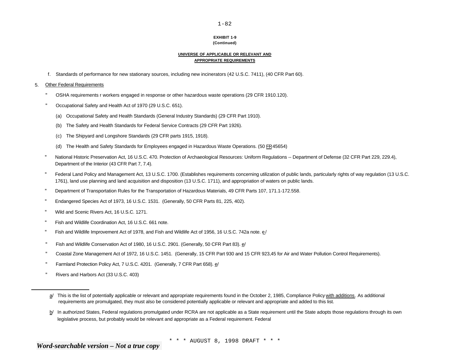# **EXHIBIT 1-9**

# **(Continued)**

#### **UNIVERSE OF APPLICABLE OR RELEVANT AND APPROPRIATE REQUIREMENTS**

f. Standards of performance for new stationary sources, including new incinerators (42 U.S.C. 7411), (40 CFR Part 60).

#### 5. Other Federal Requirements

- " OSHA requirements r workers engaged in response or other hazardous waste operations (29 CFR 1910.120).
- " Occupational Safety and Health Act of 1970 (29 U.S.C. 651).
	- (a) Occupational Safety and Health Standards (General Industry Standards) (29 CFR Part 1910).
	- (b) The Safety and Health Standards for Federal Service Contracts (29 CFR Part 1926).
	- (c) The Shipyard and Longshore Standards (29 CFR parts 1915, 1918).
	- (d) The Health and Safety Standards for Employees engaged in Hazardous Waste Operations. (50 FR45654)
- " National Historic Preservation Act, 16 U.S.C. 470. Protection of Archaeological Resources: Uniform Regulations -- Department of Defense (32 CFR Part 229, 229.4), Department of the Interior (43 CFR Part 7, 7.4).
- " Federal Land Policy and Management Act, 13 U.S.C. 1700. (Establishes requirements concerning utilization of public lands, particularly rights of way regulation (13 U.S.C. 1761), land use planning and land acquisition and disposition (13 U.S.C. 1711), and appropriation of waters on public lands.
- " Department of Transportation Rules for the Transportation of Hazardous Materials, 49 CFR Parts 107, 171.1-172.558.
- " Endangered Species Act of 1973, 16 U.S.C. 1531. (Generally, 50 CFR Parts 81, 225, 402).
- " Wild and Scenic Rivers Act, 16 U.S.C. 1271.
- " Fish and Wildlife Coordination Act, 16 U.S.C. 661 note.
- " Fish and Wildlife Improvement Act of 1978, and Fish and Wildlife Act of 1956, 16 U.S.C. 742a note. e/
- " Fish and Wildlife Conservation Act of 1980, 16 U.S.C. 2901. (Generally, 50 CFR Part 83). e/
- " Coastal Zone Management Act of 1972, 16 U.S.C. 1451. (Generally, 15 CFR Part 930 and 15 CFR 923,45 for Air and Water Pollution Control Requirements).
- " Farmland Protection Policy Act, 7 U.S.C. 4201. (Generally, 7 CFR Part 658). e/
- " Rivers and Harbors Act (33 U.S.C. 403)

a/ This is the list of potentially applicable or relevant and appropriate requirements found in the October 2, 1985, Compliance Policy with additions. As additional requirements are promulgated, they must also be considered potentially applicable or relevant and appropriate and added to this list.

b/ In authorized States, Federal regulations promulgated under RCRA are not applicable as a State requirement until the State adopts those regulations through its own legislative process, but probably would be relevant and appropriate as a Federal requirement. Federal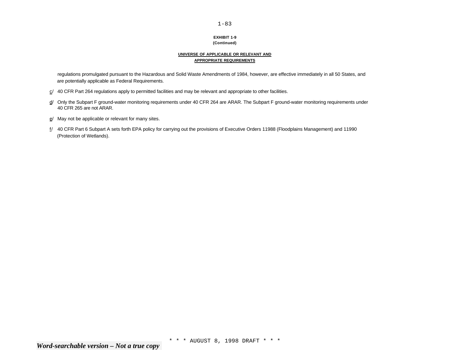#### **EXHIBIT 1-9 (Continued)**

#### **UNIVERSE OF APPLICABLE OR RELEVANT AND APPROPRIATE REQUIREMENTS**

regulations promulgated pursuant to the Hazardous and Solid Waste Amendments of 1984, however, are effective immediately in all 50 States, and are potentially applicable as Federal Requirements.

- $c/$  40 CFR Part 264 regulations apply to permitted facilities and may be relevant and appropriate to other facilities.
- d/ Only the Subpart F ground-water monitoring requirements under 40 CFR 264 are ARAR. The Subpart F ground-water monitoring requirements under 40 CFR 265 are not ARAR.
- e/ May not be applicable or relevant for many sites.
- f/ 40 CFR Part 6 Subpart A sets forth EPA policy for carrying out the provisions of Executive Orders 11988 (Floodplains Management) and 11990 (Protection of Wetlands).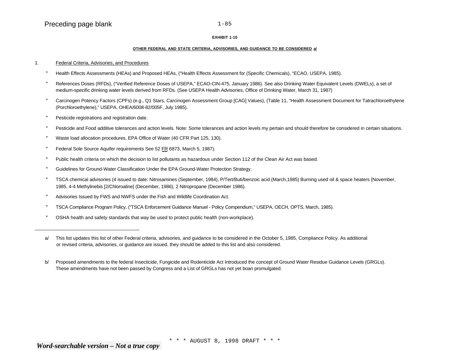#### **EXHIBIT 1-10**

#### **OTHER FEDERAL AND STATE CRITERIA, ADVISORIES, AND GUIDANCE TO BE CONSIDERED a/**

#### 1. Federal Criteria, Advisories, and Procedures

- " Health Effects Assessments (HEAs) and Proposed HEAs, ("Health Effects Assessment for (Specific Chemicals), "ECAO, USEPA, 1985).
- References Doses (RFDs), ("Verified Reference Doses of USEPA," ECAO-CIN-475, January 1986). See also Drinking Water Equivalent Levels (DWELs), a set of medium-specific drinking water levels derived from RFDs. (See USEPA Health Advisories, Office of Drinking Water, March 31, 1987)
- " Carcinogen Potency Factors (CPFs) (e.g., Q1 Stars, Carcinogen Assessment Group [CAG] Values), (Table 11, "Health Assessment Document for Tatrachloroethylene (Porchloroethylene)," USEPA, OHEA/6008-82/005F, July 1985).
- " Pesticide registrations and registration date.

\_\_\_\_\_\_\_\_\_\_\_\_\_\_\_\_\_\_\_\_\_\_\_\_\_\_\_\_\_\_\_\_\_\_\_\_\_\_\_\_

- " Pesticide and Food additive tolerances and action levels. Note: Some tolerances and action levels my pertain and should therefore be considered in certain situations.
- " Waste load allocation procedures, EPA Office of Water (40 CFR Part 125, 130).
- " Federal Sole Source Aquifer requirements See 52 FR 6873, March 5, 1987).
- " Public health criteria on which the decision to list pollutants as hazardous under Section 112 of the Clean Air Act was based.
- " Guidelines for Ground-Water Classification Under the EPA Ground-Water Protection Strategy.
- " TSCA chemical advisories (4 issued to date: Nitrosamines (September, 1984), P/Tert/Buti/benzoic acid (March,1985) Burning used oil & space heaters (November, 1985, 4-4 Methylinebis [2/Chloroaline] (December, 1986), 2 Nitropropane (December 1986).
- " Advisories Issued by FWS and NWFS under the Fish and Wildlife Coordination Act.
- " TSCA Compliance Program Policy, ("TSCA Enforcement Guidance Manuel Policy Compendium," USEPA, OECH, OPTS, March, 1985).
- " OSHA health and safety standards that way be used to protect public health (non-workplace).

a/ This list updates this list of other Federal criteria, advisories, and guidance to be considered in the October 5, 1985, Compliance Policy. As additional or revised criteria, advisories, or guidance are issued, they should be added to this list and also considered.

b/ Proposed amendments to the federal Insecticide, Fungicide and Rodenticide Act Introduced the concept of Ground Water Residue Guidance Levels (GRGLs). These amendments have not been passed by Congress and a List of GRGLs has not yet boan promulgated.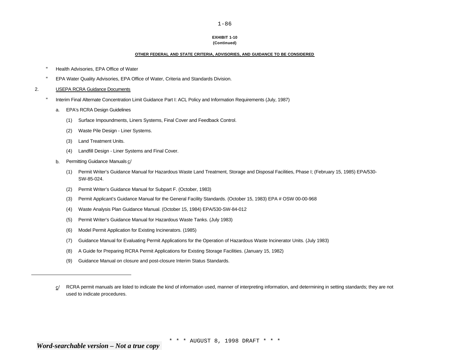# **EXHIBIT 1-10**

# **(Continued)**

#### **OTHER FEDERAL AND STATE CRITERIA, ADVISORIES, AND GUIDANCE TO BE CONSIDERED**

- " Health Advisories, EPA Office of Water
- " EPA Water Quality Advisories, EPA Office of Water, Criteria and Standards Division.
- 2. USEPA RCRA Guidance Documents
	- " Interim Final Alternate Concentration Limit Guidance Part I: ACL Policy and Information Requirements (July, 1987)
		- a. EPA's RCRA Design Guidelines
			- (1) Surface Impoundments, Liners Systems, Final Cover and Feedback Control.
			- (2) Waste Pile Design Liner Systems.
			- (3) Land Treatment Units.
			- (4) Landfill Design Liner Systems and Final Cover.
		- b. Permitting Guidance Manuals c/
			- (1) Permit Writer's Guidance Manual for Hazardous Waste Land Treatment, Storage and Disposal Facilities, Phase I; (February 15, 1985) EPA/530- SW-85-024.
			- (2) Permit Writer's Guidance Manual for Subpart F. (October, 1983)
			- (3) Permit Applicant's Guidance Manual for the General Facility Standards. (October 15, 1983) EPA # OSW 00-00-968
			- (4) Waste Analysis Plan Guidance Manual. (October 15, 1984) EPA/530-SW-84-012
			- (5) Permit Writer's Guidance Manual for Hazardous Waste Tanks. (July 1983)
			- (6) Model Permit Application for Existing Incinerators. (1985)
			- (7) Guidance Manual for Evaluating Permit Applications for the Operation of Hazardous Waste Incinerator Units. (July 1983)
			- (8) A Guide for Preparing RCRA Permit Applications for Existing Storage Facilities. (January 15, 1982)
			- (9) Guidance Manual on closure and post-closure Interim Status Standards.

c/ RCRA permit manuals are listed to indicate the kind of information used, manner of interpreting information, and determining in setting standards; they are not used to indicate procedures.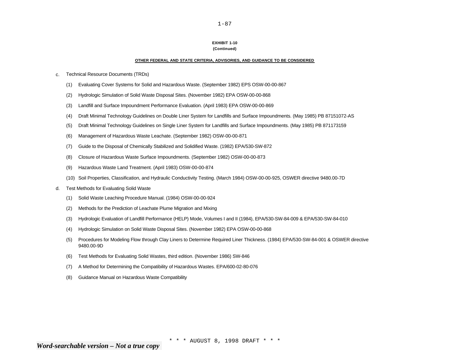# **EXHIBIT 1-10**

 $1 - 87$ 

#### **(Continued)**

#### **OTHER FEDERAL AND STATE CRITERIA, ADVISORIES, AND GUIDANCE TO BE CONSIDERED**

- c. Technical Resource Documents (TRDs)
	- (1) Evaluating Cover Systems for Solid and Hazardous Waste. (September 1982) EPS OSW-00-00-867
	- (2) Hydrologic Simulation of Solid Waste Disposal Sites. (November 1982) EPA OSW-00-00-868
	- (3) Landfill and Surface Impoundment Performance Evaluation. (April 1983) EPA OSW-00-00-869
	- (4) Draft Minimal Technology Guidelines on Double Liner System for Landfills and Surface Impoundments. (May 1985) PB 87151072-AS
	- (5) Draft Minimal Technology Guidelines on Single Liner System for Landfills and Surface Impoundments. (May 1985) PB 871173159
	- (6) Management of Hazardous Waste Leachate. (September 1982) OSW-00-00-871
	- (7) Guide to the Disposal of Chemically Stabilized and Solidified Waste. (1982) EPA/530-SW-872
	- (8) Closure of Hazardous Waste Surface Impoundments. (September 1982) OSW-00-00-873
	- (9) Hazardous Waste Land Treatment. (April 1983) OSW-00-00-874
	- (10) Soil Properties, Classification, and Hydraulic Conductivity Testing. (March 1984) OSW-00-00-925, OSWER directive 9480.00-7D
- d. Test Methods for Evaluating Solid Waste
	- (1) Solid Waste Leaching Procedure Manual. (1984) OSW-00-00-924
	- (2) Methods for the Prediction of Leachate Plume Migration and Mixing
	- (3) Hydrologic Evaluation of Landfill Performance (HELP) Mode, Volumes I and II (1984), EPA/530-SW-84-009 & EPA/530-SW-84-010
	- (4) Hydrologic Simulation on Solid Waste Disposal Sites. (November 1982) EPA OSW-00-00-868
	- (5) Procedures for Modeling Flow through Clay Liners to Determine Required Liner Thickness. (1984) EPA/530-SW-84-001 & OSWER directive 9480.00-9D
	- (6) Test Methods for Evaluating Solid Wastes, third edition. (November 1986) SW-846
	- (7) A Method for Determining the Compatibility of Hazardous Wastes. EPA/600-02-80-076
	- (8) Guidance Manual on Hazardous Waste Compatibility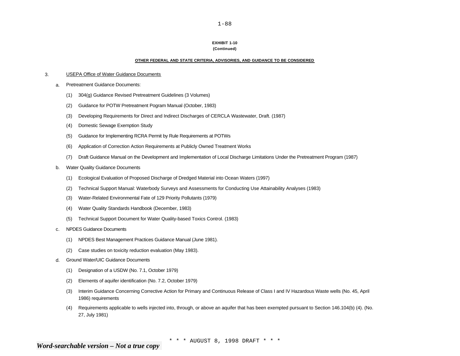### **EXHIBIT 1-10**

#### **(Continued)**

#### **OTHER FEDERAL AND STATE CRITERIA, ADVISORIES, AND GUIDANCE TO BE CONSIDERED**

#### 3. USEPA Office of Water Guidance Documents

- a. Pretreatment Guidance Documents:
	- (1) 304(g) Guidance Revised Pretreatment Guidelines (3 Volumes)
	- (2) Guidance for POTW Pretreatment Pogram Manual (October, 1983)
	- (3) Developing Requirements for Direct and Indirect Discharges of CERCLA Wastewater, Draft. (1987)
	- (4) Domestic Sewage Exemption Study
	- (5) Guidance for Implementing RCRA Permit by Rule Requirements at POTWs
	- (6) Application of Correction Action Requirements at Publicly Owned Treatment Works
	- (7) Draft Guidance Manual on the Development and Implementation of Local Discharge Limitations Under the Pretreatment Program (1987)
- b. Water Quality Guidance Documents
	- (1) Ecological Evaluation of Proposed Discharge of Dredged Material into Ocean Waters (1997)
	- (2) Technical Support Manual: Waterbody Surveys and Assessments for Conducting Use Attainability Analyses (1983)
	- (3) Water-Related Environmental Fate of 129 Priority Pollutants (1979)
	- (4) Water Quality Standards Handbook (December, 1983)
	- (5) Technical Support Document for Water Quality-based Toxics Control. (1983)
- c. NPDES Guidance Documents
	- (1) NPDES Best Management Practices Guidance Manual (June 1981).
	- (2) Case studies on toxicity reduction evaluation (May 1983).
- d. Ground Water/UIC Guidance Documents
	- (1) Designation of a USDW (No. 7.1, October 1979)
	- (2) Elements of aquifer identification (No. 7.2, October 1979)
	- (3) Interim Guidance Concerning Corrective Action for Primary and Continuous Release of Class I and IV Hazardous Waste wells (No. 45, April 1986) requirements
	- (4) Requirements applicable to wells injected into, through, or above an aquifer that has been exempted pursuant to Section 146.104(b) (4). (No. 27, July 1981)

 $1 - 88$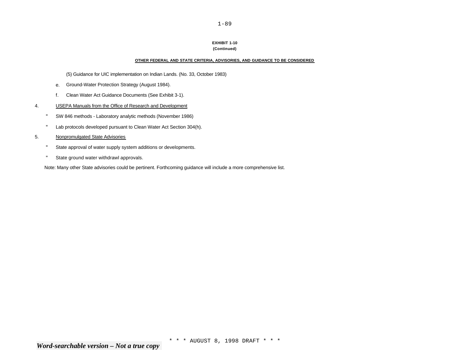#### **EXHIBIT 1-10 (Continued)**

1-89

#### **OTHER FEDERAL AND STATE CRITERIA, ADVISORIES, AND GUIDANCE TO BE CONSIDERED**

(5) Guidance for UIC implementation on Indian Lands. (No. 33, October 1983)

- e. Ground-Water Protection Strategy (August 1984).
- f. Clean Water Act Guidance Documents (See Exhibit 3-1).

#### 4. USEPA Manuals from the Office of Research and Development

- " SW 846 methods Laboratory analytic methods (November 1986)
- " Lab protocols developed pursuant to Clean Water Act Section 304(h).
- 5. Nonpromulgated State Advisories
	- " State approval of water supply system additions or developments.
	- " State ground water withdrawl approvals.

Note: Many other State advisories could be pertinent. Forthcoming guidance will include a more comprehensive list.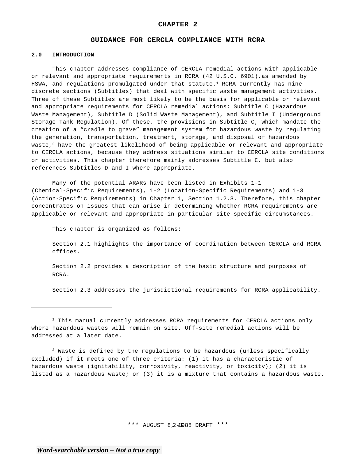#### **GUIDANCE FOR CERCLA COMPLIANCE WITH RCRA**

#### **2.0 INTRODUCTION**

This chapter addresses compliance of CERCLA remedial actions with applicable or relevant and appropriate requirements in RCRA (42 U.S.C. 6901),as amended by HSWA, and requlations promulgated under that statute.<sup>1</sup> RCRA currently has nine discrete sections (Subtitles) that deal with specific waste management activities. Three of these Subtitles are most likely to be the basis for applicable or relevant and appropriate requirements for CERCLA remedial actions: Subtitle C (Hazardous Waste Management), Subtitle D (Solid Waste Management), and Subtitle I (Underground Storage Tank Regulation). Of these, the provisions in Subtitle C, which mandate the creation of a "cradle to grave" management system for hazardous waste by regulating the generation, transportation, treatment, storage, and disposal of hazardous waste,<sup>2</sup> have the greatest likelihood of being applicable or relevant and appropriate to CERCLA actions, because they address situations similar to CERCLA site conditions or activities. This chapter therefore mainly addresses Subtitle C, but also references Subtitles D and I where appropriate.

Many of the potential ARARs have been listed in Exhibits 1-1 (Chemical-Specific Requirements), 1-2 (Location-Specific Requirements) and 1-3 (Action-Specific Requirements) in Chapter 1, Section 1.2.3. Therefore, this chapter concentrates on issues that can arise in determining whether RCRA requirements are applicable or relevant and appropriate in particular site-specific circumstances.

This chapter is organized as follows:

Section 2.1 highlights the importance of coordination between CERCLA and RCRA offices.

Section 2.2 provides a description of the basic structure and purposes of RCRA.

Section 2.3 addresses the jurisdictional requirements for RCRA applicability.

 $2$  Waste is defined by the regulations to be hazardous (unless specifically excluded) if it meets one of three criteria: (1) it has a characteristic of hazardous waste (ignitability, corrosivity, reactivity, or toxicity); (2) it is listed as a hazardous waste; or (3) it is a mixture that contains a hazardous waste.

\*\*\* AUGUST 8,2-11988 DRAFT \*\*\*

 $1$  This manual currently addresses RCRA requirements for CERCLA actions only where hazardous wastes will remain on site. Off-site remedial actions will be addressed at a later date.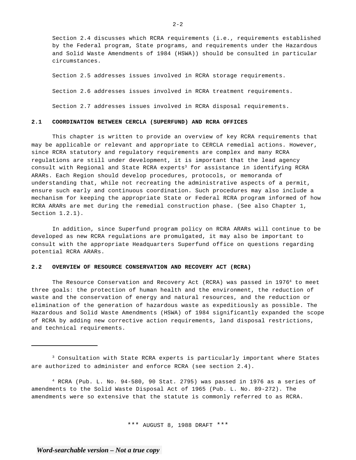Section 2.4 discusses which RCRA requirements (i.e., requirements established by the Federal program, State programs, and requirements under the Hazardous and Solid Waste Amendments of 1984 (HSWA)) should be consulted in particular circumstances.

Section 2.5 addresses issues involved in RCRA storage requirements. Section 2.6 addresses issues involved in RCRA treatment requirements. Section 2.7 addresses issues involved in RCRA disposal requirements.

#### **2.1 COORDINATION BETWEEN CERCLA (SUPERFUND) AND RCRA OFFICES**

This chapter is written to provide an overview of key RCRA requirements that may be applicable or relevant and appropriate to CERCLA remedial actions. However, since RCRA statutory and regulatory requirements are complex and many RCRA regulations are still under development, it is important that the lead agency consult with Regional and State RCRA experts<sup>3</sup> for assistance in identifying RCRA ARARs. Each Region should develop procedures, protocols, or memoranda of understanding that, while not recreating the administrative aspects of a permit, ensure such early and continuous coordination. Such procedures may also include a mechanism for keeping the appropriate State or Federal RCRA program informed of how RCRA ARARs are met during the remedial construction phase. (See also Chapter 1, Section 1.2.1).

In addition, since Superfund program policy on RCRA ARARs will continue to be developed as new RCRA regulations are promulgated, it may also be important to consult with the appropriate Headquarters Superfund office on questions regarding potential RCRA ARARs.

#### **2.2 OVERVIEW OF RESOURCE CONSERVATION AND RECOVERY ACT (RCRA)**

The Resource Conservation and Recovery Act (RCRA) was passed in 1976<sup>4</sup> to meet three goals: the protection of human health and the environment, the reduction of waste and the conservation of energy and natural resources, and the reduction or elimination of the generation of hazardous waste as expeditiously as possible. The Hazardous and Solid Waste Amendments (HSWA) of 1984 significantly expanded the scope of RCRA by adding new corrective action requirements, land disposal restrictions, and technical requirements.

4 RCRA (Pub. L. No. 94-580, 90 Stat. 2795) was passed in 1976 as a series of amendments to the Solid Waste Disposal Act of 1965 (Pub. L. No. 89-272). The amendments were so extensive that the statute is commonly referred to as RCRA.

\*\*\* AUGUST 8, 1988 DRAFT \*\*\*

 $2 - 2$ 

<sup>3</sup> Consultation with State RCRA experts is particularly important where States are authorized to administer and enforce RCRA (see section 2.4).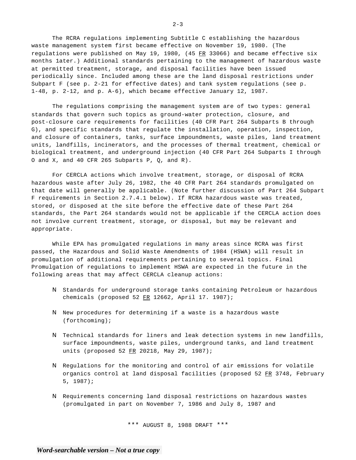The RCRA regulations implementing Subtitle C establishing the hazardous waste management system first became effective on November 19, 1980. (The regulations were published on May 19, 1980, (45  $FR$  33066) and became effective six months 1ater.) Additional standards pertaining to the management of hazardous waste at permitted treatment, storage, and disposal facilities have been issued periodically since. Included among these are the land disposal restrictions under Subpart F (see p. 2-21 for effective dates) and tank system regulations (see p. 1-48, p. 2-12, and p. A-6), which became effective January 12, 1987.

The regulations comprising the management system are of two types: general standards that govern such topics as ground-water protection, closure, and post-closure care requirements for facilities (40 CFR Part 264 Subparts B through G), and specific standards that regulate the installation, operation, inspection, and closure of containers, tanks, surface impoundments, waste piles, land treatment units, landfills, incinerators, and the processes of thermal treatment, chemical or biological treatment, and underground injection (40 CFR Part 264 Subparts I through O and X, and 40 CFR 265 Subparts P, Q, and R).

For CERCLA actions which involve treatment, storage, or disposal of RCRA hazardous waste after July 26, 1982, the 40 CFR Part 264 standards promulgated on that date will generally be applicable. (Note further discussion of Part 264 Subpart F requirements in Section 2.7.4.1 below). If RCRA hazardous waste was treated, stored, or disposed at the site before the effective date of these Part 264 standards, the Part 264 standards would not be applicable if the CERCLA action does not involve current treatment, storage, or disposal, but may be relevant and appropriate.

While EPA has promulgated regulations in many areas since RCRA was first passed, the Hazardous and Solid Waste Amendments of 1984 (HSWA) will result in promulgation of additional requirements pertaining to several topics. Final Promulgation of regulations to implement HSWA are expected in the future in the following areas that may affect CERCLA cleanup actions:

- N Standards for underground storage tanks containing Petroleum or hazardous chemicals (proposed 52 FR 12662, April 17. 1987);
- N New procedures for determining if a waste is a hazardous waste (forthcoming);
- N Technical standards for liners and leak detection systems in new landfills, surface impoundments, waste piles, underground tanks, and land treatment units (proposed 52 FR 20218, May 29, 1987);
- N Regulations for the monitoring and control of air emissions for volatile organics control at land disposal facilities (proposed 52 FR 3748, February 5, 1987);
- N Requirements concerning land disposal restrictions on hazardous wastes (promulgated in part on November 7, 1986 and July 8, 1987 and

\*\*\* AUGUST 8, 1988 DRAFT \*\*\*

 $2 - 3$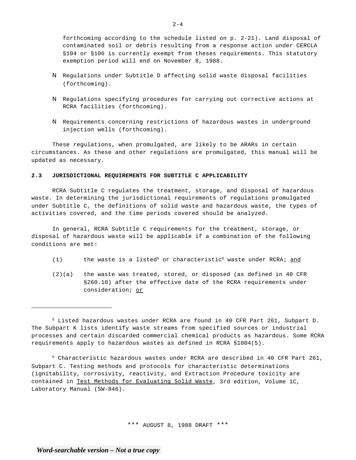forthcoming according to the schedule listed on p. 2-21). Land disposal of contaminated soil or debris resulting from a response action under CERCLA §104 or §106 is currently exempt from theses requirements. This statutory exemption period will end on November 8, 1988.

- N Regulations under Subtitle D affecting solid waste disposal facilities (forthcoming).
- N Regulations specifying procedures for carrying out corrective actions at RCRA facilities (forthcoming).
- N Requirements concerning restrictions of hazardous wastes in underground injection wells (forthcoming).

These regulations, when promulgated, are likely to be ARARs in certain circumstances. As these and other regulations are promulgated, this manual will be updated as necessary.

## **2.3 JURISDICTIONAL REQUIREMENTS FOR SUBTITLE C APPLICABILITY**

RCRA Subtitle C regulates the treatment, storage, and disposal of hazardous waste. In determining the jurisdictional requirements of regulations promulgated under Subtitle C, the definitions of solid waste and hazardous waste, the types of activities covered, and the time periods covered should be analyzed.

In general, RCRA Subtitle C requirements for the treatment, storage, or disposal of hazardous waste will be applicable if a combination of the following conditions are met:

- $(1)$  the waste is a listed<sup>5</sup> or characteristic<sup>6</sup> waste under RCRA; and
- (2)(a) the waste was treated, stored, or disposed (as defined in 40 CFR §260.10) after the effective date of the RCRA requirements under consideration; or

5 Listed hazardous wastes under RCRA are found in 40 CFR Part 261, Subpart D. The Subpart K lists identify waste streams from specified sources or industrial processes and certain discarded commercial chemical products as hazardous. Some RCRA requirements apply to hazardous wastes as defined in RCRA §1004(5).

 $6$  Characteristic hazardous wastes under RCRA are described in 40 CFR Part 261, Subpart C. Testing methods and protocols for characteristic determinations (ignitability, corrosivity, reactivity, and Extraction Procedure toxicity are contained in Test Methods for Evaluating Solid Waste, 3rd edition, Volume 1C, Laboratory Manual (SW-846).

\*\*\* AUGUST 8, 1988 DRAFT \*\*\*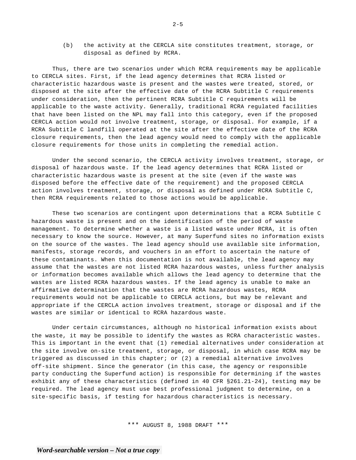(b) the activity at the CERCLA site constitutes treatment, storage, or disposal as defined by RCRA.

Thus, there are two scenarios under which RCRA requirements may be applicable to CERCLA sites. First, if the lead agency determines that RCRA listed or characteristic hazardous waste is present and the wastes were treated, stored, or disposed at the site after the effective date of the RCRA Subtitle C requirements under consideration, then the pertinent RCRA Subtitle C requirements will be applicable to the waste activity. Generally, traditional RCRA regulated facilities that have been listed on the NPL may fall into this category, even if the proposed CERCLA action would not involve treatment, storage, or disposal. For example, if a RCRA Subtitle C landfill operated at the site after the effective date of the RCRA closure requirements, then the lead agency would need to comply with the applicable closure requirements for those units in completing the remedial action.

Under the second scenario, the CERCLA activity involves treatment, storage, or disposal of hazardous waste. If the lead agency determines that RCRA listed or characteristic hazardous waste is present at the site (even if the waste was disposed before the effective date of the requirement) and the proposed CERCLA action involves treatment, storage, or disposal as defined under RCRA Subtitle C, then RCRA requirements related to those actions would be applicable.

These two scenarios are contingent upon determinations that a RCRA Subtitle C hazardous waste is present and on the identification of the period of waste management. To determine whether a waste is a listed waste under RCRA, it is often necessary to know the source. However, at many Superfund sites no information exists on the source of the wastes. The lead agency should use available site information, manifests, storage records, and vouchers in an effort to ascertain the nature of these contaminants. When this documentation is not available, the lead agency may assume that the wastes are not listed RCRA hazardous wastes, unless further analysis or information becomes available which allows the lead agency to determine that the wastes are listed RCRA hazardous wastes. If the lead agency is unable to make an affirmative determination that the wastes are RCRA hazardous wastes, RCRA requirements would not be applicable to CERCLA actions, but may be relevant and appropriate if the CERCLA action involves treatment, storage or disposal and if the wastes are similar or identical to RCRA hazardous waste.

Under certain circumstances, although no historical information exists about the waste, it may be possible to identify the wastes as RCRA characteristic wastes. This is important in the event that (1) remedial alternatives under consideration at the site involve on-site treatment, storage, or disposal, in which case RCRA may be triggered as discussed in this chapter; or (2) a remedial alternative involves off-site shipment. Since the generator (in this case, the agency or responsible party conducting the Superfund action) is responsible for determining if the wastes exhibit any of these characteristics (defined in 40 CFR §261.21-24), testing may be required. The lead agency must use best professional judgment to determine, on a site-specific basis, if testing for hazardous characteristics is necessary.

\*\*\* AUGUST 8, 1988 DRAFT \*\*\*

 $2 - 5$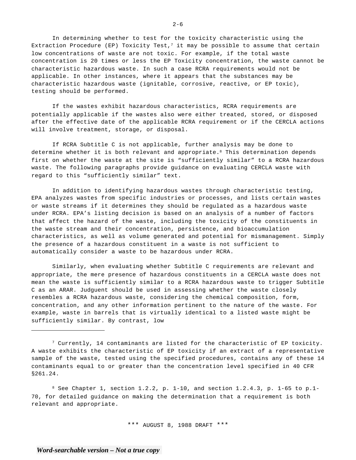In determining whether to test for the toxicity characteristic using the Extraction Procedure (EP) Toxicity Test,<sup>7</sup> it may be possible to assume that certain low concentrations of waste are not toxic. For example, if the total waste concentration is 20 times or less the EP Toxicity concentration, the waste cannot be characteristic hazardous waste. In such a case RCRA requirements would not be applicable. In other instances, where it appears that the substances may be characteristic hazardous waste (ignitable, corrosive, reactive, or EP toxic), testing should be performed.

If the wastes exhibit hazardous characteristics, RCRA requirements are potentially applicable if the wastes also were either treated, stored, or disposed after the effective date of the applicable RCRA requirement or if the CERCLA actions will involve treatment, storage, or disposal.

If RCRA Subtitle C is not applicable, further analysis may be done to determine whether it is both relevant and appropriate.<sup>8</sup> This determination depends first on whether the waste at the site is "sufficiently similar" to a RCRA hazardous waste. The following paragraphs provide guidance on evaluating CERCLA waste with regard to this "sufficiently similar" text.

In addition to identifying hazardous wastes through characteristic testing, EPA analyzes wastes from specific industries or processes, and lists certain wastes or waste streams if it determines they should be regulated as a hazardous waste under RCRA. EPA's listing decision is based on an analysis of a number of factors that affect the hazard of the waste, including the toxicity of the constituents in the waste stream and their concentration, persistence, and bioaccumulation characteristics, as well as volume generated and potential for mismanagement. Simply the presence of a hazardous constituent in a waste is not sufficient to automatically consider a waste to be hazardous under RCRA.

Similarly, when evaluating whether Subtitle C requirements are relevant and appropriate, the mere presence of hazardous constituents in a CERCLA waste does not mean the waste is sufficiently similar to a RCRA hazardous waste to trigger Subtitle C as an ARAR. Judguent should be used in assessing whether the waste closely resembles a RCRA hazardous waste, considering the chemical composition, form, concentration, and any other information pertinent to the nature of the waste. For example, waste in barrels that is virtually identical to a listed waste might be sufficiently similar. By contrast, low

 $7$  Currently, 14 contaminants are listed for the characteristic of EP toxicity. A waste exhibits the characteristic of EP toxicity if an extract of a representative sample of the waste, tested using the specified procedures, contains any of these 14 contaminants equal to or greater than the concentration level specified in 40 CFR §261.24.

 $8$  See Chapter 1, section 1.2.2, p. 1-10, and section 1.2.4.3, p. 1-65 to p.1-70, for detailed guidance on making the determination that a requirement is both relevant and appropriate.

\*\*\* AUGUST 8, 1988 DRAFT \*\*\*

 $2 - 6$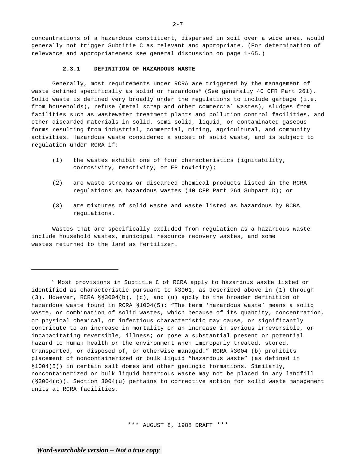concentrations of a hazardous constituent, dispersed in soil over a wide area, would generally not trigger Subtitie C as relevant and appropriate. (For determination of relevance and appropriateness see general discussion on page 1-65.)

#### **2.3.1 DEFINITION OF HAZARDOUS WASTE**

Generally, most requirements under RCRA are triggered by the management of waste defined specifically as solid or hazardous<sup>9</sup> (See generally 40 CFR Part 261). Solid waste is defined very broadly under the regulations to include garbage (i.e. from households), refuse (metal scrap and other commercial wastes), sludges from facilities such as wastewater treatment plants and pollution control facilities, and other discarded materials in solid, semi-solid, liquid, or contaminated gaseous forms resulting from industrial, commercial, mining, agricultural, and community activities. Hazardous waste considered a subset of solid waste, and is subject to regulation under RCRA if:

- (1) the wastes exhibit one of four characteristics (ignitability, corrosivity, reactivity, or EP toxicity);
- (2) are waste streams or discarded chemical products listed in the RCRA regulations as hazardous wastes (40 CFR Part 264 Subpart D); or
- (3) are mixtures of solid waste and waste listed as hazardous by RCRA regulations.

Wastes that are specifically excluded from regulation as a hazardous waste include household wastes, municipal resource recovery wastes, and some wastes returned to the land as fertilizer.

<sup>9</sup> Most provisions in Subtitle C of RCRA apply to hazardous waste listed or identified as characteristic pursuant to §3001, as described above in (1) through (3). However, RCRA §§3004(b), (c), and (u) apply to the broader definition of hazardous waste found in RCRA §1004(5): "The term 'hazardous waste' means a solid waste, or combination of solid wastes, which because of its quantity, concentration, or physical chemical, or infectious characteristic may cause, or significantly contribute to an increase in mortality or an increase in serious irreversible, or incapacitating reversible, illness; or pose a substantial present or potential hazard to human health or the environment when improperly treated, stored, transported, or disposed of, or otherwise managed." RCRA §3004 (b) prohibits placement of noncontainerized or bulk liquid "hazardous waste" (as defined in §1004(5)) in certain salt domes and other geologic formations. Similarly, noncontainerized or bulk liquid hazardous waste may not be placed in any landfill (§3004(c)). Section 3004(u) pertains to corrective action for solid waste management units at RCRA facilities.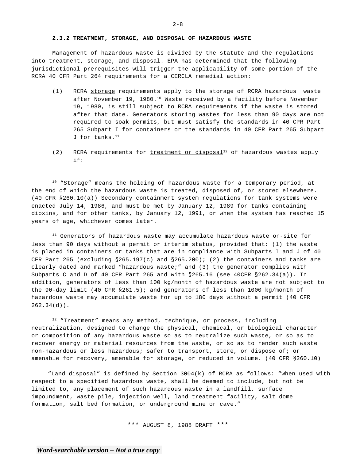Management of hazardous waste is divided by the statute and the regulations into treatment, storage, and disposal. EPA has determined that the following jurisdictional prerequisites will trigger the applicability of some portion of the RCRA 40 CFR Part 264 requirements for a CERCLA remedial action:

- (1) RCRA storage requirements apply to the storage of RCRA hazardous waste after November 19, 1980.10 Waste received by a facility before November 19, 1980, is still subject to RCRA requirements if the waste is stored after that date. Generators storing wastes for less than 90 days are not required to soak permits, but must satisfy the standards in 40 CPR Part 265 Subpart I for containers or the standards in 40 CFR Part 265 Subpart J for tanks.11
- (2) RCRA requirements for  $t$ reatment or disposal<sup>12</sup> of hazardous wastes apply if:

<sup>10</sup> "Storage" means the holding of hazardous waste for a temporary period, at the end of which the hazardous waste is treated, disposed of, or stored elsewhere. (40 CFR §260.10(a)) Secondary containment system regulations for tank systems were enacted July 14, 1986, and must be met by January 12, 1989 for tanks containing dioxins, and for other tanks, by January 12, 1991, or when the system has reached 15 years of age, whichever comes later.

<sup>11</sup> Generators of hazardous waste may accumulate hazardous waste on-site for less than 90 days without a permit or interim status, provided that: (1) the waste is placed in containers or tanks that are in compliance with Subparts I and J of 40 CFR Part 265 (excluding  $$265.197(c)$  and  $$265.200$ ); (2) the containers and tanks are clearly dated and marked "hazardous waste;" and (3) the generator complies with Subparts C and D of 40 CFR Part 265 and with §265.16 (see 40CFR §262.34(a)). In addition, generators of less than 100 kg/month of hazardous waste are not subject to the 90-day limit (40 CFR §261.5); and generators of less than 1000 kg/month of hazardous waste may accumulate waste for up to 180 days without a permit (40 CFR  $262.34(d)$ .

 $12$  "Treatment" means any method, technique, or process, including neutralization, designed to change the physical, chemical, or biological character or composition of any hazardous waste so as to neutralize such waste, or so as to recover energy or material resources from the waste, or so as to render such waste non-hazardous or less hazardous; safer to transport, store, or dispose of; or amenable for recovery, amenable for storage, or reduced in volume. (40 CFR §260.10)

"Land disposal" is defined by Section 3004(k) of RCRA as follows: "when used with respect to a specified hazardous waste, shall be deemed to include, but not be limited to, any placement of such hazardous waste in a landfill, surface impoundment, waste pile, injection well, land treatment facility, salt dome formation, salt bed formation, or underground mine or cave."

\*\*\* AUGUST 8, 1988 DRAFT \*\*\*

 $2 - 8$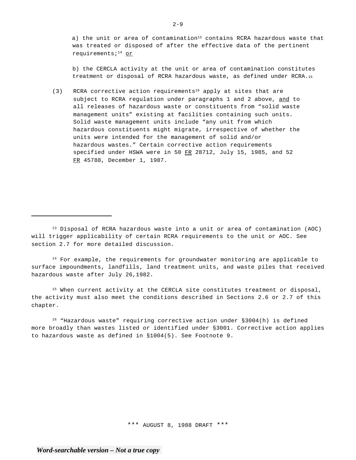a) the unit or area of contamination<sup>13</sup> contains RCRA hazardous waste that was treated or disposed of after the effective data of the pertinent requirements;14 or

b) the CERCLA activity at the unit or area of contamination constitutes treatment or disposal of RCRA hazardous waste, as defined under RCRA.15

(3) RCRA corrective action requirements<sup>16</sup> apply at sites that are subject to RCRA regulation under paragraphs 1 and 2 above, and to all releases of hazardous waste or constituents from "solid waste management units" existing at facilities containing such units. Solid waste management units include "any unit from which hazardous constituents might migrate, irrespective of whether the units were intended for the management of solid and/or hazardous wastes." Certain corrective action requirements specified under HSWA were in 50  $FR$  28712, July 15, 1985, and 52 FR 45788, December 1, 1987.

<sup>13</sup> Disposal of RCRA hazardous waste into a unit or area of contamination (AOC) will trigger applicability of certain RCRA requirements to the unit or AOC. See section 2.7 for more detailed discussion.

 $14$  For example, the requirements for groundwater monitoring are applicable to surface impoundments, landfills, land treatment units, and waste piles that received hazardous waste after July 26,1982.

<sup>15</sup> When current activity at the CERCLA site constitutes treatment or disposal, the activity must also meet the conditions described in Sections 2.6 or 2.7 of this chapter.

 $16$  "Hazardous waste" requiring corrective action under  $$3004(h)$  is defined more broadly than wastes listed or identified under §3001. Corrective action applies to hazardous waste as defined in §1004(5). See Footnote 9.

\*\*\* AUGUST 8, 1988 DRAFT \*\*\*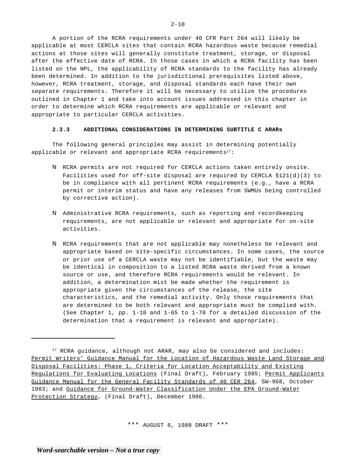A portion of the RCRA requirements under 40 CFR Part 264 will likely be applicable at most CERCLA sites that contain RCRA hazardous waste because remedial actions at those sites will generally constitute treatment, storage, or disposal after the effective date of RCRA. In those cases in which a RCRA facility has been listed on the NPL, the applicability of RCRA standards to the facility has already been determined. In addition to the jurisdictional prerequisites listed above, however, RCRA treatment, storage, and disposal standards each have their own separate requirements. Therefore it will be necessary to utilize the procedures outlined in Chapter 1 and take into account issues addressed in this chapter in order to determine which RCRA requirements are applicable or relevant and appropriate to particular CERCLA activities.

#### **2.3.3 ADDITIONAL CONSIDERATIONS IN DETERMINING SUBTITLE C ARARs**

The following general principles may assist in determining potentially applicable or relevant and appropriate RCRA requirements $17$ :

- N RCRA permits are not required for CERCLA actions taken entirely onsite. Facilities used for off-site disposal are required by CERCLA §121(d)(3) to be in compliance with all pertinent RCRA requirements (e.g., have a RCRA permit or interim status and have any releases from SWMUs being controlled by corrective action).
- N Administrative RCRA requirements, such as reporting and recordkeeping requirements, are not applicable or relevant and appropriate for on-site activities.
- N RCRA requirements that are not applicable may nonetheless be relevant and appropriate based on site-specific circumstances. In some cases, the source or prior use of a CERCLA waste may not be identifiable, but the waste may be identical in composition to a listed RCRA waste derived from a known source or use, and therefore RCRA requirements would be relevant. In addition, a determination mist be made whether the requirement is appropriate given the circumstances of the release, the site characteristics, and the remedial activity. Only those requirements that are determined to be both relevant and appropriate must be complied with. (See Chapter 1, pp. 1-10 and 1-65 to 1-70 for a detailed discussion of the determination that a requirement is relevant and appropriate).

<sup>&</sup>lt;sup>17</sup> RCRA guidance, although not ARAR, may also be considered and includes: Permit Writers' Guidance Manual for the Location of Hazardous Waste Land Storage and Disposal Facilities: Phase 1, Criteria for Location Acceptability and Existing Regulations for Evaluating Locations (Final Draft), February 1985; Permit Applicants Guidance Manual for the General Facility Standards of 40 CER 264, SW-968, October 1983; and Guidance for Ground-Water Classification Under the EPA Ground-Water Protection Strategy, (Final Draft), December 1986.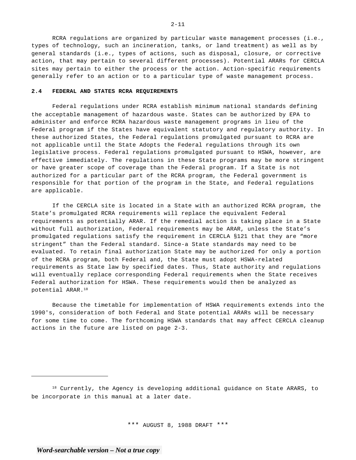RCRA regulations are organized by particular waste management processes (i.e., types of technology, such an incineration, tanks, or land treatment) as well as by general standards (i.e., types of actions, such as disposal, closure, or corrective action, that may pertain to several different processes). Potential ARARs for CERCLA sites may pertain to either the process or the action. Action-specific requirements generally refer to an action or to a particular type of waste management process.

#### **2.4 FEDERAL AND STATES RCRA REQUIREMENTS**

Federal regulations under RCRA establish minimum national standards defining the acceptable management of hazardous waste. States can be authorized by EPA to administer and enforce RCRA hazardous waste management programs in lieu of the Federal program if the States have equivalent statutory and regulatory authority. In these authorized States, the Federal regulations promulgated pursuant to RCRA are not applicable until the State Adopts the Federal regulations through its own legislative process. Federal regulations promulgated pursuant to HSWA, however, are effective immediately. The regulations in these State programs may be more stringent or have greater scope of coverage than the Federal program. If a State is not authorized for a particular part of the RCRA program, the Federal government is responsible for that portion of the program in the State, and Federal regulations are applicable.

If the CERCLA site is located in a State with an authorized RCRA program, the State's promulgated RCRA requirements will replace the equivalent Federal requirements as potentially ARAR. If the remedial action is taking place in a State without full authorization, Federal requirements may be ARAR, unless the State's promulgated regulations satisfy the requirement in CERCLA §121 that they are "more stringent" than the Federal standard. Since-a State standards may need to be evaluated. To retain final authorization State may be authorized for only a portion of the RCRA program, both Federal and, the State must adopt HSWA-related requirements as State law by specified dates. Thus, State authority and regulations will eventually replace corresponding Federal requirements when the State receives Federal authorization for HSWA. These requirements would then be analyzed as potential ARAR.18

Because the timetable for implementation of HSWA requirements extends into the 1990's, consideration of both Federal and State potential ARARs will be necessary for some time to come. The forthcoming HSWA standards that may affect CERCLA cleanup actions in the future are listed on page 2-3.

\*\*\* AUGUST 8, 1988 DRAFT \*\*\*

<sup>18</sup> Currently, the Agency is developing additional guidance on State ARARS, to be incorporate in this manual at a later date.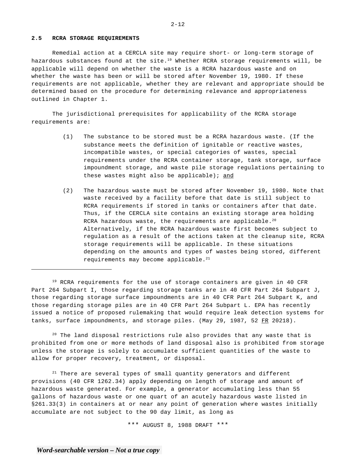## **2.5 RCRA STORAGE REQUIREMENTS**

Remedial action at a CERCLA site may require short- or long-term storage of hazardous substances found at the site.<sup>19</sup> Whether RCRA storage requirements will, be applicable will depend on whether the waste is a RCRA hazardous waste and on whether the waste has been or will be stored after November 19, 1980. If these requirements are not applicable, whether they are relevant and appropriate should be determined based on the procedure for determining relevance and appropriateness outlined in Chapter 1.

The jurisdictional prerequisites for applicability of the RCRA storage requirements are:

- (1) The substance to be stored must be a RCRA hazardous waste. (If the substance meets the definition of ignitable or reactive wastes, incompatible wastes, or special categories of wastes, special requirements under the RCRA container storage, tank storage, surface impoundment storage, and waste pile storage regulations pertaining to these wastes might also be applicable); and
- (2) The hazardous waste must be stored after November 19, 1980. Note that waste received by a facility before that date is still subject to RCRA requirements if stored in tanks or containers after that date. Thus, if the CERCLA site contains an existing storage area holding RCRA hazardous waste, the requirements are applicable.<sup>20</sup> Alternatively, if the RCRA hazardous waste first becomes subject to regulation as a result of the actions taken at the cleanup site, RCRA storage requirements will be applicable. In these situations depending on the amounts and types of wastes being stored, different requirements may become applicable.<sup>21</sup>

<sup>19</sup> RCRA requirements for the use of storage containers are given in 40 CFR Part 264 Subpart I, those regarding storage tanks are in 40 CFR Part 264 Subpart J, those regarding storage surface impoundments are in 40 CFR Part 264 Subpart K, and those regarding storage piles are in 40 CFR Part 264 Subpart L. EPA has recently issued a notice of proposed rulemaking that would require leak detection systems for tanks, surface impoundments, and storage piles. (May 29, 1987, 52 FR 20218).

<sup>20</sup> The land disposal restrictions rule also provides that any waste that is prohibited from one or more methods of land disposal also is prohibited from storage unless the storage is solely to accumulate sufficient quantities of the waste to allow for proper recovery, treatment, or disposal.

 $21$  There are several types of small quantity generators and different provisions (40 CFR 1262.34) apply depending on length of storage and amount of hazardous waste generated. For example, a generator accumulating less than 55 gallons of hazardous waste or one quart of an acutely hazardous waste listed in §261.33(3) in containers at or near any point of generation where wastes initially accumulate are not subject to the 90 day limit, as long as

\*\*\* AUGUST 8, 1988 DRAFT \*\*\*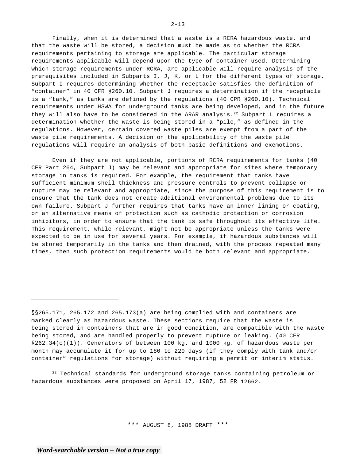Finally, when it is determined that a waste is a RCRA hazardous waste, and that the waste will be stored, a decision must be made as to whether the RCRA requirements pertaining to storage are applicable. The particular storage requirements applicable will depend upon the type of container used. Determining which storage requirements under RCRA, are applicable will require analysis of the prerequisites included in Subparts I, J, K, or L for the different types of storage. Subpart I requires determining whether the receptacle satisfies the definition of "container" in 40 CFR §260.10. Subpart J requires a determination if the receptacle is a "tank," as tanks are defined by the regulations (40 CPR §260.10). Technical requirements under HSWA for underground tanks are being developed, and in the future they will also have to be considered in the ARAR analysis.<sup>22</sup> Subpart L requires a determination whether the waste is being stored in a "pile," as defined in the regulations. However, certain covered waste piles are exempt from a part of the waste pile requirements. A decision on the applicability of the waste pile regulations will require an analysis of both basic definitions and exemotions.

Even if they are not applicable, portions of RCRA requirements for tanks (40 CFR Part 264, Subpart J) may be relevant and appropriate for sites where temporary storage in tanks is required. For example, the requirement that tanks have sufficient minimum shell thickness and pressure controls to prevent collapse or rupture may be relevant and appropriate, since the purpose of this requirement is to ensure that the tank does not create additional environmental problems due to its own failure. Subpart J further requires that tanks have an inner lining or coating, or an alternative means of protection such as cathodic protection or corrosion inhibitors, in order to ensure that the tank is safe throughout its effective life. This requirement, while relevant, might not be appropriate unless the tanks were expected to be in use for several years. For example, if hazardous substances will be stored temporarily in the tanks and then drained, with the process repeated many times, then such protection requirements would be both relevant and appropriate.

 $22$  Technical standards for underground storage tanks containing petroleum or hazardous substances were proposed on April 17, 1987, 52 FR 12662.

\*\*\* AUGUST 8, 1988 DRAFT \*\*\*

<sup>§§265.171, 265.172</sup> and 265.173(a) are being complied with and containers are marked clearly as hazardous waste. These sections require that the waste is being stored in containers that are in good condition, are compatible with the waste being stored, and are handled properly to prevent rupture or leaking. (40 CFR §262.34(c)(1)). Generators of between 100 kg. and 1000 kg. of hazardous waste per month may accumulate it for up to 180 to 220 days (if they comply with tank and/or container" regulations for storage) without requiring a permit or interim status.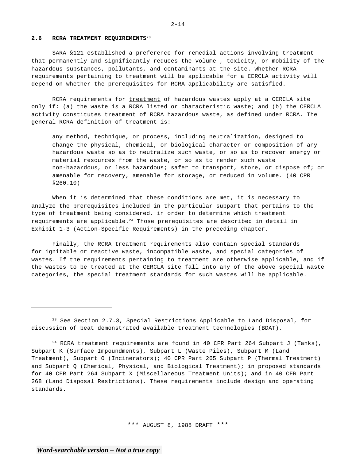## **2.6 RCRA TREATMENT REQUIREMENTS**<sup>23</sup>

SARA §121 established a preference for remedial actions involving treatment that permanently and significantly reduces the volume , toxicity, or mobility of the hazardous substances, pollutants, and contaminants at the site. Whether RCRA requirements pertaining to treatment will be applicable for a CERCLA activity will depend on whether the prerequisites for RCRA applicability are satisfied.

RCRA requirements for treatment of hazardous wastes apply at a CERCLA site only if: (a) the waste is a RCRA listed or characteristic waste; and (b) the CERCLA activity constitutes treatment of RCRA hazardous waste, as defined under RCRA. The general RCRA definition of treatment is:

any method, technique, or process, including neutralization, designed to change the physical, chemical, or biological character or composition of any hazardous waste so as to neutralize such waste, or so as to recover energy or material resources from the waste, or so as to render such waste non-hazardous, or less hazardous; safer to transport, store, or dispose of; or amenable for recovery, amenable for storage, or reduced in volume. (40 CPR §260.10)

When it is determined that these conditions are met, it is necessary to analyze the prerequisites included in the particular subpart that pertains to the type of treatment being considered, in order to determine which treatment requirements are applicable.<sup>24</sup> Those prerequisites are described in detail in Exhibit 1-3 (Action-Specific Requirements) in the preceding chapter.

Finally, the RCRA treatment requirements also contain special standards for ignitable or reactive waste, incompatible waste, and special categories of wastes. If the requirements pertaining to treatment are otherwise applicable, and if the wastes to be treated at the CERCLA site fall into any of the above special waste categories, the special treatment standards for such wastes will be applicable.

<sup>&</sup>lt;sup>23</sup> See Section 2.7.3, Special Restrictions Applicable to Land Disposal, for discussion of beat demonstrated available treatment technologies (BDAT).

 $24$  RCRA treatment requirements are found in 40 CFR Part 264 Subpart J (Tanks), Subpart K (Surface Impoundments), Subpart L (Waste Piles), Subpart M (Land Treatment), Subpart O (Incinerators); 40 CPR Part 265 Subpart P (Thermal Treatment) and Subpart Q (Chemical, Physical, and Biological Treatment); in proposed standards for 40 CFR Part 264 Subpart X (Miscellaneous Treatment Units); and in 40 CFR Part 268 (Land Disposal Restrictions). These requirements include design and operating standards.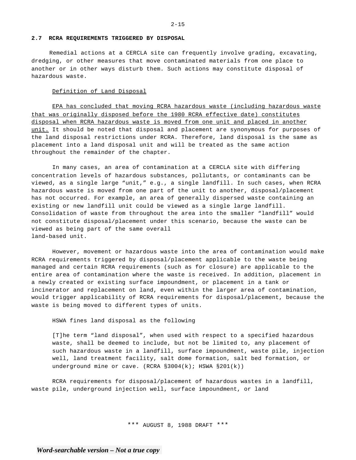### **2.7 RCRA REQUIREMENTS TRIGGERED BY DISPOSAL**

Remedial actions at a CERCLA site can frequently involve grading, excavating, dredging, or other measures that move contaminated materials from one place to another or in other ways disturb them. Such actions may constitute disposal of hazardous waste.

#### Definition of Land Disposal

EPA has concluded that moving RCRA hazardous waste (including hazardous waste that was originally disposed before the 1980 RCRA effective date) constitutes disposal when RCRA hazardous waste is moved from one unit and placed in another unit. It should be noted that disposal and placement are synonymous for purposes of the land disposal restrictions under RCRA. Therefore, land disposal is the same as placement into a land disposal unit and will be treated as the same action throughout the remainder of the chapter.

In many cases, an area of contamination at a CERCLA site with differing concentration levels of hazardous substances, pollutants, or contaminants can be viewed, as a single large "unit," e.g., a single landfill. In such cases, when RCRA hazardous waste is moved from one part of the unit to another, disposal/placement has not occurred. For example, an area of generally dispersed waste containing an existing or new landfill unit could be viewed as a single large landfill. Consolidation of waste from throughout the area into the smaller "landfill" would not constitute disposal/placement under this scenario, because the waste can be viewed as being part of the same overall land-based unit.

However, movement or hazardous waste into the area of contamination would make RCRA requirements triggered by disposal/placement applicable to the waste being managed and certain RCRA requirements (such as for closure) are applicable to the entire area of contamination where the waste is received. In addition, placement in a newly created or existing surface impoundment, or placement in a tank or incinerator and replacement on land, even within the larger area of contamination, would trigger applicability of RCRA requirements for disposal/placement, because the waste is being moved to different types of units.

HSWA fines land disposal as the following

[T]he term "land disposal", when used with respect to a specified hazardous waste, shall be deemed to include, but not be limited to, any placement of such hazardous waste in a landfill, surface impoundment, waste pile, injection well, land treatment facility, salt dome formation, salt bed formation, or underground mine or cave. (RCRA  $\S 3004(k)$ ; HSWA  $\S 201(k)$ )

RCRA requirements for disposal/placement of hazardous wastes in a landfill, waste pile, underground injection well, surface impoundment, or land

\*\*\* AUGUST 8, 1988 DRAFT \*\*\*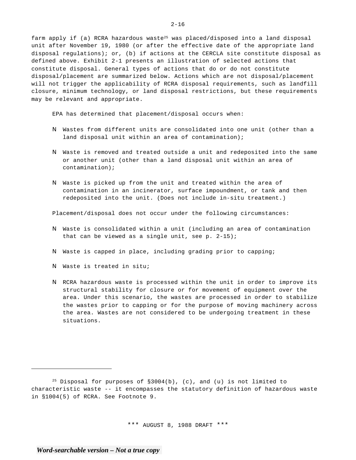farm apply if (a) RCRA hazardous waste<sup>25</sup> was placed/disposed into a land disposal unit after November 19, 1980 (or after the effective date of the appropriate land disposal regulations); or, (b) if actions at the CERCLA site constitute disposal as defined above. Exhibit 2-1 presents an illustration of selected actions that constitute disposal. General types of actions that do or do not constitute disposal/placement are summarized below. Actions which are not disposal/placement will not trigger the applicability of RCRA disposal requirements, such as landfill closure, minimum technology, or land disposal restrictions, but these requirements may be relevant and appropriate.

EPA has determined that placement/disposal occurs when:

- N Wastes from different units are consolidated into one unit (other than a land disposal unit within an area of contamination);
- N Waste is removed and treated outside a unit and redeposited into the same or another unit (other than a land disposal unit within an area of contamination);
- N Waste is picked up from the unit and treated within the area of contamination in an incinerator, surface impoundment, or tank and then redeposited into the unit. (Does not include in-situ treatment.)

Placement/disposal does not occur under the following circumstances:

- N Waste is consolidated within a unit (including an area of contamination that can be viewed as a single unit, see p.  $2-15$ );
- N Waste is capped in place, including grading prior to capping;
- N Waste is treated in situ;
- N RCRA hazardous waste is processed within the unit in order to improve its structural stability for closure or for movement of equipment over the area. Under this scenario, the wastes are processed in order to stabilize the wastes prior to capping or for the purpose of moving machinery across the area. Wastes are not considered to be undergoing treatment in these situations.

\*\*\* AUGUST 8, 1988 DRAFT \*\*\*

 $2 - 16$ 

<sup>&</sup>lt;sup>25</sup> Disposal for purposes of  $\S 3004(b)$ , (c), and (u) is not limited to characteristic waste -- it encompasses the statutory definition of hazardous waste in §1004(5) of RCRA. See Footnote 9.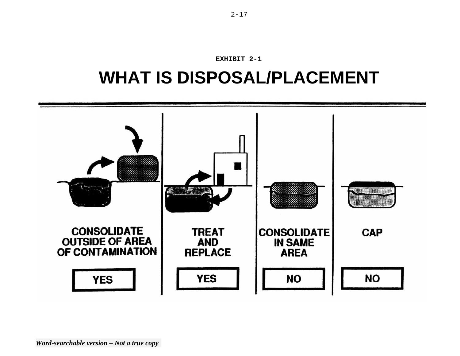

# **WHAT IS DISPOSAL/PLACEMENT**

**EXHIBIT 2-1**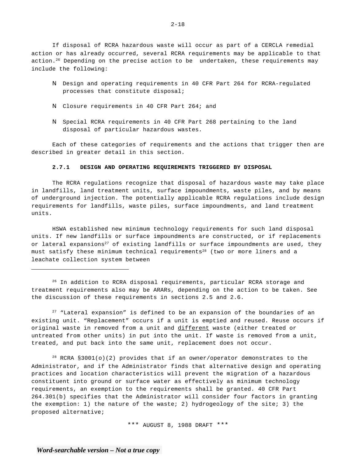If disposal of RCRA hazardous waste will occur as part of a CERCLA remedial action or has already occurred, several RCRA requirements may be applicable to that action.<sup>26</sup> Depending on the precise action to be undertaken, these requirements may include the following:

- N Design and operating requirements in 40 CFR Part 264 for RCRA-regulated processes that constitute disposal;
- N Closure requirements in 40 CFR Part 264; and
- N Special RCRA requirements in 40 CFR Part 268 pertaining to the land disposal of particular hazardous wastes.

Each of these categories of requirements and the actions that trigger then are described in greater detail in this section.

#### **2.7.1 DESIGN AND OPERATING REQUIREMENTS TRIGGERED BY DISPOSAL**

The RCRA regulations recognize that disposal of hazardous waste may take place in landfills, land treatment units, surface impoundments, waste piles, and by means of underground injection. The potentially applicable RCRA regulations include design requirements for landfills, waste piles, surface impoundments, and land treatment units.

HSWA established new minimum technology requirements for such land disposal units. If new landfills or surface impoundments are constructed, or if replacements or lateral expansions<sup>27</sup> of existing landfills or surface impoundments are used, they must satisfy these minimum technical requirements<sup>28</sup> (two or more liners and a leachate collection system between

<sup>26</sup> In addition to RCRA disposal requirements, particular RCRA storage and treatment requirements also may be ARARs, depending on the action to be taken. See the discussion of these requirements in sections 2.5 and 2.6.

 $27$  "Lateral expansion" is defined to be an expansion of the boundaries of an existing unit. "Replacement" occurs if a unit is emptied and reused. Reuse occurs if original waste in removed from a unit and different waste (either treated or untreated from other units) in put into the unit. If waste is removed from a unit, treated, and put back into the same unit, replacement does not occur.

<sup>28</sup> RCRA §3001(o)(2) provides that if an owner/operator demonstrates to the Administrator, and if the Administrator finds that alternative design and operating practices and location characteristics will prevent the migration of a hazardous constituent into ground or surface water as effectively as minimum technology requirements, an exemption to the requirements shall be granted. 40 CFR Part 264.301(b) specifies that the Administrator will consider four factors in granting the exemption: 1) the nature of the waste; 2) hydrogeology of the site; 3) the proposed alternative;

\*\*\* AUGUST 8, 1988 DRAFT \*\*\*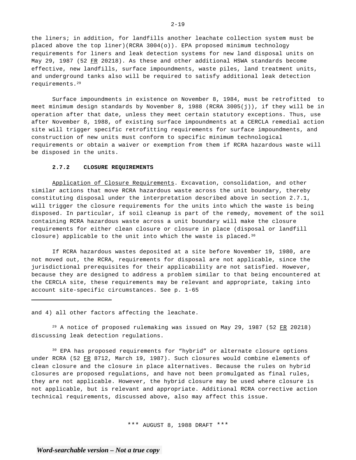the liners; in addition, for landfills another leachate collection system must be placed above the top liner)(RCRA 3004(o)). EPA proposed minimum technology requirements for liners and leak detection systems for new land disposal units on May 29, 1987 (52 FR 20218). As these and other additional HSWA standards become effective, new landfills, surface impoundments, waste piles, land treatment units, and underground tanks also will be required to satisfy additional leak detection requirements.29

Surface impoundments in existence on November 8, 1984, must be retrofitted to meet minimum design standards by November 8, 1988 (RCRA 3005(j)), if they will be in operation after that date, unless they meet certain statutory exceptions. Thus, use after November 8, 1988, of existing surface impoundments at a CERCLA remedial action site will trigger specific retrofitting requirements for surface impoundments, and construction of new units must conform to specific minimum technological requirements or obtain a waiver or exemption from them if RCRA hazardous waste will be disposed in the units.

#### **2.7.2 CLOSURE REQUIREMENTS**

Application of Closure Requirements. Excavation, consolidation, and other similar actions that move RCRA hazardous waste across the unit boundary, thereby constituting disposal under the interpretation described above in section 2.7.1, will trigger the closure requirements for the units into which the waste is being disposed. In particular, if soil cleanup is part of the remedy, movement of the soil containing RCRA hazardous waste across a unit boundary will make the closure requirements for either clean closure or closure in place (disposal or landfill closure) applicable to the unit into which the waste is placed.<sup>30</sup>

If RCRA hazardous wastes deposited at a site before November 19, 1980, are not moved out, the RCRA, requirements for disposal are not applicable, since the jurisdictional prerequisites for their applicability are not satisfied. However, because they are designed to address a problem similar to that being encountered at the CERCLA site, these requirements may be relevant and appropriate, taking into account site-specific circumstances. See p. 1-65

and 4) all other factors affecting the leachate.

 $29$  A notice of proposed rulemaking was issued on May 29, 1987 (52 FR 20218) discussing leak detection regulations.

<sup>30</sup> EPA has proposed requirements for "hybrid" or alternate closure options under RCRA (52 FR 8712, March 19, 1987). Such closures would combine elements of clean closure and the closure in place alternatives. Because the rules on hybrid closures are proposed regulations, and have not been promulgated as final rules, they are not applicable. However, the hybrid closure may be used where closure is not applicable, but is relevant and appropriate. Additional RCRA corrective action technical requirements, discussed above, also may affect this issue.

\*\*\* AUGUST 8, 1988 DRAFT \*\*\*

 $2 - 19$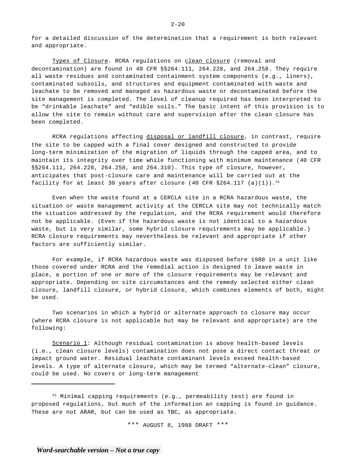for a detailed discussion of the determination that a requirement is both relevant and appropriate.

Types of Closure. RCRA regulations on clean closure (removal and decontamination) are found in 40 CFR §§264.111, 264.228, and 264.258. They require all waste residues and contaminated containment system components (e.g., liners), contaminated subsoils, and structures and equipment contaminated with waste and leachate to be removed and managed as hazardous waste or decontaminated before the site management is completed. The level of cleanup required has been interpreted to be "drinkable leachate" and "edible soils." The basic intent of this provision is to allow the site to remain without care and supervision after the clean closure has been completed.

RCRA regulations affecting disposal or landfill closure, in contrast, require the site to be capped with a final cover designed and constructed to provide long-term minimization of the migration of liquids through the capped area, and to maintain its integrity over time while functioning with minimum maintenance (40 CFR §§264.111, 264.228, 264.258, and 264.310). This type of closure, however, anticipates that post-closure care and maintenance will be carried out at the facility for at least 30 years after closure (40 CFR  $$264.117$  (a)(1)).<sup>31</sup>

Even when the waste found at a CERCLA site in a RCRA hazardous waste, the situation or waste management activity at the CERCLA site may not technically match the situation addressed by the regulation, and the RCRA requirement would therefore not be applicable. (Even if the hazardous waste is not identical to a hazardous waste, but is very similar, some hybrid closure requirements may be applicable.) RCRA closure requirements may nevertheless be relevant and appropriate if other factors are sufficiently similar.

For example, if RCRA hazardous waste was disposed before 1980 in a unit like those covered under RCRA and the remedial action is designed to leave waste in place, a portion of one or more of the closure requirements may be relevant and appropriate. Depending on site circumstances and the remedy selected either clean closure, landfill closure, or hybrid closure, which combines elements of both, might be used.

Two scenarios in which a hybrid or alternate approach to closure may occur (where RCRA closure is not applicable but may be relevant and appropriate) are the following:

Scenario 1: Although residual contamination is above health-based levels (i.e., clean closure levels) contamination does not pose a direct contact threat or impact ground water. Residual leachate contaminant levels exceed health-based levels. A type of alternate closure, which may be termed "alternate-clean" closure, could be used. No covers or long-term management

<sup>31</sup> Minimal capping requirements (e.g., permeability test) are found in proposed regulations, but much of the information an capping is found in guidance. These are not ARAR, but can be used as TBC, as appropriate.

\*\*\* AUGUST 8, 1988 DRAFT \*\*\*

 $2 - 20$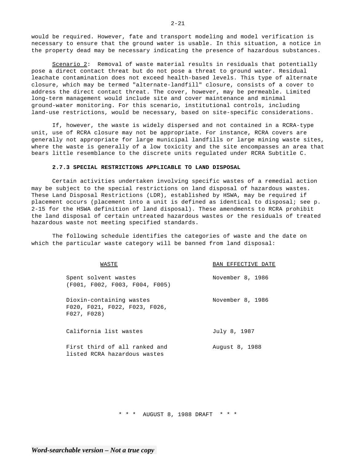would be required. However, fate and transport modeling and model verification is necessary to ensure that the ground water is usable. In this situation, a notice in the property dead may be necessary indicating the presence of hazardous substances.

Scenario 2: Removal of waste material results in residuals that potentially pose a direct contact threat but do not pose a threat to ground water. Residual leachate contamination does not exceed health-based levels. This type of alternate closure, which may be termed "alternate-landfill" closure, consists of a cover to address the direct contact threat. The cover, however, may be permeable. Limited long-term management would include site and cover maintenance and minimal ground-water monitoring. For this scenario, institutional controls, including land-use restrictions, would be necessary, based on site-specific considerations.

If, however, the waste is widely dispersed and not contained in a RCRA-type unit, use of RCRA closure may not be appropriate. For instance, RCRA covers are generally not appropriate for large municipal landfills or large mining waste sites, where the waste is generally of a low toxicity and the site encompasses an area that bears little resemblance to the discrete units regulated under RCRA Subtitle C.

## **2.7.3 SPECIAL RESTRICTIONS APPLICABLE TO LAND DISPOSAL**

Certain activities undertaken involving specific wastes of a remedial action may be subject to the special restrictions on land disposal of hazardous wastes. These Land Disposal Restrictions (LDR), established by HSWA, may be required if placement occurs (placement into a unit is defined as identical to disposal; see p. 2-15 for the HSWA definition of land disposal). These amendments to RCRA prohibit the land disposal of certain untreated hazardous wastes or the residuals of treated hazardous waste not meeting specified standards.

The following schedule identifies the categories of waste and the date on which the particular waste category will be banned from land disposal:

| WASTE                                                                    | BAN EFFECTIVE DATE |
|--------------------------------------------------------------------------|--------------------|
| Spent solvent wastes<br>(F001, F002, F003, F004, F005)                   | November 8, 1986   |
| Dioxin-containing wastes<br>F020, F021, F022, F023, F026,<br>F027, F028) | November 8, 1986   |
| California list wastes                                                   | July 8, 1987       |
| First third of all ranked and<br>listed RCRA hazardous wastes            | August 8, 1988     |

\* \* \* AUGUST 8, 1988 DRAFT \* \* \*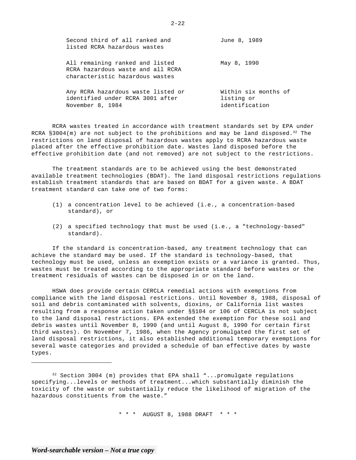| Second third of all ranked and<br>listed RCRA hazardous wastes                                          | June 8, 1989                                         |
|---------------------------------------------------------------------------------------------------------|------------------------------------------------------|
| All remaining ranked and listed<br>RCRA hazardous waste and all RCRA<br>characteristic hazardous wastes | May 8, 1990                                          |
| Any RCRA hazardous waste listed or<br>identified under RCRA 3001 after<br>November 8, 1984              | Within six months of<br>listing or<br>identification |

RCRA wastes treated in accordance with treatment standards set by EPA under RCRA §3004(m) are not subject to the prohibitions and may be land disposed.<sup>32</sup> The restrictions on land disposal of hazardous wastes apply to RCRA hazardous waste placed after the effective prohibition date. Wastes land disposed before the effective prohibition date (and not removed) are not subject to the restrictions.

The treatment standards are to be achieved using the best demonstrated available treatment technologies (BDAT). The land disposal restrictions regulations establish treatment standards that are based on BDAT for a given waste. A BDAT treatment standard can take one of two forms:

- (1) a concentration level to be achieved (i.e., a concentration-based standard), or
- (2) a specified technology that must be used (i.e., a "technology-based" standard).

If the standard is concentration-based, any treatment technology that can achieve the standard may be used. If the standard is technology-based, that technology must be used, unless an exemption exists or a variance is granted. Thus, wastes must be treated according to the appropriate standard before wastes or the treatment residuals of wastes can be disposed in or on the land.

HSWA does provide certain CERCLA remedial actions with exemptions from compliance with the land disposal restrictions. Until November 8, 1988, disposal of soil and debris contaminated with solvents, dioxins, or California list wastes resulting from a response action taken under §§104 or 106 of CERCLA is not subject to the land disposal restrictions. EPA extended the exemption for these soil and debris wastes until November 8, 1990 (and until August 8, 1990 for certain first third wastes). On November 7, 1986, when the Agency promulgated the first set of land disposal restrictions, it also established additional temporary exemptions for several waste categories and provided a schedule of ban effective dates by waste types.

 $32$  Section 3004 (m) provides that EPA shall "...promulgate regulations specifying...levels or methods of treatment...which substantially diminish the toxicity of the waste or substantially reduce the likelihood of migration of the hazardous constituents from the waste."

\* \* \* AUGUST 8, 1988 DRAFT \* \* \*

 $2 - 22$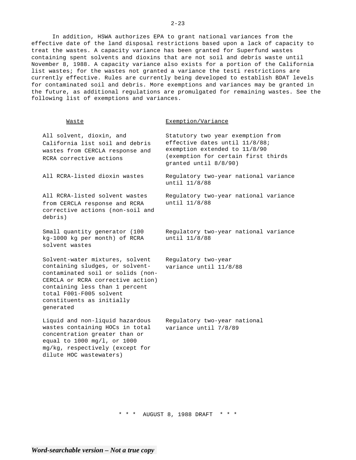effective date of the land disposal restrictions based upon a lack of capacity to treat the wastes. A capacity variance has been granted for Superfund wastes containing spent solvents and dioxins that are not soil and debris waste until November 8, 1988. A capacity variance also exists for a portion of the California list wastes; for the wastes not granted a variance the testi restrictions are currently effective. Rules are currently being developed to establish BDAT levels for contaminated soil and debris. More exemptions and variances may be granted in the future, as additional regulations are promulgated for remaining wastes. See the following list of exemptions and variances.

## Waste

## Exemption/Variance

| All solvent, dioxin, and<br>California list soil and debris<br>wastes from CERCLA response and<br>RCRA corrective actions                                                                                                                           | Statutory two year exemption from<br>effective dates until 11/8/88;<br>exemption extended to 11/8/90<br>(exemption for certain first thirds<br>granted until 8/8/90) |
|-----------------------------------------------------------------------------------------------------------------------------------------------------------------------------------------------------------------------------------------------------|----------------------------------------------------------------------------------------------------------------------------------------------------------------------|
| All RCRA-listed dioxin wastes                                                                                                                                                                                                                       | Regulatory two-year national variance<br>until 11/8/88                                                                                                               |
| All RCRA-listed solvent wastes<br>from CERCLA response and RCRA<br>corrective actions (non-soil and<br>debris)                                                                                                                                      | Regulatory two-year national variance<br>until 11/8/88                                                                                                               |
| Small quantity generator (100<br>kg-1000 kg per month) of RCRA<br>solvent wastes                                                                                                                                                                    | Regulatory two-year national variance<br>until 11/8/88                                                                                                               |
| Solvent-water mixtures, solvent<br>containing sludges, or solvent-<br>contaminated soil or solids (non-<br>CERCLA or RCRA corrective action)<br>containing less than 1 percent<br>total F001-F005 solvent<br>constituents as initially<br>qenerated | Regulatory two-year<br>variance until 11/8/88                                                                                                                        |
| Liquid and non-liquid hazardous<br>wastes containing HOCs in total<br>concentration greater than or<br>equal to 1000 mg/1, or 1000<br>mg/kg, respectively (except for<br>dilute HOC wastewaters)                                                    | Regulatory two-year national<br>variance until 7/8/89                                                                                                                |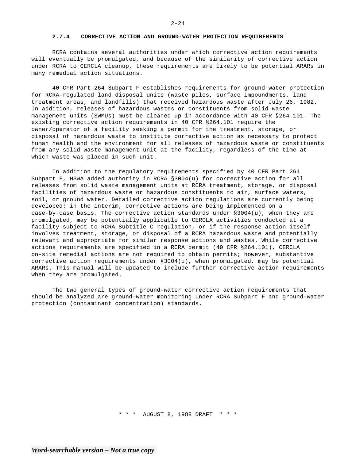#### **2.7.4 CORRECTIVE ACTION AND GROUND-WATER PROTECTION REQUIREMENTS**

RCRA contains several authorities under which corrective action requirements will eventually be promulgated, and because of the similarity of corrective action under RCRA to CERCLA cleanup, these requirements are likely to be potential ARARs in many remedial action situations.

40 CFR Part 264 Subpart F establishes requirements for ground-water protection for RCRA-regulated land disposal units (waste piles, surface impoundments, land treatment areas, and landfills) that received hazardous waste after July 26, 1982. In addition, releases of hazardous wastes or constituents from solid waste management units (SWMUs) must be cleaned up in accordance with 40 CFR §264.101. The existing corrective action requirements in 40 CFR §264.101 require the owner/operator of a facility seeking a permit for the treatment, storage, or disposal of hazardous waste to institute corrective action as necessary to protect human health and the environment for all releases of hazardous waste or constituents from any solid waste management unit at the facility, regardless of the time at which waste was placed in such unit.

In addition to the regulatory requirements specified by 40 CFR Part 264 Subpart F, HSWA added authority in RCRA §3004(u) for corrective action for all releases from solid waste management units at RCRA treatment, storage, or disposal facilities of hazardous waste or hazardous constituents to air, surface waters, soil, or ground water. Detailed corrective action regulations are currently being developed; in the interim, corrective actions are being implemented on a case-by-case basis. The corrective action standards under §3004(u), when they are promulgated, may be potentially applicable to CERCLA activities conducted at a facility subject to RCRA Subtitle C regulation, or if the response action itself involves treatment, storage, or disposal of a RCRA hazardous waste and potentially relevant and appropriate for similar response actions and wastes. While corrective actions requirements are specified in a RCRA permit (40 CFR §264.101), CERCLA on-site remedial actions are not required to obtain permits; however, substantive corrective action requirements under §3004(u), when promulgated, may be potential ARARs. This manual will be updated to include further corrective action requirements when they are promulgated.

The two general types of ground-water corrective action requirements that should be analyzed are ground-water monitoring under RCRA Subpart F and ground-water protection (contaminant concentration) standards.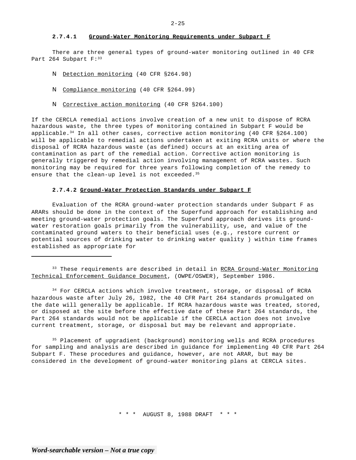#### **2.7.4.1 Ground-Water Monitoring Requirements under Subpart F**

There are three general types of ground-water monitoring outlined in 40 CFR Part 264 Subpart F: 33

- N Detection monitoring (40 CFR §264.98)
- N Compliance monitoring (40 CFR §264.99)
- N Corrective action monitoring (40 CFR §264.100)

If the CERCLA remedial actions involve creation of a new unit to dispose of RCRA hazardous waste, the three types of monitoring contained in Subpart F would be applicable.<sup>34</sup> In all other cases, corrective action monitoring (40 CFR  $$264.100$ ) will be applicable to remedial actions undertaken at exiting RCRA units or where the disposal of RCRA hazardous waste (as defined) occurs at an exiting area of contamination as part of the remedial action. Corrective action monitoring is generally triggered by remedial action involving management of RCRA wastes. Such monitoring may be required for three years following completion of the remedy to ensure that the clean-up level is not exceeded.  $35$ 

#### **2.7.4.2 Ground-Water Protection Standards under Subpart F**

Evaluation of the RCRA ground-water protection standards under Subpart F as ARARs should be done in the context of the Superfund approach for establishing and meeting ground-water protection goals. The Superfund approach derives its groundwater restoration goals primarily from the vulnerability, use, and value of the contaminated ground waters to their beneficial uses (e.g., restore current or potential sources of drinking water to drinking water quality ) within time frames established as appropriate for

<sup>33</sup> These requirements are described in detail in RCRA Ground-Water Monitoring Technical Enforcement Guidance Document, (OWPE/OSWER), September 1986.

<sup>34</sup> For CERCLA actions which involve treatment, storage, or disposal of RCRA hazardous waste after July 26, 1982, the 40 CFR Part 264 standards promulgated on the date will generally be applicable. If RCRA hazardous waste was treated, stored, or disposed at the site before the effective date of these Part 264 standards, the Part 264 standards would not be applicable if the CERCLA action does not involve current treatment, storage, or disposal but may be relevant and appropriate.

<sup>35</sup> Placement of upgradient (background) monitoring wells and RCRA procedures for sampling and analysis are described in guidance for implementing 40 CFR Part 264 Subpart F. These procedures and guidance, however, are not ARAR, but may be considered in the development of ground-water monitoring plans at CERCLA sites.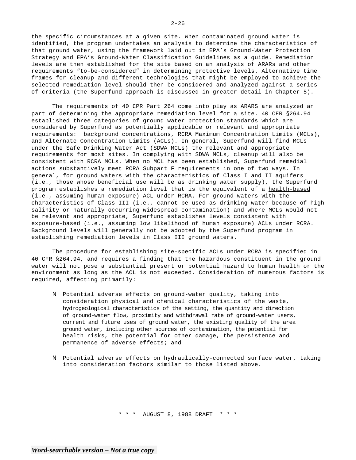the specific circumstances at a given site. When contaminated ground water is identified, the program undertakes an analysis to determine the characteristics of that ground water, using the framework laid out in EPA's Ground-Water Protection Strategy and EPA's Ground-Water Classification Guidelines as a guide. Remediation levels are then established for the site based on an analysis of ARARs and other requirements "to-be-considered" in determining protective levels. Alternative time frames for cleanup and different technologies that might be employed to achieve the selected remediation level should then be considered and analyzed against a series of criteria (the Superfund approach is discussed in greater detail in Chapter 5).

The requirements of 40 CPR Part 264 come into play as ARARS are analyzed an part of determining the appropriate remediation level for a site. 40 CFR §264.94 established three categories of ground water protection standards which are considered by Superfund as potentially applicable or relevant and appropriate requirements: background concentrations, RCRA Maximum Concentration Limits (MCLs), and Alternate Concentration Limits (ACLs). In general, Superfund will find MCLs under the Safe Drinking Water Act (SDWA MCLs) the relevant and appropriate requirements for most sites. In complying with SDWA MCLs, cleanup will also be consistent with RCRA MCLs. When no MCL has been established, Superfund remedial actions substantively meet RCRA Subpart F requirements in one of two ways. In general, for ground waters with the characteristics of Class I and II aquifers (i.e., those whose beneficial use will be as drinking water supply), the Superfund program establishes a remediation level that is the equivalent of a health-based (i.e., assuming human exposure) ACL under RCRA. For ground waters with the characteristics of Class III (i.e., cannot be used as drinking water because of high salinity or naturally occurring widespread contamination) and where MCLs would not be relevant and appropriate, Superfund establishes levels consistent with exposure-based (i.e., assuming low likelihood of human exposure) ACLs under RCRA. Background levels will generally not be adopted by the Superfund program in establishing remediation levels in Class III ground waters.

The procedure for establishing site-specific ACLs under RCRA is specified in 40 CFR §264.94, and requires a finding that the hazardous constituent in the ground water will not pose a substantial present or potential hazard to human health or the environment as long as the ACL is not exceeded. Consideration of numerous factors is required, affecting primarily:

- N Potential adverse effects on ground-water quality, taking into consideration physical and chemical characteristics of the waste, hydrogeological characteristics of the setting, the quantity and direction of ground-water flow, proximity and withdrawal rate of ground-water users, current and future uses of ground water, the existing quality of the area ground water, including other sources of contamination, the potential for health risks, the potential for other damage, the persistence and permanence of adverse effects; and
- N Potential adverse effects on hydraulically-connected surface water, taking into consideration factors similar to those listed above.

\* \* \* AUGUST 8, 1988 DRAFT \* \* \*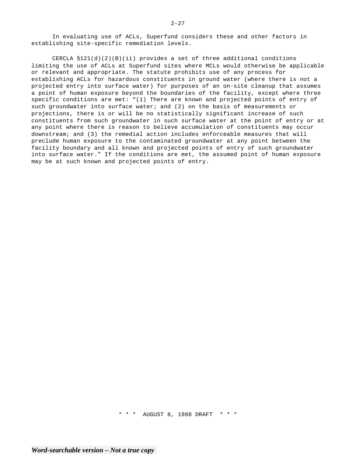In evaluating use of ACLs, Superfund considers these and other factors in establishing site-specific remediation levels.

CERCLA  $$121(d)(2)(B)(ii)$  provides a set of three additional conditions limiting the use of ACLs at Superfund sites where MCLs would otherwise be applicable or relevant and appropriate. The statute prohibits use of any process for establishing ACLs for hazardous constituents in ground water (where there is not a projected entry into surface water) for purposes of an on-site cleanup that assumes a point of human exposure beyond the boundaries of the facility, except where three specific conditions are met: "(1) There are known and projected points of entry of such groundwater into surface water; and (2) on the basis of measurements or projections, there is or will be no statistically significant increase of such constituents from such groundwater in such surface water at the point of entry or at any point where there is reason to believe accumulation of constituents may occur downstream; and (3) the remedial action includes enforceable measures that will preclude human exposure to the contaminated groundwater at any point between the facility boundary and all known and projected points of entry of such groundwater into surface water." If the conditions are met, the assumed point of human exposure may be at such known and projected points of entry.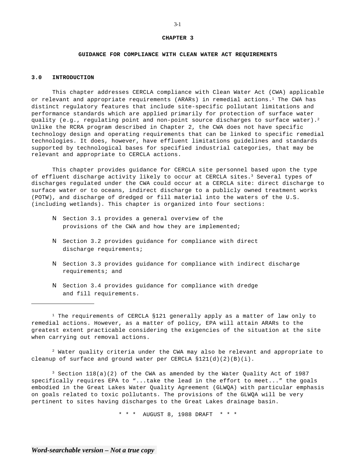## **CHAPTER 3**

## **GUIDANCE FOR COMPLIANCE WITH CLEAN WATER ACT REQUIREMENTS**

## **3.0 INTRODUCTION**

This chapter addresses CERCLA compliance with Clean Water Act (CWA) applicable or relevant and appropriate requirements (ARARs) in remedial actions.<sup>1</sup> The CWA has distinct regulatory features that include site-specific pollutant limitations and performance standards which are applied primarily for protection of surface water quality (e.g., regulating point and non-point source discharges to surface water).<sup>2</sup> Unlike the RCRA program described in Chapter 2, the CWA does not have specific technology design and operating requirements that can be linked to specific remedial technologies. It does, however, have effluent limitations guidelines and standards supported by technological bases for specified industrial categories, that may be relevant and appropriate to CERCLA actions.

This chapter provides guidance for CERCLA site personnel based upon the type of effluent discharge activity likely to occur at CERCLA sites.<sup>3</sup> Several types of discharges regulated under the CWA could occur at a CERCLA site: direct discharge to surface water or to oceans, indirect discharge to a publicly owned treatment works (POTW), and discharge of dredged or fill material into the waters of the U.S. (including wetlands). This chapter is organized into four sections:

- N Section 3.1 provides a general overview of the provisions of the CWA and how they are implemented;
- N Section 3.2 provides guidance for compliance with direct discharge requirements;
- N Section 3.3 provides guidance for compliance with indirect discharge requirements; and
- N Section 3.4 provides guidance for compliance with dredge and fill requirements.

1 The requirements of CERCLA §121 generally apply as a matter of law only to remedial actions. However, as a matter of policy, EPA will attain ARARs to the greatest extent practicable considering the exigencies of the situation at the site when carrying out removal actions.

 $2$  Water quality criteria under the CWA may also be relevant and appropriate to cleanup of surface and ground water per CERCLA  $$121(d)(2)(B)(i)$ .

 $3$  Section 118(a)(2) of the CWA as amended by the Water Quality Act of 1987 specifically requires EPA to "...take the lead in the effort to meet..." the goals embodied in the Great Lakes Water Quality Agreement (GLWQA) with particular emphasis on goals related to toxic pollutants. The provisions of the GLWQA will be very pertinent to sites having discharges to the Great Lakes drainage basin.

\* \* \* AUGUST 8, 1988 DRAFT \* \* \*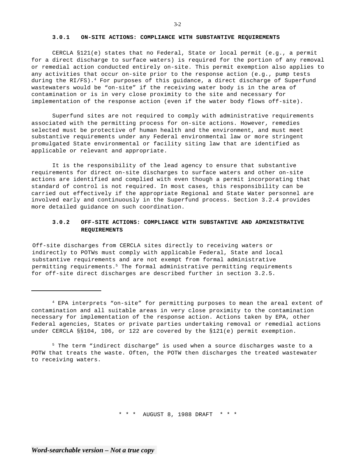## **3.0.1 ON-SITE ACTIONS: COMPLIANCE WITH SUBSTANTIVE REQUIREMENTS**

CERCLA §121(e) states that no Federal, State or local permit (e.g., a permit for a direct discharge to surface waters) is required for the portion of any removal or remedial action conducted entirely on-site. This permit exemption also applies to any activities that occur on-site prior to the response action (e.g., pump tests during the RI/FS).<sup>4</sup> For purposes of this guidance, a direct discharge of Superfund wastewaters would be "on-site" if the receiving water body is in the area of contamination or is in very close proximity to the site and necessary for implementation of the response action (even if the water body flows off-site).

Superfund sites are not required to comply with administrative requirements associated with the permitting process for on-site actions. However, remedies selected must be protective of human health and the environment, and must meet substantive requirements under any Federal environmental law or more stringent promulgated State environmental or facility siting law that are identified as applicable or relevant and appropriate.

It is the responsibility of the lead agency to ensure that substantive requirements for direct on-site discharges to surface waters and other on-site actions are identified and complied with even though a permit incorporating that standard of control is not required. In most cases, this responsibility can be carried out effectively if the appropriate Regional and State Water personnel are involved early and continuously in the Superfund process. Section 3.2.4 provides more detailed guidance on such coordination.

## **3.0.2 OFF-SITE ACTIONS: COMPLIANCE WITH SUBSTANTIVE AND ADMINISTRATIVE REQUIREMENTS**

Off-site discharges from CERCLA sites directly to receiving waters or indirectly to POTWs must comply with applicable Federal, State and local substantive requirements and are not exempt from formal administrative permitting requirements.5 The formal administrative permitting requirements for off-site direct discharges are described further in section 3.2.5.

\* \* \* AUGUST 8, 1988 DRAFT \* \* \*

<sup>4</sup> EPA interprets "on-site" for permitting purposes to mean the areal extent of contamination and all suitable areas in very close proximity to the contamination necessary for implementation of the response action. Actions taken by EPA, other Federal agencies, States or private parties undertaking removal or remedial actions under CERCLA §§104, 106, or 122 are covered by the §121(e) permit exemption.

<sup>5</sup> The term "indirect discharge" is used when a source discharges waste to a POTW that treats the waste. Often, the POTW then discharges the treated wastewater to receiving waters.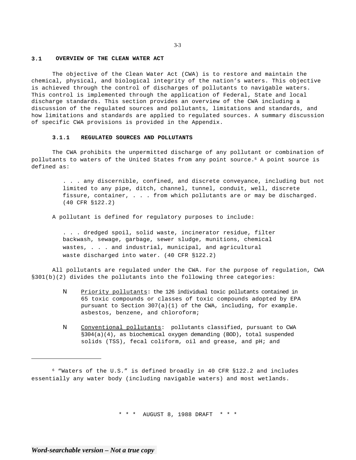## **3.1 OVERVIEW OF THE CLEAN WATER ACT**

The objective of the Clean Water Act (CWA) is to restore and maintain the chemical, physical, and biological integrity of the nation's waters. This objective is achieved through the control of discharges of pollutants to navigable waters. This control is implemented through the application of Federal, State and local discharge standards. This section provides an overview of the CWA including a discussion of the regulated sources and pollutants, limitations and standards, and how limitations and standards are applied to regulated sources. A summary discussion of specific CWA provisions is provided in the Appendix.

#### **3.1.1 REGULATED SOURCES AND POLLUTANTS**

The CWA prohibits the unpermitted discharge of any pollutant or combination of pollutants to waters of the United States from any point source.6 A point source is defined as:

> . . . any discernible, confined, and discrete conveyance, including but not limited to any pipe, ditch, channel, tunnel, conduit, well, discrete fissure, container, . . . from which pollutants are or may be discharged. (40 CFR §122.2)

A pollutant is defined for regulatory purposes to include:

. . . dredged spoil, solid waste, incinerator residue, filter backwash, sewage, garbage, sewer sludge, munitions, chemical wastes, . . . and industrial, municipal, and agricultural waste discharged into water. (40 CFR §122.2)

All pollutants are regulated under the CWA. For the purpose of regulation, CWA §301(b)(2) divides the pollutants into the following three categories:

- N Priority pollutants: the 126 individual toxic pollutants contained in 65 toxic compounds or classes of toxic compounds adopted by EPA pursuant to Section 307(a)(1) of the CWA, including, for example. asbestos, benzene, and chloroform;
- N Conventional pollutants: pollutants classified, pursuant to CWA §304(a)(4), as biochemical oxygen demanding (BOD), total suspended solids (TSS), fecal coliform, oil and grease, and pH; and

\* \* \* AUGUST 8, 1988 DRAFT \* \* \*

<sup>6 &</sup>quot;Waters of the U.S." is defined broadly in 40 CFR §122.2 and includes essentially any water body (including navigable waters) and most wetlands.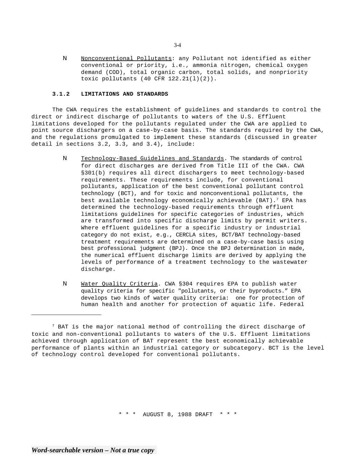N Nonconventional Pollutants: any Pollutant not identified as either conventional or priority, i.e., ammonia nitrogen, chemical oxygen demand (COD), total organic carbon, total solids, and nonpriority toxic pollutants (40 CFR 122.21(l)(2)).

## **3.1.2 LIMITATIONS AND STANDARDS**

The CWA requires the establishment of guidelines and standards to control the direct or indirect discharge of pollutants to waters of the U.S. Effluent limitations developed for the pollutants regulated under the CWA are applied to point source dischargers on a case-by-case basis. The standards required by the CWA, and the regulations promulgated to implement these standards (discussed in greater detail in sections 3.2, 3.3, and 3.4), include:

- N Technology-Based Guidelines and Standards. The standards of control for direct discharges are derived from Title III of the CWA. CWA §301(b) requires all direct dischargers to meet technology-based requirements. These requirements include, for conventional pollutants, application of the best conventional pollutant control technology (BCT), and for toxic and nonconventional pollutants, the best available technology economically achievable (BAT).<sup>7</sup> EPA has determined the technology-based requirements through effluent limitations guidelines for specific categories of industries, which are transformed into specific discharge limits by permit writers. Where effluent guidelines for a specific industry or industrial category do not exist, e.g., CERCLA sites, BCT/BAT technology-based treatment requirements are determined on a case-by-case basis using best professional judgment (BPJ). Once the BPJ determination in made, the numerical effluent discharge limits are derived by applying the levels of performance of a treatment technology to the wastewater discharge.
- N Water Quality Criteria. CWA §304 requires EPA to publish water quality criteria for specific "pollutants, or their byproducts." EPA develops two kinds of water quality criteria: one for protection of human health and another for protection of aquatic life. Federal

\* \* \* AUGUST 8, 1988 DRAFT \* \* \*

 $7$  BAT is the major national method of controlling the direct discharge of toxic and non-conventional pollutants to waters of the U.S. Effluent limitations achieved through application of BAT represent the best economically achievable performance of plants within an industrial category or subcategory. BCT is the level of technology control developed for conventional pollutants.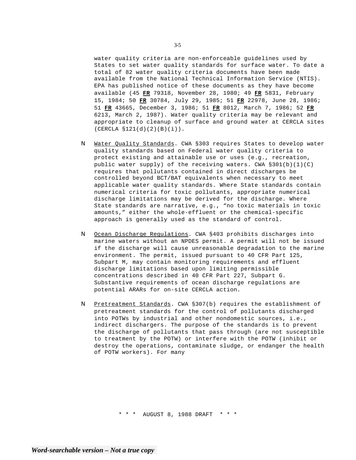water quality criteria are non-enforceable guidelines used by States to set water quality standards for surface water. To date a total of 82 water quality criteria documents have been made available from the National Technical Information Service (NTIS). EPA has published notice of these documents as they have become available (45 **FR** 79318, November 28, 1980; 49 **FR** 5831, February 15, 1984; 50 **FR** 30784, July 29, 1985; 51 **FR** 22978, June 28, 1986; 51 **FR** 43665, December 3, 1986; 51 **FR** 8012, March 7, 1986; 52 **FR**  6213, March 2, 1987). Water quality criteria may be relevant and appropriate to cleanup of surface and ground water at CERCLA sites (CERCLA §121(d)(2)(B)(i)).

- N Water Quality Standards. CWA §303 requires States to develop water quality standards based on Federal water quality criteria to protect existing and attainable use or uses (e.g., recreation, public water supply) of the receiving waters. CWA §301(b)(1)(C) requires that pollutants contained in direct discharges be controlled beyond BCT/BAT equivalents when necessary to meet applicable water quality standards. Where State standards contain numerical criteria for toxic pollutants, appropriate numerical discharge limitations may be derived for the discharge. Where State standards are narrative, e.g., "no toxic materials in toxic amounts," either the whole-effluent or the chemical-specific approach is generally used as the standard of control.
- N Ocean Discharge Regulations. CWA §403 prohibits discharges into marine waters without an NPDES permit. A permit will not be issued if the discharge will cause unreasonable degradation to the marine environment. The permit, issued pursuant to 40 CFR Part 125, Subpart M, may contain monitoring requirements and effluent discharge limitations based upon limiting permissible concentrations described in 40 CFR Part 227, Subpart G. Substantive requirements of ocean discharge regulations are potential ARARs for on-site CERCLA action.
- N Pretreatment Standards. CWA §307(b) requires the establishment of pretreatment standards for the control of pollutants discharged into POTWs by industrial and other nondomestic sources, i.e., indirect dischargers. The purpose of the standards is to prevent the discharge of pollutants that pass through (are not susceptible to treatment by the POTW) or interfere with the POTW (inhibit or destroy the operations, contaminate sludge, or endanger the health of POTW workers). For many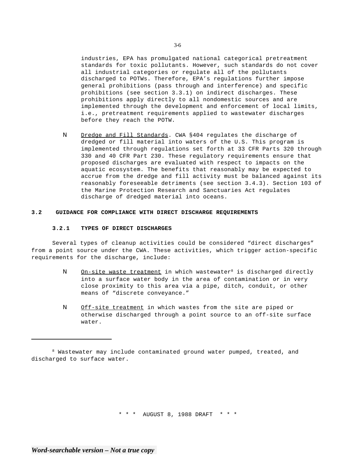industries, EPA has promulgated national categorical pretreatment standards for toxic pollutants. However, such standards do not cover all industrial categories or regulate all of the pollutants discharged to POTWs. Therefore, EPA's regulations further impose general prohibitions (pass through and interference) and specific prohibitions (see section 3.3.1) on indirect discharges. These prohibitions apply directly to all nondomestic sources and are implemented through the development and enforcement of local limits, i.e., pretreatment requirements applied to wastewater discharges before they reach the POTW.

N Dredge and Fill Standards. CWA §404 regulates the discharge of dredged or fill material into waters of the U.S. This program is implemented through regulations set forth at 33 CFR Parts 320 through 330 and 40 CFR Part 230. These regulatory requirements ensure that proposed discharges are evaluated with respect to impacts on the aquatic ecosystem. The benefits that reasonably may be expected to accrue from the dredge and fill activity must be balanced against its reasonably foreseeable detriments (see section 3.4.3). Section 103 of the Marine Protection Research and Sanctuaries Act regulates discharge of dredged material into oceans.

#### **3.2 GUIDANCE FOR COMPLIANCE WITH DIRECT DISCHARGE REQUIREMENTS**

#### **3.2.1 TYPES OF DIRECT DISCHARGES**

Several types of cleanup activities could be considered "direct discharges" from a point source under the CWA. These activities, which trigger action-specific requirements for the discharge, include:

- N On-site waste treatment in which wastewater<sup>8</sup> is discharged directly into a surface water body in the area of contamination or in very close proximity to this area via a pipe, ditch, conduit, or other means of "discrete conveyance."
- N Off-site treatment in which wastes from the site are piped or otherwise discharged through a point source to an off-site surface water.

\* \* \* AUGUST 8, 1988 DRAFT \* \* \*

<sup>&</sup>lt;sup>8</sup> Wastewater may include contaminated ground water pumped, treated, and discharged to surface water.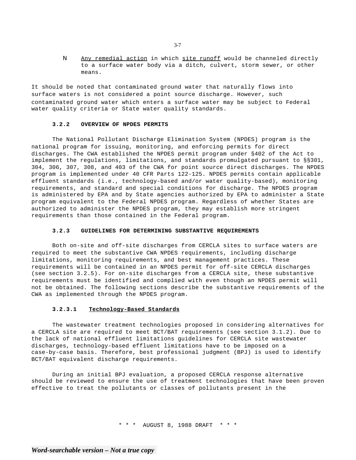N Any remedial action in which site runoff would be channeled directly to a surface water body via a ditch, culvert, storm sewer, or other means.

It should be noted that contaminated ground water that naturally flows into surface waters is not considered a point source discharge. However, such contaminated ground water which enters a surface water may be subject to Federal water quality criteria or State water quality standards.

#### **3.2.2 OVERVIEW OF NPDES PERMITS**

The National Pollutant Discharge Elimination System (NPDES) program is the national program for issuing, monitoring, and enforcing permits for direct discharges. The CWA established the NPDES permit program under §402 of the Act to implement the regulations, limitations, and standards promulgated pursuant to §§301, 304, 306, 307, 308, and 403 of the CWA for point source direct discharges. The NPDES program is implemented under 40 CFR Parts 122-125. NPDES permits contain applicable effluent standards (i.e., technology-based and/or water quality-based), monitoring requirements, and standard and special conditions for discharge. The NPDES program is administered by EPA and by State agencies authorized by EPA to administer a State program equivalent to the Federal NPDES program. Regardless of whether States are authorized to administer the NPDES program, they may establish more stringent requirements than those contained in the Federal program.

#### **3.2.3 GUIDELINES FOR DETERMINING SUBSTANTIVE REQUIREMENTS**

Both on-site and off-site discharges from CERCLA sites to surface waters are required to meet the substantive CWA NPDES requirements, including discharge limitations, monitoring requirements, and best management practices. These requirements will be contained in an NPDES permit for off-site CERCLA discharges (see section 3.2.5). For on-site discharges from a CERCLA site, these substantive requirements must be identified and complied with even though an NPDES permit will not be obtained. The following sections describe the substantive requirements of the CWA as implemented through the NPDES program.

## **3.2.3.1 Technology-Based Standards**

The wastewater treatment technologies proposed in considering alternatives for a CERCLA site are required to meet BCT/BAT requirements (see section 3.1.2). Due to the lack of national effluent limitations guidelines for CERCLA site wastewater discharges, technology-based effluent limitations have to be imposed on a case-by-case basis. Therefore, best professional judgment (BPJ) is used to identify BCT/BAT equivalent discharge requirements.

During an initial BPJ evaluation, a proposed CERCLA response alternative should be reviewed to ensure the use of treatment technologies that have been proven effective to treat the pollutants or classes of pollutants present in the

\* \* \* AUGUST 8, 1988 DRAFT \* \* \*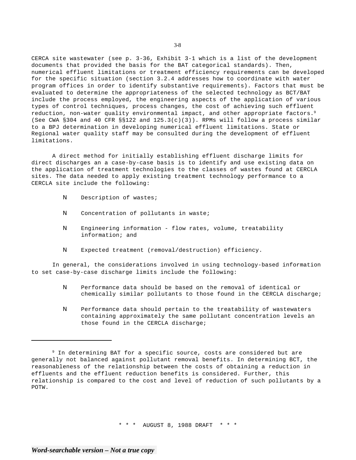CERCA site wastewater (see p. 3-36, Exhibit 3-1 which is a list of the development documents that provided the basis for the BAT categorical standards). Then, numerical effluent limitations or treatment efficiency requirements can be developed for the specific situation (section 3.2.4 addresses how to coordinate with water program offices in order to identify substantive requirements). Factors that must be evaluated to determine the appropriateness of the selected technology as BCT/BAT include the process employed, the engineering aspects of the application of various types of control techniques, process changes, the cost of achieving such effluent reduction, non-water quality environmental impact, and other appropriate factors.<sup>9</sup> (See CWA §304 and 40 CFR §§122 and  $125.3(c)(3)$ ). RPMs will follow a process similar to a BPJ determination in developing numerical effluent limitations. State or Regional water quality staff may be consulted during the development of effluent limitations.

A direct method for initially establishing effluent discharge limits for direct discharges an a case-by-case basis is to identify and use existing data on the application of treatment technologies to the classes of wastes found at CERCLA sites. The data needed to apply existing treatment technology performance to a CERCLA site include the following:

- N Description of wastes;
- N Concentration of pollutants in waste;
- N Engineering information flow rates, volume, treatability information; and
- N Expected treatment (removal/destruction) efficiency.

In general, the considerations involved in using technology-based information to set case-by-case discharge limits include the following:

- N Performance data should be based on the removal of identical or chemically similar pollutants to those found in the CERCLA discharge;
- N Performance data should pertain to the treatability of wastewaters containing approximately the same pollutant concentration levels an those found in the CERCLA discharge;

<sup>&</sup>lt;sup>9</sup> In determining BAT for a specific source, costs are considered but are generally not balanced against pollutant removal benefits. In determining BCT, the reasonableness of the relationship between the costs of obtaining a reduction in effluents and the effluent reduction benefits is considered. Further, this relationship is compared to the cost and level of reduction of such pollutants by a POTW.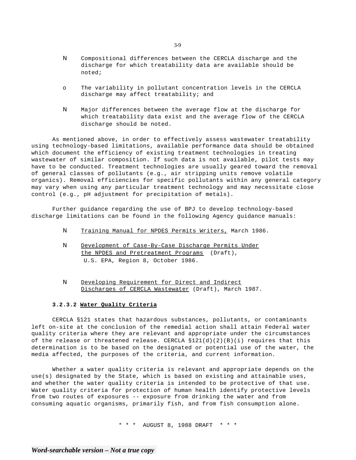- N Compositional differences between the CERCLA discharge and the discharge for which treatability data are available should be noted;
- o The variability in pollutant concentration levels in the CERCLA discharge may affect treatability; and
- N Major differences between the average flow at the discharge for which treatability data exist and the average flow of the CERCLA discharge should be noted.

As mentioned above, in order to effectively assess wastewater treatability using technology-based limitations, available performance data should be obtained which document the efficiency of existing treatment technologies in treating wastewater of similar composition. If such data is not available, pilot tests may have to be conducted. Treatment technologies are usually geared toward the removal of general classes of pollutants (e.g., air stripping units remove volatile organics). Removal efficiencies for specific pollutants within any general category may vary when using any particular treatment technology and may necessitate close control (e.g., pH adjustment for precipitation of metals).

Further guidance regarding the use of BPJ to develop technology-based discharge limitations can be found in the following Agency guidance manuals:

- N Training Manual for NPDES Permits Writers, March 1986.
- N Development of Case-By-Case Discharge Permits Under the NPDES and Pretreatment Programs (Draft), U.S. EPA, Region 8, October 1986.
- N Developing Requirement for Direct and Indirect Discharges of CERCLA Wastewater (Draft), March 1987.

#### **3.2.3.2 Water Quality Criteria**

CERCLA §121 states that hazardous substances, pollutants, or contaminants left on-site at the conclusion of the remedial action shall attain Federal water quality criteria where they are relevant and appropriate under the circumstances of the release or threatened release. CERCLA  $$121(d)(2)(B)(i)$  requires that this determination is to be based on the designated or potential use of the water, the media affected, the purposes of the criteria, and current information.

Whether a water quality criteria is relevant and appropriate depends on the use(s) designated by the State, which is based on existing and attainable uses, and whether the water quality criteria is intended to be protective of that use. Water quality criteria for protection of human health identify protective levels from two routes of exposures -- exposure from drinking the water and from consuming aquatic organisms, primarily fish, and from fish consumption alone.

\* \* \* AUGUST 8, 1988 DRAFT \* \* \*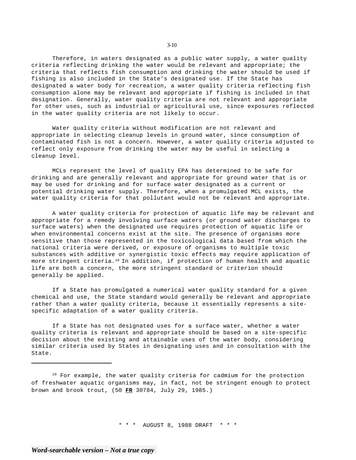Therefore, in waters designated as a public water supply, a water quality criteria reflecting drinking the water would be relevant and appropriate; the criteria that reflects fish consumption and drinking the water should be used if fishing is also included in the State's designated use. If the State has designated a water body for recreation, a water quality criteria reflecting fish consumption alone may be relevant and appropriate if fishing is included in that designation. Generally, water quality criteria are not relevant and appropriate for other uses, such as industrial or agricultural use, since exposures reflected in the water quality criteria are not likely to occur.

Water quality criteria without modification are not relevant and appropriate in selecting cleanup levels in ground water, since consumption of contaminated fish is not a concern. However, a water quality criteria adjusted to reflect only exposure from drinking the water may be useful in selecting a cleanup level.

MCLs represent the level of quality EPA has determined to be safe for drinking and are generally relevant and appropriate for ground water that is or may be used for drinking and for surface water designated as a current or potential drinking water supply. Therefore, when a promulgated MCL exists, the water quality criteria for that pollutant would not be relevant and appropriate.

A water quality criteria for protection of aquatic life may be relevant and appropriate for a remedy involving surface waters (or ground water discharges to surface waters) when the designated use requires protection of aquatic life or when environmental concerns exist at the site. The presence of organisms more sensitive than those represented in the toxicological data based from which the national criteria were derived, or exposure of organisms to multiple toxic substances with additive or synergistic toxic effects may require application of more stringent criteria.<sup>10</sup> In addition, if protection of human health and aquatic life are both a concern, the more stringent standard or criterion should generally be applied.

If a State has promulgated a numerical water quality standard for a given chemical and use, the State standard would generally be relevant and appropriate rather than a water quality criteria, because it essentially represents a sitespecific adaptation of a water quality criteria.

If a State has not designated uses for a surface water, whether a water quality criteria is relevant and appropriate should be based on a site-specific decision about the existing and attainable uses of the water body, considering similar criteria used by States in designating uses and in consultation with the State.

<sup>10</sup> For example, the water quality criteria for cadmium for the protection of freshwater aquatic organisms may, in fact, not be stringent enough to protect brown and brook trout, (50 **FR** 30784, July 29, 1985.)

\* \* \* AUGUST 8, 1988 DRAFT \* \* \*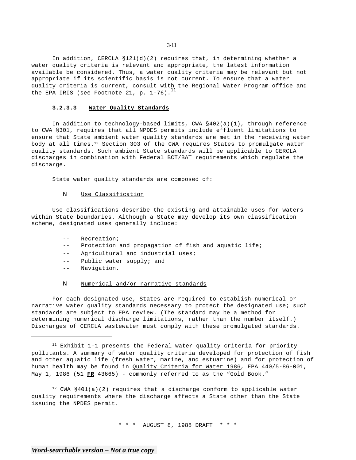In addition, CERCLA  $$121(d)(2)$  requires that, in determining whether a water quality criteria is relevant and appropriate, the latest information available be considered. Thus, a water quality criteria may be relevant but not appropriate if its scientific basis is not current. To ensure that a water quality criteria is current, consult with the Regional Water Program office and the EPA IRIS (see Footnote 21, p.  $1-76$ ).<sup>11</sup>

## **3.2.3.3 Water Quality Standards**

In addition to technology-based limits, CWA §402(a)(1), through reference to CWA §301, requires that all NPDES permits include effluent limitations to ensure that State ambient water quality standards are met in the receiving water body at all times.12 Section 303 of the CWA requires States to promulgate water quality standards. Such ambient State standards will be applicable to CERCLA discharges in combination with Federal BCT/BAT requirements which regulate the discharge.

State water quality standards are composed of:

## N Use Classification

Use classifications describe the existing and attainable uses for waters within State boundaries. Although a State may develop its own classification scheme, designated uses generally include:

- $-$ Recreation;
- $-$ Protection and propagation of fish and aquatic life;
- $--$ Agricultural and industrial uses;
- $-$ Public water supply; and
- -- Navigation.

## N Numerical and/or narrative standards

For each designated use, States are required to establish numerical or narrative water quality standards necessary to protect the designated use; such standards are subject to EPA review. (The standard may be a method for determining numerical discharge limitations, rather than the number itself.) Discharges of CERCLA wastewater must comply with these promulgated standards.

11 Exhibit 1-1 presents the Federal water quality criteria for priority pollutants. A summary of water quality criteria developed for protection of fish and other aquatic life (fresh water, marine, and estuarine) and for protection of human health may be found in Quality Criteria for Water 1986, EPA 440/5-86-001, May 1, 1986 (51 **FR** 43665) - commonly referred to as the "Gold Book."

<sup>12</sup> CWA  $§401(a)(2)$  requires that a discharge conform to applicable water quality requirements where the discharge affects a State other than the State issuing the NPDES permit.

\* \* \* AUGUST 8, 1988 DRAFT \* \* \*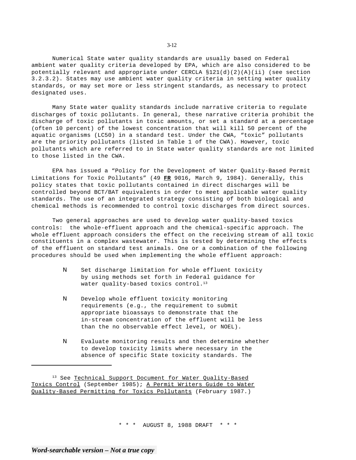Numerical State water quality standards are usually based on Federal ambient water quality criteria developed by EPA, which are also considered to be potentially relevant and appropriate under CERCLA  $$121(d)(2)(A)(ii)$  (see section 3.2.3.2). States may use ambient water quality criteria in setting water quality standards, or may set more or less stringent standards, as necessary to protect designated uses.

Many State water quality standards include narrative criteria to regulate discharges of toxic pollutants. In general, these narrative criteria prohibit the discharge of toxic pollutants in toxic amounts, or set a standard at a percentage (often 10 percent) of the lowest concentration that will kill 50 percent of the aquatic organisms (LC50) in a standard test. Under the CWA, "toxic" pollutants are the priority pollutants (listed in Table 1 of the CWA). However, toxic pollutants which are referred to in State water quality standards are not limited to those listed in the CWA.

EPA has issued a "Policy for the Development of Water Quality-Based Permit Limitations for Toxic Pollutants" (49 **FR** 9016, March 9, 1984). Generally, this policy states that toxic pollutants contained in direct discharges will be controlled beyond BCT/BAT equivalents in order to meet applicable water quality standards. The use of an integrated strategy consisting of both biological and chemical methods is recommended to control toxic discharges from direct sources.

Two general approaches are used to develop water quality-based toxics controls: the whole-effluent approach and the chemical-specific approach. The whole effluent approach considers the effect on the receiving stream of all toxic constituents in a complex wastewater. This is tested by determining the effects of the effluent on standard test animals. One or a combination of the following procedures should be used when implementing the whole effluent approach:

- N Set discharge limitation for whole effluent toxicity by using methods set forth in Federal guidance for water quality-based toxics control.<sup>13</sup>
- N Develop whole effluent toxicity monitoring requirements (e.g., the requirement to submit appropriate bioassays to demonstrate that the in-stream concentration of the effluent will be less than the no observable effect level, or NOEL).
- N Evaluate monitoring results and then determine whether to develop toxicity limits where necessary in the absence of specific State toxicity standards. The

13 See Technical Support Document for Water Quality-Based Toxics Control (September 1985); A Permit Writers Guide to Water Quality-Based Permitting for Toxics Pollutants (February 1987.)

\* \* \* AUGUST 8, 1988 DRAFT \* \* \*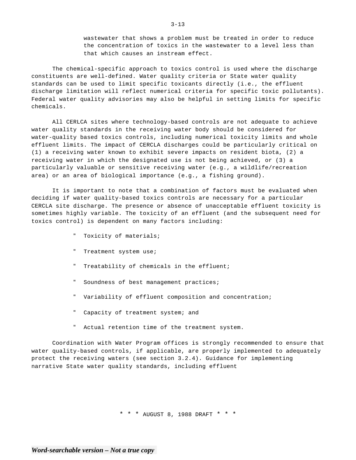wastewater that shows a problem must be treated in order to reduce the concentration of toxics in the wastewater to a level less than that which causes an instream effect.

The chemical-specific approach to toxics control is used where the discharge constituents are well-defined. Water quality criteria or State water quality standards can be used to limit specific toxicants directly (i.e., the effluent discharge limitation will reflect numerical criteria for specific toxic pollutants). Federal water quality advisories may also be helpful in setting limits for specific chemicals.

All CERLCA sites where technology-based controls are not adequate to achieve water quality standards in the receiving water body should be considered for water-quality based toxics controls, including numerical toxicity limits and whole effluent limits. The impact of CERCLA discharges could be particularly critical on (1) a receiving water known to exhibit severe impacts on resident biota, (2) a receiving water in which the designated use is not being achieved, or (3) a particularly valuable or sensitive receiving water (e.g., a wildlife/recreation area) or an area of biological importance (e.g., a fishing ground).

It is important to note that a combination of factors must be evaluated when deciding if water quality-based toxics controls are necessary for a particular CERCLA site discharge. The presence or absence of unacceptable effluent toxicity is sometimes highly variable. The toxicity of an effluent (and the subsequent need for toxics control) is dependent on many factors including:

- " Toxicity of materials;
- " Treatment system use;
- " Treatability of chemicals in the effluent;
- " Soundness of best management practices;
- " Variability of effluent composition and concentration;
- " Capacity of treatment system; and
- " Actual retention time of the treatment system.

Coordination with Water Program offices is strongly recommended to ensure that water quality-based controls, if applicable, are properly implemented to adequately protect the receiving waters (see section 3.2.4). Guidance for implementing narrative State water quality standards, including effluent

\* \* \* AUGUST 8, 1988 DRAFT \* \* \*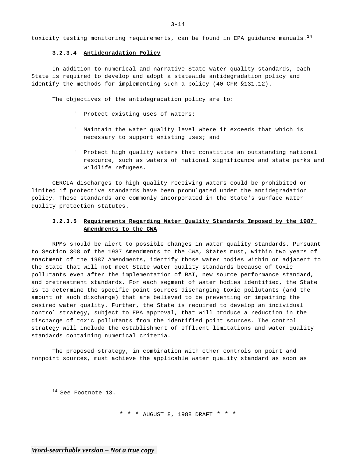toxicity testing monitoring requirements, can be found in EPA guidance manuals.<sup>14</sup>

## **3.2.3.4 Antidegradation Policy**

In addition to numerical and narrative State water quality standards, each State is required to develop and adopt a statewide antidegradation policy and identify the methods for implementing such a policy (40 CFR §131.12).

The objectives of the antidegradation policy are to:

- " Protect existing uses of waters;
- " Maintain the water quality level where it exceeds that which is necessary to support existing uses; and
- " Protect high quality waters that constitute an outstanding national resource, such as waters of national significance and state parks and wildlife refugees.

CERCLA discharges to high quality receiving waters could be prohibited or limited if protective standards have been promulgated under the antidegradation policy. These standards are commonly incorporated in the State's surface water quality protection statutes.

# **3.2.3.5 Requirements Regarding Water Quality Standards Imposed by the 1987 Amendments to the CWA**

RPMs should be alert to possible changes in water quality standards. Pursuant to Section 308 of the 1987 Amendments to the CWA, States must, within two years of enactment of the 1987 Amendments, identify those water bodies within or adjacent to the State that will not meet State water quality standards because of toxic pollutants even after the implementation of BAT, new source performance standard, and pretreatment standards. For each segment of water bodies identified, the State is to determine the specific point sources discharging toxic pollutants (and the amount of such discharge) that are believed to be preventing or impairing the desired water quality. Further, the State is required to develop an individual control strategy, subject to EPA approval, that will produce a reduction in the discharge of toxic pollutants from the identified point sources. The control strategy will include the establishment of effluent limitations and water quality standards containing numerical criteria.

The proposed strategy, in combination with other controls on point and nonpoint sources, must achieve the applicable water quality standard as soon as

14 See Footnote 13.

\* \* \* AUGUST 8, 1988 DRAFT \* \* \*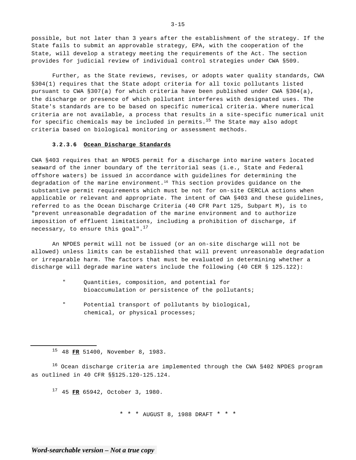possible, but not later than 3 years after the establishment of the strategy. If the State fails to submit an approvable strategy, EPA, with the cooperation of the State, will develop a strategy meeting the requirements of the Act. The section provides for judicial review of individual control strategies under CWA §509.

Further, as the State reviews, revises, or adopts water quality standards, CWA §304(1) requires that the State adopt criteria for all toxic pollutants listed pursuant to CWA §307(a) for which criteria have been published under CWA §304(a), the discharge or presence of which pollutant interferes with designated uses. The State's standards are to be based on specific numerical criteria. Where numerical criteria are not available, a process that results in a site-specific numerical unit for specific chemicals may be included in permits. $15$  The State may also adopt criteria based on biological monitoring or assessment methods.

## **3.2.3.6 Ocean Discharge Standards**

CWA §403 requires that an NPDES permit for a discharge into marine waters located seaward of the inner boundary of the territorial seas (i.e., State and Federal offshore waters) be issued in accordance with guidelines for determining the degradation of the marine environment.<sup>16</sup> This section provides guidance on the substantive permit requirements which must be not for on-site CERCLA actions when applicable or relevant and appropriate. The intent of CWA §403 and these guidelines, referred to as the Ocean Discharge Criteria (40 CFR Part 125, Subpart M), is to "prevent unreasonable degradation of the marine environment and to authorize imposition of effluent limitations, including a prohibition of discharge, if necessary, to ensure this goal". $^{17}$ 

An NPDES permit will not be issued (or an on-site discharge will not be allowed) unless limits can be established that will prevent unreasonable degradation or irreparable harm. The factors that must be evaluated in determining whether a discharge will degrade marine waters include the following (40 CER § 125.122):

- " Quantities, composition, and potential for bioaccumulation or persistence of the pollutants;
- " Potential transport of pollutants by biological, chemical, or physical processes;

15 48 **FR** 51400, November 8, 1983.

16 Ocean discharge criteria are implemented through the CWA §402 NPDES program as outlined in 40 CFR §§125.120-125.124.

17 45 **FR** 65942, October 3, 1980.

\* \* \* AUGUST 8, 1988 DRAFT \* \* \*

 $3 - 15$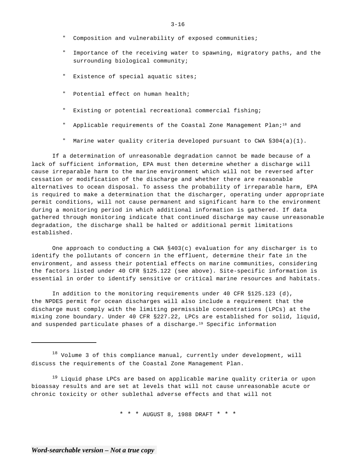- " Composition and vulnerability of exposed communities;
- " Importance of the receiving water to spawning, migratory paths, and the surrounding biological community;
- " Existence of special aquatic sites;
- " Potential effect on human health;
- " Existing or potential recreational commercial fishing;
- Applicable requirements of the Coastal Zone Management Plan; $18$  and
- " Marine water quality criteria developed pursuant to CWA §304(a)(1).

If a determination of unreasonable degradation cannot be made because of a lack of sufficient information, EPA must then determine whether a discharge will cause irreparable harm to the marine environment which will not be reversed after cessation or modification of the discharge and whether there are reasonable alternatives to ocean disposal. To assess the probability of irreparable harm, EPA is required to make a determination that the discharger, operating under appropriate permit conditions, will not cause permanent and significant harm to the environment during a monitoring period in which additional information is gathered. If data gathered through monitoring indicate that continued discharge may cause unreasonable degradation, the discharge shall be halted or additional permit limitations established.

One approach to conducting a CWA §403(c) evaluation for any discharger is to identify the pollutants of concern in the effluent, determine their fate in the environment, and assess their potential effects on marine communities, considering the factors listed under 40 CFR §125.122 (see above). Site-specific information is essential in order to identify sensitive or critical marine resources and habitats.

In addition to the monitoring requirements under 40 CFR §125.123 (d), the NPDES permit for ocean discharges will also include a requirement that the discharge must comply with the limiting permissible concentrations (LPCs) at the mixing zone boundary. Under 40 CFR §227.22, LPCs are established for solid, liquid, and suspended particulate phases of a discharge.<sup>19</sup> Specific information

 $18$  Volume 3 of this compliance manual, currently under development, will discuss the requirements of the Coastal Zone Management Plan.

<sup>19</sup> Liquid phase LPCs are based on applicable marine quality criteria or upon bioassay results and are set at levels that will not cause unreasonable acute or chronic toxicity or other sublethal adverse effects and that will not

\* \* \* AUGUST 8, 1988 DRAFT \* \* \*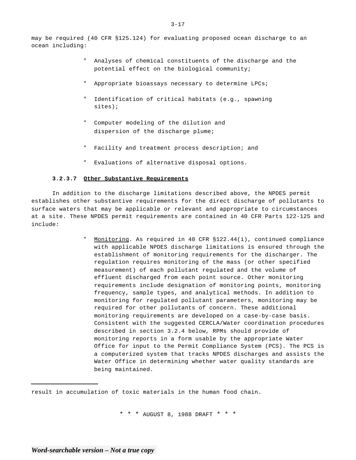may be required (40 CFR §125.124) for evaluating proposed ocean discharge to an ocean including:

- Analyses of chemical constituents of the discharge and the potential effect on the biological community;
- Appropriate bioassays necessary to determine LPCs;
- " Identification of critical habitats (e.g., spawning sites);
- " Computer modeling of the dilution and dispersion of the discharge plume;
- Facility and treatment process description; and
- " Evaluations of alternative disposal options.

## **3.2.3.7 Other Substantive Requirements**

In addition to the discharge limitations described above, the NPDES permit establishes other substantive requirements for the direct discharge of pollutants to surface waters that may be applicable or relevant and appropriate to circumstances at a site. These NPDES permit requirements are contained in 40 CFR Parts 122-125 and include:

> Monitoring. As required in 40 CFR \$122.44(i), continued compliance with applicable NPDES discharge limitations is ensured through the establishment of monitoring requirements for the discharger. The regulation requires monitoring of the mass (or other specified measurement) of each pollutant regulated and the volume of effluent discharged from each point source. Other monitoring requirements include designation of monitoring points, monitoring frequency, sample types, and analytical methods. In addition to monitoring for regulated pollutant parameters, monitoring may be required for other pollutants of concern. These additional monitoring requirements are developed on a case-by-case basis. Consistent with the suggested CERCLA/Water coordination procedures described in section 3.2.4 below, RPMs should provide of monitoring reports in a form usable by the appropriate Water Office for input to the Permit Compliance System (PCS). The PCS is a computerized system that tracks NPDES discharges and assists the Water Office in determining whether water quality standards are being maintained.

result in accumulation of toxic materials in the human food chain.

\* \* \* AUGUST 8, 1988 DRAFT \* \* \*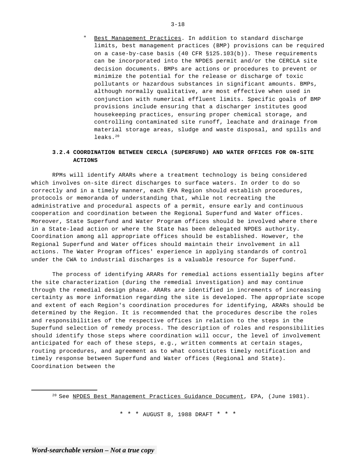Best Management Practices. In addition to standard discharge limits, best management practices (BMP) provisions can be required on a case-by-case basis (40 CFR  $$125.103(b)$ ). These requirements can be incorporated into the NPDES permit and/or the CERCLA site decision documents. BMPs are actions or procedures to prevent or minimize the potential for the release or discharge of toxic pollutants or hazardous substances in significant amounts. BMPs, although normally qualitative, are most effective when used in conjunction with numerical effluent limits. Specific goals of BMP provisions include ensuring that a discharger institutes good housekeeping practices, ensuring proper chemical storage, and controlling contaminated site runoff, leachate and drainage from material storage areas, sludge and waste disposal, and spills and leaks.20

# **3.2.4 COORDINATION BETWEEN CERCLA (SUPERFUND) AND WATER OFFICES FOR ON-SITE ACTIONS**

RPMs will identify ARARs where a treatment technology is being considered which involves on-site direct discharges to surface waters. In order to do so correctly and in a timely manner, each EPA Region should establish procedures, protocols or memoranda of understanding that, while not recreating the administrative and procedural aspects of a permit, ensure early and continuous cooperation and coordination between the Regional Superfund and Water offices. Moreover, State Superfund and Water Program offices should be involved where there in a State-lead action or where the State has been delegated NPDES authority. Coordination among all appropriate offices should be established. However, the Regional Superfund and Water offices should maintain their involvement in all actions. The Water Program offices' experience in applying standards of control under the CWA to industrial discharges is a valuable resource for Superfund.

The process of identifying ARARs for remedial actions essentially begins after the site characterization (during the remedial investigation) and may continue through the remedial design phase. ARARs are identified in increments of increasing certainty as more information regarding the site is developed. The appropriate scope and extent of each Region's coordination procedures for identifying, ARARs should be determined by the Region. It is recommended that the procedures describe the roles and responsibilities of the respective offices in relation to the steps in the Superfund selection of remedy process. The description of roles and responsibilities should identify those steps where coordination will occur, the level of involvement anticipated for each of these steps, e.g., written comments at certain stages, routing procedures, and agreement as to what constitutes timely notification and timely response between Superfund and Water offices (Regional and State). Coordination between the

\* \* \* AUGUST 8, 1988 DRAFT \* \* \*

<sup>&</sup>lt;sup>20</sup> See NPDES Best Management Practices Guidance Document, EPA, (June 1981).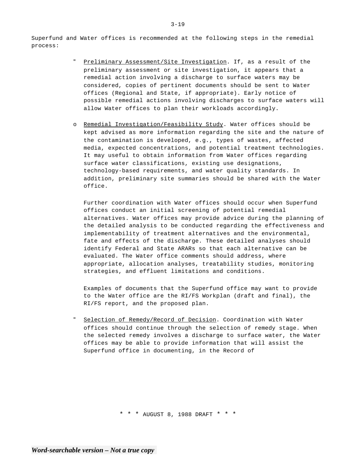Superfund and Water offices is recommended at the following steps in the remedial process:

- Preliminary Assessment/Site Investigation. If, as a result of the preliminary assessment or site investigation, it appears that a remedial action involving a discharge to surface waters may be considered, copies of pertinent documents should be sent to Water offices (Regional and State, if appropriate). Early notice of possible remedial actions involving discharges to surface waters will allow Water offices to plan their workloads accordingly.
- o Remedial Investigation/Feasibility Study. Water offices should be kept advised as more information regarding the site and the nature of the contamination is developed, e.g., types of wastes, affected media, expected concentrations, and potential treatment technologies. It may useful to obtain information from Water offices regarding surface water classifications, existing use designations, technology-based requirements, and water quality standards. In addition, preliminary site summaries should be shared with the Water office.

Further coordination with Water offices should occur when Superfund offices conduct an initial screening of potential remedial alternatives. Water offices may provide advice during the planning of the detailed analysis to be conducted regarding the effectiveness and implementability of treatment alternatives and the environmental, fate and effects of the discharge. These detailed analyses should identify Federal and State ARARs so that each alternative can be evaluated. The Water office comments should address, where appropriate, allocation analyses, treatability studies, monitoring strategies, and effluent limitations and conditions.

Examples of documents that the Superfund office may want to provide to the Water office are the RI/FS Workplan (draft and final), the RI/FS report, and the proposed plan.

Selection of Remedy/Record of Decision. Coordination with Water offices should continue through the selection of remedy stage. When the selected remedy involves a discharge to surface water, the Water offices may be able to provide information that will assist the Superfund office in documenting, in the Record of

\* \* \* AUGUST 8, 1988 DRAFT \* \* \*

3-19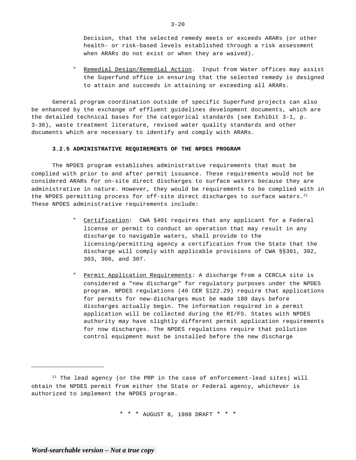Decision, that the selected remedy meets or exceeds ARARs (or other health- or risk-based levels established through a risk assessment when ARARs do not exist or when they are waived).

" Remedial Design/Remedial Action. Input from Water offices may assist the Superfund office in ensuring that the selected remedy is designed to attain and succeeds in attaining or exceeding all ARARs.

General program coordination outside of specific Superfund projects can also be enhanced by the exchange of effluent guidelines development documents, which are the detailed technical bases for the categorical standards (see Exhibit 3-1, p. 3-36), waste treatment literature, revised water quality standards and other documents which are necessary to identify and comply with ARARs.

## **3.2.5 ADMINISTRATIVE REQUIREMENTS OF THE NPDES PROGRAM**

The NPDES program establishes administrative requirements that must be complied with prior to and after permit issuance. These requirements would not be considered ARARs for on-site direct discharges to surface waters because they are administrative in nature. However, they would be requirements to be complied with in the NPDES permitting process for off-site direct discharges to surface waters.<sup>21</sup> These NPDES administrative requirements include:

- Certification: CWA §401 requires that any applicant for a Federal license or permit to conduct an operation that may result in any discharge to navigable waters, shall provide to the licensing/permitting agency a certification from the State that the discharge will comply with applicable provisions of CWA §§301, 302, 303, 306, and 307.
- " Permit Application Requirements: A discharge from a CERCLA site is considered a "new discharge" for regulatory purposes under the NPDES program. NPDES regulations (40 CER §122.29) require that applications for permits for new-discharges must be made 180 days before discharges actually begin. The information required in a permit application will be collected during the RI/FS. States with NPDES authority may have slightly different permit application requirements for now discharges. The NPDES regulations require that pollution control equipment must be installed before the new discharge

 $21$  The lead agency (or the PRP in the case of enforcement-lead sites) will obtain the NPDES permit from either the State or Federal agency, whichever is authorized to implement the NPDES program.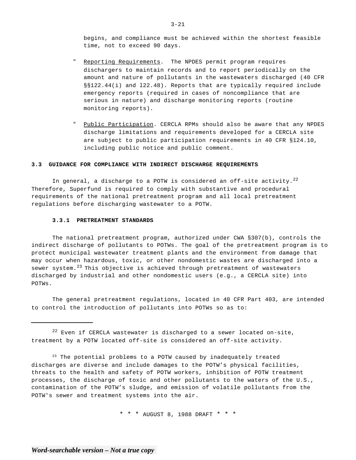begins, and compliance must be achieved within the shortest feasible time, not to exceed 90 days.

- Reporting Requirements. The NPDES permit program requires dischargers to maintain records and to report periodically on the amount and nature of pollutants in the wastewaters discharged (40 CFR §§122.44(i) and l22.48). Reports that are typically required include emergency reports (required in cases of noncompliance that are serious in nature) and discharge monitoring reports (routine monitoring reports).
- Public Participation. CERCLA RPMs should also be aware that any NPDES discharge limitations and requirements developed for a CERCLA site are subject to public participation requirements in 40 CFR §124.10, including public notice and public comment.

## **3.3 GUIDANCE FOR COMPLIANCE WITH INDIRECT DISCHARGE REQUIREMENTS**

In general, a discharge to a POTW is considered an off-site activity.<sup>22</sup> Therefore, Superfund is required to comply with substantive and procedural requirements of the national pretreatment program and all local pretreatment regulations before discharging wastewater to a POTW.

## **3.3.1 PRETREATMENT STANDARDS**

The national pretreatment program, authorized under CWA §307(b), controls the indirect discharge of pollutants to POTWs. The goal of the pretreatment program is to protect municipal wastewater treatment plants and the environment from damage that may occur when hazardous, toxic, or other nondomestic wastes are discharged into a sewer system. $^{23}$  This objective is achieved through pretreatment of wastewaters discharged by industrial and other nondomestic users (e.g., a CERCLA site) into POTWs.

The general pretreatment regulations, located in 40 CFR Part 403, are intended to control the introduction of pollutants into POTWs so as to:

 $22$  Even if CERCLA wastewater is discharged to a sewer located on-site, treatment by a POTW located off-site is considered an off-site activity.

<sup>23</sup> The potential problems to a POTW caused by inadequately treated discharges are diverse and include damages to the POTW's physical facilities, threats to the health and safety of POTW workers, inhibition of POTW treatment processes, the discharge of toxic and other pollutants to the waters of the U.S., contamination of the POTW's sludge, and emission of volatile pollutants from the POTW's sewer and treatment systems into the air.

\* \* \* AUGUST 8, 1988 DRAFT \* \* \*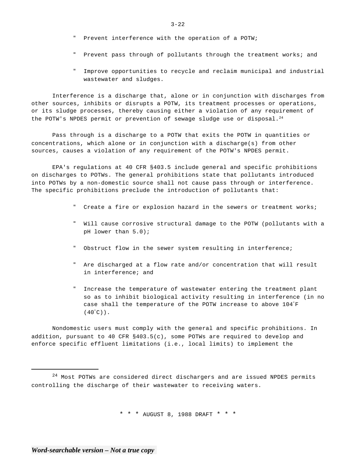- Prevent interference with the operation of a POTW;
- " Prevent pass through of pollutants through the treatment works; and
- " Improve opportunities to recycle and reclaim municipal and industrial wastewater and sludges.

Interference is a discharge that, alone or in conjunction with discharges from other sources, inhibits or disrupts a POTW, its treatment processes or operations, or its sludge processes, thereby causing either a violation of any requirement of the POTW's NPDES permit or prevention of sewage sludge use or disposal.<sup>24</sup>

Pass through is a discharge to a POTW that exits the POTW in quantities or concentrations, which alone or in conjunction with a discharge(s) from other sources, causes a violation of any requirement of the POTW's NPDES permit.

EPA's regulations at 40 CFR §403.5 include general and specific prohibitions on discharges to POTWs. The general prohibitions state that pollutants introduced into POTWs by a non-domestic source shall not cause pass through or interference. The specific prohibitions preclude the introduction of pollutants that:

- " Create a fire or explosion hazard in the sewers or treatment works;
- " Will cause corrosive structural damage to the POTW (pollutants with a pH lower than 5.0);
- Obstruct flow in the sewer system resulting in interference;
- " Are discharged at a flow rate and/or concentration that will result in interference; and
- " Increase the temperature of wastewater entering the treatment plant so as to inhibit biological activity resulting in interference (in no case shall the temperature of the POTW increase to above 104"F  $(40"C)$ ).

Nondomestic users must comply with the general and specific prohibitions. In addition, pursuant to 40 CFR §403.5(c), some POTWs are required to develop and enforce specific effluent limitations (i.e., local limits) to implement the

\* \* \* AUGUST 8, 1988 DRAFT \* \* \*

 $24$  Most POTWs are considered direct dischargers and are issued NPDES permits controlling the discharge of their wastewater to receiving waters.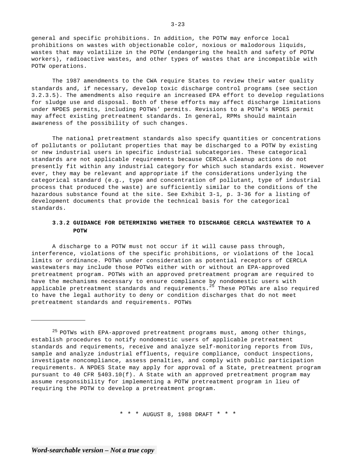general and specific prohibitions. In addition, the POTW may enforce local prohibitions on wastes with objectionable color, noxious or malodorous liquids, wastes that may volatilize in the POTW (endangering the health and safety of POTW workers), radioactive wastes, and other types of wastes that are incompatible with POTW operations.

The 1987 amendments to the CWA require States to review their water quality standards and, if necessary, develop toxic discharge control programs (see section 3.2.3.5). The amendments also require an increased EPA effort to develop regulations for sludge use and disposal. Both of these efforts may affect discharge limitations under NPDES permits, including POTWs' permits. Revisions to a POTW's NPDES permit may affect existing pretreatment standards. In general, RPMs should maintain awareness of the possibility of such changes.

The national pretreatment standards also specify quantities or concentrations of pollutants or pollutant properties that may be discharged to a POTW by existing or new industrial users in specific industrial subcategories. These categorical standards are not applicable requirements because CERCLA cleanup actions do not presently fit within any industrial category for which such standards exist. However ever, they may be relevant and appropriate if the considerations underlying the categorical standard (e.g., type and concentration of pollutant, type of industrial process that produced the waste) are sufficiently similar to the conditions of the hazardous substance found at the site. See Exhibit 3-1, p. 3-36 for a listing of development documents that provide the technical basis for the categorical standards.

# **3.3.2 GUIDANCE FOR DETERMINING WHETHER TO DISCHARGE CERCLA WASTEWATER TO A POTW**

A discharge to a POTW must not occur if it will cause pass through, interference, violations of the specific prohibitions, or violations of the local limits or ordinance. POTWs under consideration as potential receptors of CERCLA wastewaters may include those POTWs either with or without an EPA-approved pretreatment program. POTWs with an approved pretreatment program are required to have the mechanisms necessary to ensure compliance by nondomestic users with applicable pretreatment standards and requirements. $^{25}$  These POTWs are also required to have the legal authority to deny or condition discharges that do not meet pretreatment standards and requirements. POTWs

\* \* \* AUGUST 8, 1988 DRAFT \* \* \*

 $25$  POTWs with EPA-approved pretreatment programs must, among other things, establish procedures to notify nondomestic users of applicable pretreatment standards and requirements, receive and analyze self-monitoring reports from IUs, sample and analyze industrial effluents, require compliance, conduct inspections, investigate noncompliance, assess penalties, and comply with public participation requirements. A NPDES State may apply for approval of a State, pretreatment program pursuant to 40 CFR §403.10(f). A State with an approved pretreatment program may assume responsibility for implementing a POTW pretreatment program in lieu of requiring the POTW to develop a pretreatment program.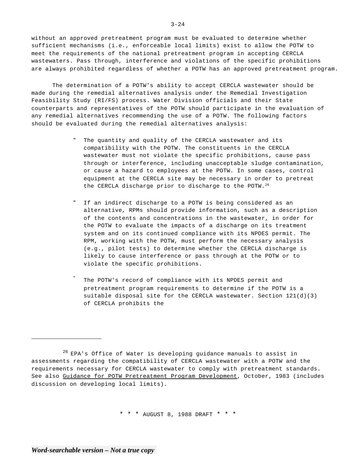without an approved pretreatment program must be evaluated to determine whether sufficient mechanisms (i.e., enforceable local limits) exist to allow the POTW to meet the requirements of the national pretreatment program in accepting CERCLA wastewaters. Pass through, interference and violations of the specific prohibitions are always prohibited regardless of whether a POTW has an approved pretreatment program.

The determination of a POTW's ability to accept CERCLA wastewater should be made during the remedial alternatives analysis under the Remedial Investigation Feasibility Study (RI/FS) process. Water Division officials and their State counterparts and representatives of the POTW should participate in the evaluation of any remedial alternatives recommending the use of a POTW. The following factors should be evaluated during the remedial alternatives analysis:

- " The quantity and quality of the CERCLA wastewater and its compatibility with the POTW. The constituents in the CERCLA wastewater must not violate the specific prohibitions, cause pass through or interference, including unacceptable sludge contamination, or cause a hazard to employees at the POTW. In some cases, control equipment at the CERCLA site may be necessary in order to pretreat the CERCLA discharge prior to discharge to the POTW.26
- " If an indirect discharge to a POTW is being considered as an alternative, RPMs should provide information, such as a description of the contents and concentrations in the wastewater, in order for the POTW to evaluate the impacts of a discharge on its treatment system and on its continued compliance with its NPDES permit. The RPM, working with the POTW, must perform the necessary analysis (e.g., pilot tests) to determine whether the CERCLA discharge is likely to cause interference or pass through at the POTW or to violate the specific prohibitions.
	- The POTW's record of compliance with its NPDES permit and pretreatment program requirements to determine if the POTW is a suitable disposal site for the CERCLA wastewater. Section  $121(d)(3)$ of CERCLA prohibits the

\* \* \* AUGUST 8, 1988 DRAFT \* \* \*

 $3 - 24$ 

<sup>&</sup>lt;sup>26</sup> EPA's Office of Water is developing guidance manuals to assist in assessments regarding the compatibility of CERCLA wastewater with a POTW and the requirements necessary for CERCLA wastewater to comply with pretreatment standards. See also Guidance for POTW Pretreatment Program Development, October, 1983 (includes discussion on developing local limits).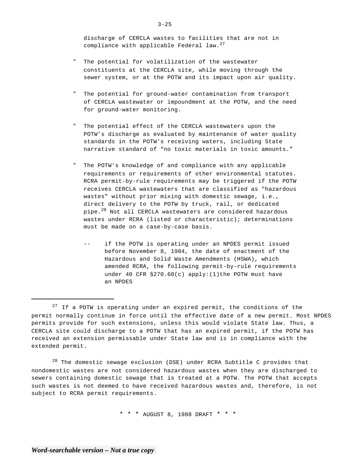discharge of CERCLA wastes to facilities that are not in compliance with applicable Federal law.<sup>27</sup>

- " The potential for volatilization of the wastewater constituents at the CERCLA site, while moving through the sewer system, or at the POTW and its impact upon air quality.
- The potential for ground-water contamination from transport of CERCLA wastewater or impoundment at the POTW, and the need for ground-water monitoring.
- The potential effect of the CERCLA wastewaters upon the POTW's discharge as evaluated by maintenance of water quality standards in the POTW's receiving waters, including State narrative standard of "no toxic materials in toxic amounts."
- The POTW's knowledge of and compliance with any applicable requirements or requirements of other environmental statutes. RCRA permit-by-rule requirements may be triggered if the POTW receives CERCLA wastewaters that are classified as "hazardous wastes" without prior mixing with domestic sewage, i.e., direct delivery to the POTW by truck, rail, or dedicated pipe.28 Not all CERCLA wastewaters are considered hazardous wastes under RCRA (listed or characteristic); determinations must be made on a case-by-case basis.
	- if the POTW is operating under an NPDES permit issued before November 8, 1984, the date of enactment of the Hazardous and Solid Waste Amendments (HSWA), which amended RCRA, the following permit-by-rule requirements under 40 CFR  $$270.60(c)$  apply: (1) the POTW must have an NPDES

 $28$  The domestic sewage exclusion (DSE) under RCRA Subtitle C provides that nondomestic wastes are not considered hazardous wastes when they are discharged to sewers containing domestic sewage that is treated at a POTW. The POTW that accepts such wastes is not deemed to have received hazardous wastes and, therefore, is not subject to RCRA permit requirements.

\* \* \* AUGUST 8, 1988 DRAFT \* \* \*

 $27$  If a POTW is operating under an expired permit, the conditions of the permit normally continue in force until the effective date of a new permit. Most NPDES permits provide for such extensions, unless this would violate State law. Thus, a CERCLA site could discharge to a POTW that has an expired permit, if the POTW has received an extension permissable under State law and is in compliance with the extended permit.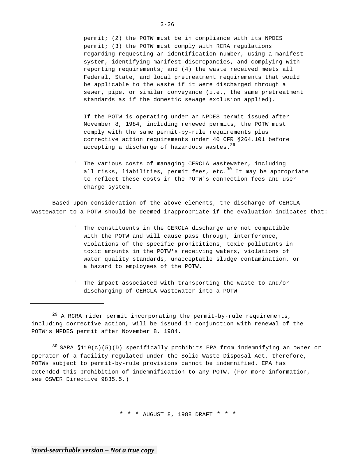permit; (2) the POTW must be in compliance with its NPDES permit; (3) the POTW must comply with RCRA regulations regarding requesting an identification number, using a manifest system, identifying manifest discrepancies, and complying with reporting requirements; and (4) the waste received meets all Federal, State, and local pretreatment requirements that would be applicable to the waste if it were discharged through a sewer, pipe, or similar conveyance (i.e., the same pretreatment standards as if the domestic sewage exclusion applied).

If the POTW is operating under an NPDES permit issued after November 8, 1984, including renewed permits, the POTW must comply with the same permit-by-rule requirements plus corrective action requirements under 40 CFR §264.101 before accepting a discharge of hazardous wastes. $^{29}$ 

" The various costs of managing CERCLA wastewater, including all risks, liabilities, permit fees, etc. $30$  It may be appropriate to reflect these costs in the POTW's connection fees and user charge system.

Based upon consideration of the above elements, the discharge of CERCLA wastewater to a POTW should be deemed inappropriate if the evaluation indicates that:

- The constituents in the CERCLA discharge are not compatible with the POTW and will cause pass through, interference, violations of the specific prohibitions, toxic pollutants in toxic amounts in the POTW's receiving waters, violations of water quality standards, unacceptable sludge contamination, or a hazard to employees of the POTW.
- " The impact associated with transporting the waste to and/or discharging of CERCLA wastewater into a POTW

 $29$  A RCRA rider permit incorporating the permit-by-rule requirements, including corrective action, will be issued in conjunction with renewal of the POTW's NPDES permit after November 8, 1984.

 $30$  SARA §119(c)(5)(D) specifically prohibits EPA from indemnifying an owner or operator of a facility regulated under the Solid Waste Disposal Act, therefore, POTWs subject to permit-by-rule provisions cannot be indemnified. EPA has extended this prohibition of indemnification to any POTW. (For more information, see OSWER Directive 9835.5.)

\* \* \* AUGUST 8, 1988 DRAFT \* \* \*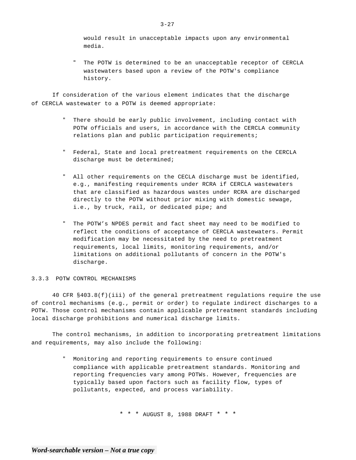would result in unacceptable impacts upon any environmental media.

The POTW is determined to be an unacceptable receptor of CERCLA wastewaters based upon a review of the POTW's compliance history.

If consideration of the various element indicates that the discharge of CERCLA wastewater to a POTW is deemed appropriate:

- " There should be early public involvement, including contact with POTW officials and users, in accordance with the CERCLA community relations plan and public participation requirements;
- " Federal, State and local pretreatment requirements on the CERCLA discharge must be determined;
- " All other requirements on the CECLA discharge must be identified, e.g., manifesting requirements under RCRA if CERCLA wastewaters that are classified as hazardous wastes under RCRA are discharged directly to the POTW without prior mixing with domestic sewage, i.e., by truck, rail, or dedicated pipe; and
- " The POTW's NPDES permit and fact sheet may need to be modified to reflect the conditions of acceptance of CERCLA wastewaters. Permit modification may be necessitated by the need to pretreatment requirements, local limits, monitoring requirements, and/or limitations on additional pollutants of concern in the POTW's discharge.

## 3.3.3 POTW CONTROL MECHANISMS

40 CFR §403.8(f)(iii) of the general pretreatment regulations require the use of control mechanisms (e.g., permit or order) to regulate indirect discharges to a POTW. Those control mechanisms contain applicable pretreatment standards including local discharge prohibitions and numerical discharge limits.

The control mechanisms, in addition to incorporating pretreatment limitations and requirements, may also include the following:

> " Monitoring and reporting requirements to ensure continued compliance with applicable pretreatment standards. Monitoring and reporting frequencies vary among POTWs. However, frequencies are typically based upon factors such as facility flow, types of pollutants, expected, and process variability.

> > \* \* \* AUGUST 8, 1988 DRAFT \* \* \*

 $3 - 27$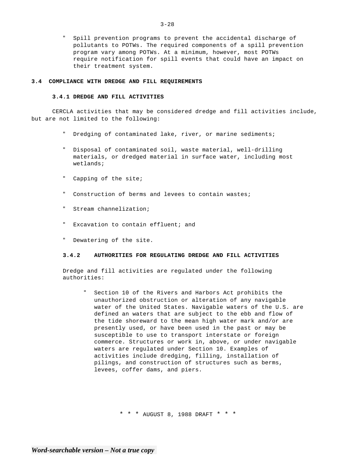" Spill prevention programs to prevent the accidental discharge of pollutants to POTWs. The required components of a spill prevention program vary among POTWs. At a minimum, however, most POTWs require notification for spill events that could have an impact on their treatment system.

## **3.4 COMPLIANCE WITH DREDGE AND FILL REQUIREMENTS**

## **3.4.1 DREDGE AND FILL ACTIVITIES**

CERCLA activities that may be considered dredge and fill activities include, but are not limited to the following:

- " Dredging of contaminated lake, river, or marine sediments;
- " Disposal of contaminated soil, waste material, well-drilling materials, or dredged material in surface water, including most wetlands;
- " Capping of the site;
- " Construction of berms and levees to contain wastes;
- " Stream channelization;
- " Excavation to contain effluent; and
- " Dewatering of the site.

## **3.4.2 AUTHORITIES FOR REGULATING DREDGE AND FILL ACTIVITIES**

Dredge and fill activities are regulated under the following authorities:

Section 10 of the Rivers and Harbors Act prohibits the unauthorized obstruction or alteration of any navigable water of the United States. Navigable waters of the U.S. are defined an waters that are subject to the ebb and flow of the tide shoreward to the mean high water mark and/or are presently used, or have been used in the past or may be susceptible to use to transport interstate or foreign commerce. Structures or work in, above, or under navigable waters are regulated under Section 10. Examples of activities include dredging, filling, installation of pilings, and construction of structures such as berms, levees, coffer dams, and piers.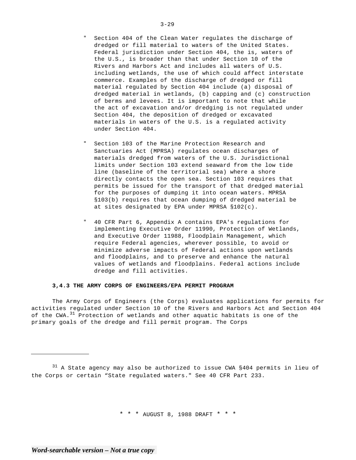- Section 404 of the Clean Water regulates the discharge of dredged or fill material to waters of the United States. Federal jurisdiction under Section 404, the is, waters of the U.S., is broader than that under Section 10 of the Rivers and Harbors Act and includes all waters of U.S. including wetlands, the use of which could affect interstate commerce. Examples of the discharge of dredged or fill material regulated by Section 404 include (a) disposal of dredged material in wetlands, (b) capping and (c) construction of berms and levees. It is important to note that while the act of excavation and/or dredging is not regulated under Section 404, the deposition of dredged or excavated materials in waters of the U.S. is a regulated activity under Section 404.
- Section 103 of the Marine Protection Research and Sanctuaries Act (MPRSA) regulates ocean discharges of materials dredged from waters of the U.S. Jurisdictional limits under Section 103 extend seaward from the low tide line (baseline of the territorial sea) where a shore directly contacts the open sea. Section 103 requires that permits be issued for the transport of that dredged material for the purposes of dumping it into ocean waters. MPRSA §103(b) requires that ocean dumping of dredged material be at sites designated by EPA under MPRSA §102(c).
- " 40 CFR Part 6, Appendix A contains EPA's regulations for implementing Executive Order 11990, Protection of Wetlands, and Executive Order 11988, Floodplain Management, which require Federal agencies, wherever possible, to avoid or minimize adverse impacts of Federal actions upon wetlands and floodplains, and to preserve and enhance the natural values of wetlands and floodplains. Federal actions include dredge and fill activities.

## **3,4.3 THE ARMY CORPS OF ENGINEERS/EPA PERMIT PROGRAM**

The Army Corps of Engineers (the Corps) evaluates applications for permits for activities regulated under Section 10 of the Rivers and Harbors Act and Section 404 of the CWA.<sup>31</sup> Protection of wetlands and other aquatic habitats is one of the primary goals of the dredge and fill permit program. The Corps

 $31$  A State agency may also be authorized to issue CWA §404 permits in lieu of the Corps or certain "State regulated waters." See 40 CFR Part 233.

\* \* \* AUGUST 8, 1988 DRAFT \* \* \*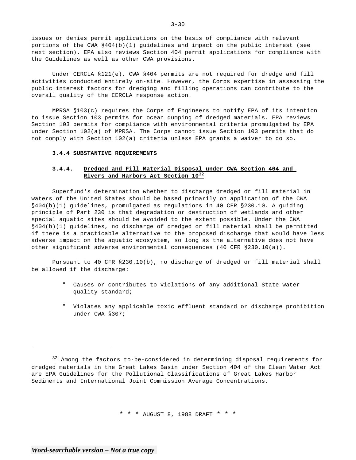issues or denies permit applications on the basis of compliance with relevant portions of the CWA §404(b)(1) guidelines and impact on the public interest (see next section). EPA also reviews Section 404 permit applications for compliance with the Guidelines as well as other CWA provisions.

Under CERCLA §121(e), CWA §404 permits are not required for dredge and fill activities conducted entirely on-site. However, the Corps expertise in assessing the public interest factors for dredging and filling operations can contribute to the overall quality of the CERCLA response action.

MPRSA §103(c) requires the Corps of Engineers to notify EPA of its intention to issue Section 103 permits for ocean dumping of dredged materials. EPA reviews Section 103 permits for compliance with environmental criteria promulgated by EPA under Section 102(a) of MPRSA. The Corps cannot issue Section 103 permits that do not comply with Section 102(a) criteria unless EPA grants a waiver to do so.

## **3.4.4 SUBSTANTIVE REQUIREMENTS**

# **3.4.4. Dredged and Fill Material Disposal under CWA Section 404 and Rivers and Harbors Act Section 10**<sup>32</sup>

Superfund's determination whether to discharge dredged or fill material in waters of the United States should be based primarily on application of the CWA §404(b)(1) guidelines, promulgated as regulations in 40 CFR §230.10. A guiding principle of Part 230 is that degradation or destruction of wetlands and other special aquatic sites should be avoided to the extent possible. Under the CWA §404(b)(1) guidelines, no discharge of dredged or fill material shall be permitted if there is a practicable alternative to the proposed discharge that would have less adverse impact on the aquatic ecosystem, so long as the alternative does not have other significant adverse environmental consequences (40 CFR §230.10(a)).

Pursuant to 40 CFR §230.10(b), no discharge of dredged or fill material shall be allowed if the discharge:

- " Causes or contributes to violations of any additional State water quality standard;
- " Violates any applicable toxic effluent standard or discharge prohibition under CWA §307;

\* \* \* AUGUST 8, 1988 DRAFT \* \* \*

 $3 - 30$ 

<sup>&</sup>lt;sup>32</sup> Among the factors to-be-considered in determining disposal requirements for dredged materials in the Great Lakes Basin under Section 404 of the Clean Water Act are EPA Guidelines for the Pollutional Classifications of Great Lakes Harbor Sediments and International Joint Commission Average Concentrations.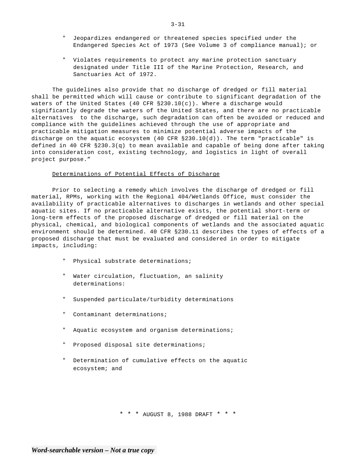- " Jeopardizes endangered or threatened species specified under the Endangered Species Act of 1973 (See Volume 3 of compliance manual); or
- " Violates requirements to protect any marine protection sanctuary designated under Title III of the Marine Protection, Research, and Sanctuaries Act of 1972.

The guidelines also provide that no discharge of dredged or fill material shall be permitted which will cause or contribute to significant degradation of the waters of the United States (40 CFR  $\S 230.10(c)$ ). Where a discharge would significantly degrade the waters of the United States, and there are no practicable alternatives to the discharge, such degradation can often be avoided or reduced and compliance with the guidelines achieved through the use of appropriate and practicable mitigation measures to minimize potential adverse impacts of the discharge on the aquatic ecosystem (40 CFR §230.10(d)). The term "practicable" is defined in 40 CFR §230.3(q) to mean available and capable of being done after taking into consideration cost, existing technology, and logistics in light of overall project purpose."

## Determinations of Potential Effects of Discharge

Prior to selecting a remedy which involves the discharge of dredged or fill material, RPMs, working with the Regional 404/Wetlands Office, must consider the availability of practicable alternatives to discharges in wetlands and other special aquatic sites. If no practicable alternative exists, the potential short-term or long-term effects of the proposed discharge of dredged or fill material on the physical, chemical, and biological components of wetlands and the associated aquatic environment should be determined. 40 CFR §230.11 describes the types of effects of a proposed discharge that must be evaluated and considered in order to mitigate impacts, including:

- Physical substrate determinations;
- " Water circulation, fluctuation, an salinity determinations:
- " Suspended particulate/turbidity determinations
- " Contaminant determinations;
- " Aquatic ecosystem and organism determinations;
- " Proposed disposal site determinations;
- " Determination of cumulative effects on the aquatic ecosystem; and

\* \* \* AUGUST 8, 1988 DRAFT \* \* \*

3-31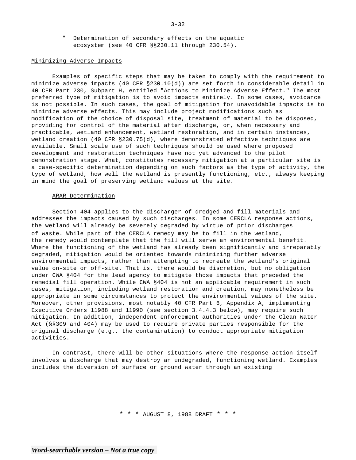" Determination of secondary effects on the aquatic ecosystem (see 40 CFR §§230.11 through 230.54).

## Minimizing Adverse Impacts

Examples of specific steps that may be taken to comply with the requirement to minimize adverse impacts (40 CFR §230.10(d)) are set forth in considerable detail in 40 CFR Part 230, Subpart H, entitled "Actions to Minimize Adverse Effect." The most preferred type of mitigation is to avoid impacts entirely. In some cases, avoidance is not possible. In such cases, the goal of mitigation for unavoidable impacts is to minimize adverse effects. This may include project modifications such as modification of the choice of disposal site, treatment of material to be disposed, providing for control of the material after discharge, or, when necessary and practicable, wetland enhancement, wetland restoration, and in certain instances, wetland creation (40 CFR §230.75(d), where demonstrated effective techniques are available. Small scale use of such techniques should be used where proposed development and restoration techniques have not yet advanced to the pilot demonstration stage. What, constitutes necessary mitigation at a particular site is a case-specific determination depending on such factors as the type of activity, the type of wetland, how well the wetland is presently functioning, etc., always keeping in mind the goal of preserving wetland values at the site.

## ARAR Determination

Section 404 applies to the discharger of dredged and fill materials and addresses the impacts caused by such discharges. In some CERCLA response actions, the wetland will already be severely degraded by virtue of prior discharges of waste. While part of the CERCLA remedy may be to fill in the wetland, the remedy would contemplate that the fill will serve an environmental benefit. Where the functioning of the wetland has already been significantly and irreparably degraded, mitigation would be oriented towards minimizing further adverse environmental impacts, rather than attempting to recreate the wetland's original value on-site or off-site. That is, there would be discretion, but no obligation under CWA §404 for the lead agency to mitigate those impacts that preceded the remedial fill operation. While CWA §404 is not an applicable requirement in such cases, mitigation, including wetland restoration and creation, may nonetheless be appropriate in some circumstances to protect the environmental values of the site. Moreover, other provisions, most notably 40 CFR Part 6, Appendix A, implementing Executive Orders 11988 and 11990 (see section 3.4.4.3 below), may require such mitigation. In addition, independent enforcement authorities under the Clean Water Act (§§309 and 404) may be used to require private parties responsible for the original discharge (e.g., the contamination) to conduct appropriate mitigation activities.

In contrast, there will be other situations where the response action itself involves a discharge that may destroy an undegraded, functioning wetland. Examples includes the diversion of surface or ground water through an existing

\* \* \* AUGUST 8, 1988 DRAFT \* \* \*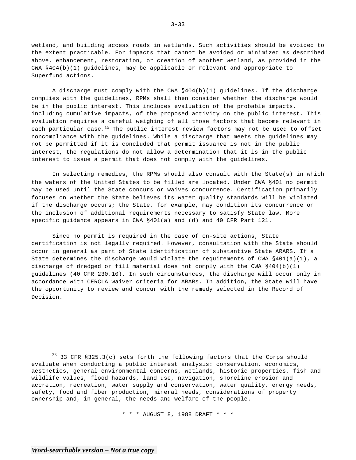wetland, and building access roads in wetlands. Such activities should be avoided to the extent practicable. For impacts that cannot be avoided or minimized as described above, enhancement, restoration, or creation of another wetland, as provided in the CWA §404(b)(1) guidelines, may be applicable or relevant and appropriate to Superfund actions.

A discharge must comply with the CWA §404(b)(1) guidelines. If the discharge complies with the guidelines, RPMs shall then consider whether the discharge would be in the public interest. This includes evaluation of the probable impacts, including cumulative impacts, of the proposed activity on the public interest. This evaluation requires a careful weighing of all those factors that become relevant in each particular case.<sup>33</sup> The public interest review factors may not be used to offset noncompliance with the guidelines. While a discharge that meets the guidelines may not be permitted if it is concluded that permit issuance is not in the public interest, the regulations do not allow a determination that it is in the public interest to issue a permit that does not comply with the guidelines.

In selecting remedies, the RPMs should also consult with the State(s) in which the waters of the United States to be filled are located. Under CWA §401 no permit may be used until the State concurs or waives concurrence. Certification primarily focuses on whether the State believes its water quality standards will be violated if the discharge occurs; the State, for example, may condition its concurrence on the inclusion of additional requirements necessary to satisfy State law. More specific guidance appears in CWA §401(a) and (d) and 40 CFR Part 121.

Since no permit is required in the case of on-site actions, State certification is not legally required. However, consultation with the State should occur in general as part of State identification of substantive State ARARS. If a State determines the discharge would violate the requirements of CWA §401(a)(1), a discharge of dredged or fill material does not comply with the CWA §404(b)(1) guidelines (40 CFR 230.10). In such circumstances, the discharge will occur only in accordance with CERCLA waiver criteria for ARARs. In addition, the State will have the opportunity to review and concur with the remedy selected in the Record of Decision.

\* \* \* AUGUST 8, 1988 DRAFT \* \* \*

3-33

 $33$  33 CFR §325.3(c) sets forth the following factors that the Corps should evaluate when conducting a public interest analysis: conservation, economics, aesthetics, general environmental concerns, wetlands, historic properties, fish and wildlife values, flood hazards, land use, navigation, shoreline erosion and accretion, recreation, water supply and conservation, water quality, energy needs, safety, food and fiber production, mineral needs, considerations of property ownership and, in general, the needs and welfare of the people.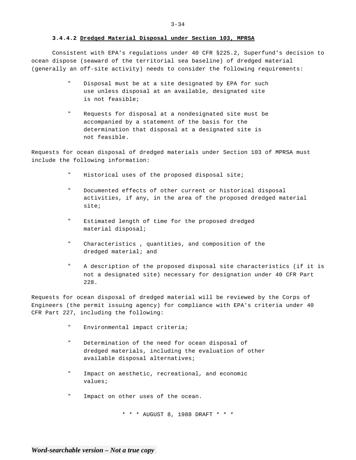## **3.4.4.2 Dredged Material Disposal under Section 103, MPRSA**

Consistent with EPA's regulations under 40 CFR §225.2, Superfund's decision to ocean dispose (seaward of the territorial sea baseline) of dredged material (generally an off-site activity) needs to consider the following requirements:

- Disposal must be at a site designated by EPA for such use unless disposal at an available, designated site is not feasible;
- " Requests for disposal at a nondesignated site must be accompanied by a statement of the basis for the determination that disposal at a designated site is not feasible.

Requests for ocean disposal of dredged materials under Section 103 of MPRSA must include the following information:

- " Historical uses of the proposed disposal site;
- Documented effects of other current or historical disposal activities, if any, in the area of the proposed dredged material site;
- Estimated length of time for the proposed dredged material disposal;
- " Characteristics , quantities, and composition of the dredged material; and
- " A description of the proposed disposal site characteristics (if it is not a designated site) necessary for designation under 40 CFR Part 228.

Requests for ocean disposal of dredged material will be reviewed by the Corps of Engineers (the permit issuing agency) for compliance with EPA's criteria under 40 CFR Part 227, including the following:

- " Environmental impact criteria;
- " Determination of the need for ocean disposal of dredged materials, including the evaluation of other available disposal alternatives;
- " Impact on aesthetic, recreational, and economic values;
- " Impact on other uses of the ocean.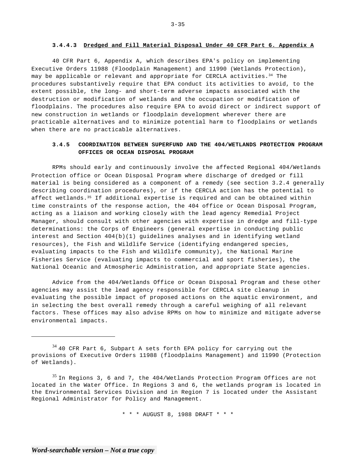## **3.4.4.3 Dredged and Fill Material Disposal Under 40 CFR Part 6. Appendix A**

40 CFR Part 6, Appendix A, which describes EPA's policy on implementing Executive Orders 11988 (Floodplain Management) and 11990 (Wetlands Protection), may be applicable or relevant and appropriate for CERCLA activities.<sup>34</sup> The procedures substantively require that EPA conduct its activities to avoid, to the extent possible, the long- and short-term adverse impacts associated with the destruction or modification of wetlands and the occupation or modification of floodplains. The procedures also require EPA to avoid direct or indirect support of new construction in wetlands or floodplain development wherever there are practicable alternatives and to minimize potential harm to floodplains or wetlands when there are no practicable alternatives.

# **3.4.5 COORDINATION BETWEEN SUPERFUND AND THE 404/WETLANDS PROTECTION PROGRAM OFFICES OR OCEAN DISPOSAL PROGRAM**

RPMs should early and continuously involve the affected Regional 404/Wetlands Protection office or Ocean Disposal Program where discharge of dredged or fill material is being considered as a component of a remedy (see section 3.2.4 generally describing coordination procedures), or if the CERCLA action has the potential to affect wetlands.<sup>35</sup> If additional expertise is required and can be obtained within time constraints of the response action, the 404 office or Ocean Disposal Program, acting as a liaison and working closely with the lead agency Remedial Project Manager, should consult with other agencies with expertise in dredge and fill-type determinations: the Corps of Engineers (general expertise in conducting public interest and Section 404(b)(1) guidelines analyses and in identifying wetland resources), the Fish and Wildlife Service (identifying endangered species, evaluating impacts to the Fish and Wildlife community), the National Marine Fisheries Service (evaluating impacts to commercial and sport fisheries), the National Oceanic and Atmospheric Administration, and appropriate State agencies.

Advice from the 404/Wetlands Office or Ocean Disposal Program and these other agencies may assist the lead agency responsible for CERCLA site cleanup in evaluating the possible impact of proposed actions on the aquatic environment, and in selecting the best overall remedy through a careful weighing of all relevant factors. These offices may also advise RPMs on how to minimize and mitigate adverse environmental impacts.

 $35$  In Regions 3, 6 and 7, the 404/Wetlands Protection Program Offices are not located in the Water Office. In Regions 3 and 6, the wetlands program is located in the Environmental Services Division and in Region 7 is located under the Assistant Regional Administrator for Policy and Management.

\* \* \* AUGUST 8, 1988 DRAFT \* \* \*

 $3 - 35$ 

 $34$  40 CFR Part 6, Subpart A sets forth EPA policy for carrying out the provisions of Executive Orders 11988 (floodplains Management) and 11990 (Protection of Wetlands).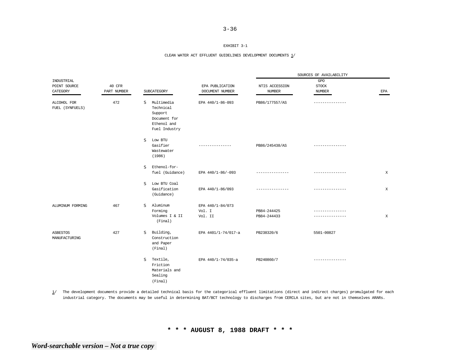## EXHIBIT 3-1

#### CLEAN WATER ACT EFFLUENT GUIDELINES DEVELOPMENT DOCUMENTS 1/

|                                        |                       |                                                                                         | EPA PUBLICATION<br>DOCUMENT NUMBER    | SOURCES OF AVAILABILITY         |                                      |            |  |
|----------------------------------------|-----------------------|-----------------------------------------------------------------------------------------|---------------------------------------|---------------------------------|--------------------------------------|------------|--|
| INDUSTRIAL<br>POINT SOURCE<br>CATEGORY | 40 CFR<br>PART NUMBER | SUBCATEGORY                                                                             |                                       | NTIS ACCESSION<br><b>NUMBER</b> | GPO<br><b>STOCK</b><br><b>NUMBER</b> | <b>EPA</b> |  |
| ALCOHOL FOR<br>FUEL (SYNFUELS)         | 472                   | S<br>Multimedia<br>Technical<br>Support<br>Document for<br>Ethenol and<br>Fuel Industry | EPA 440/1-86-093                      | PB86/177557/AS                  |                                      |            |  |
|                                        |                       | Low BTU<br>s<br>Gasifier<br>Wastewater<br>(1986)                                        |                                       | PB86/245438/AS                  |                                      |            |  |
|                                        |                       | Ethenol-for-<br>s<br>fuel (Guidance)                                                    | EPA 440/1-86/-093                     | ---------------                 | --------------                       | X          |  |
|                                        |                       | Low BTU Coal<br>s<br>Gasification<br>(Guidance)                                         | EPA 440/1-86/093                      |                                 | ------------                         | X          |  |
| ALUMINUM FORMING                       | 467                   | Aluminum<br><sub>S</sub><br>Forming<br>Volumes I & II<br>(Final)                        | EPA 440/1-84/073<br>Vol. I<br>Vol. II | PB84-244425<br>PB84-244433      |                                      | X          |  |
| ASBESTOS<br>MANUFACTURING              | 427                   | Building,<br>s<br>Construction<br>and Paper<br>(Final)                                  | EPA 4401/1-74/017-a                   | PB238320/6                      | 5501-00827                           |            |  |
|                                        |                       | Textile,<br>S<br>Friction<br>Materials and<br>Sealing<br>(Final)                        | EPA 440/1-74/035-a                    | PB240860/7                      | ---------------                      |            |  |

1/ The development documents provide a detailed technical basis for the categorical effluent limitations (direct and indirect charges) promulgated for each industrial category. The documents may be useful in determining BAT/BCT technology to discharges from CERCLA sites, but are not in themselves ARARs.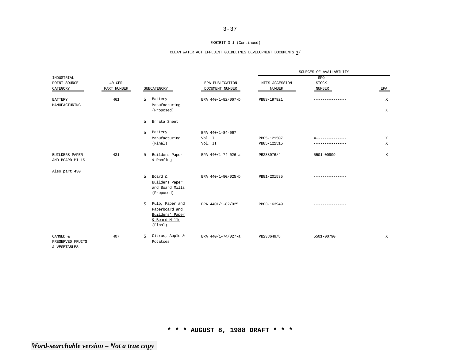#### EXHIBIT 3-1 (Continued)

## CLEAN WATER ACT EFFLUENT GUIDELINES DEVELOPMENT DOCUMENTS  $\underline{1}/$

|                                              |             |                                                                                                  |                    | SOURCES OF AVAILABILITY |                 |              |
|----------------------------------------------|-------------|--------------------------------------------------------------------------------------------------|--------------------|-------------------------|-----------------|--------------|
| INDUSTRIAL                                   |             |                                                                                                  |                    |                         | GPO             |              |
| POINT SOURCE                                 | 40 CFR      |                                                                                                  | EPA PUBLICATION    | NTIS ACCESSION          | <b>STOCK</b>    |              |
| CATEGORY                                     | PART NUMBER | SUBCATEGORY                                                                                      | DOCUMENT NUMBER    | <b>NUMBER</b>           | <b>NUMBER</b>   | EPA          |
| <b>BATTERY</b><br>MANUFACTURING              | 461         | S<br>Battery<br>Manufacturing                                                                    | EPA 440/1-82/067-b | PB83-197921             | --------------- | X            |
|                                              |             | (Proposed)                                                                                       |                    |                         |                 | $\mathbf{x}$ |
|                                              |             | S<br>Errata Sheet                                                                                |                    |                         |                 |              |
|                                              |             | <sub>S</sub><br>Battery                                                                          | EPA 440/1-84-067   |                         |                 |              |
|                                              |             | Manufacturing                                                                                    | Vol. I             | PB85-121507             |                 | $\,$ X       |
|                                              |             | (Final)                                                                                          | Vol. II            | PB85-121515             |                 | X            |
| <b>BUILDERS PAPER</b><br>AND BOARD MILLS     | 431         | Builders Paper<br>s<br>& Roofing                                                                 | EPA 440/1-74-026-a | PB238076/4              | 5501-00909      | $\mathbf{X}$ |
| Also part 430                                |             |                                                                                                  |                    |                         |                 |              |
|                                              |             | S<br>Board &<br>Builders Paper<br>and Board Mills<br>(Proposed)                                  | EPA 440/1-80/025-b | PB81-201535             |                 |              |
|                                              |             | Pulp, Paper and<br><sub>S</sub><br>Paperboard and<br>Builders' Paper<br>& Board Mills<br>(Final) | EPA 4401/1-82/025  | PB83-163949             | --------------- |              |
| CANNED &<br>PRESERVED FRUITS<br>& VEGETABLES | 407         | Citrus, Apple &<br>S.<br>Potatoes                                                                | EPA 440/1-74/027-a | PB238649/8              | 5501-00790      | $\mathbf{X}$ |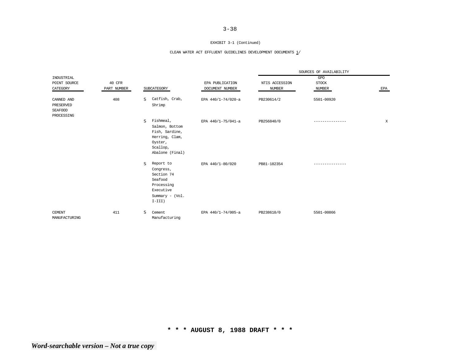#### EXHIBIT 3-1 (Continued)

## CLEAN WATER ACT EFFLUENT GUIDELINES DEVELOPMENT DOCUMENTS  $\underline{1}/$

|                                                         |                       |             |                                                                                                            | EPA PUBLICATION<br>DOCUMENT NUMBER | SOURCES OF AVAILABILITY       |            |             |  |
|---------------------------------------------------------|-----------------------|-------------|------------------------------------------------------------------------------------------------------------|------------------------------------|-------------------------------|------------|-------------|--|
| INDUSTRIAL<br>POINT SOURCE<br>CATEGORY                  | 40 CFR<br>PART NUMBER | SUBCATEGORY | NTIS ACCESSION<br><b>NUMBER</b>                                                                            |                                    | GPO<br><b>STOCK</b><br>NUMBER | EPA        |             |  |
| CANNED AND<br>PRESERVED<br><b>SEAFOOD</b><br>PROCESSING | 408                   | S.          | Catfish, Crab,<br>Shrimp                                                                                   | EPA 440/1-74/020-a                 | PB230614/2                    | 5501-00920 |             |  |
|                                                         |                       | S.          | Fishmeal,<br>Salmon, Bottom<br>Fish, Sardine,<br>Herring, Clam,<br>Oyster,<br>Scallop,<br>Abalone (Final)  | EPA 440/1-75/041-a                 | PB256840/0                    |            | $\mathbf X$ |  |
|                                                         |                       | S           | Report to<br>Congress,<br>Section 74<br>Seafood<br>Processing<br>Executive<br>Summary - (Vol.<br>$I-III$ ) | EPA 440/1-80/020                   | PB81-182354                   |            |             |  |
| <b>CEMENT</b><br>MANUFACTURING                          | 411                   | s           | Cement<br>Manufacturing                                                                                    | EPA 440/1-74/005-a                 | PB238610/0                    | 5501-00866 |             |  |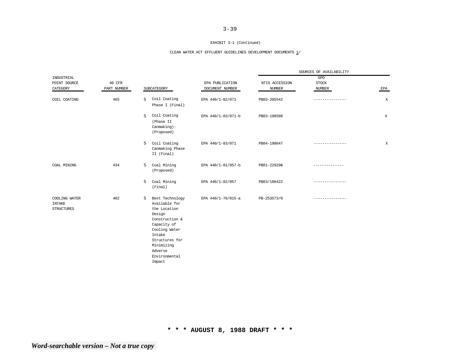#### EXHIBIT 3-1 (Continued)

## CLEAN WATER ACT EFFLUENT GUIDELINES DEVELOPMENT DOCUMENTS  $\underline{1}/$

|                                                     |                       |                                                                                                                                                                                                   |                                    | SOURCES OF AVAILABILITY         |                               |              |  |
|-----------------------------------------------------|-----------------------|---------------------------------------------------------------------------------------------------------------------------------------------------------------------------------------------------|------------------------------------|---------------------------------|-------------------------------|--------------|--|
| INDUSTRIAL<br>POINT SOURCE<br>CATEGORY              | 40 CFR<br>PART NUMBER | SUBCATEGORY                                                                                                                                                                                       | EPA PUBLICATION<br>DOCUMENT NUMBER | NTIS ACCESSION<br><b>NUMBER</b> | GPO<br><b>STOCK</b><br>NUMBER | EPA          |  |
| COIL COATING                                        | 465                   | Coil Coating<br>S.<br>Phase I (Final)                                                                                                                                                             | EPA 440/1-82/071                   | PB83-205542                     |                               | $\mathbf{x}$ |  |
|                                                     |                       | Coil Coating<br><sub>S</sub><br>(Phase II<br>$Camaking$ )-<br>(Proposed)                                                                                                                          | EPA 440/1-83/071-b                 | PB83-198598                     |                               | $\mathbf X$  |  |
|                                                     |                       | S<br>Coil Coating<br>Canmaking Phase<br>II (Final)                                                                                                                                                | EPA 440/1-83/071                   | PB84-198647                     | ---------------               | $\,$ X       |  |
| COAL MINING                                         | 434                   | s<br>Coal Mining<br>(Proposed)                                                                                                                                                                    | EPA 440/1-81/057-b                 | PB81-229296                     |                               |              |  |
|                                                     |                       | s<br>Coal Mining<br>(Final)                                                                                                                                                                       | EPA 440/1-82/057                   | PB83/180422                     |                               |              |  |
| COOLING WATER<br><b>INTAKE</b><br><b>STRUCTURES</b> | 402                   | Best Technology<br>s<br>Available for<br>the Location<br>Design<br>Construction &<br>Capacity of<br>Cooling Water<br>Intake<br>Structures for<br>Minimizing<br>Adverse<br>Environmental<br>Impact | EPA 440/1-76/015-a                 | PB-253573/0                     |                               |              |  |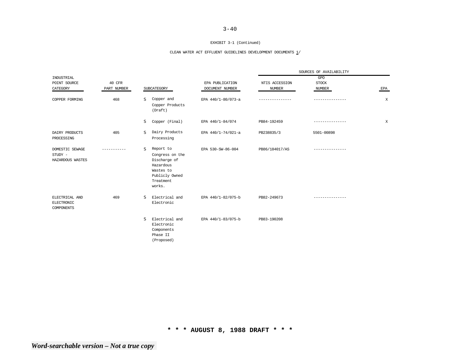#### EXHIBIT 3-1 (Continued)

## CLEAN WATER ACT EFFLUENT GUIDELINES DEVELOPMENT DOCUMENTS  $\underline{1}/$

|                                                   |             |             |                                                                                                                 |                    | SOURCES OF AVAILABILITY |                 |        |  |
|---------------------------------------------------|-------------|-------------|-----------------------------------------------------------------------------------------------------------------|--------------------|-------------------------|-----------------|--------|--|
| INDUSTRIAL                                        |             |             |                                                                                                                 |                    |                         | GPO             |        |  |
| POINT SOURCE                                      | 40 CFR      |             |                                                                                                                 | EPA PUBLICATION    | NTIS ACCESSION          | <b>STOCK</b>    |        |  |
| CATEGORY                                          | PART NUMBER | SUBCATEGORY |                                                                                                                 | DOCUMENT NUMBER    | NUMBER                  | <b>NUMBER</b>   | EPA    |  |
| COPPER FORMING                                    | 468         | S           | Copper and<br>Copper Products<br>(Draft)                                                                        | EPA 440/1-80/073-a |                         | --------------- | X      |  |
|                                                   |             | S           | Copper (Final)                                                                                                  | EPA 440/1-84/074   | PB84-192459             | --------------- | $\,$ X |  |
| DAIRY PRODUCTS<br>PROCESSING                      | 405         | s           | Dairy Products<br>Processing                                                                                    | EPA 440/1-74/021-a | PB238835/3              | 5501-00898      |        |  |
| DOMESTIC SEWAGE<br>$STUDY -$<br>HAZARDOUS WASTES  |             | s           | Report to<br>Congress on the<br>Discharge of<br>Hazardous<br>Wastes to<br>Publicly Owned<br>Treatment<br>works. | EPA 530-SW-86-004  | PB86/184017/AS          |                 |        |  |
| ELECTRICAL AND<br><b>ELECTRONIC</b><br>COMPONENTS | 469         | s           | Electrical and<br>Electronic                                                                                    | EPA 440/1-82/075-b | PB82-249673             |                 |        |  |
|                                                   |             | s           | Electrical and<br>Electronic<br>Components<br>Phase II<br>(Proposed)                                            | EPA 440/1-83/075-b | PB83-190208             |                 |        |  |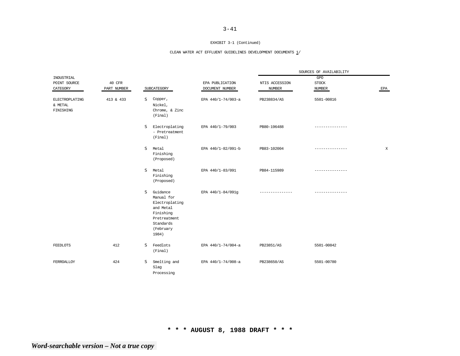#### EXHIBIT 3-1 (Continued)

## CLEAN WATER ACT EFFLUENT GUIDELINES DEVELOPMENT DOCUMENTS  $\underline{1}/$

|                                        |             |                                                                                                                            |                    | SOURCES OF AVAILABILITY |                |     |
|----------------------------------------|-------------|----------------------------------------------------------------------------------------------------------------------------|--------------------|-------------------------|----------------|-----|
| INDUSTRIAL                             |             |                                                                                                                            |                    |                         | GPO            |     |
| POINT SOURCE                           | 40 CFR      |                                                                                                                            | EPA PUBLICATION    | NTIS ACCESSION          | <b>STOCK</b>   |     |
| CATEGORY                               | PART NUMBER | SUBCATEGORY                                                                                                                | DOCUMENT NUMBER    | <b>NUMBER</b>           | NUMBER         | EPA |
| ELECTROPLATING<br>& METAL<br>FINISHING | 413 & 433   | Copper,<br>s<br>Nickel,<br>Chrome, & Zinc<br>(Final)                                                                       | EPA 440/1-74/003-a | PB238834/AS             | 5501-00816     |     |
|                                        |             | s<br>Electroplating<br>- Pretreatment<br>(Final)                                                                           | EPA 440/1-79/003   | PB80-196488             | -------------- |     |
|                                        |             | s<br>Metal<br>Finishing<br>(Proposed)                                                                                      | EPA 440/1-82/091-b | PB83-102004             | .              | X   |
|                                        |             | s<br>Metal<br>Finishing<br>(Proposed)                                                                                      | EPA 440/1-83/091   | PB84-115989             | -------------- |     |
|                                        |             | s<br>Guidance<br>Manual for<br>Electroplating<br>and Metal<br>Finishing<br>Pretreatment<br>Standards<br>(February<br>1984) | EPA 440/1-84/091g  |                         | . <u>.</u> .   |     |
| <b>FEEDLOTS</b>                        | 412         | s<br>Feedlots<br>(Final)                                                                                                   | EPA 440/1-74/004-a | PB23851/AS              | 5501-00842     |     |
| FERROALLOY                             | 424         | S<br>Smelting and<br>Slag<br>Processing                                                                                    | EPA 440/1-74/008-a | PB238650/AS             | 5501-00780     |     |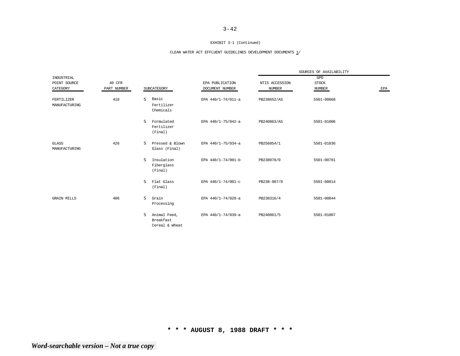#### EXHIBIT 3-1 (Continued)

## CLEAN WATER ACT EFFLUENT GUIDELINES DEVELOPMENT DOCUMENTS  $\underline{1}/$

|                               |             |                                                  |                    | SOURCES OF AVAILABILITY |               |     |
|-------------------------------|-------------|--------------------------------------------------|--------------------|-------------------------|---------------|-----|
| INDUSTRIAL                    |             |                                                  |                    |                         | GPO           |     |
| POINT SOURCE                  | 40 CFR      |                                                  | EPA PUBLICATION    | NTIS ACCESSION          | <b>STOCK</b>  |     |
| CATEGORY                      | PART NUMBER | SUBCATEGORY                                      | DOCUMENT NUMBER    | <b>NUMBER</b>           | <b>NUMBER</b> | EPA |
| FERTILIZER<br>MANUFACTURING   | 418         | Basic<br>s<br>Fertilizer<br>Chemicals            | EPA 440/1-74/011-a | PB238652/AS             | 5501-00868    |     |
|                               |             | <b>S</b><br>Formulated<br>Fertilizer<br>(Final)  | EPA 440/1-75/042-a | PB240863/AS             | 5501-01006    |     |
| <b>GLASS</b><br>MANUFACTURING | 426         | S.<br>Pressed & Blown<br>Glass (Final)           | EPA 440/1-75/034-a | PB256854/1              | 5501-01036    |     |
|                               |             | <b>S</b><br>Insulation<br>Fiberglass<br>(Final)  | EPA 440/1-74/001-b | PB238078/0              | 5501-00781    |     |
|                               |             | <b>S</b><br>Flat Glass<br>(Final)                | EPA 440/1-74/001-c | PB238-907/0             | 5501-00814    |     |
| <b>GRAIN MILLS</b>            | 406         | s<br>Grain<br>Processing                         | EPA 440/1-74/028-a | PB238316/4              | 5501-00844    |     |
|                               |             | S<br>Animal Feed,<br>Breakfast<br>Cereal & Wheat | EPA 440/1-74/039-a | PB240861/5              | 5501-01007    |     |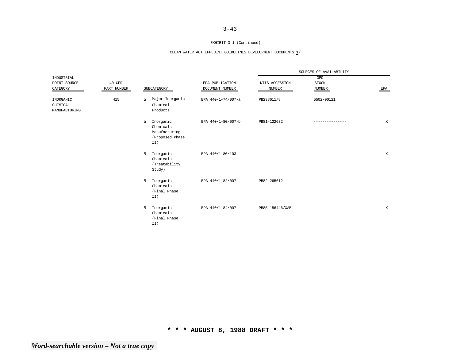#### EXHIBIT 3-1 (Continued)

## CLEAN WATER ACT EFFLUENT GUIDELINES DEVELOPMENT DOCUMENTS  $\underline{1}/$

|                                        |             |                                                                        |                    | SOURCES OF AVAILABILITY |                 |        |  |
|----------------------------------------|-------------|------------------------------------------------------------------------|--------------------|-------------------------|-----------------|--------|--|
| INDUSTRIAL                             |             |                                                                        |                    |                         | GPO             |        |  |
| POINT SOURCE                           | 40 CFR      |                                                                        | EPA PUBLICATION    | NTIS ACCESSION          | <b>STOCK</b>    |        |  |
| CATEGORY                               | PART NUMBER | SUBCATEGORY                                                            | DOCUMENT NUMBER    | <b>NUMBER</b>           | NUMBER          | EPA    |  |
| INORGANIC<br>CHEMICAL<br>MANUFACTURING | 415         | Major Inorganic<br>s<br>Chemical<br>Products                           | EPA 440/1-74/007-a | PB238611/8              | 5502-00121      |        |  |
|                                        |             | s<br>Inorganic<br>Chemicals<br>Manufacturing<br>(Proposed Phase<br>II) | EPA 440/1-80/007-b | PB81-122632             |                 | X      |  |
|                                        |             | s<br>Inorganic<br>Chemicals<br>(Treatability<br>Study)                 | EPA 440/1-80/103   | ---------------         | --------------- | $\,$ X |  |
|                                        |             | s<br>Inorganic<br>Chemicals<br>(Final Phase<br>II)                     | EPA 440/1-82/007   | PB82-265612             |                 |        |  |
|                                        |             | s<br>Inorganic<br>Chemicals<br>(Final Phase<br>II)                     | EPA 440/1-84/007   | PB85-156446/XAB         | --------------- | X      |  |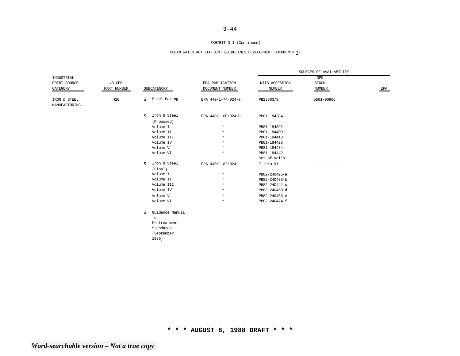#### EXHIBIT 3-1 (Continued)

## CLEAN WATER ACT EFFLUENT GUIDELINES DEVELOPMENT DOCUMENTS  $\underline{1}/$

|                               |             |              |                                        |                    | SOURCES OF AVAILABILITY |              |                           |  |
|-------------------------------|-------------|--------------|----------------------------------------|--------------------|-------------------------|--------------|---------------------------|--|
| INDUSTRIAL                    |             |              |                                        |                    |                         | GPO          |                           |  |
| POINT SOURCE                  | 40 CFR      |              |                                        | EPA PUBLICATION    | NTIS ACCESSION          | <b>STOCK</b> |                           |  |
| CATEGORY                      | PART NUMBER |              | SUBCATEGORY                            | DOCUMENT NUMBER    | <b>NUMBER</b>           | NUMBER       | $\ensuremath{\text{EPA}}$ |  |
| IRON & STEEL<br>MANUFACTURING | 420         | S.           | Steel Making                           | EPA 440/1-74/024-a | PB23883/9               | 5501-00906   |                           |  |
|                               |             | <sub>S</sub> | Iron & Steel<br>(Proposed)             | EPA 440/1-80/024-D | PB81-184384             |              |                           |  |
|                               |             |              | Volume I                               | $\boldsymbol{u}$   | PB81-184392             |              |                           |  |
|                               |             |              | Volume II                              | $\mathbf{u}$       | PB81-184400             |              |                           |  |
|                               |             |              | Volume III                             | $\boldsymbol{u}$   | PB81-184418             |              |                           |  |
|                               |             |              | Volume IV                              | $\boldsymbol{u}$   | PB81-184426             |              |                           |  |
|                               |             |              | Volume V                               | $\boldsymbol{n}$   | PB81-184434             |              |                           |  |
|                               |             |              | Volume VI                              | $\boldsymbol{n}$   | PB81-184442             |              |                           |  |
|                               |             |              |                                        |                    | Set of Vol's            |              |                           |  |
|                               |             | S.           | Iron & Steel<br>(Final)                | EPA 440/1-82/024   | I thru VI               |              |                           |  |
|                               |             |              | Volume I                               | $\boldsymbol{n}$   | PB82-240425-a           |              |                           |  |
|                               |             |              | Volume II                              | $\boldsymbol{u}$   | PB82-240433-b           |              |                           |  |
|                               |             |              | Volume III                             | $\boldsymbol{u}$   | PB82-240441-c           |              |                           |  |
|                               |             |              | Volume IV                              | $\boldsymbol{n}$   | PB82-240458-d           |              |                           |  |
|                               |             |              | Volume V                               | $\boldsymbol{u}$   | PB82-240466-e           |              |                           |  |
|                               |             |              | Volume VI                              | $\boldsymbol{n}$   | PB82-240474-f           |              |                           |  |
|                               |             | S.           | Guidance Manual<br>for<br>Pretreatment |                    |                         |              |                           |  |
|                               |             |              | Standards<br>(September<br>1985)       |                    |                         |              |                           |  |
|                               |             |              |                                        |                    |                         |              |                           |  |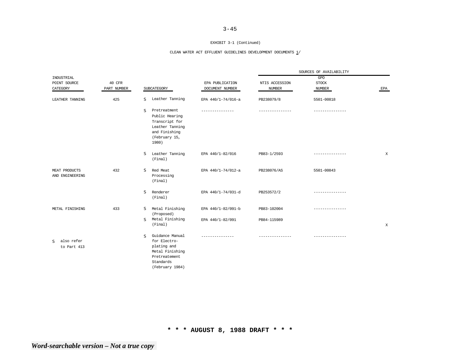#### EXHIBIT 3-1 (Continued)

## CLEAN WATER ACT EFFLUENT GUIDELINES DEVELOPMENT DOCUMENTS  $\underline{1}/$

|                                           |             |                                                                                                                                    |                    | SOURCES OF AVAILABILITY |                 |     |
|-------------------------------------------|-------------|------------------------------------------------------------------------------------------------------------------------------------|--------------------|-------------------------|-----------------|-----|
| INDUSTRIAL                                |             |                                                                                                                                    |                    |                         | GPO             |     |
| POINT SOURCE                              | 40 CFR      |                                                                                                                                    | EPA PUBLICATION    | NTIS ACCESSION          | <b>STOCK</b>    |     |
| CATEGORY                                  | PART NUMBER | SUBCATEGORY                                                                                                                        | DOCUMENT NUMBER    | <b>NUMBER</b>           | NUMBER          | EPA |
| LEATHER TANNING                           | 425         | Leather Tanning<br>S.                                                                                                              | EPA 440/1-74/016-a | PB238079/8              | 5501-00818      |     |
|                                           |             | <sub>S</sub><br>Pretreatment<br>Public Hearing<br>Transcript for<br>Leather Tanning<br>and Finishing<br>(February 15,<br>1980)     |                    |                         |                 |     |
|                                           |             | S.<br>Leather Tanning<br>(Final)                                                                                                   | EPA 440/1-82/016   | PB83-1/2593             |                 | X   |
| MEAT PRODUCTS<br>AND ENGINEERING          | 432         | S<br>Red Meat<br>Processing<br>(Final)                                                                                             | EPA 440/1-74/012-a | PB238076/AS             | 5501-00843      |     |
|                                           |             | <sub>S</sub><br>Renderer<br>(Final)                                                                                                | EPA 440/1-74/031-d | PB253572/2              |                 |     |
| METAL FINISHING                           | 433         | Metal Finishing<br>S.<br>(Proposed)                                                                                                | EPA 440/1-82/091-b | PB83-102004             | --------------- |     |
|                                           |             | Metal Finishing<br>S.<br>(Final)                                                                                                   | EPA 440/1-82/091   | PB84-115989             |                 | X   |
| also refer<br><sub>S</sub><br>to Part 413 |             | Guidance Manual<br><sub>S</sub><br>for Electro-<br>plating and<br>Metal Finishing<br>Pretreatement<br>Standards<br>(February 1984) | ---------------    | ---------------         | --------------- |     |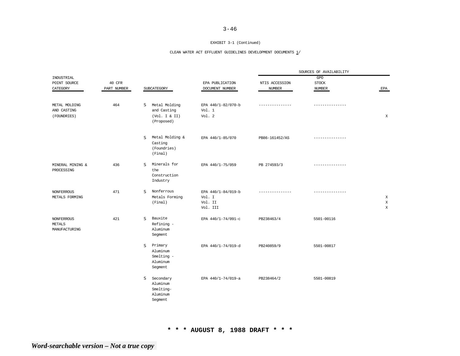#### EXHIBIT 3-1 (Continued)

## CLEAN WATER ACT EFFLUENT GUIDELINES DEVELOPMENT DOCUMENTS  $\underline{1}/$

|                                                     |             |                                                                    |                                                     | SOURCES OF AVAILABILITY |                               |                                 |
|-----------------------------------------------------|-------------|--------------------------------------------------------------------|-----------------------------------------------------|-------------------------|-------------------------------|---------------------------------|
| INDUSTRIAL                                          |             |                                                                    |                                                     |                         | GPO                           |                                 |
| POINT SOURCE                                        | 40 CFR      |                                                                    | EPA PUBLICATION                                     | NTIS ACCESSION          | <b>STOCK</b>                  |                                 |
| CATEGORY                                            | PART NUMBER | SUBCATEGORY                                                        | DOCUMENT NUMBER                                     | <b>NUMBER</b>           | <b>NUMBER</b>                 | EPA                             |
|                                                     |             |                                                                    |                                                     |                         |                               |                                 |
| METAL MOLDING<br>AND CASTING<br>(FOUNDRIES)         | 464         | Metal Molding<br>s<br>and Casting<br>(Vol. I & I II)<br>(Proposed) | EPA 440/1-82/070-b<br>Vol. 1<br>Vol. 2              |                         | . _ _ _ _ _ _ _ _ _ _ _ _ _ _ | X                               |
|                                                     |             | Metal Molding &<br>S<br>Casting<br>(Foundries)<br>(Final)          | EPA 440/1-85/070                                    | PB86-161452/AS          |                               |                                 |
| MINERAL MINING &<br>PROCESSING                      | 436         | Minerals for<br>S<br>the<br>Construction<br>Industry               | EPA 440/1-75/059                                    | PB 274593/3             | --------------                |                                 |
| <b>NONFERROUS</b><br>METALS FORMING                 | 471         | Nonferrous<br>s<br>Metals Forming<br>(Final)                       | EPA 440/1-84/019-b<br>Vol. I<br>Vol. II<br>Vol. III |                         |                               | $\mathbf X$<br>$\mathbf X$<br>X |
| <b>NONFERROUS</b><br><b>METALS</b><br>MANUFACTURING | 421         | Bauxite<br>s<br>Refining -<br>Aluminum<br>Segment                  | EPA 440/1-74/091-c                                  | PB238463/4              | 5501-00116                    |                                 |
|                                                     |             | Primary<br>S<br>Aluminum<br>Smelting -<br>Aluminum<br>Segment      | EPA 440/1-74/019-d                                  | PB240859/9              | 5501-00817                    |                                 |
|                                                     |             | s<br>Secondary<br>Aluminum<br>Smelting-<br>Aluminum<br>Segment     | EPA 440/1-74/019-a                                  | PB238464/2              | 5501-00819                    |                                 |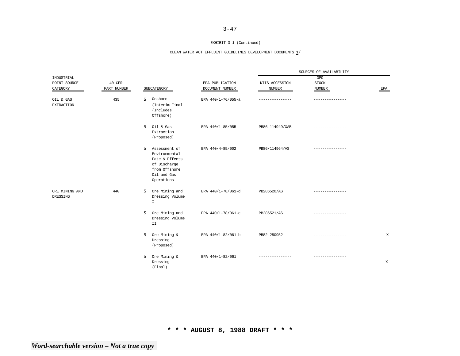#### EXHIBIT 3-1 (Continued)

## CLEAN WATER ACT EFFLUENT GUIDELINES DEVELOPMENT DOCUMENTS  $\underline{1}/$

|                                |             |                                                                                                                     |                    | SOURCES OF AVAILABILITY |                 |             |
|--------------------------------|-------------|---------------------------------------------------------------------------------------------------------------------|--------------------|-------------------------|-----------------|-------------|
| INDUSTRIAL                     |             |                                                                                                                     |                    |                         | GPO             |             |
| POINT SOURCE                   | 40 CFR      |                                                                                                                     | EPA PUBLICATION    | NTIS ACCESSION          | <b>STOCK</b>    |             |
| CATEGORY                       | PART NUMBER | SUBCATEGORY                                                                                                         | DOCUMENT NUMBER    | <b>NUMBER</b>           | <b>NUMBER</b>   | EPA         |
| OIL & GAS<br><b>EXTRACTION</b> | 435         | Onshore<br>s<br>(Interim Final<br>(Includes<br>Offshore)                                                            | EPA 440/1-76/055-a | . _ _ _ _ _ _ _ _ _     | --------------- |             |
|                                |             | s<br>Oil & Gas<br>Extraction<br>(Proposed)                                                                          | EPA 440/1-85/055   | PB86-114949/XAB         |                 |             |
|                                |             | S<br>Assessment of<br>Environmental<br>Fate & Effects<br>of Discharge<br>from Offshore<br>Oil and Gas<br>Operations | EPA 440/4-85/002   | PB86/114964/AS          |                 |             |
| ORE MINING AND<br>DRESSING     | 440         | Ore Mining and<br>s<br>Dressing Volume<br>$\mathbbm{1}$                                                             | EPA 440/1-78/061-d | PB286520/AS             |                 |             |
|                                |             | Ore Mining and<br>s<br>Dressing Volume<br>II                                                                        | EPA 440/1-78/061-e | PB286521/AS             | .               |             |
|                                |             | S<br>Ore Mining &<br>Dressing<br>(Proposed)                                                                         | EPA 440/1-82/061-b | PB82-250952             | ----------      | X           |
|                                |             | s<br>Ore Mining &<br>Dressing<br>(Final)                                                                            | EPA 440/1-82/061   | ---------------         | --------------- | $\mathbf X$ |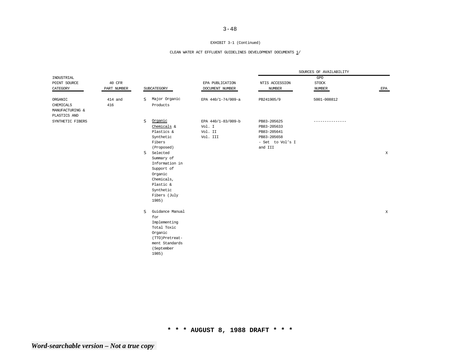#### EXHIBIT 3-1 (Continued)

### CLEAN WATER ACT EFFLUENT GUIDELINES DEVELOPMENT DOCUMENTS  $\underline{1}/$

|                  |             |   |                 |                    |                  | SOURCES OF AVAILABILITY |             |
|------------------|-------------|---|-----------------|--------------------|------------------|-------------------------|-------------|
| INDUSTRIAL       |             |   |                 |                    |                  | GPO                     |             |
| POINT SOURCE     | 40 CFR      |   |                 | EPA PUBLICATION    | NTIS ACCESSION   | <b>STOCK</b>            |             |
| CATEGORY         | PART NUMBER |   | SUBCATEGORY     | DOCUMENT NUMBER    | <b>NUMBER</b>    | NUMBER                  | EPA         |
| ORGANIC          | 414 and     | s | Major Organic   | EPA 440/1-74/009-a | PB241905/9       | 5001-008812             |             |
| CHEMICALS        | 416         |   | Products        |                    |                  |                         |             |
| MANUFACTURING &  |             |   |                 |                    |                  |                         |             |
| PLASTICS AND     |             |   |                 |                    |                  |                         |             |
| SYNTHETIC FIBERS |             | s | Organic         | EPA 440/1-83/009-b | PB83-205625      | -----------             |             |
|                  |             |   | Chemicals &     | Vol. I             | PB83-205633      |                         |             |
|                  |             |   | Plastics &      | Vol. II            | PB83-205641      |                         |             |
|                  |             |   | Synthetic       | Vol. III           | PB83-205658      |                         |             |
|                  |             |   | Fibers          |                    | - Set to Vol's I |                         |             |
|                  |             |   | (Proposed)      |                    | and III          |                         |             |
|                  |             | s | Selected        |                    |                  |                         | X           |
|                  |             |   | Summary of      |                    |                  |                         |             |
|                  |             |   | Information in  |                    |                  |                         |             |
|                  |             |   | Support of      |                    |                  |                         |             |
|                  |             |   | Organic         |                    |                  |                         |             |
|                  |             |   | Chemicals,      |                    |                  |                         |             |
|                  |             |   | Plastic &       |                    |                  |                         |             |
|                  |             |   | Synthetic       |                    |                  |                         |             |
|                  |             |   | Fibers (July    |                    |                  |                         |             |
|                  |             |   | 1985)           |                    |                  |                         |             |
|                  |             | s | Guidance Manual |                    |                  |                         | $\mathbf X$ |
|                  |             |   | for             |                    |                  |                         |             |
|                  |             |   | Implementing    |                    |                  |                         |             |
|                  |             |   | Total Toxic     |                    |                  |                         |             |
|                  |             |   | Organic         |                    |                  |                         |             |
|                  |             |   | (TTO)Pretreat-  |                    |                  |                         |             |
|                  |             |   | ment Standards  |                    |                  |                         |             |
|                  |             |   | (September      |                    |                  |                         |             |
|                  |             |   | 1985)           |                    |                  |                         |             |
|                  |             |   |                 |                    |                  |                         |             |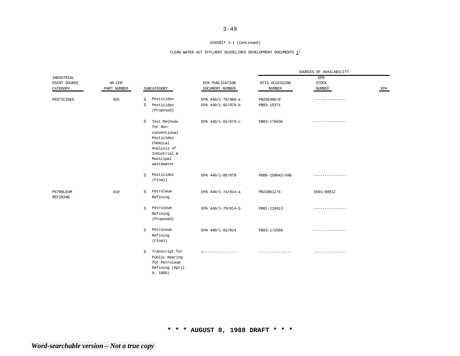#### EXHIBIT 3-1 (Continued)

### CLEAN WATER ACT EFFLUENT GUIDELINES DEVELOPMENT DOCUMENTS  $\underline{1}/$

|                                        |                       |                                                                                                                                              |                                          |                                 | SOURCES OF AVAILABILITY       |     |
|----------------------------------------|-----------------------|----------------------------------------------------------------------------------------------------------------------------------------------|------------------------------------------|---------------------------------|-------------------------------|-----|
| INDUSTRIAL<br>POINT SOURCE<br>CATEGORY | 40 CFR<br>PART NUMBER | SUBCATEGORY                                                                                                                                  | EPA PUBLICATION<br>DOCUMENT NUMBER       | NTIS ACCESSION<br><b>NUMBER</b> | GPO<br><b>STOCK</b><br>NUMBER | EPA |
| PESTICIDES                             | 455                   | Pesticides<br>s<br>s<br>Pesticides<br>(Proposed)                                                                                             | EPA 440/1-78/060-e<br>EPA 440/1-82/079-b | PB285480/0<br>PB83-15371        | . _ _ _ _ _ _ _ _ _ _ _ _ _ _ |     |
|                                        |                       | <sub>S</sub><br>Test Methods<br>for Non-<br>conventional<br>Pesticides<br>Chemical<br>Analysis of<br>Industrial &<br>Municipal<br>wastewater | EPA 440/1-82/079-c                       | PB83-176636                     | ------------                  |     |
|                                        |                       | Pesticides<br><sub>S</sub><br>(Final)                                                                                                        | EPA 440/1-85/079                         | PB86-150042/XAB                 | --------------                |     |
| PETROLEUM<br><b>REFINING</b>           | 419                   | Petroleum<br><sub>S</sub><br>Refining                                                                                                        | EPA 440/1-74/014-a                       | PB238612/6                      | 5501-00912                    |     |
|                                        |                       | Petroleum<br><sub>S</sub><br>Refining<br>(Proposed)                                                                                          | EPA 440/1-79/014-b                       | PB81-118413                     | ---------------               |     |
|                                        |                       | Petroleum<br>s<br>Refining<br>(Final)                                                                                                        | EPA 440/1-82/014                         | PB83-1/2569                     | ---------------               |     |
|                                        |                       | Transcript for<br><sub>S</sub><br>Public Hearing<br>for Petroleum<br>Refining (April<br>9, 1980)                                             | =---------------                         | ---------------                 | ---------------               |     |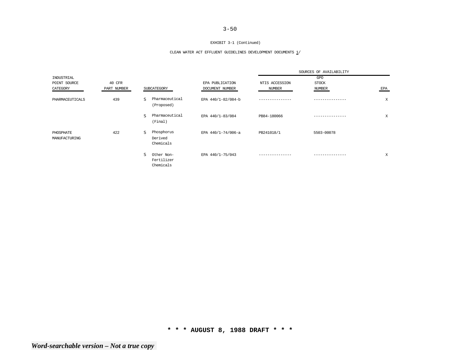#### EXHIBIT 3-1 (Continued)

### CLEAN WATER ACT EFFLUENT GUIDELINES DEVELOPMENT DOCUMENTS  $\underline{1}/$

|                            |             |                                              |                    |                | SOURCES OF AVAILABILITY |     |
|----------------------------|-------------|----------------------------------------------|--------------------|----------------|-------------------------|-----|
| INDUSTRIAL<br>POINT SOURCE | 40 CFR      |                                              | EPA PUBLICATION    | NTIS ACCESSION | GPO<br><b>STOCK</b>     |     |
| CATEGORY                   | PART NUMBER | SUBCATEGORY                                  | DOCUMENT NUMBER    | NUMBER         | NUMBER                  | EPA |
| PHARMACEUTICALS            | 439         | Pharmaceutical<br><sub>S</sub><br>(Proposed) | EPA 440/1-82/084-b |                |                         | X   |
|                            |             | Pharmaceutical<br>s<br>(Final)               | EPA 440/1-83/084   | PB84-180066    |                         | X   |
| PHOSPHATE<br>MANUFACTURING | 422         | Phosphorus<br>s<br>Derived<br>Chemicals      | EPA 440/1-74/006-a | PB241018/1     | 5503-00078              |     |
|                            |             | s<br>Other Non-<br>Fertilizer<br>Chemicals   | EPA 440/1-75/043   |                |                         | X   |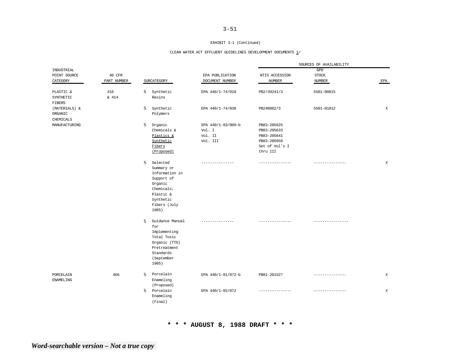#### EXHIBIT 3-1 (Continued)

### CLEAN WATER ACT EFFLUENT GUIDELINES DEVELOPMENT DOCUMENTS  $\underline{1}/$

|                  |             |              |                 |                    |                 | SOURCES OF AVAILABILITY |             |
|------------------|-------------|--------------|-----------------|--------------------|-----------------|-------------------------|-------------|
| INDUSTRIAL       |             |              |                 |                    |                 | $_{\mathrm{GPO}}$       |             |
| POINT SOURCE     | 40 CFR      |              |                 | EPA PUBLICATION    | NTIS ACCESSION  | <b>STOCK</b>            |             |
| CATEGORY         | PART NUMBER |              | SUBCATEGORY     | DOCUMENT NUMBER    | <b>NUMBER</b>   | <b>NUMBER</b>           | EPA         |
|                  |             |              |                 |                    |                 |                         |             |
| PLASTIC &        | 416         | S.           | Synthetic       | EPA 440/1-74/010   | PB2/39241/3     | 5501-00815              |             |
| SYNTHETIC        | & 414       |              | Resins          |                    |                 |                         |             |
| <b>FIBERS</b>    |             |              |                 |                    |                 |                         |             |
| (MATERIALS) &    |             | s            | Synthetic       | EPA 440/1-74/036   | PB240862/3      | 5501-01012              | $\mathbf X$ |
| ORGANIC          |             |              | Polymers        |                    |                 |                         |             |
| CHEMICALS        |             |              |                 |                    |                 |                         |             |
| MANUFACTURING    |             | S            | Organic         | EPA 440/1-83/009-b | PB83-205625     |                         |             |
|                  |             |              | Chemicals &     | Vol. I             | PB83-205633     |                         |             |
|                  |             |              | Plastics &      | Vol. II            | PB83-205641     |                         |             |
|                  |             |              |                 | Vol. III           |                 |                         |             |
|                  |             |              | Synthetic       |                    | PB83-205658     |                         |             |
|                  |             |              | Fibers          |                    | Set of Vol's I  |                         |             |
|                  |             |              | (Proposed)      |                    | thru III        |                         |             |
|                  |             | <sub>S</sub> | Selected        | ------------       | --------------- | -------------           | X           |
|                  |             |              | Summary or      |                    |                 |                         |             |
|                  |             |              | Information in  |                    |                 |                         |             |
|                  |             |              | Support of      |                    |                 |                         |             |
|                  |             |              | Organic         |                    |                 |                         |             |
|                  |             |              | Chemicals,      |                    |                 |                         |             |
|                  |             |              |                 |                    |                 |                         |             |
|                  |             |              | Plastic &       |                    |                 |                         |             |
|                  |             |              | Synthetic       |                    |                 |                         |             |
|                  |             |              | Fibers (July    |                    |                 |                         |             |
|                  |             |              | 1985)           |                    |                 |                         |             |
|                  |             | <sub>S</sub> | Guidance Manual |                    |                 |                         |             |
|                  |             |              | for             |                    |                 |                         |             |
|                  |             |              | Implementing    |                    |                 |                         |             |
|                  |             |              | Total Toxic     |                    |                 |                         |             |
|                  |             |              |                 |                    |                 |                         |             |
|                  |             |              | Organic (TTO)   |                    |                 |                         |             |
|                  |             |              | Pretreatment    |                    |                 |                         |             |
|                  |             |              | Standards       |                    |                 |                         |             |
|                  |             |              | (September      |                    |                 |                         |             |
|                  |             |              | 1985)           |                    |                 |                         |             |
| PORCELAIN        | 466         | <sub>S</sub> | Porcelain       | EPA 440/1-81/072-b | PB81-201527     |                         | $\mathbf X$ |
| <b>ENAMELING</b> |             |              | Enameling       |                    |                 |                         |             |
|                  |             |              | (Proposed)      |                    |                 |                         |             |
|                  |             | <sub>S</sub> | Porcelain       | EPA 440/1-82/072   | ------------    | ------------            | X           |
|                  |             |              | Enameling       |                    |                 |                         |             |
|                  |             |              |                 |                    |                 |                         |             |
|                  |             |              | (Final)         |                    |                 |                         |             |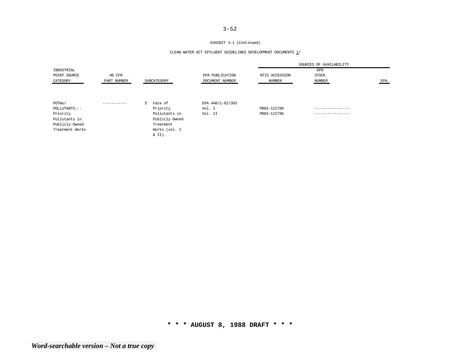#### EXHIBIT 3-1 (Continued)

### CLEAN WATER ACT EFFLUENT GUIDELINES DEVELOPMENT DOCUMENTS  $\underline{1}/$

|                 |             |                |                  |                | SOURCES OF AVAILABILITY |     |
|-----------------|-------------|----------------|------------------|----------------|-------------------------|-----|
| INDUSTRIAL      |             |                |                  |                | GPO                     |     |
| POINT SOURCE    | 40 CFR      |                | EPA PUBLICATION  | NTIS ACCESSION | <b>STOCK</b>            |     |
| CATEGORY        | PART NUMBER | SUBCATEGORY    | DOCUMENT NUMBER  | NUMBER         | NUMBER                  | EPA |
|                 |             |                |                  |                |                         |     |
|                 |             |                |                  |                |                         |     |
| POTWs/          | ----------- | S.<br>Fate of  | EPA 440/1-82/303 |                |                         |     |
| POLLUTANTS:--   |             | Priority       | Vol. I           | PB83-122788    | ------------            |     |
| Priority        |             | Pollutants in  | Vol. II          | PB83-122796    | ----------------        |     |
| Pollutants in   |             | Publicly Owned |                  |                |                         |     |
| Publicly Owned  |             | Treatment      |                  |                |                         |     |
| Treatment Works |             | Works (vol. I  |                  |                |                         |     |
|                 |             | $\&$ II)       |                  |                |                         |     |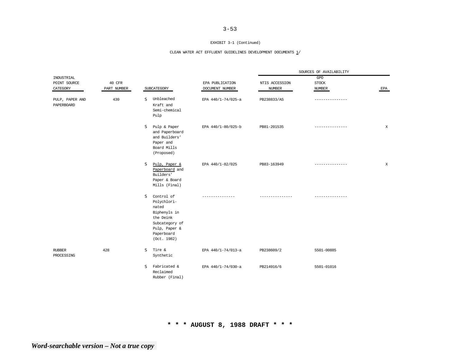#### EXHIBIT 3-1 (Continued)

### CLEAN WATER ACT EFFLUENT GUIDELINES DEVELOPMENT DOCUMENTS  $\underline{1}/$

|                               |             |                                                                                                                                      |                    | SOURCES OF AVAILABILITY |                 |             |
|-------------------------------|-------------|--------------------------------------------------------------------------------------------------------------------------------------|--------------------|-------------------------|-----------------|-------------|
| INDUSTRIAL                    |             |                                                                                                                                      |                    |                         | GPO             |             |
| POINT SOURCE                  | 40 CFR      |                                                                                                                                      | EPA PUBLICATION    | NTIS ACCESSION          | <b>STOCK</b>    |             |
| CATEGORY                      | PART NUMBER | SUBCATEGORY                                                                                                                          | DOCUMENT NUMBER    | <b>NUMBER</b>           | NUMBER          | EPA         |
| PULP, PAPER AND<br>PAPERBOARD | 430         | Unbleached<br>s<br>Kraft and<br>Semi-chemical<br>Pulp                                                                                | EPA 440/1-74/025-a | PB238833/AS             | --------------- |             |
|                               |             | S.<br>Pulp & Paper<br>and Paperboard<br>and Builders'<br>Paper and<br>Board Mills<br>(Proposed)                                      | EPA 440/1-80/025-b | PB81-201535             | --------------- | X           |
|                               |             | s<br>Pulp, Paper &<br>Paperboard and<br>Builders'<br>Paper & Board<br>Mills (Final)                                                  | EPA 440/1-82/025   | PB83-163949             |                 | $\mathbf X$ |
|                               |             | S<br>Control of<br>Polychlori-<br>nated<br>Biphenyls in<br>the Deink<br>Subcategory of<br>Pulp, Paper &<br>Paperboard<br>(Oct. 1982) |                    | --------------          | --------------- |             |
| <b>RUBBER</b><br>PROCESSING   | 428         | Tire &<br>S.<br>Synthetic                                                                                                            | EPA 440/1-74/013-a | PB238609/2              | 5501-00885      |             |
|                               |             | Fabricated &<br>S<br>Reclaimed<br>Rubber (Final)                                                                                     | EPA 440/1-74/030-a | PB214916/6              | 5501-01016      |             |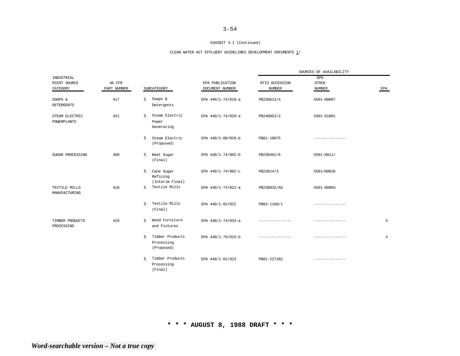#### EXHIBIT 3-1 (Continued)

### CLEAN WATER ACT EFFLUENT GUIDELINES DEVELOPMENT DOCUMENTS  $\underline{1}/$

|                                      |             |                                          |                                |                    |                 | SOURCES OF AVAILABILITY |     |
|--------------------------------------|-------------|------------------------------------------|--------------------------------|--------------------|-----------------|-------------------------|-----|
| INDUSTRIAL                           |             |                                          |                                |                    |                 | GPO                     |     |
| POINT SOURCE                         | 40 CFR      |                                          |                                | EPA PUBLICATION    | NTIS ACCESSION  | <b>STOCK</b>            |     |
| CATEGORY                             | PART NUMBER | SUBCATEGORY                              |                                | DOCUMENT NUMBER    | <b>NUMBER</b>   | <b>NUMBER</b>           | EPA |
| SOAPS &                              | 417         | S<br>Soaps &                             |                                | EPA 440/1-74/018-a | PB238613/4      | 5501-00867              |     |
| <b>DETERGENTS</b>                    |             | Detergents                               |                                |                    |                 |                         |     |
| 421<br>STEAM ELECTRIC<br>POWERPLANTS |             | <sub>S</sub><br>Power<br>Generating      | Steam Electric                 | EPA 440/1-74/029-a | PB240853/2      | 5501-01001              |     |
|                                      |             | <sub>S</sub><br>(Proposed)               | Steam Electric                 | EPA 440/1-80/029-b | PB81-19075      | -------------           |     |
| SUGAR PROCESSING                     | 409         | s<br>Beet Sugar<br>(Final)               |                                | EPA 440/1-74/002-D | PB238462/6      | 5501-0011/              |     |
|                                      |             | s<br>Cane Sugar<br>Refining              | (Interim Final)                | EPA 440/1-74/002-c | PB23814/3       | 5501/00826              |     |
| TEXTILE MILLS<br>MANUFACTURING       | 410         | s                                        | Textile Mills                  | EPA 440/1-74/022-a | PB238832/AS     | 5501-00903              |     |
|                                      |             | <sub>S</sub><br>(Final)                  | Textile Mills                  | EPA 440/1-82/022   | PB83-1168/1     |                         |     |
| TIMBER PRODUCTS<br>PROCESSING        | 429         | S.                                       | Wood Furniture<br>and Fixtures | EPA 440/1-74/033-a | --------------  | ---------------         | X   |
|                                      |             | <sub>S</sub><br>Processing<br>(Proposed) | Timber Products                | EPA 440/1-79/023-b | --------------- | ---------------         | X   |
|                                      |             | S<br>Processing<br>(Final)               | Timber Products                | EPA 440/1-81/023   | PB81-227282     | ---------------         |     |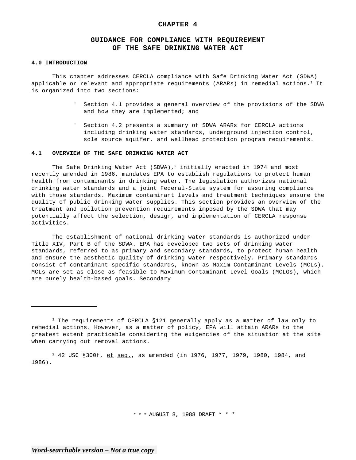## **CHAPTER 4**

# **GUIDANCE FOR COMPLIANCE WITH REQUIREMENT OF THE SAFE DRINKING WATER ACT**

### **4.0 INTRODUCTION**

This chapter addresses CERCLA compliance with Safe Drinking Water Act (SDWA) applicable or relevant and appropriate requirements (ARARs) in remedial actions.<sup>1</sup> It is organized into two sections:

- Section 4.1 provides a general overview of the provisions of the SDWA and how they are implemented; and
- " Section 4.2 presents a summary of SDWA ARARs for CERCLA actions including drinking water standards, underground injection control, sole source aquifer, and wellhead protection program requirements.

## **4.1 OVERVIEW OF THE SAFE DRINKING WATER ACT**

The Safe Drinking Water Act (SDWA),<sup>2</sup> initially enacted in 1974 and most recently amended in 1986, mandates EPA to establish regulations to protect human health from contaminants in drinking water. The legislation authorizes national drinking water standards and a joint Federal-State system for assuring compliance with those standards. Maximum contaminant levels and treatment techniques ensure the quality of public drinking water supplies. This section provides an overview of the treatment and pollution prevention requirements imposed by the SDWA that may potentially affect the selection, design, and implementation of CERCLA response activities.

The establishment of national drinking water standards is authorized under Title XIV, Part B of the SDWA. EPA has developed two sets of drinking water standards, referred to as primary and secondary standards, to protect human health and ensure the aesthetic quality of drinking water respectively. Primary standards consist of contaminant-specific standards, known as Maxim Contaminant Levels (MCLs). MCLs are set as close as feasible to Maximum Contaminant Level Goals (MCLGs), which are purely health-based goals. Secondary

2 42 USC §300f, et seq., as amended (in 1976, 1977, 1979, 1980, 1984, and 1986).

\* \* \* AUGUST 8, 1988 DRAFT \* \* \*

<sup>&</sup>lt;sup>1</sup> The requirements of CERCLA §121 generally apply as a matter of law only to remedial actions. However, as a matter of policy, EPA will attain ARARs to the greatest extent practicable considering the exigencies of the situation at the site when carrying out removal actions.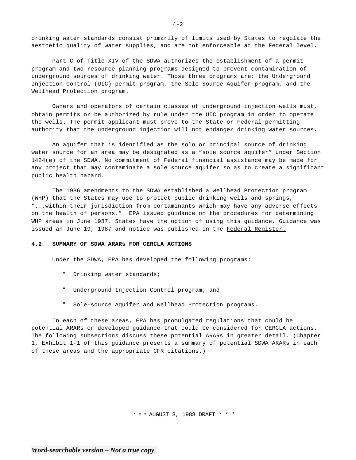drinking water standards consist primarily of limits used by States to regulate the aesthetic quality of water supplies, and are not enforceable at the Federal level.

Part C of Title XIV of the SDWA authorizes the establishment of a permit program and two resource planning programs designed to prevent contamination of underground sources of drinking water. Those three programs are: the Underground Injection Control (UIC) permit program, the Sole Source Aquifer program, and the Wellhead Protection program.

Owners and operators of certain classes of underground injection wells must, obtain permits or be authorized by rule under the UIC program in order to operate the wells. The permit applicant must prove to the State or Federal permitting authority that the underground injection will not endanger drinking water sources.

An aquifer that is identified as the solo or principal source of drinking water source for an area may be designated as a "sole source aquifer" under Section 1424(e) of the SDWA. No commitment of Federal financial assistance may be made for any project that may contaminate a sole source aquifer so as to create a significant public health hazard.

The 1986 amendments to the SDWA established a Wellhead Protection program (WHP) that the States may use to protect public drinking wells and springs, "...within their jurisdiction from contaminants which may have any adverse effects on the health of persons." EPA issued guidance on the procedures for determining WHP areas in June 1987. States have the option of using this guidance. Guidance was issued an June 19, 1987 and notice was published in the Federal Register.

## **4.2 SUMMARY OF SDWA ARARs FOR CERCLA ACTIONS**

Under the SDWA, EPA has developed the following programs:

- " Drinking water standards;
- " Underground Injection Control program; and
- Sole-source Aquifer and Wellhead Protection programs.

In each of these areas, EPA has promulgated regulations that could be potential ARARs or developed guidance that could be considered for CERCLA actions. The following subsections discuss these potential ARARs in greater detail. (Chapter 1, Exhibit 1-1 of this guidance presents a summary of potential SDWA ARARs in each of these areas and the appropriate CFR citations.)

\* \* \* AUGUST 8, 1988 DRAFT \* \* \*

 $4 - 2$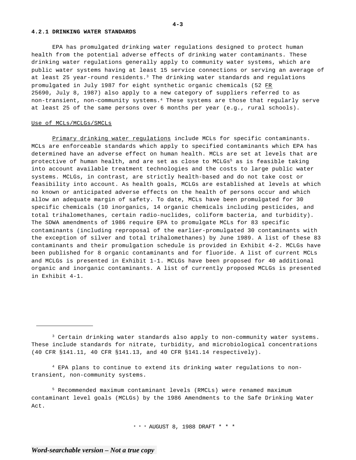#### **4.2.1 DRINKING WATER STANDARDS**

EPA has promulgated drinking water regulations designed to protect human health from the potential adverse effects of drinking water contaminants. These drinking water regulations generally apply to community water systems, which are public water systems having at least 15 service connections or serving an average of at least 25 year-round residents.<sup>3</sup> The drinking water standards and regulations promulgated in July 1987 for eight synthetic organic chemicals (52 FR 25690, July 8, 1987) also apply to a new category of suppliers referred to as non-transient, non-community systems.4 These systems are those that regularly serve at least 25 of the same persons over 6 months per year (e.g., rural schools).

## Use of MCLs/MCLGs/SMCLs

Primary drinking water regulations include MCLs for specific contaminants. MCLs are enforceable standards which apply to specified contaminants which EPA has determined have an adverse effect on human health. MCLs are set at levels that are protective of human health, and are set as close to  $MCLGS<sup>5</sup>$  as is feasible taking into account available treatment technologies and the costs to large public water systems. MCLGs, in contrast, are strictly health-based and do not take cost or feasibility into account. As health goals, MCLGs are established at levels at which no known or anticipated adverse effects on the health of persons occur and which allow an adequate margin of safety. To date, MCLs have been promulgated for 30 specific chemicals (10 inorganics, 14 organic chemicals including pesticides, and total trihalomethanes, certain radio-nuclides, coliform bacteria, and turbidity). The SDWA amendments of 1986 require EPA to promulgate MCLs for 83 specific contaminants (including reproposal of the earlier-promulgated 30 contaminants with the exception of silver and total trihalomethanes) by June 1989. A list of these 83 contaminants and their promulgation schedule is provided in Exhibit 4-2. MCLGs have been published for 8 organic contaminants and for fluoride. A list of current MCLs and MCLGs is presented in Exhibit 1-1. MCLGs have been proposed for 40 additional organic and inorganic contaminants. A list of currently proposed MCLGs is presented in Exhibit 4-1.

4 EPA plans to continue to extend its drinking water regulations to nontransient, non-community systems.

5 Recommended maximum contaminant levels (RMCLs) were renamed maximum contaminant level goals (MCLGs) by the 1986 Amendments to the Safe Drinking Water Act.

\* \* \* AUGUST 8, 1988 DRAFT \* \* \*

**4-3** 

<sup>&</sup>lt;sup>3</sup> Certain drinking water standards also apply to non-community water systems. These include standards for nitrate, turbidity, and microbiological concentrations (40 CFR §141.11, 40 CFR §141.13, and 40 CFR §141.14 respectively).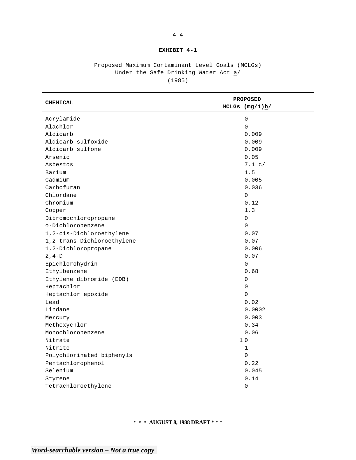## **EXHIBIT 4-1**

# Proposed Maximum Contaminant Level Goals (MCLGs) Under the Safe Drinking Water Act  $a/$ (1985)

| <b>CHEMICAL</b>            | <b>PROPOSED</b>              |  |  |
|----------------------------|------------------------------|--|--|
|                            | MCLGs $(mg/1)\underline{b}/$ |  |  |
| Acrylamide                 | $\mathsf 0$                  |  |  |
| Alachlor                   | 0                            |  |  |
| Aldicarb                   | 0.009                        |  |  |
| Aldicarb sulfoxide         | 0.009                        |  |  |
| Aldicarb sulfone           | 0.009                        |  |  |
| Arsenic                    | 0.05                         |  |  |
| Asbestos                   | 7.1 $c/$                     |  |  |
| Barium                     | 1.5                          |  |  |
| Cadmium                    | 0.005                        |  |  |
| Carbofuran                 | 0.036                        |  |  |
| Chlordane                  | 0                            |  |  |
| Chromium                   | 0.12                         |  |  |
| Copper                     | 1.3                          |  |  |
| Dibromochloropropane       | $\mathbf 0$                  |  |  |
| o-Dichlorobenzene          | 0                            |  |  |
| 1,2-cis-Dichloroethylene   | 0.07                         |  |  |
| 1,2-trans-Dichloroethylene | 0.07                         |  |  |
| 1,2-Dichloropropane        | 0.006                        |  |  |
| $2, 4-D$                   | 0.07                         |  |  |
| Epichlorohydrin            | 0                            |  |  |
| Ethylbenzene               | 0.68                         |  |  |
| Ethylene dibromide (EDB)   | $\mathbf 0$                  |  |  |
| Heptachlor                 | 0                            |  |  |
| Heptachlor epoxide         | 0                            |  |  |
| Lead                       | 0.02                         |  |  |
| Lindane                    | 0.0002                       |  |  |
| Mercury                    | 0.003                        |  |  |
| Methoxychlor               | 0.34                         |  |  |
| Monochlorobenzene          | 0.06                         |  |  |
| Nitrate                    | 10                           |  |  |
| Nitrite                    | $\mathbf 1$                  |  |  |
| Polychlorinated biphenyls  | $\mathbf 0$                  |  |  |
| Pentachlorophenol          | 0.22                         |  |  |
| Selenium                   | 0.045                        |  |  |
| Styrene                    | 0.14                         |  |  |
| Tetrachloroethylene        | 0                            |  |  |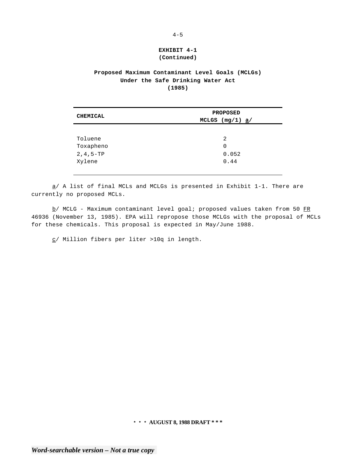# **EXHIBIT 4-1 (Continued)**

# **Proposed Maximum Contaminant Level Goals (MCLGs) Under the Safe Drinking Water Act (1985)**

| <b>CHEMICAL</b> | <b>PROPOSED</b>   |
|-----------------|-------------------|
|                 | MCLGS $(mg/1)$ a/ |
|                 |                   |
| Toluene         | 2                 |
| Toxapheno       | 0                 |
| $2, 4, 5-TP$    | 0.052             |
| Xylene          | 0.44              |
|                 |                   |

 $\underline{a}$ / A list of final MCLs and MCLGs is presented in Exhibit 1-1. There are currently no proposed MCLs.

 $\underline{b}$ / MCLG - Maximum contaminant level goal; proposed values taken from 50 FR 46936 (November 13, 1985). EPA will repropose those MCLGs with the proposal of MCLs for these chemicals. This proposal is expected in May/June 1988.

c/ Million fibers per liter >10q in length.

**\* \* \* AUGUST 8, 1988 DRAFT \* \* \***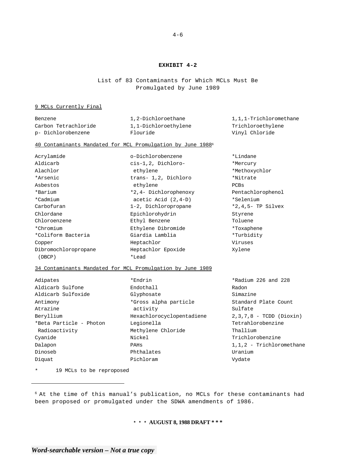## **EXHIBIT 4-2**

List of 83 Contaminants for Which MCLs Must Be Promulgated by June 1989

## 9 MCLs Currently Final

| Benzene              | 1,2-Dichloroethane   | 1,1,1-Trichloromethane |
|----------------------|----------------------|------------------------|
| Carbon Tetrachloride | 1,1-Dichloroethylene | Trichloroethylene      |
| p- Dichlorobenzene   | Flouride             | Vinyl Chloride         |

## 40 Contaminants Mandated for MCL Promulgation by June 19886

| Acrylamide           | o-Dichlorobenzene      | *Lindane             |
|----------------------|------------------------|----------------------|
| Aldicarb             | cis-1,2, Dichloro-     | *Mercury             |
| Alachlor             | ethylene               | *Methoxychlor        |
| *Arsenic             | trans- 1,2, Dichloro   | *Nitrate             |
| Asbestos             | ethylene               | PCBs                 |
| *Barium              | *2,4- Dichlorophenoxy  | Pentachlorophenol    |
| *Cadmium             | acetic Acid $(2, 4-D)$ | *Selenium            |
| Carbofuran           | 1-2, Dichloropropane   | $*2,4,5$ - TP Silvex |
| Chlordane            | Epichlorohydrin        | Styrene              |
| Chloroenzene         | Ethyl Benzene          | Toluene              |
| *Chromium            | Ethylene Dibromide     | *Toxaphene           |
| *Coliform Bacteria   | Giardia Lamblia        | *Turbidity           |
| Copper               | Heptachlor             | Viruses              |
| Dibromochloropropane | Heptachlor Epoxide     | Xylene               |
| (DBCP)               | *Lead                  |                      |

## 34 Contaminants Mandated for MCL Promulgation by June 1989

| Adipates                | *Endrin                   | *Radium 226 and 228       |
|-------------------------|---------------------------|---------------------------|
| Aldicarb Sulfone        | Endothall                 | Radon                     |
| Aldicarb Sulfoxide      | Glyphosate                | Simazine                  |
| Antimony                | *Gross alpha particle     | Standard Plate Count      |
| Atrazine                | activity                  | Sulfate                   |
| Beryllium               | Hexachlorocyclopentadiene | $2,3,7,8$ - TCDD (Dioxin) |
| *Beta Particle - Photon | Legionella                | Tetrahlorobenzine         |
| Radioactivity           | Methylene Chloride        | Thallium                  |
| Cyanide                 | Nickel                    | Trichlorobenzine          |
| Dalapon                 | PAHS                      | 1,1,2 - Trichloromethane  |
| Dinoseb                 | Phthalates                | Uranium                   |
| Diquat                  | Pichloram                 | Vydate                    |
|                         |                           |                           |

\* 19 MCLs to be reproposed

## **\* \* \* AUGUST 8, 1988 DRAFT \* \* \***

<sup>6</sup> At the time of this manual's publication, no MCLs for these contaminants had been proposed or promulgated under the SDWA amendments of 1986.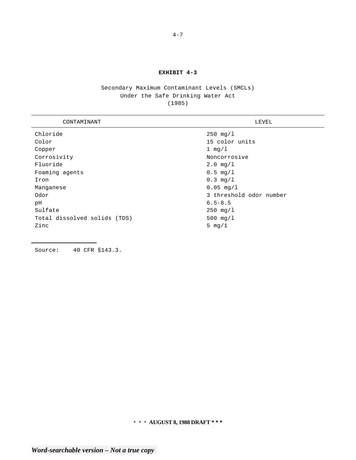## **EXHIBIT 4-3**

# Secondary Maximum Contaminant Levels (SMCLs) Under the Safe Drinking Water Act (1985)

L,

| CONTAMINANT                  | LEVEL                   |
|------------------------------|-------------------------|
| Chloride                     | $250 \, \text{mg}/1$    |
| Color                        | 15 color units          |
| Copper                       | 1 $mq/l$                |
| Corrosivity                  | Noncorrosive            |
| Fluoride                     | $2.0 \, \text{mg/l}$    |
| Foaming agents               | $0.5 \, \text{mg}/1$    |
| Iron                         | $0.3 \, \text{mq}/1$    |
| Manganese                    | $0.05 \,\mathrm{mg}/1$  |
| Odor                         | 3 threshold odor number |
| рH                           | $6.5 - 8.5$             |
| Sulfate                      | $250 \, \text{mq/1}$    |
| Total dissolved solids (TDS) | $500 \text{ mg/l}$      |
| Zinc                         | 5 $mq/1$                |

Source: 40 CFR §143.3.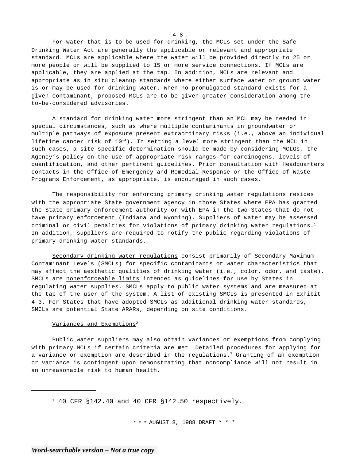For water that is to be used for drinking, the MCLs set under the Safe Drinking Water Act are generally the applicable or relevant and appropriate standard. MCLs are applicable where the water will be provided directly to 25 or more people or will be supplied to 15 or more service connections. If MCLs are applicable, they are applied at the tap. In addition, MCLs are relevant and appropriate as in situ cleanup standards where either surface water or ground water is or may be used for drinking water. When no promulgated standard exists for a given contaminant, proposed MCLs are to be given greater consideration among the to-be-considered advisories.

A standard for drinking water more stringent than an MCL may be needed in special circumstances, such as where multiple contaminants in groundwater or multiple pathways of exposure present extraordinary risks (i.e., above an individual lifetime cancer risk of 10-4). In setting a level more stringent than the MCL in such cases, a site-specific determination should be made by considering MCLGs, the Agency's policy on the use of appropriate risk ranges for carcinogens, levels of quantification, and other pertinent guidelines. Prior consultation with Headquarters contacts in the Office of Emergency and Remedial Response or the Office of Waste Programs Enforcement, as appropriate, is encouraged in such cases.

The responsibility for enforcing primary drinking water regulations resides with the appropriate State government agency in those States where EPA has granted the State primary enforcement authority or with EPA in the two States that do not have primary enforcement (Indiana and Wyoming). Suppliers of water may be assessed criminal or civil penalties for violations of primary drinking water regulations.<sup>1</sup> In addition, suppliers are required to notify the public regarding violations of primary drinking water standards.

Secondary drinking water regulations consist primarily of Secondary Maximum Contaminant Levels (SMCLs) for specific contaminants or water characteristics that may affect the aesthetic qualities of drinking water (i.e., color, odor, and taste). SMCLs are nonenforceable limits intended as guidelines for use by States in regulating water supplies. SMCLs apply to public water systems and are measured at the tap of the user of the system. A list of existing SMCLs is presented in Exhibit 4-3. For States that have adopted SMCLs as additional drinking water standards, SMCLs are potential State ARARs, depending on site conditions.

## Variances and Exemptions<sup>2</sup>

Public water suppliers may also obtain variances or exemptions from complying with primary MCLs if certain criteria are met. Detailed procedures for applying for a variance or exemption are described in the regulations.7 Granting of an exemption or variance is contingent upon demonstrating that noncompliance will not result in an unreasonable risk to human health.

7 40 CFR §142.40 and 40 CFR §142.50 respectively.

\* \* \* AUGUST 8, 1988 DRAFT \* \* \*

 $4 - 8$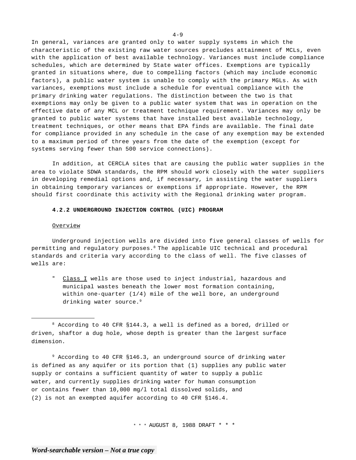In general, variances are granted only to water supply systems in which the characteristic of the existing raw water sources precludes attainment of MCLs, even with the application of best available technology. Variances must include compliance schedules, which are determined by State water offices. Exemptions are typically granted in situations where, due to compelling factors (which may include economic factors), a public water system is unable to comply with the primary MGLs. As with variances, exemptions must include a schedule for eventual compliance with the primary drinking water regulations. The distinction between the two is that exemptions may only be given to a public water system that was in operation on the effective date of any MCL or treatment technique requirement. Variances may only be granted to public water systems that have installed best available technology, treatment techniques, or other means that EPA finds are available. The final date for compliance provided in any schedule in the case of any exemption may be extended to a maximum period of three years from the date of the exemption (except for systems serving fewer than 500 service connections).

In addition, at CERCLA sites that are causing the public water supplies in the area to violate SDWA standards, the RPM should work closely with the water suppliers in developing remedial options and, if necessary, in assisting the water suppliers in obtaining temporary variances or exemptions if appropriate. However, the RPM should first coordinate this activity with the Regional drinking water program.

## **4.2.2 UNDERGROUND INJECTION CONTROL (UIC) PROGRAM**

### Overview

Underground injection wells are divided into five general classes of wells for permitting and regulatory purposes.8 The applicable UIC technical and procedural standards and criteria vary according to the class of well. The five classes of wells are:

" Class I wells are those used to inject industrial, hazardous and municipal wastes beneath the lower most formation containing, within one-quarter  $(1/4)$  mile of the well bore, an underground drinking water source.<sup>9</sup>

9 According to 40 CFR §146.3, an underground source of drinking water is defined as any aquifer or its portion that (1) supplies any public water supply or contains a sufficient quantity of water to supply a public water, and currently supplies drinking water for human consumption or contains fewer than 10,000 mg/l total dissolved solids, and (2) is not an exempted aquifer according to 40 CFR §146.4.

\* \* \* AUGUST 8, 1988 DRAFT \* \* \*

<sup>8</sup> According to 40 CFR §144.3, a well is defined as a bored, drilled or driven, shaftor a dug hole, whose depth is greater than the largest surface dimension.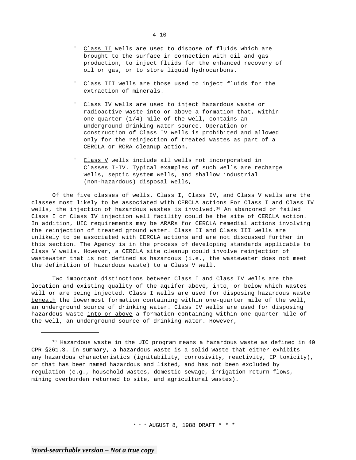- Class II wells are used to dispose of fluids which are brought to the surface in connection with oil and gas production, to inject fluids for the enhanced recovery of oil or gas, or to store liquid hydrocarbons.
- Class III wells are those used to inject fluids for the extraction of minerals.
- Class IV wells are used to inject hazardous waste or radioactive waste into or above a formation that, within one-quarter (1/4) mile of the well, contains an underground drinking water source. Operation or construction of Class IV wells is prohibited and allowed only for the reinjection of treated wastes as part of a CERCLA or RCRA cleanup action.
- Class V wells include all wells not incorporated in Classes I-IV. Typical examples of such wells are recharge wells, septic system wells, and shallow industrial (non-hazardous) disposal wells,

Of the five classes of wells, Class I, Class IV, and Class V wells are the classes most likely to be associated with CERCLA actions For Class I and Class IV wells, the injection of hazardous wastes is involved.<sup>10</sup> An abandoned or failed Class I or Class IV injection well facility could be the site of CERCLA action. In addition, UIC requirements may be ARARs for CERCLA remedial actions involving the reinjection of treated ground water. Class II and Class III wells are unlikely to be associated with CERCLA actions and are not discussed further in this section. The Agency is in the process of developing standards applicable to Class V wells. However, a CERCLA site cleanup could involve reinjection of wastewater that is not defined as hazardous (i.e., the wastewater does not meet the definition of hazardous waste) to a Class V well.

Two important distinctions between Class I and Class IV wells are the location and existing quality of the aquifer above, into, or below which wastes will or are being injected. Class I wells are used for disposing hazardous waste beneath the lowermost formation containing within one-quarter mile of the well, an underground source of drinking water. Class IV wells are used for disposing hazardous waste into or above a formation containing within one-quarter mile of the well, an underground source of drinking water. However,

<sup>&</sup>lt;sup>10</sup> Hazardous waste in the UIC program means a hazardous waste as defined in 40 CPR §261.3. In summary, a hazardous waste is a solid waste that either exhibits any hazardous characteristics (ignitability, corrosivity, reactivity, EP toxicity), or that has been named hazardous and listed, and has not been excluded by regulation (e.g., household wastes, domestic sewage, irrigation return flows, mining overburden returned to site, and agricultural wastes).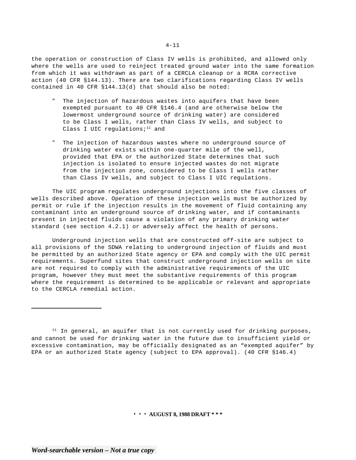the operation or construction of Class IV wells is prohibited, and allowed only where the wells are used to reinject treated ground water into the same formation from which it was withdrawn as part of a CERCLA cleanup or a RCRA corrective action (40 CFR §144.13). There are two clarifications regarding Class IV wells contained in 40 CFR §144.13(d) that should also be noted:

- " The injection of hazardous wastes into aquifers that have been exempted pursuant to 40 CFR §146.4 (and are otherwise below the lowermost underground source of drinking water) are considered to be Class I wells, rather than Class IV wells, and subject to Class I UIC regulations; $11$  and
- " The injection of hazardous wastes where no underground source of drinking water exists within one-quarter mile of the well, provided that EPA or the authorized State determines that such injection is isolated to ensure injected wastes do not migrate from the injection zone, considered to be Class I wells rather than Class IV wells, and subject to Class I UIC regulations.

The UIC program regulates underground injections into the five classes of wells described above. Operation of these injection wells must be authorized by permit or rule if the injection results in the movement of fluid containing any contaminant into an underground source of drinking water, and if contaminants present in injected fluids cause a violation of any primary drinking water standard (see section 4.2.1) or adversely affect the health of persons.

Underground injection wells that are constructed off-site are subject to all provisions of the SDWA relating to underground injection of fluids and must be permitted by an authorized State agency or EPA and comply with the UIC permit requirements. Superfund sites that construct underground injection wells on site are not required to comply with the administrative requirements of the UIC program, however they must meet the substantive requirements of this program where the requirement is determined to be applicable or relevant and appropriate to the CERCLA remedial action.

 $11$  In general, an aquifer that is not currently used for drinking purposes, and cannot be used for drinking water in the future due to insufficient yield or excessive contamination, may be officially designated as an "exempted aquifer" by EPA or an authorized State agency (subject to EPA approval). (40 CFR §146.4)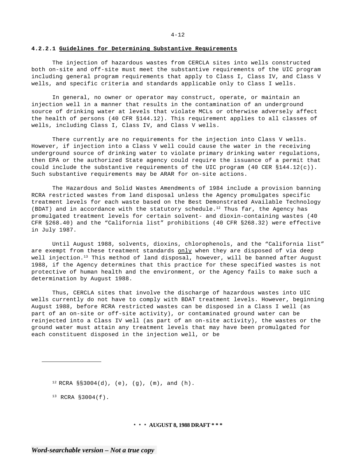### **4.2.2.1 Guidelines for Determining Substantive Requirements**

The injection of hazardous wastes from CERCLA sites into wells constructed both on-site and off-site must meet the substantive requirements of the UIC program including general program requirements that apply to Class I, Class IV, and Class V wells, and specific criteria and standards applicable only to Class I wells.

In general, no owner or operator may construct, operate, or maintain an injection well in a manner that results in the contamination of an underground source of drinking water at levels that violate MCLs or otherwise adversely affect the health of persons (40 CFR §144.12). This requirement applies to all classes of wells, including Class I, Class IV, and Class V wells.

There currently are no requirements for the injection into Class V wells. However, if injection into a Class V well could cause the water in the receiving underground source of drinking water to violate primary drinking water regulations, then EPA or the authorized State agency could require the issuance of a permit that could include the substantive requirements of the UIC program  $(40 \text{ CER } $144.12(c))$ . Such substantive requirements may be ARAR for on-site actions.

The Hazardous and Solid Wastes Amendments of 1984 include a provision banning RCRA restricted wastes from land disposal unless the Agency promulgates specific treatment levels for each waste based on the Best Demonstrated Available Technology (BDAT) and in accordance with the statutory schedule.<sup>12</sup> Thus far, the Agency has promulgated treatment levels for certain solvent- and dioxin-containing wastes (40 CFR §268.40) and the "California list" prohibitions (40 CFR §268.32) were effective in July 1987.

Until August 1988, solvents, dioxins, chlorophenols, and the "California list" are exempt from these treatment standards only when they are disposed of via deep well injection.<sup>13</sup> This method of land disposal, however, will be banned after August 1988, if the Agency determines that this practice for these specified wastes is not protective of human health and the environment, or the Agency fails to make such a determination by August 1988.

Thus, CERCLA sites that involve the discharge of hazardous wastes into UIC wells currently do not have to comply with BDAT treatment levels. However, beginning August 1988, before RCRA restricted wastes can be disposed in a Class I well (as part of an on-site or off-site activity), or contaminated ground water can be reinjected into a Class IV well (as part of an on-site activity), the wastes or the ground water must attain any treatment levels that may have been promulgated for each constituent disposed in the injection well, or be

 $12$  RCRA §§3004(d), (e), (g), (m), and (h).

 $13$  RCRA §3004(f).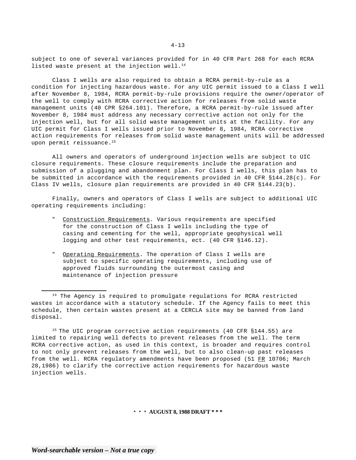subject to one of several variances provided for in 40 CFR Part 268 for each RCRA listed waste present at the injection well. $^{14}$ 

Class I wells are also required to obtain a RCRA permit-by-rule as a condition for injecting hazardous waste. For any UIC permit issued to a Class I well after November 8, 1984, RCRA permit-by-rule provisions require the owner/operator of the well to comply with RCRA corrective action for releases from solid waste management units (40 CPR §264.101). Therefore, a RCRA permit-by-rule issued after November 8, 1984 must address any necessary corrective action not only for the injection well, but for all solid waste management units at the facility. For any UIC permit for Class I wells issued prior to November 8, 1984, RCRA corrective action requirements for releases from solid waste management units will be addressed upon permit reissuance.<sup>15</sup>

All owners and operators of underground injection wells are subject to UIC closure requirements. These closure requirements include the preparation and submission of a plugging and abandonment plan. For Class I wells, this plan has to be submitted in accordance with the requirements provided in 40 CFR §144.28(c). For Class IV wells, closure plan requirements are provided in 40 CFR §144.23(b).

Finally, owners and operators of Class I wells are subject to additional UIC operating requirements including:

- Construction Requirements. Various requirements are specified for the construction of Class I wells including the type of casing and cementing for the well, appropriate geophysical well logging and other test requirements, ect. (40 CFR §146.12).
- " Operating Requirements. The operation of Class I wells are subject to specific operating requirements, including use of approved fluids surrounding the outermost casing and maintenance of injection pressure

<sup>15</sup> The UIC program corrective action requirements (40 CFR §144.55) are limited to repairing well defects to prevent releases from the well. The term RCRA corrective action, as used in this context, is broader and requires control to not only prevent releases from the well, but to also clean-up past releases from the well. RCRA regulatory amendments have been proposed (51 FR 10706; March 28,1986) to clarify the corrective action requirements for hazardous waste injection wells.

<sup>&</sup>lt;sup>14</sup> The Agency is required to promulgate regulations for RCRA restricted wastes in accordance with a statutory schedule. If the Agency fails to meet this schedule, then certain wastes present at a CERCLA site may be banned from land disposal.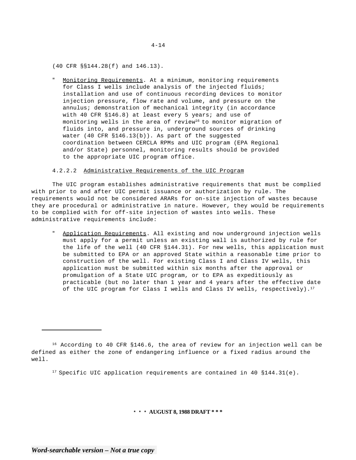(40 CFR §§144.28(f) and 146.13).

" Monitoring Requirements. At a minimum, monitoring requirements for Class I wells include analysis of the injected fluids; installation and use of continuous recording devices to monitor injection pressure, flow rate and volume, and pressure on the annulus; demonstration of mechanical integrity (in accordance with 40 CFR §146.8) at least every 5 years; and use of monitoring wells in the area of review<sup>16</sup> to monitor migration of fluids into, and pressure in, underground sources of drinking water (40 CFR §146.13(b)). As part of the suggested coordination between CERCLA RPMs and UIC program (EPA Regional and/or State) personnel, monitoring results should be provided to the appropriate UIC program office.

## 4.2.2.2 Administrative Requirements of the UIC Program

The UIC program establishes administrative requirements that must be complied with prior to and after UIC permit issuance or authorization by rule. The requirements would not be considered ARARs for on-site injection of wastes because they are procedural or administrative in nature. However, they would be requirements to be complied with for off-site injection of wastes into wells. These administrative requirements include:

Application Requirements. All existing and now underground injection wells must apply for a permit unless an existing wall is authorized by rule for the life of the well (40 CFR §144.31). For new wells, this application must be submitted to EPA or an approved State within a reasonable time prior to construction of the well. For existing Class I and Class IV wells, this application must be submitted within six months after the approval or promulgation of a State UIC program, or to EPA as expeditiously as practicable (but no later than 1 year and 4 years after the effective date of the UIC program for Class I wells and Class IV wells, respectively).<sup>17</sup>

<sup>17</sup> Specific UIC application requirements are contained in 40  $$144.31(e)$ .

**\* \* \* AUGUST 8, 1988 DRAFT \* \* \*** 

<sup>&</sup>lt;sup>16</sup> According to 40 CFR §146.6, the area of review for an injection well can be defined as either the zone of endangering influence or a fixed radius around the well.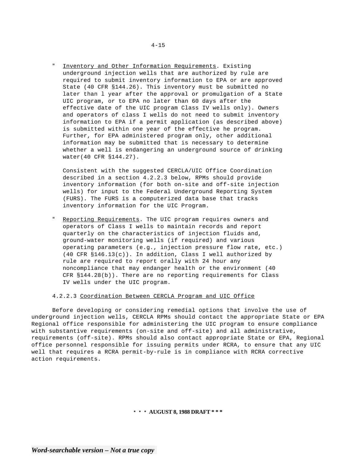Inventory and Other Information Requirements. Existing underground injection wells that are authorized by rule are required to submit inventory information to EPA or are approved State (40 CFR §144.26). This inventory must be submitted no later than l year after the approval or promulgation of a State UIC program, or to EPA no later than 60 days after the effective date of the UIC program Class IV wells only). Owners and operators of class I wells do not need to submit inventory information to EPA if a permit application (as described above) is submitted within one year of the effective he program. Further, for EPA administered program only, other additional information may be submitted that is necessary to determine whether a well is endangering an underground source of drinking water(40 CFR §144.27).

Consistent with the suggested CERCLA/UIC Office Coordination described in a section 4.2.2.3 below, RPMs should provide inventory information (for both on-site and off-site injection wells) for input to the Federal Underground Reporting System (FURS). The FURS is a computerized data base that tracks inventory information for the UIC Program.

Reporting Requirements. The UIC program requires owners and operators of Class I wells to maintain records and report quarterly on the characteristics of injection fluids and, ground-water monitoring wells (if required) and various operating parameters (e.g., injection pressure flow rate, etc.) (40 CFR §146.13(c)). In addition, Class I well authorized by rule are required to report orally with 24 hour any noncompliance that may endanger health or the environment (40 CFR §144.28(b)). There are no reporting requirements for Class IV wells under the UIC program.

## 4.2.2.3 Coordination Between CERCLA Program and UIC Office

Before developing or considering remedial options that involve the use of underground injection wells, CERCLA RPMs should contact the appropriate State or EPA Regional office responsible for administering the UIC program to ensure compliance with substantive requirements (on-site and off-site) and all administrative, requirements (off-site). RPMs should also contact appropriate State or EPA, Regional office personnel responsible for issuing permits under RCRA, to ensure that any UIC well that requires a RCRA permit-by-rule is in compliance with RCRA corrective action requirements.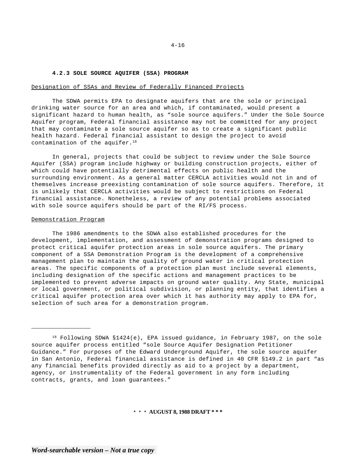## **4.2.3 SOLE SOURCE AQUIFER (SSA) PROGRAM**

#### Designation of SSAs and Review of Federally Financed Projects

The SDWA permits EPA to designate aquifers that are the sole or principal drinking water source for an area and which, if contaminated, would present a significant hazard to human health, as "sole source aquifers." Under the Sole Source Aquifer program, Federal financial assistance may not be committed for any project that may contaminate a sole source aquifer so as to create a significant public health hazard. Federal financial assistant to design the project to avoid contamination of the aquifer.<sup>18</sup>

In general, projects that could be subject to review under the Sole Source Aquifer (SSA) program include highway or building construction projects, either of which could have potentially detrimental effects on public health and the surrounding environment. As a general matter CERCLA activities would not in and of themselves increase preexisting contamination of sole source aquifers. Therefore, it is unlikely that CERCLA activities would be subject to restrictions on Federal financial assistance. Nonetheless, a review of any potential problems associated with sole source aquifers should be part of the RI/FS process.

## Demonstration Program

The 1986 amendments to the SDWA also established procedures for the development, implementation, and assessment of demonstration programs designed to protect critical aquifer protection areas in sole source aquifers. The primary component of a SSA Demonstration Program is the development of a comprehensive management plan to maintain the quality of ground water in critical protection areas. The specific components of a protection plan must include several elements, including designation of the specific actions and management practices to be implemented to prevent adverse impacts on ground water quality. Any State, municipal or local government, or political subdivision, or planning entity, that identifies a critical aquifer protection area over which it has authority may apply to EPA for, selection of such area for a demonstration program.

<sup>&</sup>lt;sup>18</sup> Following SDWA §1424(e), EPA issued guidance, in February 1987, on the sole source aquifer process entitled "sole Source Aquifer Designation Petitioner Guidance." For purposes of the Edward Underground Aquifer, the sole source aquifer in San Antonio, Federal financial assistance is defined in 40 CFR §149.2 in part "as any financial benefits provided directly as aid to a project by a department, agency, or instrumentality of the Federal government in any form including contracts, grants, and loan guarantees."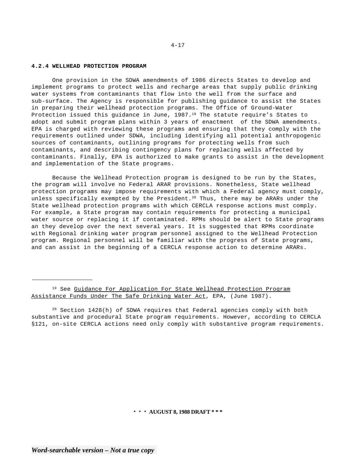## **4.2.4 WELLHEAD PROTECTION PROGRAM**

One provision in the SDWA amendments of 1986 directs States to develop and implement programs to protect wells and recharge areas that supply public drinking water systems from contaminants that flow into the well from the surface and sub-surface. The Agency is responsible for publishing guidance to assist the States in preparing their wellhead protection programs. The Office of Ground-Water Protection issued this guidance in June, 1987.<sup>19</sup> The statute require's States to adopt and submit program plans within 3 years of enactment of the SDWA amendments. EPA is charged with reviewing these programs and ensuring that they comply with the requirements outlined under SDWA, including identifying all potential anthropogenic sources of contaminants, outlining programs for protecting wells from such contaminants, and describing contingency plans for replacing wells affected by contaminants. Finally, EPA is authorized to make grants to assist in the development and implementation of the State programs.

Because the Wellhead Protection program is designed to be run by the States, the program will involve no Federal ARAR provisions. Nonetheless, State wellhead protection programs may impose requirements with which a Federal agency must comply, unless specifically exempted by the President.<sup>20</sup> Thus, there may be ARARs under the State wellhead protection programs with which CERCLA response actions must comply. For example, a State program may contain requirements for protecting a municipal water source or replacing it if contaminated. RPMs should be alert to State programs an they develop over the next several years. It is suggested that RPMs coordinate with Regional drinking water program personnel assigned to the Wellhead Protection program. Regional personnel will be familiar with the progress of State programs, and can assist in the beginning of a CERCLA response action to determine ARARs.

<sup>19</sup> See Guidance For Application For State Wellhead Protection Program Assistance Funds Under The Safe Drinking Water Act, EPA, (June 1987).

 $20$  Section 1428(h) of SDWA requires that Federal agencies comply with both substantive and procedural State program requirements. However, according to CERCLA §121, on-site CERCLA actions need only comply with substantive program requirements.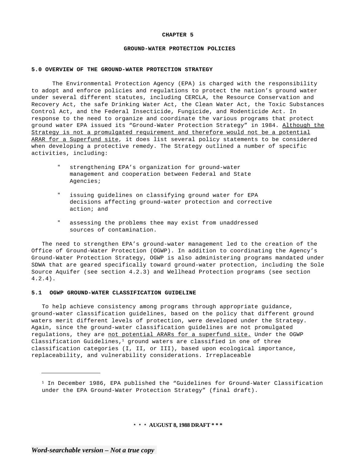#### **CHAPTER 5**

### **GROUND-WATER PROTECTION POLICIES**

### **5.0 OVERVIEW OF THE GROUND-WATER PROTECTION STRATEGY**

The Environmental Protection Agency (EPA) is charged with the responsibility to adopt and enforce policies and regulations to protect the nation's ground water under several different statutes, including CERCLA, the Resource Conservation and Recovery Act, the safe Drinking Water Act, the Clean Water Act, the Toxic Substances Control Act, and the Federal Insecticide, Fungicide, and Rodenticide Act. In response to the need to organize and coordinate the various programs that protect ground water EPA issued its "Ground-Water Protection Strategy" in 1984. Although the Strategy is not a promulgated requirement and therefore would not be a potential ARAR for a Superfund site, it does list several policy statements to be considered when developing a protective remedy. The Strategy outlined a number of specific activities, including:

- strengthening EPA's organization for ground-water management and cooperation between Federal and State Agencies;
- " issuing guidelines on classifying ground water for EPA decisions affecting ground-water protection and corrective action; and
- " assessing the problems thee may exist from unaddressed sources of contamination.

The need to strengthen EPA's ground-water management led to the creation of the Office of Ground-Water Protection (OGWP). In addition to coordinating the Agency's Ground-Water Protection Strategy, OGWP is also administering programs mandated under SDWA that are geared specifically toward ground-water protection, including the Sole Source Aquifer (see section 4.2.3) and Wellhead Protection programs (see section 4.2.4).

### **5.1 OGWP GROUND-WATER CLASSIFICATION GUIDELINE**

To help achieve consistency among programs through appropriate guidance, ground-water classification guidelines, based on the policy that different ground waters merit different levels of protection, were developed under the Strategy. Again, since the ground-water classification guidelines are not promulgated regulations, they are not potential ARARs for a superfund site. Under the OGWP Classification Guidelines, $1$  ground waters are classified in one of three classification categories (I, II, or III), based upon ecological importance, replaceability, and vulnerability considerations. Irreplaceable

<sup>&</sup>lt;sup>1</sup> In December 1986, EPA published the "Guidelines for Ground-Water Classification under the EPA Ground-Water Protection Strategy" (final draft).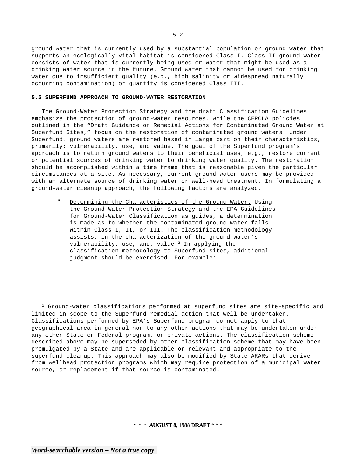ground water that is currently used by a substantial population or ground water that supports an ecologically vital habitat is considered Class I. Class II ground water consists of water that is currently being used or water that might be used as a drinking water source in the future. Ground water that cannot be used for drinking water due to insufficient quality (e.g., high salinity or widespread naturally occurring contamination) or quantity is considered Class III.

## **5.2 SUPERFUND APPROACH TO GROUND-WATER RESTORATION**

The Ground-Water Protection Strategy and the draft Classification Guidelines emphasize the protection of ground-water resources, while the CERCLA policies outlined in the "Draft Guidance on Remedial Actions for Contaminated Ground Water at Superfund Sites," focus on the restoration of contaminated ground waters. Under Superfund, ground waters are restored based in large part on their characteristics, primarily: vulnerability, use, and value. The goal of the Superfund program's approach is to return ground waters to their beneficial uses, e.g., restore current or potential sources of drinking water to drinking water quality. The restoration should be accomplished within a time frame that is reasonable given the particular circumstances at a site. As necessary, current ground-water users may be provided with an alternate source of drinking water or well-head treatment. In formulating a ground-water cleanup approach, the following factors are analyzed.

" Determining the Characteristics of the Ground Water. Using the Ground-Water Protection Strategy and the EPA Guidelines for Ground-Water Classification as guides, a determination is made as to whether the contaminated ground water falls within Class I, II, or III. The classification methodology assists, in the characterization of the ground-water's vulnerability, use, and, value. $2$  In applying the classification methodology to Superfund sites, additional judgment should be exercised. For example:

<sup>2</sup> Ground-water classifications performed at superfund sites are site-specific and limited in scope to the Superfund remedial action that well be undertaken. Classifications performed by EPA's Superfund program do not apply to that geographical area in general nor to any other actions that may be undertaken under any other State or Federal program, or private actions. The classification scheme described above may be superseded by other classification scheme that may have been promulgated by a State and are applicable or relevant and appropriate to the superfund cleanup. This approach may also be modified by State ARARs that derive from wellhead protection programs which may require protection of a municipal water source, or replacement if that source is contaminated.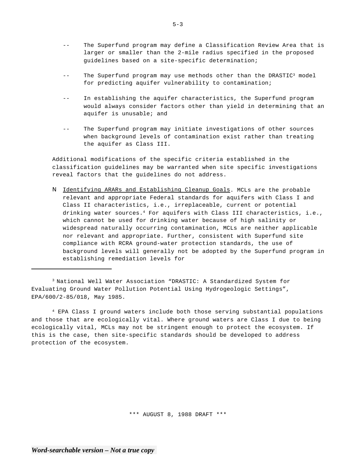- -- The Superfund program may define a Classification Review Area that is larger or smaller than the 2-mile radius specified in the proposed guidelines based on a site-specific determination;
- $-$ The Superfund program may use methods other than the DRASTIC3 model for predicting aquifer vulnerability to contamination;
- -- In establishing the aquifer characteristics, the Superfund program would always consider factors other than yield in determining that an aquifer is unusable; and
- -- The Superfund program may initiate investigations of other sources when background levels of contamination exist rather than treating the aquifer as Class III.

Additional modifications of the specific criteria established in the classification guidelines may be warranted when site specific investigations reveal factors that the guidelines do not address.

N Identifying ARARs and Establishing Cleanup Goals. MCLs are the probable relevant and appropriate Federal standards for aquifers with Class I and Class II characteristics, i.e., irreplaceable, current or potential drinking water sources.<sup>4</sup> For aquifers with Class III characteristics, i.e., which cannot be used for drinking water because of high salinity or widespread naturally occurring contamination, MCLs are neither applicable nor relevant and appropriate. Further, consistent with Superfund site compliance with RCRA ground-water protection standards, the use of background levels will generally not be adopted by the Superfund program in establishing remediation levels for

3 National Well Water Association "DRASTIC: A Standardized System for Evaluating Ground Water Pollution Potential Using Hydrogeologic Settings", EPA/600/2-85/018, May 1985.

4 EPA Class I ground waters include both those serving substantial populations and those that are ecologically vital. Where ground waters are Class I due to being ecologically vital, MCLs may not be stringent enough to protect the ecosystem. If this is the case, then site-specific standards should be developed to address protection of the ecosystem.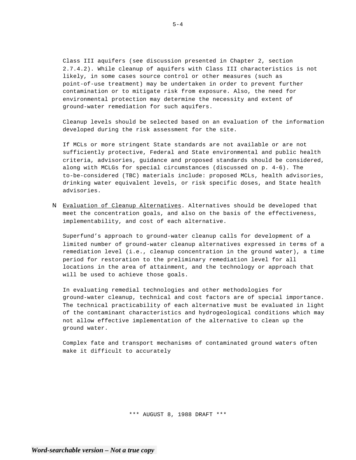Class III aquifers (see discussion presented in Chapter 2, section 2.7.4.2). While cleanup of aquifers with Class III characteristics is not likely, in some cases source control or other measures (such as point-of-use treatment) may be undertaken in order to prevent further contamination or to mitigate risk from exposure. Also, the need for environmental protection may determine the necessity and extent of ground-water remediation for such aquifers.

Cleanup levels should be selected based on an evaluation of the information developed during the risk assessment for the site.

If MCLs or more stringent State standards are not available or are not sufficiently protective, Federal and State environmental and public health criteria, advisories, guidance and proposed standards should be considered, along with MCLGs for special circumstances (discussed on p. 4-6). The to-be-considered (TBC) materials include: proposed MCLs, health advisories, drinking water equivalent levels, or risk specific doses, and State health advisories.

N Evaluation of Cleanup Alternatives. Alternatives should be developed that meet the concentration goals, and also on the basis of the effectiveness, implementability, and cost of each alternative.

Superfund's approach to ground-water cleanup calls for development of a limited number of ground-water cleanup alternatives expressed in terms of a remediation level (i.e., cleanup concentration in the ground water), a time period for restoration to the preliminary remediation level for all locations in the area of attainment, and the technology or approach that will be used to achieve those goals.

In evaluating remedial technologies and other methodologies for ground-water cleanup, technical and cost factors are of special importance. The technical practicability of each alternative must be evaluated in light of the contaminant characteristics and hydrogeological conditions which may not allow effective implementation of the alternative to clean up the ground water.

Complex fate and transport mechanisms of contaminated ground waters often make it difficult to accurately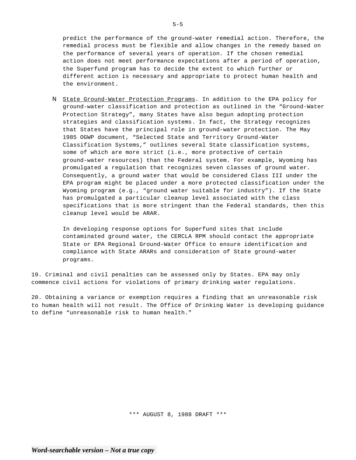predict the performance of the ground-water remedial action. Therefore, the remedial process must be flexible and allow changes in the remedy based on the performance of several years of operation. If the chosen remedial action does not meet performance expectations after a period of operation, the Superfund program has to decide the extent to which further or different action is necessary and appropriate to protect human health and the environment.

N State Ground-Water Protection Programs. In addition to the EPA policy for ground-water classification and protection as outlined in the "Ground-Water Protection Strategy", many States have also begun adopting protection strategies and classification systems. In fact, the Strategy recognizes that States have the principal role in ground-water protection. The May 1985 OGWP document, "Selected State and Territory Ground-Water Classification Systems," outlines several State classification systems, some of which are more strict (i.e., more protective of certain ground-water resources) than the Federal system. For example, Wyoming has promulgated a regulation that recognizes seven classes of ground water. Consequently, a ground water that would be considered Class III under the EPA program might be placed under a more protected classification under the Wyoming program (e.g., "ground water suitable for industry"). If the State has promulgated a particular cleanup level associated with the class specifications that is more stringent than the Federal standards, then this cleanup level would be ARAR.

In developing response options for Superfund sites that include contaminated ground water, the CERCLA RPM should contact the appropriate State or EPA Regional Ground-Water Office to ensure identification and compliance with State ARARs and consideration of State ground-water programs.

19. Criminal and civil penalties can be assessed only by States. EPA may only commence civil actions for violations of primary drinking water regulations.

20. Obtaining a variance or exemption requires a finding that an unreasonable risk to human health will not result. The Office of Drinking Water is developing guidance to define "unreasonable risk to human health."

\*\*\* AUGUST 8, 1988 DRAFT \*\*\*

 $5 - 5$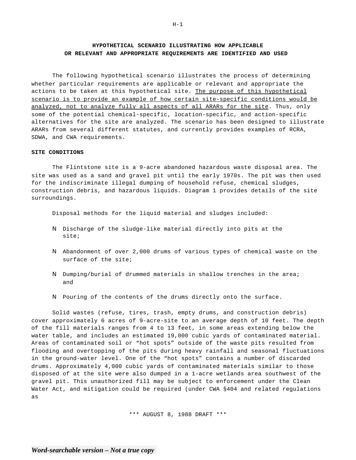# **HYPOTHETICAL SCENARIO ILLUSTRATING HOW APPLICABLE OR RELEVANT AND APPROPRIATE REQUIREMENTS ARE IDENTIFIED AND USED**

The following hypothetical scenario illustrates the process of determining whether particular requirements are applicable or relevant and appropriate the actions to be taken at this hypothetical site. The purpose of this hypothetical scenario is to provide an example of how certain site-specific conditions would be analyzed, not to analyze fully all aspects of all ARARs for the site. Thus, only some of the potential chemical-specific, location-specific, and action-specific alternatives for the site are analyzed. The scenario has been designed to illustrate ARARs from several different statutes, and currently provides examples of RCRA, SDWA, and CWA requirements.

## **SITE CONDITIONS**

The Flintstone site is a 9-acre abandoned hazardous waste disposal area. The site was used as a sand and gravel pit until the early 1970s. The pit was then used for the indiscriminate illegal dumping of household refuse, chemical sludges, construction debris, and hazardous liquids. Diagram 1 provides details of the site surroundings.

Disposal methods for the liquid material and sludges included:

- N Discharge of the sludge-like material directly into pits at the site;
- N Abandonment of over 2,000 drums of various types of chemical waste on the surface of the site;
- N Dumping/burial of drummed materials in shallow trenches in the area; and
- N Pouring of the contents of the drums directly onto the surface.

Solid wastes (refuse, tires, trash, empty drums, and construction debris) cover approximately 6 acres of 9-acre-site to an average depth of 10 feet. The depth of the fill materials ranges from 4 to 13 feet, in some areas extending below the water table, and includes an estimated 19,000 cubic yards of contaminated material. Areas of contaminated soil or "hot spots" outside of the waste pits resulted from flooding and overtopping of the pits during heavy rainfall and seasonal fluctuations in the ground-water level. One of the "hot spots" contains a number of discarded drums. Approximately 4,000 cubic yards of contaminated materials similar to those disposed of at the site were also dumped in a 1-acre wetlands area southwest of the gravel pit. This unauthorized fill may be subject to enforcement under the Clean Water Act, and mitigation could be required (under CWA §404 and related regulations as

\*\*\* AUGUST 8, 1988 DRAFT \*\*\*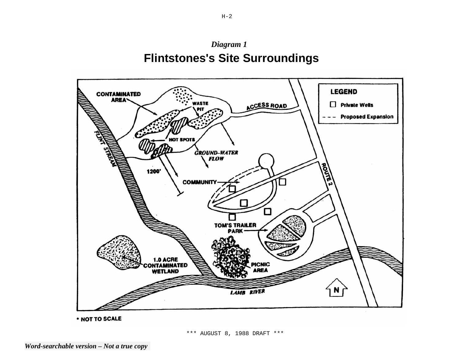



\* NOT TO SCALE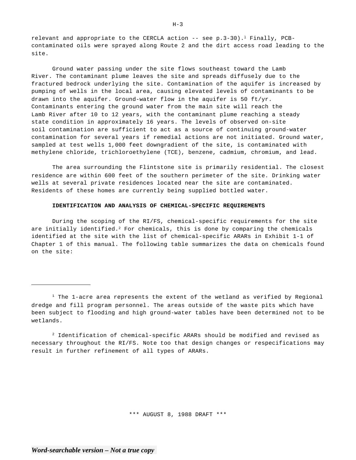relevant and appropriate to the CERCLA action  $--$  see p.3-30).<sup>1</sup> Finally, PCBcontaminated oils were sprayed along Route 2 and the dirt access road leading to the site.

Ground water passing under the site flows southeast toward the Lamb River. The contaminant plume leaves the site and spreads diffusely due to the fractured bedrock underlying the site. Contamination of the aquifer is increased by pumping of wells in the local area, causing elevated levels of contaminants to be drawn into the aquifer. Ground-water flow in the aquifer is 50  $ft/yr$ . Contaminants entering the ground water from the main site will reach the Lamb River after 10 to 12 years, with the contaminant plume reaching a steady state condition in approximately 16 years. The levels of observed on-site soil contamination are sufficient to act as a source of continuing ground-water contamination for several years if remedial actions are not initiated. Ground water, sampled at test wells 1,000 feet downgradient of the site, is contaminated with methylene chloride, trichloroethylene (TCE), benzene, cadmium, chromium, and lead.

The area surrounding the Flintstone site is primarily residential. The closest residence are within 600 feet of the southern perimeter of the site. Drinking water wells at several private residences located near the site are contaminated. Residents of these homes are currently being supplied bottled water.

## **IDENTIFICATION AND ANALYSIS OF CHEMICAL-SPECIFIC REQUIREMENTS**

During the scoping of the RI/FS, chemical-specific requirements for the site are initially identified.<sup>2</sup> For chemicals, this is done by comparing the chemicals identified at the site with the list of chemical-specific ARARs in Exhibit 1-1 of Chapter 1 of this manual. The following table summarizes the data on chemicals found on the site:

\*\*\* AUGUST 8, 1988 DRAFT \*\*\*

 $H-3$ 

 $1$  The 1-acre area represents the extent of the wetland as verified by Regional dredge and fill program personnel. The areas outside of the waste pits which have been subject to flooding and high ground-water tables have been determined not to be wetlands.

 $2$  Identification of chemical-specific ARARs should be modified and revised as necessary throughout the RI/FS. Note too that design changes or respecifications may result in further refinement of all types of ARARs.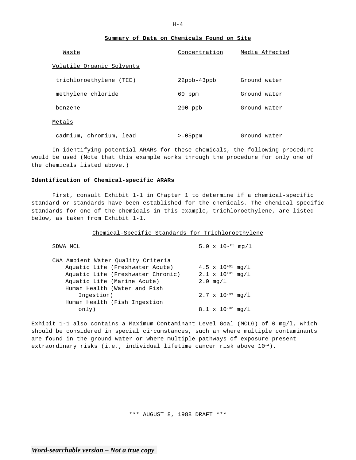## **Summary of Data on Chemicals Found on Site**

| Waste                     | Concentration      | Media Affected |
|---------------------------|--------------------|----------------|
| Volatile Organic Solvents |                    |                |
| trichloroethylene (TCE)   | $22$ ppb- $43$ ppb | Ground water   |
| methylene chloride        | 60 ppm             | Ground water   |
| benzene                   | $200$ ppb          | Ground water   |
| Metals                    |                    |                |
| cadmium, chromium, lead   | $> 0.5$ ppm        | Ground water   |

In identifying potential ARARs for these chemicals, the following procedure would be used (Note that this example works through the procedure for only one of the chemicals listed above.)

### **Identification of Chemical-specific ARARs**

First, consult Exhibit 1-1 in Chapter 1 to determine if a chemical-specific standard or standards have been established for the chemicals. The chemical-specific standards for one of the chemicals in this example, trichloroethylene, are listed below, as taken from Exhibit 1-1.

## Chemical-Specific Standards for Trichloroethylene

| SDWA MCL                                                                                                   | 5.0 $\times$ 10- <sup>03</sup> mg/l                               |
|------------------------------------------------------------------------------------------------------------|-------------------------------------------------------------------|
| CWA Ambient Water Quality Criteria<br>Aquatic Life (Freshwater Acute)<br>Aquatic Life (Freshwater Chronic) | 4.5 $\times$ 10 <sup>+01</sup> mg/1<br>$2.1 \times 10^{+01}$ mg/1 |
| Aquatic Life (Marine Acute)<br>Human Health (Water and Fish                                                | $2.0 \, \text{mq}/1$                                              |
| Ingestion)                                                                                                 | $2.7 \times 10^{-03}$ mg/1                                        |
| Human Health (Fish Ingestion<br>only)                                                                      | $8.1 \times 10^{-02}$ mq/l                                        |

Exhibit 1-1 also contains a Maximum Contaminant Level Goal (MCLG) of 0 mg/l, which should be considered in special circumstances, such an where multiple contaminants are found in the ground water or where multiple pathways of exposure present extraordinary risks (i.e., individual lifetime cancer risk above  $10^{-4}$ ).

\*\*\* AUGUST 8, 1988 DRAFT \*\*\*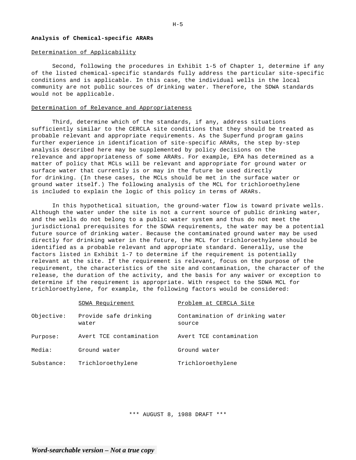## **Analysis of Chemical-specific ARARs**

## Determination of Applicability

Second, following the procedures in Exhibit 1-5 of Chapter 1, determine if any of the listed chemical-specific standards fully address the particular site-specific conditions and is applicable. In this case, the individual wells in the local community are not public sources of drinking water. Therefore, the SDWA standards would not be applicable.

## Determination of Relevance and Appropriateness

Third, determine which of the standards, if any, address situations sufficiently similar to the CERCLA site conditions that they should be treated as probable relevant and appropriate requirements. As the Superfund program gains further experience in identification of site-specific ARARs, the step by-step analysis described here may be supplemented by policy decisions on the relevance and appropriateness of some ARARs. For example, EPA has determined as a matter of policy that MCLs will be relevant and appropriate for ground water or surface water that currently is or may in the future be used directly for drinking. (In these cases, the MCLs should be met in the surface water or ground water itself.) The following analysis of the MCL for trichloroethylene is included to explain the logic of this policy in terms of ARARs.

In this hypothetical situation, the ground-water flow is toward private wells. Although the water under the site is not a current source of public drinking water, and the wells do not belong to a public water system and thus do not meet the jurisdictional prerequisites for the SDWA requirements, the water may be a potential future source of drinking water. Because the contaminated ground water may be used directly for drinking water in the future, the MCL for trichloroethylene should be identified as a probable relevant and appropriate standard. Generally, use the factors listed in Exhibit 1-7 to determine if the requirement is potentially relevant at the site. If the requirement is relevant, focus on the purpose of the requirement, the characteristics of the site and contamination, the character of the release, the duration of the activity, and the basis for any waiver or exception to determine if the requirement is appropriate. With respect to the SDWA MCL for trichloroethylene, for example, the following factors would be considered:

|            | SDWA Requirement               | Problem at CERCLA Site                    |
|------------|--------------------------------|-------------------------------------------|
| Objective: | Provide safe drinking<br>water | Contamination of drinking water<br>source |
| Purpose:   | Avert TCE contamination        | Avert TCE contamination                   |
| Media:     | Ground water                   | Ground water                              |
| Substance: | Trichloroethylene              | Trichloroethylene                         |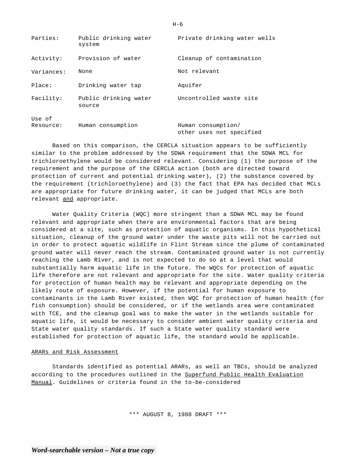| Parties:            | Public drinking water<br>system | Private drinking water wells                   |
|---------------------|---------------------------------|------------------------------------------------|
| Activity:           | Provision of water              | Cleanup of contamination                       |
| Variances:          | None                            | Not relevant                                   |
| Place:              | Drinking water tap              | Aquifer                                        |
| Facility:           | Public drinking water<br>source | Uncontrolled waste site                        |
| Use of<br>Resource: | Human consumption               | Human consumption/<br>other uses not specified |

Based on this comparison, the CERCLA situation appears to be sufficiently similar to the problem addressed by the SDWA requirement that the SDWA MCL for trichloroethylene would be considered relevant. Considering (1) the purpose of the requirement and the purpose of the CERCLA action (both are directed toward protection of current and potential drinking water), (2) the substance covered by the requirement (trichloroethylene) and (3) the fact that EPA has decided that MCLs are appropriate for future drinking water, it can be judged that MCLs are both relevant and appropriate.

Water Quality Criteria (WQC) more stringent than a SDWA MCL may be found relevant and appropriate when there are environmental factors that are being considered at a site, such as protection of aquatic organisms. In this hypothetical situation, cleanup of the ground water under the waste pits will not be carried out in order to protect aquatic wildlife in Flint Stream since the plume of contaminated ground water will never reach the stream. Contaminated ground water is not currently reaching the Lamb River, and is not expected to do so at a level that would substantially harm aquatic life in the future. The WQCs for protection of aquatic life therefore are not relevant and appropriate for the site. Water quality criteria for protection of human health may be relevant and appropriate depending on the likely route of exposure. However, if the potential for human exposure to contaminants in the Lamb River existed, then WQC for protection of human health (for fish consumption) should be considered, or if the wetlands area were contaminated with TCE, and the cleanup goal was to make the water in the wetlands suitable for aquatic life, it would be necessary to consider ambient water quality criteria and State water quality standards. If such a State water quality standard were established for protection of aquatic life, the standard would be applicable.

## ARARs and Risk Assessment

Standards identified as potential ARARs, as well an TBCs, should be analyzed according to the procedures outlined in the Superfund Public Health Evaluation Manual. Guidelines or criteria found in the to-be-considered

\*\*\* AUGUST 8, 1988 DRAFT \*\*\*

 $H-6$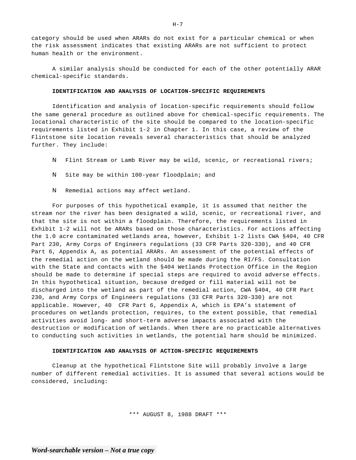category should be used when ARARs do not exist for a particular chemical or when the risk assessment indicates that existing ARARs are not sufficient to protect human health or the environment.

A similar analysis should be conducted for each of the other potentially ARAR chemical-specific standards.

### **IDENTIFICATION AND ANALYSIS OF LOCATION-SPECIFIC REQUIREMENTS**

Identification and analysis of location-specific requirements should follow the same general procedure as outlined above for chemical-specific requirements. The locational characteristic of the site should be compared to the location-specific requirements listed in Exhibit 1-2 in Chapter 1. In this case, a review of the Flintstone site location reveals several characteristics that should be analyzed further. They include:

- N Flint Stream or Lamb River may be wild, scenic, or recreational rivers;
- N Site may be within 100-year floodplain; and
- N Remedial actions may affect wetland.

For purposes of this hypothetical example, it is assumed that neither the stream nor the river has been designated a wild, scenic, or recreational river, and that the site is not within a floodplain. Therefore, the requirements listed in Exhibit 1-2 will not be ARARs based on those characteristics. For actions affecting the 1.0 acre contaminated wetlands area, however, Exhibit 1-2 lists CWA §404, 40 CFR Part 230, Army Corps of Engineers regulations (33 CFR Parts 320-330), and 40 CFR Part 6, Appendix A, as potential ARARs. An assessment of the potential effects of the remedial action on the wetland should be made during the RI/FS. Consultation with the State and contacts with the §404 Wetlands Protection Office in the Region should be made to determine if special steps are required to avoid adverse effects. In this hypothetical situation, because dredged or fill material will not be discharged into the wetland as part of the remedial action, CWA §404, 40 CFR Part 230, and Army Corps of Engineers regulations (33 CFR Parts 320-330) are not applicable. However, 40 CFR Part 6, Appendix A, which is EPA's statement of procedures on wetlands protection, requires, to the extent possible, that remedial activities avoid long- and short-term adverse impacts associated with the destruction or modification of wetlands. When there are no practicable alternatives to conducting such activities in wetlands, the potential harm should be minimized.

## **IDENTIFICATION AND ANALYSIS OF ACTION-SPECIFIC REQUIREMENTS**

Cleanup at the hypothetical Flintstone Site will probably involve a large number of different remedial activities. It is assumed that several actions would be considered, including:

\*\*\* AUGUST 8, 1988 DRAFT \*\*\*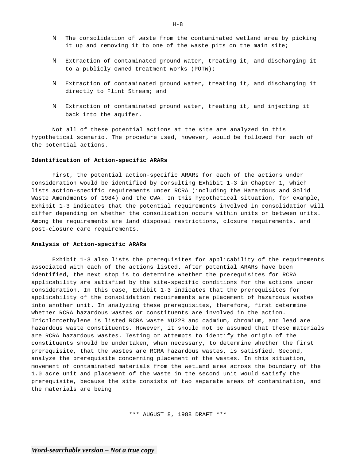- N The consolidation of waste from the contaminated wetland area by picking it up and removing it to one of the waste pits on the main site;
- N Extraction of contaminated ground water, treating it, and discharging it to a publicly owned treatment works (POTW);
- N Extraction of contaminated ground water, treating it, and discharging it directly to Flint Stream; and
- N Extraction of contaminated ground water, treating it, and injecting it back into the aquifer.

Not all of these potential actions at the site are analyzed in this hypothetical scenario. The procedure used, however, would be followed for each of the potential actions.

#### **Identification of Action-specific ARARs**

First, the potential action-specific ARARs for each of the actions under consideration would be identified by consulting Exhibit 1-3 in Chapter 1, which lists action-specific requirements under RCRA (including the Hazardous and Solid Waste Amendments of 1984) and the CWA. In this hypothetical situation, for example, Exhibit 1-3 indicates that the potential requirements involved in consolidation will differ depending on whether the consolidation occurs within units or between units. Among the requirements are land disposal restrictions, closure requirements, and post-closure care requirements.

#### **Analysis of Action-specific ARARs**

Exhibit 1-3 also lists the prerequisites for applicability of the requirements associated with each of the actions listed. After potential ARARs have been identified, the next stop is to determine whether the prerequisites for RCRA applicability are satisfied by the site-specific conditions for the actions under consideration. In this case, Exhibit 1-3 indicates that the prerequisites for applicability of the consolidation requirements are placement of hazardous wastes into another unit. In analyzing these prerequisites, therefore, first determine whether RCRA hazardous wastes or constituents are involved in the action. Trichloroethylene is listed RCRA waste #U228 and cadmium, chromium, and lead are hazardous waste constituents. However, it should not be assumed that these materials are RCRA hazardous wastes. Testing or attempts to identify the origin of the constituents should be undertaken, when necessary, to determine whether the first prerequisite, that the wastes are RCRA hazardous wastes, is satisfied. Second, analyze the prerequisite concerning placement of the wastes. In this situation, movement of contaminated materials from the wetland area across the boundary of the 1.0 acre unit and placement of the waste in the second unit would satisfy the prerequisite, because the site consists of two separate areas of contamination, and the materials are being

\*\*\* AUGUST 8, 1988 DRAFT \*\*\*

 $H-8$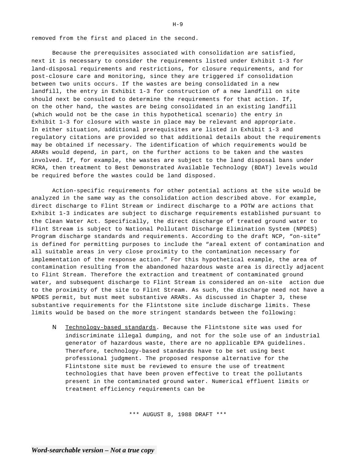removed from the first and placed in the second.

Because the prerequisites associated with consolidation are satisfied, next it is necessary to consider the requirements listed under Exhibit 1-3 for land-disposal requirements and restrictions, for closure requirements, and for post-closure care and monitoring, since they are triggered if consolidation between two units occurs. If the wastes are being consolidated in a new landfill, the entry in Exhibit 1-3 for construction of a new landfill on site should next be consulted to determine the requirements for that action. If, on the other hand, the wastes are being consolidated in an existing landfill (which would not be the case in this hypothetical scenario) the entry in Exhibit 1-3 for closure with waste in place may be relevant and appropriate. In either situation, additional prerequisites are listed in Exhibit 1-3 and regulatory citations are provided so that additional details about the requirements may be obtained if necessary. The identification of which requirements would be ARARs would depend, in part, on the further actions to be taken and the wastes involved. If, for example, the wastes are subject to the land disposal bans under RCRA, then treatment to Best Demonstrated Available Technology (BDAT) levels would be required before the wastes could be land disposed.

Action-specific requirements for other potential actions at the site would be analyzed in the same way as the consolidation action described above. For example, direct discharge to Flint Stream or indirect discharge to a POTW are actions that Exhibit 1-3 indicates are subject to discharge requirements established pursuant to the Clean Water Act. Specifically, the direct discharge of treated ground water to Flint Stream is subject to National Pollutant Discharge Elimination System (NPDES) Program discharge standards and requirements. According to the draft NCP, "on-site" is defined for permitting purposes to include the "areal extent of contamination and all suitable areas in very close proximity to the contamination necessary for implementation of the response action." For this hypothetical example, the area of contamination resulting from the abandoned hazardous waste area is directly adjacent to Flint Stream. Therefore the extraction and treatment of contaminated ground water, and subsequent discharge to Flint Stream is considered an on-site action due to the proximity of the site to Flint Stream. As such, the discharge need not have a NPDES permit, but must meet substantive ARARs. As discussed in Chapter 3, these substantive requirements for the Flintstone site include discharge limits. These limits would be based on the more stringent standards between the following:

N Technology-based standards. Because the Flintstone site was used for indiscriminate illegal dumping, and not for the sole use of an industrial generator of hazardous waste, there are no applicable EPA guidelines. Therefore, technology-based standards have to be set using best professional judgment. The proposed response alternative for the Flintstone site must be reviewed to ensure the use of treatment technologies that have been proven effective to treat the pollutants present in the contaminated ground water. Numerical effluent limits or treatment efficiency requirements can be

\*\*\* AUGUST 8, 1988 DRAFT \*\*\*

 $H-9$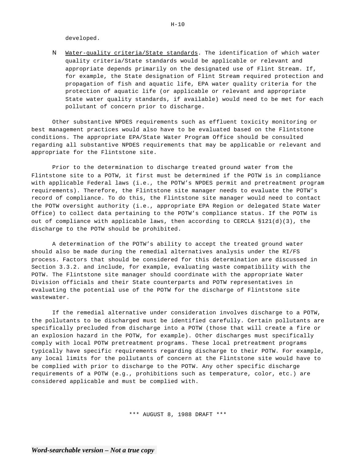developed.

N Water-quality criteria/State standards. The identification of which water quality criteria/State standards would be applicable or relevant and appropriate depends primarily on the designated use of Flint Stream. If, for example, the State designation of Flint Stream required protection and propagation of fish and aquatic life, EPA water quality criteria for the protection of aquatic life (or applicable or relevant and appropriate State water quality standards, if available) would need to be met for each pollutant of concern prior to discharge.

Other substantive NPDES requirements such as effluent toxicity monitoring or best management practices would also have to be evaluated based on the Flintstone conditions. The appropriate EPA/State Water Program Office should be consulted regarding all substantive NPDES requirements that may be applicable or relevant and appropriate for the Flintstone site.

Prior to the determination to discharge treated ground water from the Flintstone site to a POTW, it first must be determined if the POTW is in compliance with applicable Federal laws (i.e., the POTW's NPDES permit and pretreatment program requirements). Therefore, the Flintstone site manager needs to evaluate the POTW's record of compliance. To do this, the Flintstone site manager would need to contact the POTW oversight authority (i.e., appropriate EPA Region or delegated State Water Office) to collect data pertaining to the POTW's compliance status. If the POTW is out of compliance with applicable laws, then according to CERCLA §121(d)(3), the discharge to the POTW should be prohibited.

A determination of the POTW's ability to accept the treated ground water should also be made during the remedial alternatives analysis under the RI/FS process. Factors that should be considered for this determination are discussed in Section 3.3.2. and include, for example, evaluating waste compatibility with the POTW. The Flintstone site manager should coordinate with the appropriate Water Division officials and their State counterparts and POTW representatives in evaluating the potential use of the POTW for the discharge of Flintstone site wastewater.

If the remedial alternative under consideration involves discharge to a POTW, the pollutants to be discharged must be identified carefully. Certain pollutants are specifically precluded from discharge into a POTW (those that will create a fire or an explosion hazard in the POTW, for example). Other discharges must specifically comply with local POTW pretreatment programs. These local pretreatment programs typically have specific requirements regarding discharge to their POTW. For example, any local limits for the pollutants of concern at the Flintstone site would have to be complied with prior to discharge to the POTW. Any other specific discharge requirements of a POTW (e.g., prohibitions such as temperature, color, etc.) are considered applicable and must be complied with.

\*\*\* AUGUST 8, 1988 DRAFT \*\*\*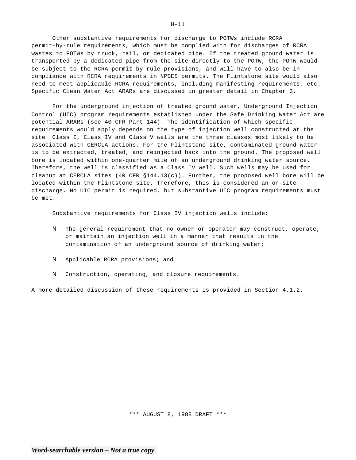Other substantive requirements for discharge to POTWs include RCRA permit-by-rule requirements, which must be complied with for discharges of RCRA wastes to POTWs by truck, rail, or dedicated pipe. If the treated ground water is transported by a dedicated pipe from the site directly to the POTW, the POTW would be subject to the RCRA permit-by-rule provisions, and will have to also be in compliance with RCRA requirements in NPDES permits. The Flintstone site would also need to meet applicable RCRA requirements, including manifesting requirements, etc. Specific Clean Water Act ARARs are discussed in greater detail in Chapter 3.

For the underground injection of treated ground water, Underground Injection Control (UIC) program requirements established under the Safe Drinking Water Act are potential ARARs (see 40 CFR Part 144). The identification of which specific requirements would apply depends on the type of injection well constructed at the site. Class I, Class IV and Class V wells are the three classes most likely to be associated with CERCLA actions. For the Flintstone site, contaminated ground water is to be extracted, treated, and reinjected back into the ground. The proposed well bore is located within one-quarter mile of an underground drinking water source. Therefore, the well is classified as a Class IV well. Such wells may be used for cleanup at CERCLA sites  $(40 \text{ CFR } $144.13(c))$ . Further, the proposed well bore will be located within the Flintstone site. Therefore, this is considered an on-site discharge. No UIC permit is required, but substantive UIC program requirements must be met.

Substantive requirements for Class IV injection wells include:

- N The general requirement that no owner or operator may construct, operate, or maintain an injection well in a manner that results in the contamination of an underground source of drinking water;
- N Applicable RCRA provisions; and
- N Construction, operating, and closure requirements.

A more detailed discussion of these requirements is provided in Section 4.1.2.

H-11

\*\*\* AUGUST 8, 1988 DRAFT \*\*\*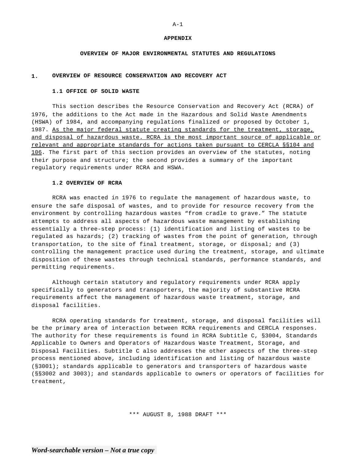#### **APPENDIX**

### **OVERVIEW OF MAJOR ENVIRONMENTAL STATUTES AND REGULATIONS**

## **1. OVERVIEW OF RESOURCE CONSERVATION AND RECOVERY ACT**

#### **1.1 OFFICE OF SOLID WASTE**

This section describes the Resource Conservation and Recovery Act (RCRA) of 1976, the additions to the Act made in the Hazardous and Solid Waste Amendments (HSWA) of 1984, and accompanying regulations finalized or proposed by October 1, 1987. As the major federal statute creating standards for the treatment, storage, and disposal of hazardous waste. RCRA is the most important source of applicable or relevant and appropriate standards for actions taken pursuant to CERCLA §§104 and 106. The first part of this section provides an overview of the statutes, noting their purpose and structure; the second provides a summary of the important regulatory requirements under RCRA and HSWA.

## **1.2 OVERVIEW OF RCRA**

RCRA was enacted in 1976 to regulate the management of hazardous waste, to ensure the safe disposal of wastes, and to provide for resource recovery from the environment by controlling hazardous wastes "from cradle to grave." The statute attempts to address all aspects of hazardous waste management by establishing essentially a three-step process: (1) identification and listing of wastes to be regulated as hazards; (2) tracking of wastes from the point of generation, through transportation, to the site of final treatment, storage, or disposal; and (3) controlling the management practice used during the treatment, storage, and ultimate disposition of these wastes through technical standards, performance standards, and permitting requirements.

Although certain statutory and regulatory requirements under RCRA apply specifically to generators and transporters, the majority of substantive RCRA requirements affect the management of hazardous waste treatment, storage, and disposal facilities.

RCRA operating standards for treatment, storage, and disposal facilities will be the primary area of interaction between RCRA requirements and CERCLA responses. The authority for these requirements is found in RCRA Subtitle C, §3004, Standards Applicable to Owners and Operators of Hazardous Waste Treatment, Storage, and Disposal Facilities. Subtitle C also addresses the other aspects of the three-step process mentioned above, including identification and listing of hazardous waste (§3001); standards applicable to generators and transporters of hazardous waste (§§3002 and 3003); and standards applicable to owners or operators of facilities for treatment,

\*\*\* AUGUST 8, 1988 DRAFT \*\*\*

#### $A-1$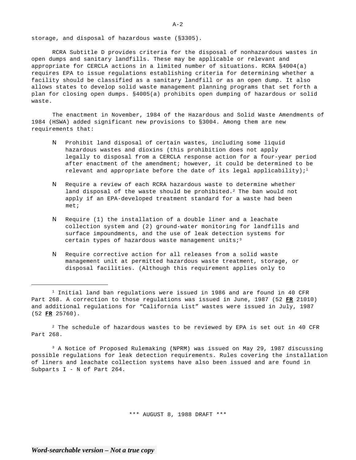storage, and disposal of hazardous waste (§3305).

RCRA Subtitle D provides criteria for the disposal of nonhazardous wastes in open dumps and sanitary landfills. These may be applicable or relevant and appropriate for CERCLA actions in a limited number of situations. RCRA §4004(a) requires EPA to issue regulations establishing criteria for determining whether a facility should be classified as a sanitary landfill or as an open dump. It also allows states to develop solid waste management planning programs that set forth a plan for closing open dumps. §4005(a) prohibits open dumping of hazardous or solid waste.

The enactment in November, 1984 of the Hazardous and Solid Waste Amendments of 1984 (HSWA) added significant new provisions to §3004. Among them are new requirements that:

- N Prohibit land disposal of certain wastes, including some liquid hazardous wastes and dioxins (this prohibition does not apply legally to disposal from a CERCLA response action for a four-year period after enactment of the amendment; however, it could be determined to be relevant and appropriate before the date of its legal applicability);<sup>1</sup>
- N Require a review of each RCRA hazardous waste to determine whether land disposal of the waste should be prohibited.<sup>2</sup> The ban would not apply if an EPA-developed treatment standard for a waste had been met;
- N Require (1) the installation of a double liner and a leachate collection system and (2) ground-water monitoring for landfills and surface impoundments, and the use of leak detection systems for certain types of hazardous waste management units;<sup>3</sup>
- N Require corrective action for all releases from a solid waste management unit at permitted hazardous waste treatment, storage, or disposal facilities. (Although this requirement applies only to

 $2$  The schedule of hazardous wastes to be reviewed by EPA is set out in 40 CFR Part 268.

<sup>3</sup> A Notice of Proposed Rulemaking (NPRM) was issued on May 29, 1987 discussing possible regulations for leak detection requirements. Rules covering the installation of liners and leachate collection systems have also been issued and are found in Subparts I - N of Part 264.

\*\*\* AUGUST 8, 1988 DRAFT \*\*\*

 $1$  Initial land ban regulations were issued in 1986 and are found in 40 CFR Part 268. A correction to those regulations was issued in June, 1987 (52 **FR** 21010) and additional regulations for "California List" wastes were issued in July, 1987 (52 **FR** 25760).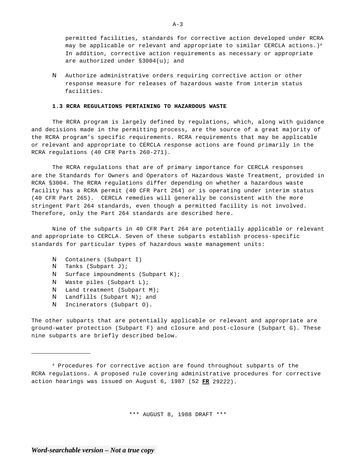permitted facilities, standards for corrective action developed under RCRA may be applicable or relevant and appropriate to similar CERCLA actions.)<sup>4</sup> In addition, corrective action requirements as necessary or appropriate are authorized under §3004(u); and

N Authorize administrative orders requiring corrective action or other response measure for releases of hazardous waste from interim status facilities.

## **1.3 RCRA REGULATIONS PERTAINING TO HAZARDOUS WASTE**

The RCRA program is largely defined by regulations, which, along with guidance and decisions made in the permitting process, are the source of a great majority of the RCRA program's specific requirements. RCRA requirements that may be applicable or relevant and appropriate to CERCLA response actions are found primarily in the RCRA regulations (40 CFR Parts 260-271).

The RCRA regulations that are of primary importance for CERCLA responses are the Standards for Owners and Operators of Hazardous Waste Treatment, provided in RCRA §3004. The RCRA regulations differ depending on whether a hazardous waste facility has a RCRA permit (40 CFR Part 264) or is operating under interim status (40 CFR Part 265). CERCLA remedies will generally be consistent with the more stringent Part 264 standards, even though a permitted facility is not involved. Therefore, only the Part 264 standards are described here.

Nine of the subparts in 40 CFR Part 264 are potentially applicable or relevant and appropriate to CERCLA. Seven of these subparts establish process-specific standards for particular types of hazardous waste management units:

- N Containers (Subpart I)
- N Tanks (Subpart J);
- N Surface impoundments (Subpart K);
- N Waste piles (Subpart L);
- N Land treatment (Subpart M);
- N Landfills (Subpart N); and
- N Incinerators (Subpart O).

The other subparts that are potentially applicable or relevant and appropriate are ground-water protection (Subpart F) and closure and post-closure (Subpart G). These nine subparts are briefly described below.

\*\*\* AUGUST 8, 1988 DRAFT \*\*\*

 $A-3$ 

<sup>4</sup> Procedures for corrective action are found throughout subparts of the RCRA regulations. A proposed rule covering administrative procedures for corrective action hearings was issued on August 6, 1987 (52 **FR** 29222).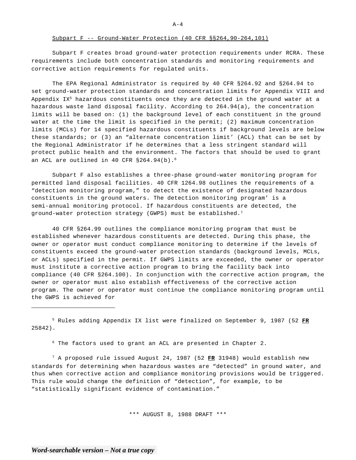Subpart F creates broad ground-water protection requirements under RCRA. These requirements include both concentration standards and monitoring requirements and corrective action requirements for regulated units.

The EPA Regional Administrator is required by 40 CFR §264.92 and §264.94 to set ground-water protection standards and concentration limits for Appendix VIII and Appendix  $IX<sup>5</sup>$  hazardous constituents once they are detected in the ground water at a hazardous waste land disposal facility. According to 264.94(a), the concentration limits will be based on: (1) the background level of each constituent in the ground water at the time the limit is specified in the permit; (2) maximum concentration limits (MCLs) for 14 specified hazardous constituents if background levels are below these standards; or (3) an "alternate concentration limit' (ACL) that can be set by the Regional Administrator if he determines that a less stringent standard will protect public health and the environment. The factors that should be used to grant an ACL are outlined in 40 CFR §264.94(b).<sup>6</sup>

Subpart F also establishes a three-phase ground-water monitoring program for permitted land disposal facilities. 40 CFR 1264.98 outlines the requirements of a "detection monitoring program," to detect the existence of designated hazardous constituents in the ground waters. The detection monitoring program' is a semi-annual monitoring protocol. If hazardous constituents are detected, the ground-water protection strategy (GWPS) must be established.7

40 CFR §264.99 outlines the compliance monitoring program that must be established whenever hazardous constituents are detected. During this phase, the owner or operator must conduct compliance monitoring to determine if the levels of constituents exceed the ground-water protection standards (background levels, MCLs, or ACLs) specified in the permit. If GWPS limits are exceeded, the owner or operator must institute a corrective action program to bring the facility back into compliance (40 CFR §264.100). In conjunction with the corrective action program, the owner or operator must also establish effectiveness of the corrective action program. The owner or operator must continue the compliance monitoring program until the GWPS is achieved for

5 Rules adding Appendix IX list were finalized on September 9, 1987 (52 **FR**  25842).

 $6$  The factors used to grant an ACL are presented in Chapter 2.

7 A proposed rule issued August 24, 1987 (52 **FR** 31948) would establish new standards for determining when hazardous wastes are "detected" in ground water, and thus when corrective action and compliance monitoring provisions would be triggered. This rule would change the definition of "detection", for example, to be "statistically significant evidence of contamination."

\*\*\* AUGUST 8, 1988 DRAFT \*\*\*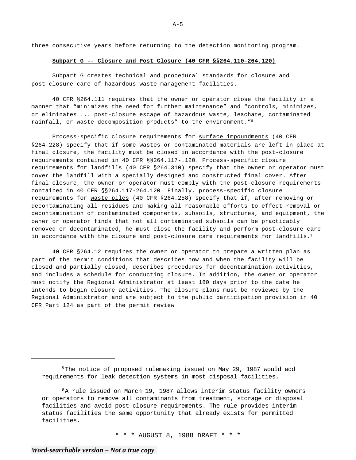three consecutive years before returning to the detection monitoring program.

#### **Subpart G -- Closure and Post Closure (40 CFR §§264.110-264.120)**

Subpart G creates technical and procedural standards for closure and post-closure care of hazardous waste management facilities.

40 CFR §264.111 requires that the owner or operator close the facility in a manner that "minimizes the need for further maintenance" and "controls, minimizes, or eliminates ... post-closure escape of hazardous waste, leachate, contaminated rainfall, or waste decomposition products" to the environment."<sup>8</sup>

Process-specific closure requirements for surface impoundments (40 CFR §264.228) specify that if some wastes or contaminated materials are left in place at final closure, the facility must be closed in accordance with the post-closure requirements contained in 40 CFR §§264.117-.120. Process-specific closure requirements for *landfills* (40 CFR §264.310) specify that the owner or operator must cover the landfill with a specially designed and constructed final cover. After final closure, the owner or operator must comply with the post-closure requirements contained in 40 CFR §§264.117-264.120. Finally, process-specific closure requirements for waste piles (40 CFR §264.258) specify that if, after removing or decontaminating all residues and making all reasonable efforts to effect removal or decontamination of contaminated components, subsoils, structures, and equipment, the owner or operator finds that not all contaminated subsoils can be practicably removed or decontaminated, he must close the facility and perform post-closure care in accordance with the closure and post-closure care requirements for landfills.<sup>9</sup>

40 CFR §264.12 requires the owner or operator to prepare a written plan as part of the permit conditions that describes how and when the facility will be closed and partially closed, describes procedures for decontamination activities, and includes a schedule for conducting closure. In addition, the owner or operator must notify the Regional Administrator at least 180 days prior to the date he intends to begin closure activities. The closure plans must be reviewed by the Regional Administrator and are subject to the public participation provision in 40 CFR Part 124 as part of the permit review

\* \* \* AUGUST 8, 1988 DRAFT \* \* \*

 $8$ The notice of proposed rulemaking issued on May 29, 1987 would add requirements for leak detection systems in most disposal facilities.

 $9A$  rule issued on March 19, 1987 allows interim status facility owners or operators to remove all contaminants from treatment, storage or disposal facilities and avoid post-closure requirements. The rule provides interim status facilities the same opportunity that already exists for permitted facilities.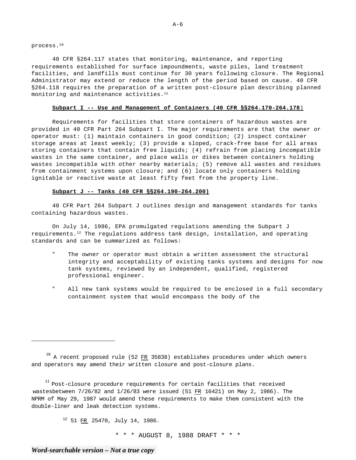process.10

40 CFR §264.117 states that monitoring, maintenance, and reporting requirements established for surface impoundments, waste piles, land treatment facilities, and landfills must continue for 30 years following closure. The Regional Administrator may extend or reduce the length of the period based on cause. 40 CFR §264.118 requires the preparation of a written post-closure plan describing planned monitoring and maintenance activities.<sup>11</sup>

## **Subpart I -- Use and Management of Containers (40 CFR §§264.170-264.178**)

Requirements for facilities that store containers of hazardous wastes are provided in 40 CFR Part 264 Subpart I. The major requirements are that the owner or operator must: (1) maintain containers in good condition; (2) inspect container storage areas at least weekly; (3) provide a sloped, crack-free base for all areas storing containers that contain free liquids; (4) refrain from placing incompatible wastes in the same container, and place walls or dikes between containers holding wastes incompatible with other nearby materials; (5) remove all wastes and residues from containment systems upon closure; and (6) locate only containers holding ignitable or reactive waste at least fifty feet from the property line.

## **Subpart J -- Tanks (40 CFR §§264.190-264.200)**

40 CFR Part 264 Subpart J outlines design and management standards for tanks containing hazardous wastes.

On July 14, 1986, EPA promulgated regulations amending the Subpart J requirements.<sup>12</sup> The regulations address tank design, installation, and operating standards and can be summarized as follows:

- The owner or operator must obtain a written assessment the structural integrity and acceptability of existing tanks systems and designs for now tank systems, reviewed by an independent, qualified, registered professional engineer.
- " All new tank systems would be required to be enclosed in a full secondary containment system that would encompass the body of the

 $11$  Post-closure procedure requirements for certain facilities that received wastesbetween 7/26/82 and 1/26/83 were issued (51 FR 16421) on May 2, 1986). The NPRM of May 29, 1987 would amend these requirements to make them consistent with the double-liner and leak detection systems.

12 51 FR 25470, July 14, 1986.

\* \* \* AUGUST 8, 1988 DRAFT \* \* \*

 $^{10}$  A recent proposed rule (52  $FR$  35838) establishes procedures under which owners</u> and operators may amend their written closure and post-closure plans.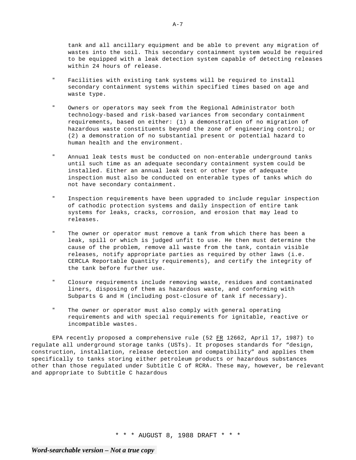tank and all ancillary equipment and be able to prevent any migration of wastes into the soil. This secondary containment system would be required to be equipped with a leak detection system capable of detecting releases within 24 hours of release.

- " Facilities with existing tank systems will be required to install secondary containment systems within specified times based on age and waste type.
- " Owners or operators may seek from the Regional Administrator both technology-based and risk-based variances from secondary containment requirements, based on either: (1) a demonstration of no migration of hazardous waste constituents beyond the zone of engineering control; or (2) a demonstration of no substantial present or potential hazard to human health and the environment.
- " Annua1 leak tests must be conducted on non-enterable underground tanks until such time as an adequate secondary containment system could be installed. Either an annual leak test or other type of adequate inspection must also be conducted on enterable types of tanks which do not have secondary containment.
- " Inspection requirements have been upgraded to include regular inspection of cathodic protection systems and daily inspection of entire tank systems for leaks, cracks, corrosion, and erosion that may lead to releases.
- " The owner or operator must remove a tank from which there has been a leak, spill or which is judged unfit to use. He then must determine the cause of the problem, remove all waste from the tank, contain visible releases, notify appropriate parties as required by other laws (i.e. CERCLA Reportable Quantity requirements), and certify the integrity of the tank before further use.
- Closure requirements include removing waste, residues and contaminated liners, disposing of them as hazardous waste, and conforming with Subparts G and H (including post-closure of tank if necessary).
- " The owner or operator must also comply with general operating requirements and with special requirements for ignitable, reactive or incompatible wastes.

EPA recently proposed a comprehensive rule (52 FR 12662, April 17, 1987) to regulate all underground storage tanks (USTs). It proposes standards for "design, construction, installation, release detection and compatibility" and applies them specifically to tanks storing either petroleum products or hazardous substances other than those regulated under Subtitle C of RCRA. These may, however, be relevant and appropriate to Subtitle C hazardous

\* \* \* AUGUST 8, 1988 DRAFT \* \* \*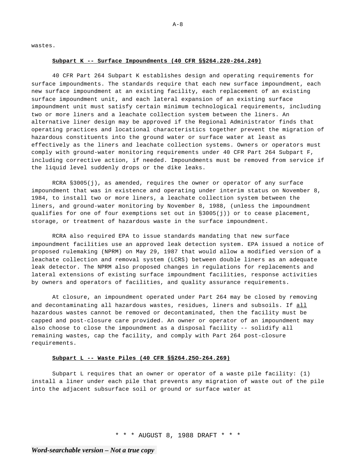wastes.

#### **Subpart K -- Surface Impoundments (40 CFR §§264.220-264.249)**

40 CFR Part 264 Subpart K establishes design and operating requirements for surface impoundments. The standards require that each new surface impoundment, each new surface impoundment at an existing facility, each replacement of an existing surface impoundment unit, and each lateral expansion of an existing surface impoundment unit must satisfy certain minimum technological requirements, including two or more liners and a leachate collection system between the liners. An alternative liner design may be approved if the Regional Administrator finds that operating practices and locational characteristics together prevent the migration of hazardous constituents into the ground water or surface water at least as effectively as the liners and leachate collection systems. Owners or operators must comply with ground-water monitoring requirements under 40 CFR Part 264 Subpart F, including corrective action, if needed. Impoundments must be removed from service if the liquid level suddenly drops or the dike leaks.

RCRA §3005(j), as amended, requires the owner or operator of any surface impoundment that was in existence and operating under interim status on November 8, 1984, to install two or more liners, a leachate collection system between the liners, and ground-water monitoring by November 8, 1988, (unless the impoundment qualifies for one of four exemptions set out in §3005(j)) or to cease placement, storage, or treatment of hazardous waste in the surface impoundment.

RCRA also required EPA to issue standards mandating that new surface impoundment facilities use an approved leak detection system. EPA issued a notice of proposed rulemaking (NPRM) on May 29, 1987 that would allow a modified version of a leachate collection and removal system (LCRS) between double liners as an adequate leak detector. The NPRM also proposed changes in regulations for replacements and lateral extensions of existing surface impoundment facilities, response activities by owners and operators of facilities, and quality assurance requirements.

At closure, an impoundment operated under Part 264 may be closed by removing and decontaminating all hazardous wastes, residues, liners and subsoils. If all hazardous wastes cannot be removed or decontaminated, then the facility must be capped and post-closure care provided. An owner or operator of an impoundment may also choose to close the impoundment as a disposal facility -- solidify all remaining wastes, cap the facility, and comply with Part 264 post-closure requirements.

## **Subpart L -- Waste Piles (40 CFR §§264.25O-264.269)**

Subpart L requires that an owner or operator of a waste pile facility: (1) install a liner under each pile that prevents any migration of waste out of the pile into the adjacent subsurface soil or ground or surface water at

\* \* \* AUGUST 8, 1988 DRAFT \* \* \*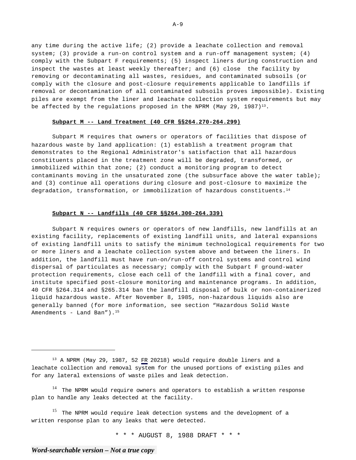any time during the active life; (2) provide a leachate collection and removal system; (3) provide a run-on control system and a run-off management system; (4) comply with the Subpart F requirements; (5) inspect liners during construction and inspect the wastes at least weekly thereafter; and (6) close the facility by removing or decontaminating all wastes, residues, and contaminated subsoils (or comply with the closure and post-closure requirements applicable to landfills if removal or decontamination of all contaminated subsoils proves impossible). Existing piles are exempt from the liner and leachate collection system requirements but may be affected by the regulations proposed in the NPRM (May 29, 1987) $^{13}$ .

## **Subpart M -- Land Treatment (40 CFR §§264.270-264.299)**

Subpart M requires that owners or operators of facilities that dispose of hazardous waste by land application: (1) establish a treatment program that demonstrates to the Regional Administrator's satisfaction that all hazardous constituents placed in the treatment zone will be degraded, transformed, or immobilized within that zone; (2) conduct a monitoring program to detect contaminants moving in the unsaturated zone (the subsurface above the water table); and (3) continue all operations during closure and post-closure to maximize the degradation, transformation, or immobilization of hazardous constituents.<sup>14</sup>

## **Subpart N -- Landfills (40 CFR §§264.300-264.339)**

Subpart N requires owners or operators of new landfills, new landfills at an existing facility, replacements of existing landfill units, and lateral expansions of existing landfill units to satisfy the minimum technological requirements for two or more liners and a leachate collection system above and between the liners. In addition, the landfill must have run-on/run-off control systems and control wind dispersal of particulates as necessary; comply with the Subpart F ground-water protection requirements, close each cell of the landfill with a final cover, and institute specified post-closure monitoring and maintenance programs. In addition, 40 CFR §264.314 and §265.314 ban the landfill disposal of bulk or non-containerized liquid hazardous waste. After November 8, 1985, non-hazardous liquids also are generally banned (for more information, see section "Hazardous Solid Waste Amendments - Land Ban").<sup>15</sup>

\* \* \* AUGUST 8, 1988 DRAFT \* \* \*

<sup>&</sup>lt;sup>13</sup> A NPRM (May 29, 1987, 52 FR 20218) would require double liners and a leachate collection and removal system for the unused portions of existing piles and for any lateral extensions of waste piles and leak detection.

 $14$  The NPRM would require owners and operators to establish a written response plan to handle any leaks detected at the facility.

 $15$  The NPRM would require leak detection systems and the development of a written response plan to any leaks that were detected.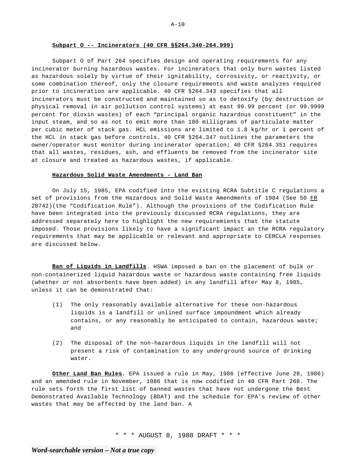#### **Subpart O -- Incinerators (40 CFR §§264.340-264.999)**

Subpart O of Part 264 specifies design and operating requirements for any incinerator burning hazardous wastes. For incinerators that only burn wastes listed as hazardous solely by virtue of their ignitability, corrosivity, or reactivity, or some combination thereof, only the closure requirements and waste analyzes required prior to incineration are applicable. 40 CFR §264.343 specifies that all incinerators must be constructed and maintained so as to detoxify (by destruction or physical removal in air pollution control systems) at east 99.99 percent (or 99.9999 percent for dioxin wastes) of each "principal organic hazardous constituent" in the input steam, and so as not to emit more than 180 milligrams of particulate matter per cubic meter of stack gas. HCL emissions are limited to 1.8 kg/hr or 1 percent of the HCL in stack gas before controls. 40 CFR §264.347 outlines the parameters the owner/operator must monitor during incinerator operation; 40 CFR §264.351 requires that all wastes, residues, ash, and effluents be removed from the incinerator site at closure and treated as hazardous wastes, if applicable.

## **Hazardous Solid Waste Amendments - Land Ban**

On July 15, 1985, EPA codified into the existing RCRA Subtitle C regulations a set of provisions from the Hazardous and Solid Waste Amendments of 1984 (See 50 FR 28742)(the "Codification Rule"). Although the provisions of the Codification Rule have been integrated into the previously discussed RCRA regulations, they are addressed separately here to highlight the new requiremients that the statute imposed. Those provisions likely to have a significant impact an the RCRA regulatory requirements that may be applicable or relevant and appropriate to CERCLA responses are discussed below.

**Ban of Liquids in Landfills**. HSWA imposed a ban on the placement of bulk or non-containerized liquid hazardous waste or hazardous waste containing free liquids (whether or not absorbents have been added) in any landfill after May 8, 1985, unless it can be demonstrated that:

- (1) The only reasonably available alternative for these non-hazardous liquids is a landfill or unlined surface impoundment which already contains, or any reasonably be anticipated to contain, hazardous waste; and
- (2) The disposal of the non-hazardous liquids in the landfill will not present a risk of contamination to any underground source of drinking water.

**Other Land Ban Rules**. EPA issued a rule in May, 1986 (effective June 28, 1986) and an amended rule in November, 1986 that is now codified in 40 CFR Part 268. The rule sets forth the first list of banned wastes that have not undergone the Best Demonstrated Available Technology (BDAT) and the schedule for EPA's review of other wastes that may be affected by the land ban. A

\* \* \* AUGUST 8, 1988 DRAFT \* \* \*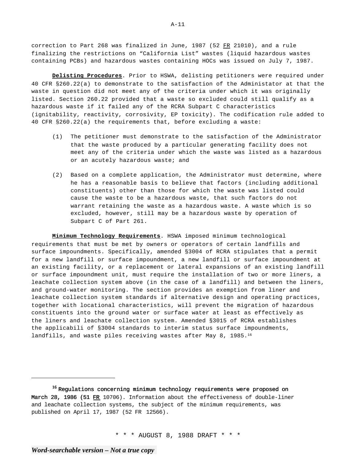correction to Part 268 was finalized in June, 1987 (52 FR 21010), and a rule finalizing the restrictions on "California List" wastes (liquid hazardous wastes containing PCBs) and hazardous wastes containing HOCs was issued on July 7, 1987.

**Delisting Procedures**. Prior to HSWA, delisting petitioners were required under 40 CFR §260.22(a) to demonstrate to the satisfaction of the Administator at that the waste in question did not meet any of the criteria under which it was originally listed. Section 260.22 provided that a waste so excluded could still qualify as a hazardous waste if it failed any of the RCRA Subpart C characteristics (ignitability, reactivity, corrosivity, EP toxicity). The codification rule added to 40 CFR §260.22(a) the requirements that, before excluding a waste:

- (1) The petitioner must demonstrate to the satisfaction of the Administrator that the waste produced by a particular generating facility does not meet any of the criteria under which the waste was listed as a hazardous or an acutely hazardous waste; and
- (2) Based on a complete application, the Administrator must determine, where he has a reasonable basis to believe that factors (including additional constituents) other than those for which the waste was listed could cause the waste to be a hazardous waste, that such factors do not warrant retaining the waste as a hazardous waste. A waste which is so excluded, however, still may be a hazardous waste by operation of Subpart C of Part 261.

**Minimum Technology Requirements**. HSWA imposed minimum technological requirements that must be met by owners or operators of certain landfills and surface impoundments. Specifically, amended §3004 of RCRA stipulates that a permit for a new landfill or surface impoundment, a new landfill or surface impoundment at an existing facility, or a replacement or lateral expansions of an existing landfill or surface impoundment unit, must require the installation of two or more liners, a leachate collection system above (in the case of a landfill) and between the liners, and ground-water monitoring. The section provides an exemption from liner and leachate collection system standards if alternative design and operating practices, together with locational characteristics, will prevent the migration of hazardous constituents into the ground water or surface water at least as effectively as the liners and leachate collection system. Amended §3015 of RCRA establishes the applicabili of §3004 standards to interim status surface impoundments, landfills, and waste piles receiving wastes after May 8, 1985.<sup>16</sup>

\* \* \* AUGUST 8, 1988 DRAFT \* \* \*

<sup>&</sup>lt;sup>16</sup> Requlations concerning minimum technology requirements were proposed on March 28, 1986 (51 FR 10706). Information about the effectiveness of double-liner and leachate collection systems, the subject of the minimum requirements, was published on April 17, 1987 (52 FR 12566).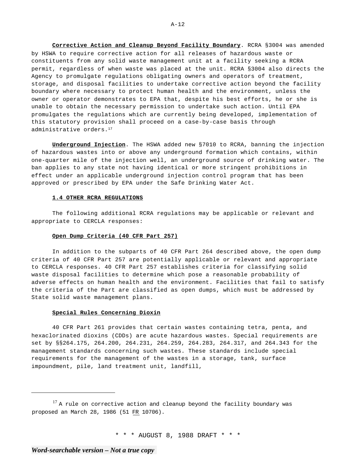**Corrective Action and Cleanup Beyond Facility Boundary**. RCRA §3004 was amended by HSWA to require corrective action for all releases of hazardous waste or constituents from any solid waste management unit at a facility seeking a RCRA permit, regardless of when waste was placed at the unit. RCRA §3004 also directs the Agency to promulgate regulations obligating owners and operators of treatment, storage, and disposal facilities to undertake corrective action beyond the facility boundary where necessary to protect human health and the environment, unless the owner or operator demonstrates to EPA that, despite his best efforts, he or she is unable to obtain the necessary permission to undertake such action. Until EPA promulgates the regulations which are currently being developed, implementation of this statutory provision shall proceed on a case-by-case basis through administrative orders.<sup>17</sup>

**Underground Injection**. The HSWA added new §7010 to RCRA, banning the injection of hazardous wastes into or above any underground formation which contains, within one-quarter mile of the injection well, an underground source of drinking water. The ban applies to any state not having identical or more stringent prohibitions in effect under an applicable underground injection control program that has been approved or prescribed by EPA under the Safe Drinking Water Act.

## **1.4 OTHER RCRA REGULATIONS**

The following additional RCRA regulations may be applicable or relevant and appropriate to CERCLA responses:

## **Open Dump Criteria (40 CFR Part 257)**

In addition to the subparts of 40 CFR Part 264 described above, the open dump criteria of 40 CFR Part 257 are potentially applicable or relevant and appropriate to CERCLA responses. 40 CFR Part 257 establishes criteria for classifying solid waste disposal facilities to determine which pose a reasonable probability of adverse effects on human health and the environment. Facilities that fail to satisfy the criteria of the Part are classified as open dumps, which must be addressed by State solid waste management plans.

## **Special Rules Concerning Dioxin**

40 CFR Part 261 provides that certain wastes containing tetra, penta, and hexaclorinated dioxins (CDDs) are acute hazardous wastes. Special requirements are set by §§264.175, 264.200, 264.231, 264.259, 264.283, 264.317, and 264.343 for the management standards concerning such wastes. These standards include special requirements for the management of the wastes in a storage, tank, surface impoundment, pile, land treatment unit, landfill,

\* \* \* AUGUST 8, 1988 DRAFT \* \* \*

<sup>&</sup>lt;sup>17</sup> A rule on corrective action and cleanup beyond the facility boundary was proposed an March 28, 1986 (51 FR 10706).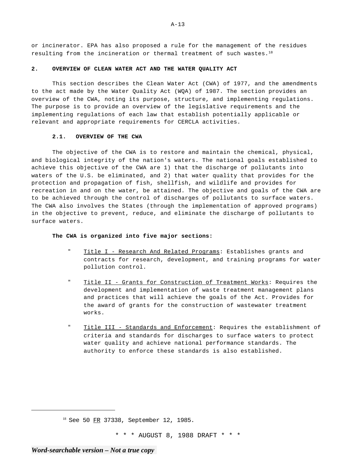or incinerator. EPA has also proposed a rule for the management of the residues resulting from the incineration or thermal treatment of such wastes.18

#### **2. OVERVIEW OF CLEAN WATER ACT AND THE WATER QUALITY ACT**

This section describes the Clean Water Act (CWA) of 1977, and the amendments to the act made by the Water Quality Act (WQA) of 1987. The section provides an overview of the CWA, noting its purpose, structure, and implementing regulations. The purpose is to provide an overview of the legislative requirements and the implementing regulations of each law that establish potentially applicable or relevant and appropriate requirements for CERCLA activities.

## **2.1. OVERVIEW OF THE CWA**

The objective of the CWA is to restore and maintain the chemical, physical, and biological integrity of the nation's waters. The national goals established to achieve this objective of the CWA are 1) that the discharge of pollutants into waters of the U.S. be eliminated, and 2) that water quality that provides for the protection and propagation of fish, shellfish, and wildlife and provides for recreation in and on the water, be attained. The objective and goals of the CWA are to be achieved through the control of discharges of pollutants to surface waters. The CWA also involves the States (through the implementation of approved programs) in the objective to prevent, reduce, and eliminate the discharge of pollutants to surface waters.

## **The CWA is organized into five major sections:**

- " Title I Research And Related Programs: Establishes grants and contracts for research, development, and training programs for water pollution control.
- Title II Grants for Construction of Treatment Works: Requires the development and implementation of waste treatment management plans and practices that will achieve the goals of the Act. Provides for the award of grants for the construction of wastewater treatment works.
- " Title III Standards and Enforcement: Requires the establishment of criteria and standards for discharges to surface waters to protect water quality and achieve national performance standards. The authority to enforce these standards is also established.

<sup>18</sup> See 50 FR 37338, September 12, 1985.

\* \* \* AUGUST 8, 1988 DRAFT \* \* \*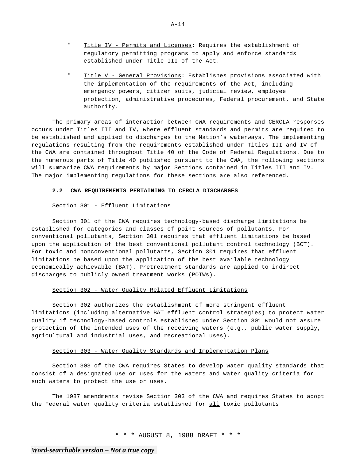- " Title IV Permits and Licenses: Requires the establishment of regulatory permitting programs to apply and enforce standards established under Title III of the Act.
- " Title V General Provisions: Establishes provisions associated with the implementation of the requirements of the Act, including emergency powers, citizen suits, judicial review, employee protection, administrative procedures, Federal procurement, and State authority.

The primary areas of interaction between CWA requirements and CERCLA responses occurs under Titles III and IV, where effluent standards and permits are required to be established and applied to discharges to the Nation's waterways. The implementing regulations resulting from the requirements established under Titles III and IV of the CWA are contained throughout Title 40 of the Code of Federal Regulations. Due to the numerous parts of Title 40 published pursuant to the CWA, the following sections will summarize CWA requirements by major Sections contained in Titles III and IV. The major implementing regulations for these sections are also referenced.

# **2.2 CWA REQUIREMENTS PERTAINING TO CERCLA DISCHARGES**

## Section 301 - Effluent Limitations

Section 301 of the CWA requires technology-based discharge limitations be established for categories and classes of point sources of pollutants. For conventional pollutants, Section 301 requires that effluent limitations be based upon the application of the best conventional pollutant control technology (BCT). For toxic and nonconventional pollutants, Section 301 requires that effluent limitations be based upon the application of the best available technology economically achievable (BAT). Pretreatment standards are applied to indirect discharges to publicly owned treatment works (POTWs).

## Section 302 - Water Quality Related Effluent Limitations

Section 302 authorizes the establishment of more stringent effluent limitations (including alternative BAT effluent control strategies) to protect water quality if technology-based controls established under Section 301 would not assure protection of the intended uses of the receiving waters (e.g., public water supply, agricultural and industrial uses, and recreational uses).

## Section 303 - Water Quality Standards and Implementation Plans

Section 303 of the CWA requires States to develop water quality standards that consist of a designated use or uses for the waters and water quality criteria for such waters to protect the use or uses.

The 1987 amendments revise Section 303 of the CWA and requires States to adopt the Federal water quality criteria established for all toxic pollutants

\* \* \* AUGUST 8, 1988 DRAFT \* \* \*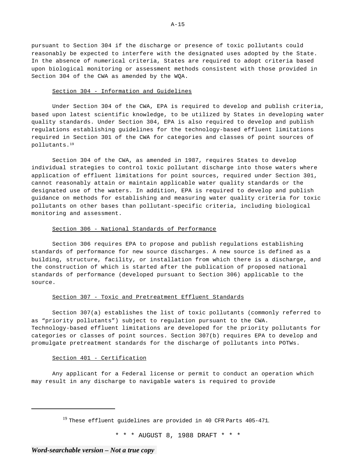pursuant to Section 304 if the discharge or presence of toxic pollutants could reasonably be expected to interfere with the designated uses adopted by the State. In the absence of numerical criteria, States are required to adopt criteria based upon biological monitoring or assessment methods consistent with those provided in Section 304 of the CWA as amended by the WQA.

## Section 304 - Information and Guidelines

Under Section 304 of the CWA, EPA is required to develop and publish criteria, based upon latest scientific knowledge, to be utilized by States in developing water quality standards. Under Section 304, EPA is also required to develop and publish regulations establishing guidelines for the technology-based effluent limitations required in Section 301 of the CWA for categories and classes of point sources of pollutants.19

Section 304 of the CWA, as amended in 1987, requires States to develop individual strategies to control toxic pollutant discharge into those waters where application of effluent limitations for point sources, required under Section 301, cannot reasonably attain or maintain applicable water quality standards or the designated use of the waters. In addition, EPA is required to develop and publish guidance on methods for establishing and measuring water quality criteria for toxic pollutants on other bases than pollutant-specific criteria, including biological monitoring and assessment.

## Section 306 - National Standards of Performance

Section 306 requires EPA to propose and publish regulations establishing standards of performance for new source discharges. A new source is defined as a building, structure, facility, or installation from which there is a discharge, and the construction of which is started after the publication of proposed national standards of performance (developed pursuant to Section 306) applicable to the source.

#### Section 307 - Toxic and Pretreatment Effluent Standards

Section 307(a) establishes the list of toxic pollutants (commonly referred to as "priority pollutants") subject to regulation pursuant to the CWA. Technology-based effluent limitations are developed for the priority pollutants for categories or classes of point sources. Section 307(b) requires EPA to develop and promulgate pretreatment standards for the discharge of pollutants into POTWs.

## Section 401 - Certification

Any applicant for a Federal license or permit to conduct an operation which may result in any discharge to navigable waters is required to provide

 $19$  These effluent guidelines are provided in 40 CFR Parts 405-471.

\* \* \* AUGUST 8, 1988 DRAFT \* \* \*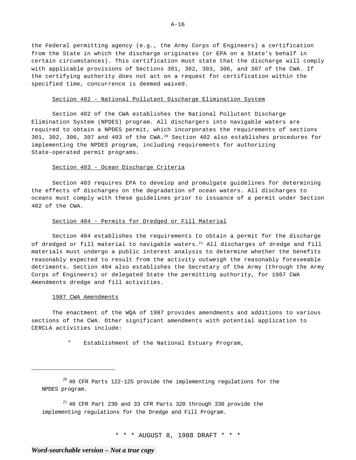the Federal permitting agency (e.g., the Army Corps of Engineers) a certification from the State in which the discharge originates (or EPA on a State's behalf in certain circumstances). This certification must state that the discharge will comply with applicable provisions of Sections 301, 302, 303, 306, and 307 of the CWA. If the certifying authority does not act on a request for certification within the specified time, concurrence is deemed waived.

#### Section 402 - National Pollutant Discharge Elimination System

Section 402 of the CWA establishes the National Pollutant Discharge Elimination System (NPDES) program. All dischargers into navigable waters are required to obtain a NPDES permit, which incorporates the requirements of sections 301, 302, 306, 307 and 403 of the CWA.20 Section 402 also establishes procedures for implementing the NPDES program, including requirements for authorizing State-operated permit programs.

## Section 403 - Ocean Discharge Criteria

Section 403 requires EPA to develop and promulgate guidelines for determining the effects of discharges on the degradation of ocean waters. All discharges to oceans must comply with these guidelines prior to issuance of a permit under Section 402 of the CWA.

## Section 404 - Permits for Dredged or Fill Material

Section 404 establishes the requirements to obtain a permit for the discharge of dredged or fill material to navigable waters. $^{21}$  All discharges of dredge and fill materials must undergo a public interest analysis to determine whether the benefits reasonably expected to result from the activity outweigh the reasonably foreseeable detriments. Section 404 also establishes the Secretary of the Army (through the Army Corps of Engineers) or delegated State the permitting authority, for 1987 CWA Amendments dredge and fill activities.

#### 1987 CWA Amendments

The enactment of the WQA of 1987 provides amendments and additions to various sections of the CWA. Other significant amendments with potential application to CERCLA activities include:

Establishment of the National Estuary Program,

 $^{21}$  40 CFR Part 230 and 33 CFR Parts 320 through 330 provide the implementing regulations for the Dredge and Fill Program.

\* \* \* AUGUST 8, 1988 DRAFT \* \* \*

 $^{20}$  40 CFR Parts 122-125 provide the implementing regulations for the NPDES program.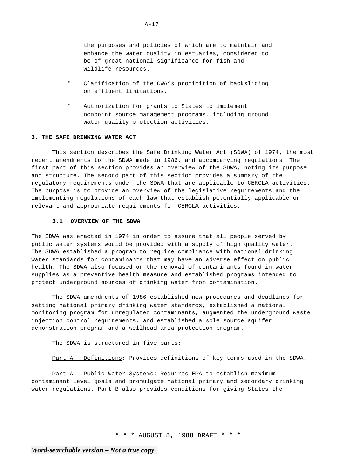the purposes and policies of which are to maintain and enhance the water quality in estuaries, considered to be of great national significance for fish and wildlife resources.

- " Clarification of the CWA's prohibition of backsliding on effluent limitations.
- " Authorization for grants to States to implement nonpoint source management programs, including ground water quality protection activities.

## **3. THE SAFE DRINKING WATER ACT**

This section describes the Safe Drinking Water Act (SDWA) of 1974, the most recent amendments to the SDWA made in 1986, and accompanying regulations. The first part of this section provides an overview of the SDWA, noting its purpose and structure. The second part of this section provides a summary of the regulatory requirements under the SDWA that are applicable to CERCLA activities. The purpose is to provide an overview of the legislative requirements and the implementing regulations of each law that establish potentially applicable or relevant and appropriate requirements for CERCLA activities.

## **3.1 OVERVIEW OF THE SDWA**

The SDWA was enacted in 1974 in order to assure that all people served by public water systems would be provided with a supply of high quality water. The SDWA established a program to require compliance with national drinking water standards for contaminants that may have an adverse effect on public health. The SDWA also focused on the removal of contaminants found in water supplies as a preventive health measure and established programs intended to protect underground sources of drinking water from contamination.

The SDWA amendments of 1986 established new procedures and deadlines for setting national primary drinking water standards, established a national monitoring program for unregulated contaminants, augmented the underground waste injection control requirements, and established a sole source aquifer demonstration program and a wellhead area protection program.

The SDWA is structured in five parts:

Part A - Definitions: Provides definitions of key terms used in the SDWA.

Part A - Public Water Systems: Requires EPA to establish maximum contaminant level goals and promulgate national primary and secondary drinking water regulations. Part B also provides conditions for giving States the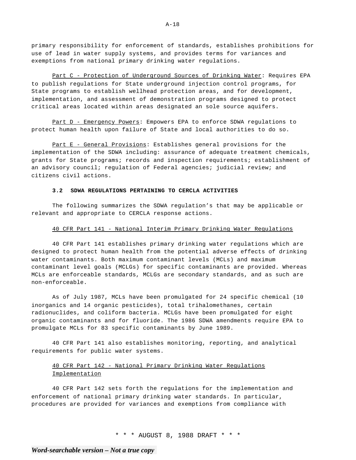primary responsibility for enforcement of standards, establishes prohibitions for use of lead in water supply systems, and provides terms for variances and exemptions from national primary drinking water regulations.

Part C - Protection of Underground Sources of Drinking Water: Requires EPA to publish regulations for State underground injection control programs, for State programs to establish wellhead protection areas, and for development, implementation, and assessment of demonstration programs designed to protect critical areas located within areas designated an sole source aquifers.

Part D - Emergency Powers: Empowers EPA to enforce SDWA regulations to protect human health upon failure of State and local authorities to do so.

Part E - General Provisions: Establishes general provisions for the implementation of the SDWA including: assurance of adequate treatment chemicals, grants for State programs; records and inspection requirements; establishment of an advisory council; regulation of Federal agencies; judicial review; and citizens civil actions.

## **3.2 SDWA REGULATIONS PERTAINING TO CERCLA ACTIVITIES**

The following summarizes the SDWA regulation's that may be applicable or relevant and appropriate to CERCLA response actions.

## 40 CFR Part 141 - National Interim Primary Drinking Water Regulations

40 CFR Part 141 establishes primary drinking water regulations which are designed to protect human health from the potential adverse effects of drinking water contaminants. Both maximum contaminant levels (MCLs) and maximum contaminant level goals (MCLGs) for specific contaminants are provided. Whereas MCLs are enforceable standards, MCLGs are secondary standards, and as such are non-enforceable.

As of July 1987, MCLs have been promulgated for 24 specific chemical (10 inorganics and 14 organic pesticides), total trihalomethanes, certain radionuclides, and coliform bacteria. MCLGs have been promulgated for eight organic contaminants and for fluoride. The 1986 SDWA amendments require EPA to promulgate MCLs for 83 specific contaminants by June 1989.

40 CFR Part 141 also establishes monitoring, reporting, and analytical requirements for public water systems.

## 40 CFR Part 142 - National Primary Drinking Water Regulations Implementation

40 CFR Part 142 sets forth the regulations for the implementation and enforcement of national primary drinking water standards. In particular, procedures are provided for variances and exemptions from compliance with

\* \* \* AUGUST 8, 1988 DRAFT \* \* \*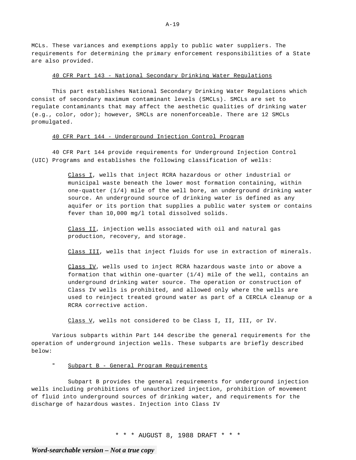MCLs. These variances and exemptions apply to public water suppliers. The requirements for determining the primary enforcement responsibilities of a State are also provided.

## 40 CFR Part 143 - National Secondary Drinking Water Regulations

This part establishes National Secondary Drinking Water Regulations which consist of secondary maximum contaminant levels (SMCLs). SMCLs are set to regulate contaminants that may affect the aesthetic qualities of drinking water (e.g., color, odor); however, SMCLs are nonenforceable. There are 12 SMCLs promulgated.

## 40 CFR Part 144 - Underground Injection Control Program

40 CFR Part 144 provide requirements for Underground Injection Control (UIC) Programs and establishes the following classification of wells:

> Class I, wells that inject RCRA hazardous or other industrial or municipal waste beneath the lower most formation containing, within one-quatter (1/4) mile of the well bore, an underground drinking water source. An underground source of drinking water is defined as any aquifer or its portion that supplies a public water system or contains fever than 10,000 mg/l total dissolved solids.

Class II, injection wells associated with oil and natural gas production, recovery, and storage.

Class III, wells that inject fluids for use in extraction of minerals.

Class IV, wells used to inject RCRA hazardous waste into or above a formation that within one-quarter (1/4) mile of the well, contains an underground drinking water source. The operation or construction of Class IV wells is prohibited, and allowed only where the wells are used to reinject treated ground water as part of a CERCLA cleanup or a RCRA corrective action.

Class V, wells not considered to be Class I, II, III, or IV.

Various subparts within Part 144 describe the general requirements for the operation of underground injection wells. These subparts are briefly described below:

# " Subpart B - General Program Requirements

Subpart B provides the general requirements for underground injection wells including prohibitions of unauthorized injection, prohibition of movement of fluid into underground sources of drinking water, and requirements for the discharge of hazardous wastes. Injection into Class IV

\* \* \* AUGUST 8, 1988 DRAFT \* \* \*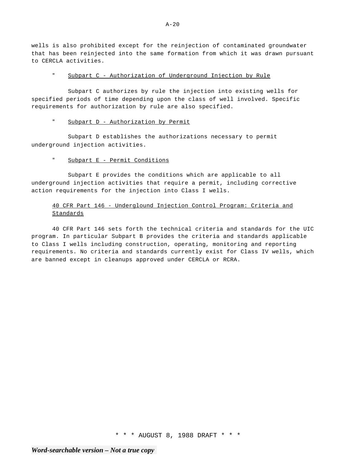wells is also prohibited except for the reinjection of contaminated groundwater that has been reinjected into the same formation from which it was drawn pursuant to CERCLA activities.

" Subpart C - Authorization of Underground Injection by Rule

Subpart C authorizes by rule the injection into existing wells for specified periods of time depending upon the class of well involved. Specific requirements for authorization by rule are also specified.

# " Subpart D - Authorization by Permit

Subpart D establishes the authorizations necessary to permit underground injection activities.

# " Subpart E - Permit Conditions

Subpart E provides the conditions which are applicable to all underground injection activities that require a permit, including corrective action requirements for the injection into Class I wells.

# 40 CFR Part 146 - Underglound Injection Control Program: Criteria and Standards

40 CFR Part 146 sets forth the technical criteria and standards for the UIC program. In particular Subpart B provides the criteria and standards applicable to Class I wells including construction, operating, monitoring and reporting requirements. No criteria and standards currently exist for Class IV wells, which are banned except in cleanups approved under CERCLA or RCRA.

\* \* \* AUGUST 8, 1988 DRAFT \* \* \*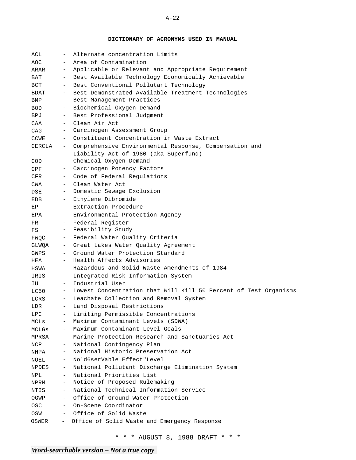**DICTIONARY OF ACRONYMS USED IN MANUAL** 

| ACL          |                                                               | Alternate concentration Limits                                   |  |  |  |  |  |
|--------------|---------------------------------------------------------------|------------------------------------------------------------------|--|--|--|--|--|
| AOC          | $\sim$                                                        | Area of Contamination                                            |  |  |  |  |  |
| ARAR         | $-$                                                           | Applicable or Relevant and Appropriate Requirement               |  |  |  |  |  |
| BAT          | $-$                                                           | Best Available Technology Economically Achievable                |  |  |  |  |  |
| $_{\rm BCT}$ | $ -$                                                          | Best Conventional Pollutant Technology                           |  |  |  |  |  |
| BDAT         | $-$                                                           | Best Demonstrated Available Treatment Technologies               |  |  |  |  |  |
| BMP          | $-$                                                           | Best Management Practices                                        |  |  |  |  |  |
| <b>BOD</b>   | $-$                                                           | Biochemical Oxygen Demand                                        |  |  |  |  |  |
| BPJ          | $-$                                                           | Best Professional Judgment                                       |  |  |  |  |  |
| CAA          | $-$                                                           | Clean Air Act                                                    |  |  |  |  |  |
| CAG          | $-$                                                           | Carcinogen Assessment Group                                      |  |  |  |  |  |
| CCWE         |                                                               | - Constituent Concentration in Waste Extract                     |  |  |  |  |  |
| CERCLA       | Comprehensive Environmental Response, Compensation and<br>$-$ |                                                                  |  |  |  |  |  |
|              |                                                               | Liability Act of 1980 (aka Superfund)                            |  |  |  |  |  |
| COD          | $-$                                                           | Chemical Oxygen Demand                                           |  |  |  |  |  |
| CPF          | $-$                                                           | Carcinogen Potency Factors                                       |  |  |  |  |  |
| CFR          |                                                               | Code of Federal Regulations                                      |  |  |  |  |  |
| CWA          | $\sim$ $-$                                                    | Clean Water Act                                                  |  |  |  |  |  |
| DSE          | $-$                                                           | Domestic Sewage Exclusion                                        |  |  |  |  |  |
| EDB.<br>EP   | $-$<br>$-$                                                    | Ethylene Dibromide                                               |  |  |  |  |  |
| EPA          | $ -$                                                          | Extraction Procedure                                             |  |  |  |  |  |
| FR.          | $-$                                                           | Environmental Protection Agency<br>Federal Register              |  |  |  |  |  |
| FS           | $-$                                                           | Feasibility Study                                                |  |  |  |  |  |
| FWQC         | $-$                                                           | Federal Water Quality Criteria                                   |  |  |  |  |  |
| GLWQA        | $-$                                                           | Great Lakes Water Quality Agreement                              |  |  |  |  |  |
| GWPS         |                                                               | Ground Water Protection Standard                                 |  |  |  |  |  |
| HEA          |                                                               | Health Affects Advisories                                        |  |  |  |  |  |
| HSWA         | $-$                                                           | Hazardous and Solid Waste Amendments of 1984                     |  |  |  |  |  |
| IRIS         | $-$                                                           | Integrated Risk Information System                               |  |  |  |  |  |
| IU           | $-$                                                           | Industrial User                                                  |  |  |  |  |  |
| LC50         | $-$                                                           | Lowest Concentration that Will Kill 50 Percent of Test Organisms |  |  |  |  |  |
| LCRS         | $-$                                                           | Leachate Collection and Removal System                           |  |  |  |  |  |
| LDR          | $\overline{\phantom{0}}$                                      | Land Disposal Restrictions                                       |  |  |  |  |  |
| LPC          |                                                               | Limiting Permissible Concentrations                              |  |  |  |  |  |
| MCLs         |                                                               | Maximum Contaminant Levels (SDWA)                                |  |  |  |  |  |
| MCLGs        | $-$                                                           | Maximum Contaminant Level Goals                                  |  |  |  |  |  |
| MPRSA        | $-$                                                           | Marine Protection Research and Sanctuaries Act                   |  |  |  |  |  |
| NCP          | $\overline{\phantom{0}}$                                      | National Contingency Plan                                        |  |  |  |  |  |
| NHPA         | $-$                                                           | National Historic Preservation Act                               |  |  |  |  |  |
| NOEL         | $-$                                                           | No'd6serVable Effect"Level                                       |  |  |  |  |  |
| <b>NPDES</b> | $-$                                                           | National Pollutant Discharge Elimination System                  |  |  |  |  |  |
| NPL          | $-$                                                           | National Priorities List                                         |  |  |  |  |  |
| NPRM         | $\equiv$                                                      | Notice of Proposed Rulemaking                                    |  |  |  |  |  |
| NTIS         | $-$                                                           | National Technical Information Service                           |  |  |  |  |  |
| OGWP         | $-$                                                           | Office of Ground-Water Protection                                |  |  |  |  |  |
| OSC          | $-$                                                           | On-Scene Coordinator                                             |  |  |  |  |  |
| OSW          | $\sim$ $-$                                                    | Office of Solid Waste                                            |  |  |  |  |  |
| OSWER        | $-$                                                           | Office of Solid Waste and Emergency Response                     |  |  |  |  |  |

\* \* \* AUGUST 8, 1988 DRAFT \* \* \*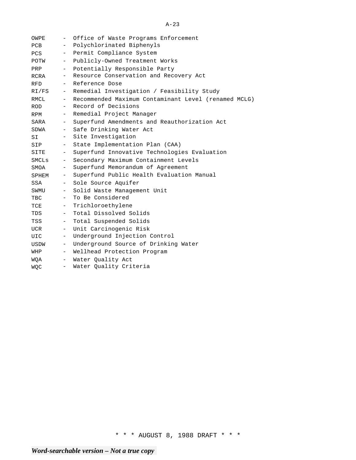| OWPE       | $\sim$            | Office of Waste Programs Enforcement                 |  |  |  |  |  |  |  |  |
|------------|-------------------|------------------------------------------------------|--|--|--|--|--|--|--|--|
| PCB        | $ \,$             | Polychlorinated Biphenyls                            |  |  |  |  |  |  |  |  |
| PCS        | $-$               | Permit Compliance System                             |  |  |  |  |  |  |  |  |
| POTW       | $ \,$             | Publicly-Owned Treatment Works                       |  |  |  |  |  |  |  |  |
| PRP        | $ \,$             | Potentially Responsible Party                        |  |  |  |  |  |  |  |  |
| RCRA       | $ \,$             | Resource Conservation and Recovery Act               |  |  |  |  |  |  |  |  |
| <b>RFD</b> |                   | - Reference Dose                                     |  |  |  |  |  |  |  |  |
| RI/FS      |                   | - Remedial Investigation / Feasibility Study         |  |  |  |  |  |  |  |  |
| RMCL       | $\sim$ $-$        | Recommended Maximum Contaminant Level (renamed MCLG) |  |  |  |  |  |  |  |  |
| ROD        | $-$               | Record of Decisions                                  |  |  |  |  |  |  |  |  |
| RPM        | $-$               | Remedial Project Manager                             |  |  |  |  |  |  |  |  |
| SARA       | $\sim$            | Superfund Amendments and Reauthorization Act         |  |  |  |  |  |  |  |  |
| SDWA       |                   | - Safe Drinking Water Act                            |  |  |  |  |  |  |  |  |
| SI         | $\equiv$          | Site Investigation                                   |  |  |  |  |  |  |  |  |
| SIP        | $ \,$             | State Implementation Plan (CAA)                      |  |  |  |  |  |  |  |  |
| SITE       | $ \,$             | Superfund Innovative Technologies Evaluation         |  |  |  |  |  |  |  |  |
| SMCLs      | $\sim$            | Secondary Maximum Containment Levels                 |  |  |  |  |  |  |  |  |
| SMOA       | $-$ .             | Superfund Memorandum of Agreement                    |  |  |  |  |  |  |  |  |
| SPHEM      | $-$               | Superfund Public Health Evaluation Manual            |  |  |  |  |  |  |  |  |
| SSA        | $-$               | Sole Source Aquifer                                  |  |  |  |  |  |  |  |  |
| SWMU       | $\equiv$          | Solid Waste Management Unit                          |  |  |  |  |  |  |  |  |
| TBC        | $\qquad \qquad -$ | To Be Considered                                     |  |  |  |  |  |  |  |  |
| TCE        | $ \,$             | Trichloroethylene                                    |  |  |  |  |  |  |  |  |
| TDS        | $-$               | Total Dissolved Solids                               |  |  |  |  |  |  |  |  |
| TSS        | $ \,$             | Total Suspended Solids                               |  |  |  |  |  |  |  |  |
| UCR        | $ \,$             | Unit Carcinogenic Risk                               |  |  |  |  |  |  |  |  |
| UIC        | $-$               | Underground Injection Control                        |  |  |  |  |  |  |  |  |
| USDW       | $ \,$             | Underground Source of Drinking Water                 |  |  |  |  |  |  |  |  |
| WHP        | $-$               | Wellhead Protection Program                          |  |  |  |  |  |  |  |  |
| WOA        | $\sim$            | Water Quality Act                                    |  |  |  |  |  |  |  |  |
| <b>WOC</b> | $-$               | Water Quality Criteria                               |  |  |  |  |  |  |  |  |

\* \* \* AUGUST 8, 1988 DRAFT \* \* \*